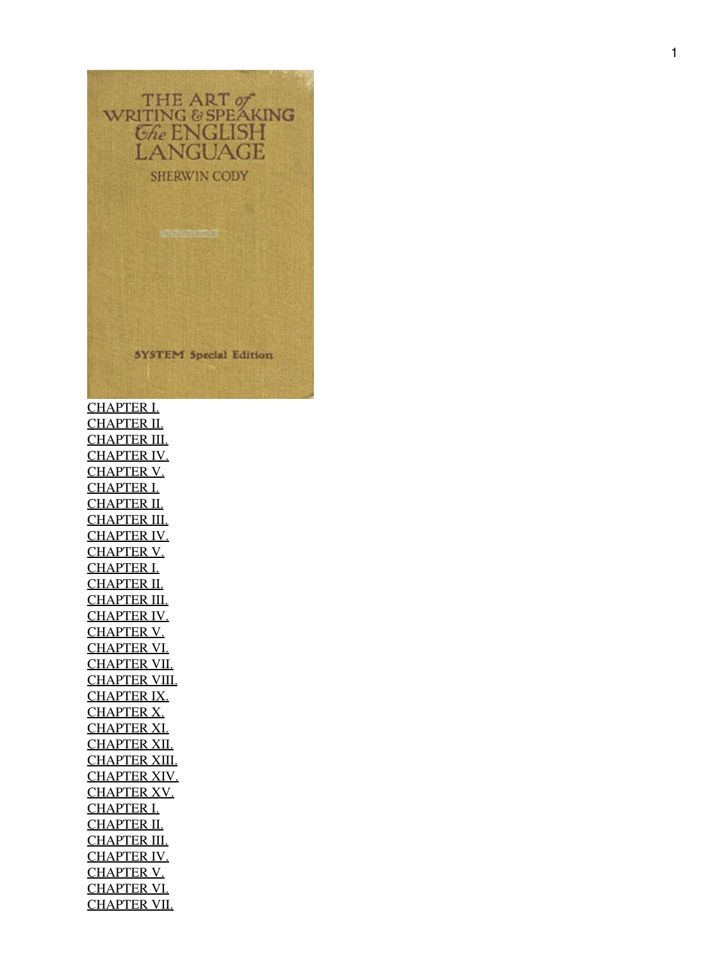

[CHAPTER I.](#page-74-0) [CHAPTER II.](#page-76-0) [CHAPTER III.](#page-79-0) [CHAPTER IV.](#page-84-0) [CHAPTER V.](#page-90-0) [CHAPTER I.](#page-74-0) [CHAPTER II.](#page-76-0) [CHAPTER III.](#page-79-0) [CHAPTER IV.](#page-84-0) [CHAPTER V.](#page-90-0) [CHAPTER I.](#page-74-0) [CHAPTER II.](#page-76-0) [CHAPTER III.](#page-79-0) [CHAPTER IV.](#page-84-0) [CHAPTER V.](#page-90-0) [CHAPTER VI.](#page-92-0) [CHAPTER VII.](#page-99-0) [CHAPTER VIII.](#page-102-0) [CHAPTER IX.](#page-105-0) [CHAPTER X.](#page-110-0) [CHAPTER XI.](#page-112-0) [CHAPTER XII.](#page-115-0) [CHAPTER XIII.](#page-118-0) [CHAPTER XIV.](#page-120-0) [CHAPTER XV.](#page-121-0) [CHAPTER I.](#page-74-0) [CHAPTER II.](#page-76-0) [CHAPTER III.](#page-79-0) [CHAPTER IV.](#page-84-0) [CHAPTER V.](#page-90-0) [CHAPTER VI.](#page-92-0) [CHAPTER VII.](#page-99-0)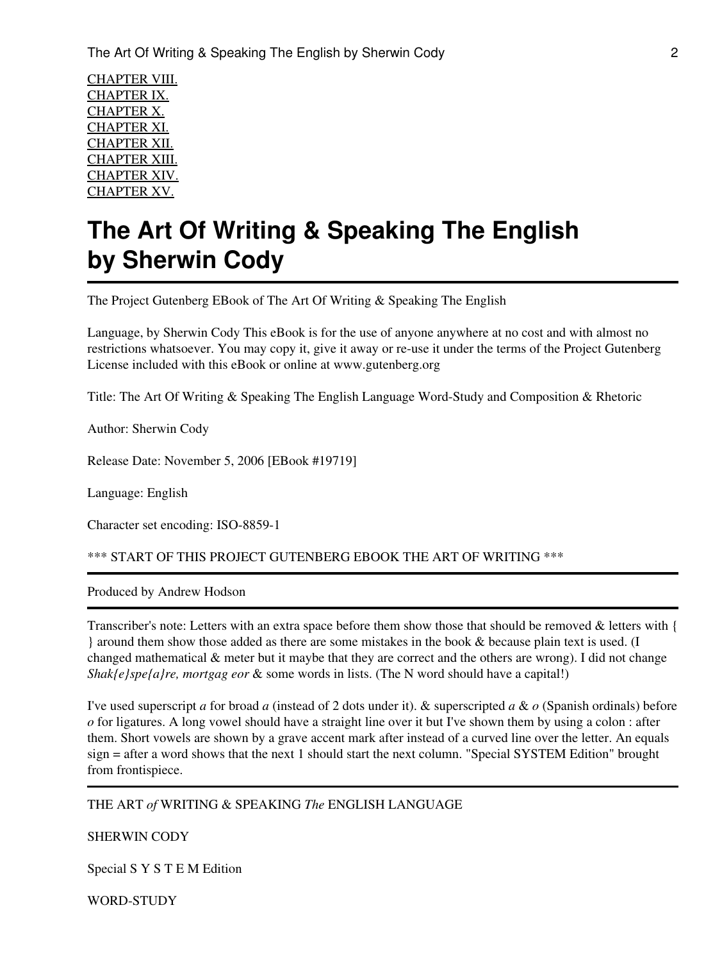[CHAPTER VIII.](#page-102-0) [CHAPTER IX.](#page-105-0) [CHAPTER X.](#page-110-0) [CHAPTER XI.](#page-112-0) [CHAPTER XII.](#page-115-0) [CHAPTER XIII.](#page-118-0) [CHAPTER XIV.](#page-120-0) [CHAPTER XV.](#page-121-0)

# **The Art Of Writing & Speaking The English by Sherwin Cody**

The Project Gutenberg EBook of The Art Of Writing & Speaking The English

Language, by Sherwin Cody This eBook is for the use of anyone anywhere at no cost and with almost no restrictions whatsoever. You may copy it, give it away or re-use it under the terms of the Project Gutenberg License included with this eBook or online at www.gutenberg.org

Title: The Art Of Writing & Speaking The English Language Word-Study and Composition & Rhetoric

Author: Sherwin Cody

Release Date: November 5, 2006 [EBook #19719]

Language: English

Character set encoding: ISO-8859-1

\*\*\* START OF THIS PROJECT GUTENBERG EBOOK THE ART OF WRITING \*\*\*

Produced by Andrew Hodson

Transcriber's note: Letters with an extra space before them show those that should be removed & letters with { } around them show those added as there are some mistakes in the book & because plain text is used. (I changed mathematical  $\&$  meter but it maybe that they are correct and the others are wrong). I did not change *Shak{e}spe{a}re, mortgag eor* & some words in lists. (The N word should have a capital!)

I've used superscript *a* for broad *a* (instead of 2 dots under it). & superscripted *a* & *o* (Spanish ordinals) before *o* for ligatures. A long vowel should have a straight line over it but I've shown them by using a colon : after them. Short vowels are shown by a grave accent mark after instead of a curved line over the letter. An equals sign = after a word shows that the next 1 should start the next column. "Special SYSTEM Edition" brought from frontispiece.

#### THE ART *of* WRITING & SPEAKING *The* ENGLISH LANGUAGE

SHERWIN CODY

Special S Y S T E M Edition

WORD-STUDY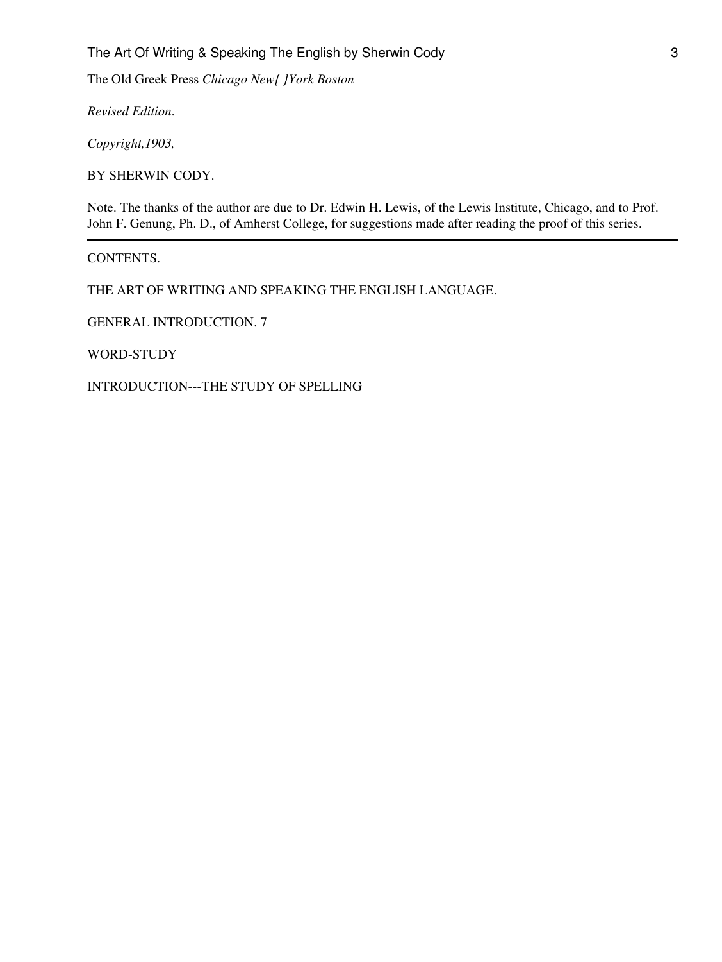The Old Greek Press *Chicago New{ }York Boston*

*Revised Edition*.

*Copyright,1903,*

BY SHERWIN CODY.

Note. The thanks of the author are due to Dr. Edwin H. Lewis, of the Lewis Institute, Chicago, and to Prof. John F. Genung, Ph. D., of Amherst College, for suggestions made after reading the proof of this series.

CONTENTS.

THE ART OF WRITING AND SPEAKING THE ENGLISH LANGUAGE.

GENERAL INTRODUCTION. 7

WORD-STUDY

INTRODUCTION---THE STUDY OF SPELLING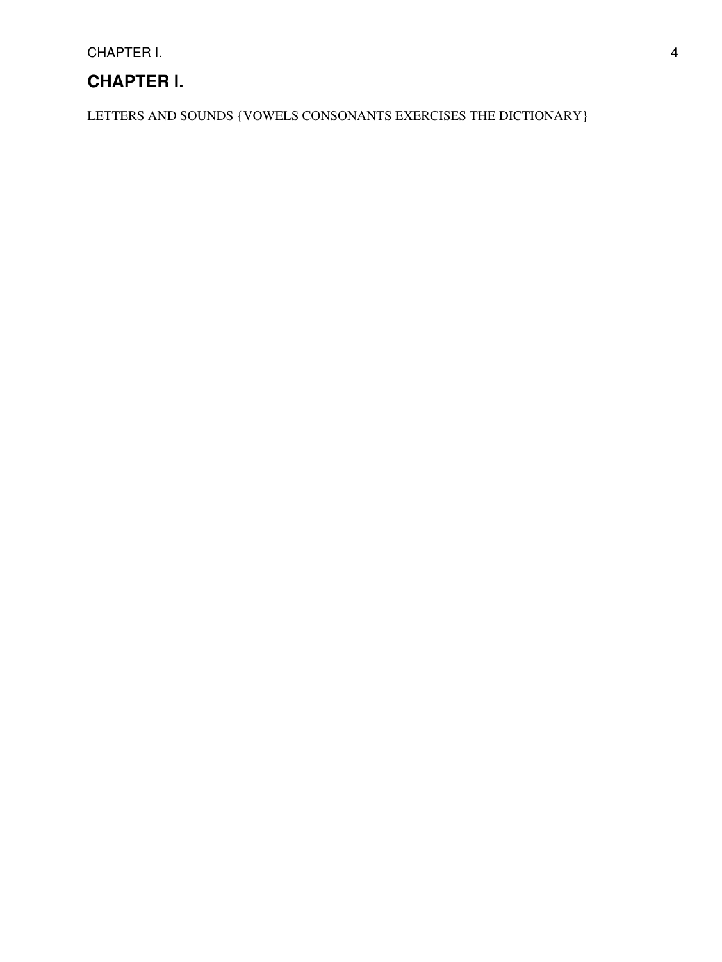## **CHAPTER I.**

LETTERS AND SOUNDS {VOWELS CONSONANTS EXERCISES THE DICTIONARY}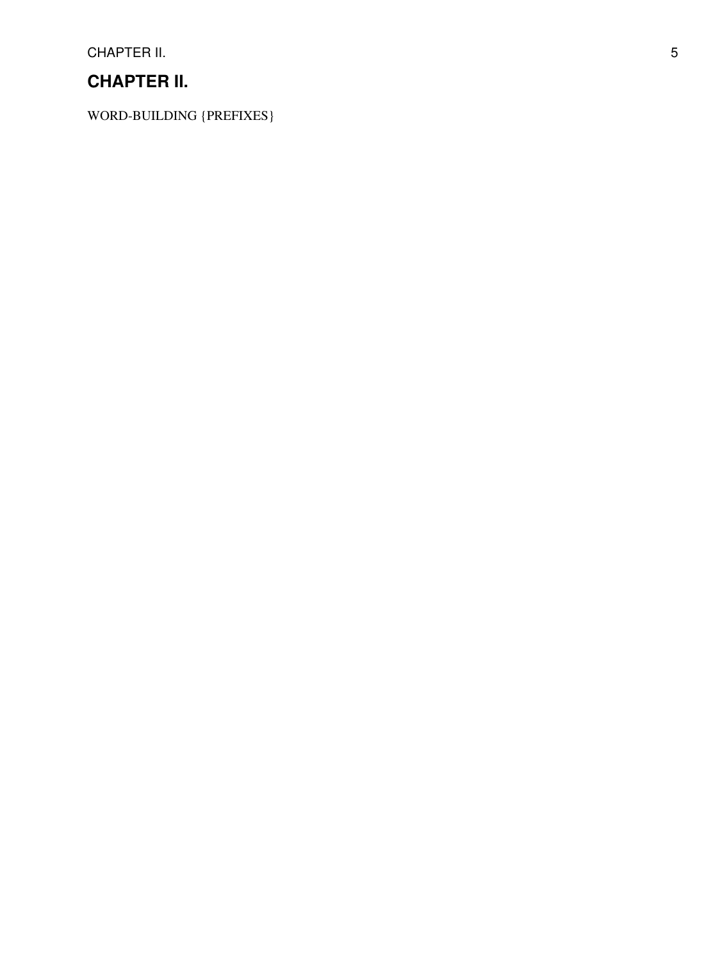## **CHAPTER II.**

WORD-BUILDING {PREFIXES}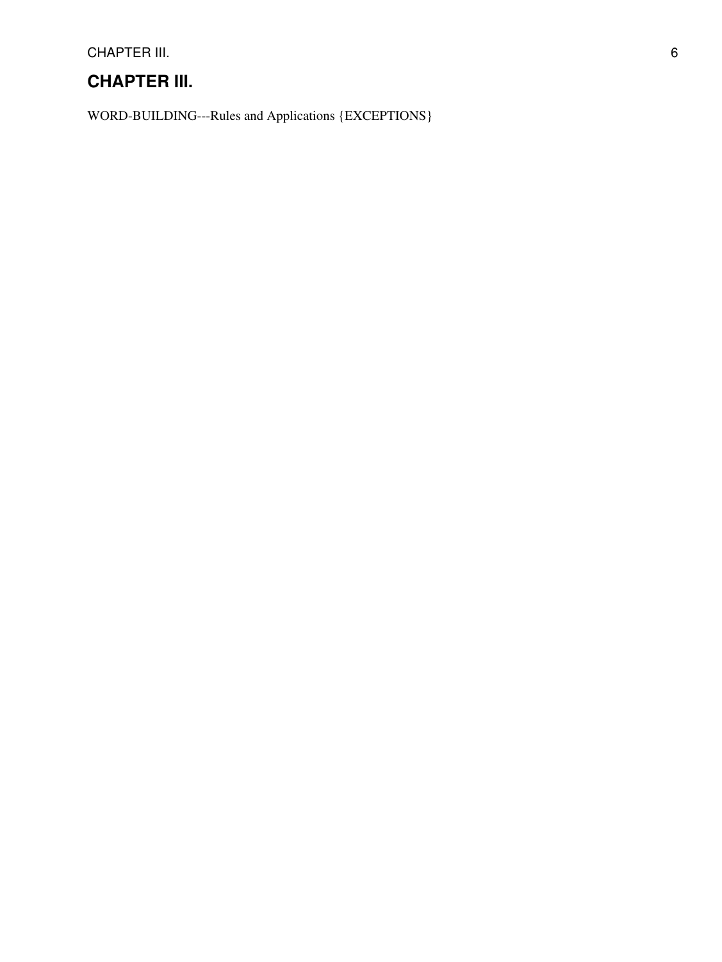## **CHAPTER III.**

WORD-BUILDING---Rules and Applications {EXCEPTIONS}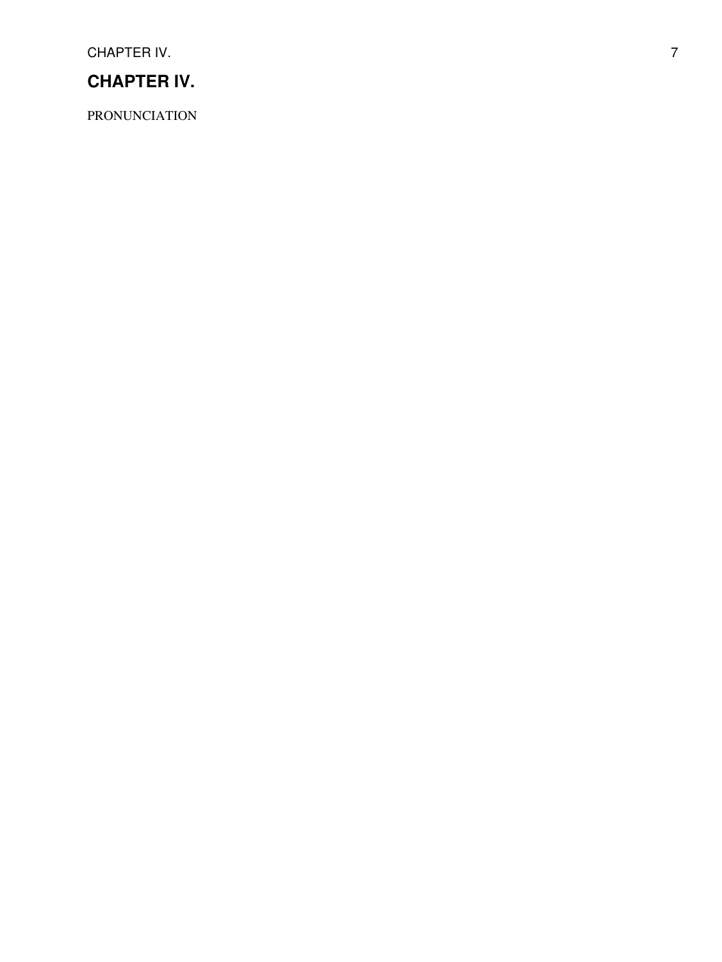## **CHAPTER IV.**

PRONUNCIATION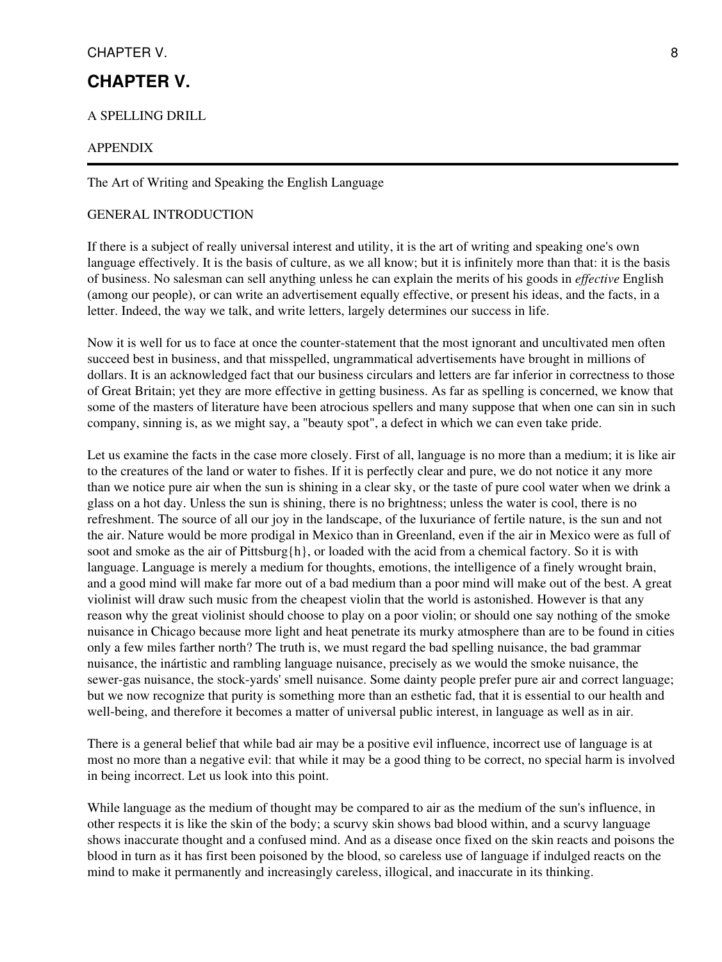## **CHAPTER V.**

#### A SPELLING DRILL

#### APPENDIX

The Art of Writing and Speaking the English Language

#### GENERAL INTRODUCTION

If there is a subject of really universal interest and utility, it is the art of writing and speaking one's own language effectively. It is the basis of culture, as we all know; but it is infinitely more than that: it is the basis of business. No salesman can sell anything unless he can explain the merits of his goods in *effective* English (among our people), or can write an advertisement equally effective, or present his ideas, and the facts, in a letter. Indeed, the way we talk, and write letters, largely determines our success in life.

Now it is well for us to face at once the counter-statement that the most ignorant and uncultivated men often succeed best in business, and that misspelled, ungrammatical advertisements have brought in millions of dollars. It is an acknowledged fact that our business circulars and letters are far inferior in correctness to those of Great Britain; yet they are more effective in getting business. As far as spelling is concerned, we know that some of the masters of literature have been atrocious spellers and many suppose that when one can sin in such company, sinning is, as we might say, a "beauty spot", a defect in which we can even take pride.

Let us examine the facts in the case more closely. First of all, language is no more than a medium; it is like air to the creatures of the land or water to fishes. If it is perfectly clear and pure, we do not notice it any more than we notice pure air when the sun is shining in a clear sky, or the taste of pure cool water when we drink a glass on a hot day. Unless the sun is shining, there is no brightness; unless the water is cool, there is no refreshment. The source of all our joy in the landscape, of the luxuriance of fertile nature, is the sun and not the air. Nature would be more prodigal in Mexico than in Greenland, even if the air in Mexico were as full of soot and smoke as the air of Pittsburg ${h}$ , or loaded with the acid from a chemical factory. So it is with language. Language is merely a medium for thoughts, emotions, the intelligence of a finely wrought brain, and a good mind will make far more out of a bad medium than a poor mind will make out of the best. A great violinist will draw such music from the cheapest violin that the world is astonished. However is that any reason why the great violinist should choose to play on a poor violin; or should one say nothing of the smoke nuisance in Chicago because more light and heat penetrate its murky atmosphere than are to be found in cities only a few miles farther north? The truth is, we must regard the bad spelling nuisance, the bad grammar nuisance, the inártistic and rambling language nuisance, precisely as we would the smoke nuisance, the sewer-gas nuisance, the stock-yards' smell nuisance. Some dainty people prefer pure air and correct language; but we now recognize that purity is something more than an esthetic fad, that it is essential to our health and well-being, and therefore it becomes a matter of universal public interest, in language as well as in air.

There is a general belief that while bad air may be a positive evil influence, incorrect use of language is at most no more than a negative evil: that while it may be a good thing to be correct, no special harm is involved in being incorrect. Let us look into this point.

While language as the medium of thought may be compared to air as the medium of the sun's influence, in other respects it is like the skin of the body; a scurvy skin shows bad blood within, and a scurvy language shows inaccurate thought and a confused mind. And as a disease once fixed on the skin reacts and poisons the blood in turn as it has first been poisoned by the blood, so careless use of language if indulged reacts on the mind to make it permanently and increasingly careless, illogical, and inaccurate in its thinking.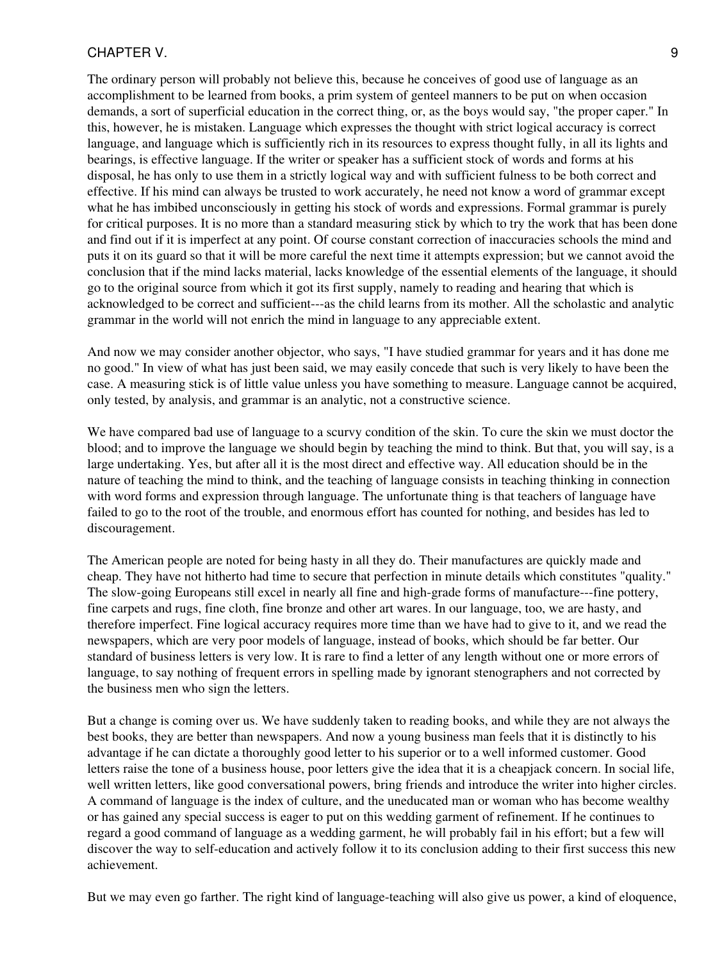#### CHAPTER V. SAND STREET AND THE SERVICE SERVICE SERVICE SERVICE SERVICE SERVICE SERVICE SERVICE SERVICE SERVICE

The ordinary person will probably not believe this, because he conceives of good use of language as an accomplishment to be learned from books, a prim system of genteel manners to be put on when occasion demands, a sort of superficial education in the correct thing, or, as the boys would say, "the proper caper." In this, however, he is mistaken. Language which expresses the thought with strict logical accuracy is correct language, and language which is sufficiently rich in its resources to express thought fully, in all its lights and bearings, is effective language. If the writer or speaker has a sufficient stock of words and forms at his disposal, he has only to use them in a strictly logical way and with sufficient fulness to be both correct and effective. If his mind can always be trusted to work accurately, he need not know a word of grammar except what he has imbibed unconsciously in getting his stock of words and expressions. Formal grammar is purely for critical purposes. It is no more than a standard measuring stick by which to try the work that has been done and find out if it is imperfect at any point. Of course constant correction of inaccuracies schools the mind and puts it on its guard so that it will be more careful the next time it attempts expression; but we cannot avoid the conclusion that if the mind lacks material, lacks knowledge of the essential elements of the language, it should go to the original source from which it got its first supply, namely to reading and hearing that which is acknowledged to be correct and sufficient---as the child learns from its mother. All the scholastic and analytic grammar in the world will not enrich the mind in language to any appreciable extent.

And now we may consider another objector, who says, "I have studied grammar for years and it has done me no good." In view of what has just been said, we may easily concede that such is very likely to have been the case. A measuring stick is of little value unless you have something to measure. Language cannot be acquired, only tested, by analysis, and grammar is an analytic, not a constructive science.

We have compared bad use of language to a scurvy condition of the skin. To cure the skin we must doctor the blood; and to improve the language we should begin by teaching the mind to think. But that, you will say, is a large undertaking. Yes, but after all it is the most direct and effective way. All education should be in the nature of teaching the mind to think, and the teaching of language consists in teaching thinking in connection with word forms and expression through language. The unfortunate thing is that teachers of language have failed to go to the root of the trouble, and enormous effort has counted for nothing, and besides has led to discouragement.

The American people are noted for being hasty in all they do. Their manufactures are quickly made and cheap. They have not hitherto had time to secure that perfection in minute details which constitutes "quality." The slow-going Europeans still excel in nearly all fine and high-grade forms of manufacture---fine pottery, fine carpets and rugs, fine cloth, fine bronze and other art wares. In our language, too, we are hasty, and therefore imperfect. Fine logical accuracy requires more time than we have had to give to it, and we read the newspapers, which are very poor models of language, instead of books, which should be far better. Our standard of business letters is very low. It is rare to find a letter of any length without one or more errors of language, to say nothing of frequent errors in spelling made by ignorant stenographers and not corrected by the business men who sign the letters.

But a change is coming over us. We have suddenly taken to reading books, and while they are not always the best books, they are better than newspapers. And now a young business man feels that it is distinctly to his advantage if he can dictate a thoroughly good letter to his superior or to a well informed customer. Good letters raise the tone of a business house, poor letters give the idea that it is a cheapjack concern. In social life, well written letters, like good conversational powers, bring friends and introduce the writer into higher circles. A command of language is the index of culture, and the uneducated man or woman who has become wealthy or has gained any special success is eager to put on this wedding garment of refinement. If he continues to regard a good command of language as a wedding garment, he will probably fail in his effort; but a few will discover the way to self-education and actively follow it to its conclusion adding to their first success this new achievement.

But we may even go farther. The right kind of language-teaching will also give us power, a kind of eloquence,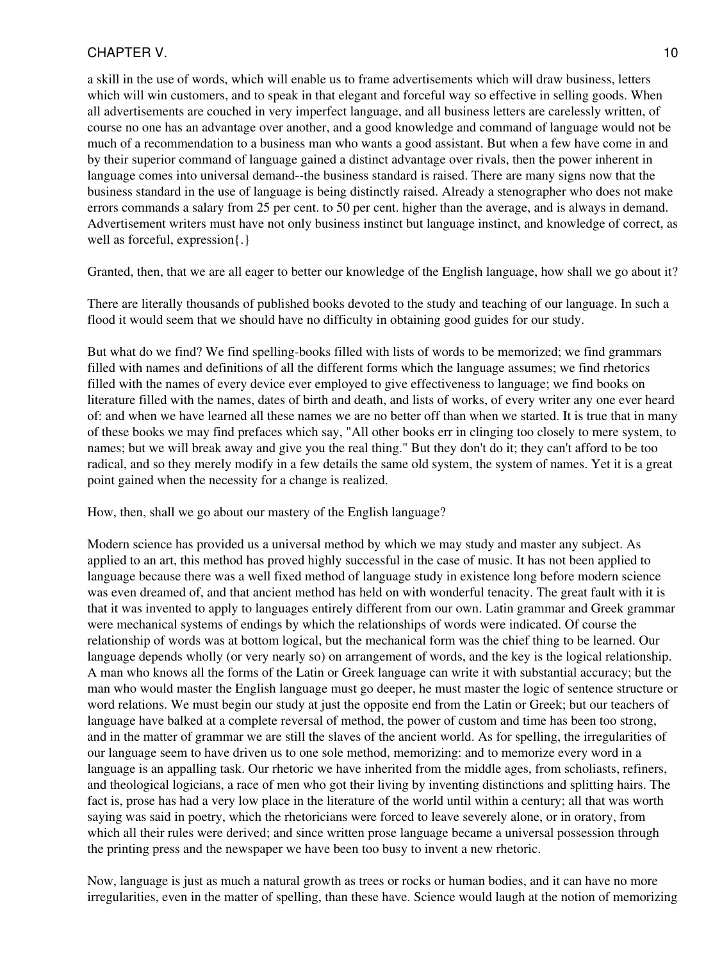### CHAPTER V. 2002 10

a skill in the use of words, which will enable us to frame advertisements which will draw business, letters which will win customers, and to speak in that elegant and forceful way so effective in selling goods. When all advertisements are couched in very imperfect language, and all business letters are carelessly written, of course no one has an advantage over another, and a good knowledge and command of language would not be much of a recommendation to a business man who wants a good assistant. But when a few have come in and by their superior command of language gained a distinct advantage over rivals, then the power inherent in language comes into universal demand--the business standard is raised. There are many signs now that the business standard in the use of language is being distinctly raised. Already a stenographer who does not make errors commands a salary from 25 per cent. to 50 per cent. higher than the average, and is always in demand. Advertisement writers must have not only business instinct but language instinct, and knowledge of correct, as well as forceful, expression{.}

Granted, then, that we are all eager to better our knowledge of the English language, how shall we go about it?

There are literally thousands of published books devoted to the study and teaching of our language. In such a flood it would seem that we should have no difficulty in obtaining good guides for our study.

But what do we find? We find spelling-books filled with lists of words to be memorized; we find grammars filled with names and definitions of all the different forms which the language assumes; we find rhetorics filled with the names of every device ever employed to give effectiveness to language; we find books on literature filled with the names, dates of birth and death, and lists of works, of every writer any one ever heard of: and when we have learned all these names we are no better off than when we started. It is true that in many of these books we may find prefaces which say, "All other books err in clinging too closely to mere system, to names; but we will break away and give you the real thing." But they don't do it; they can't afford to be too radical, and so they merely modify in a few details the same old system, the system of names. Yet it is a great point gained when the necessity for a change is realized.

How, then, shall we go about our mastery of the English language?

Modern science has provided us a universal method by which we may study and master any subject. As applied to an art, this method has proved highly successful in the case of music. It has not been applied to language because there was a well fixed method of language study in existence long before modern science was even dreamed of, and that ancient method has held on with wonderful tenacity. The great fault with it is that it was invented to apply to languages entirely different from our own. Latin grammar and Greek grammar were mechanical systems of endings by which the relationships of words were indicated. Of course the relationship of words was at bottom logical, but the mechanical form was the chief thing to be learned. Our language depends wholly (or very nearly so) on arrangement of words, and the key is the logical relationship. A man who knows all the forms of the Latin or Greek language can write it with substantial accuracy; but the man who would master the English language must go deeper, he must master the logic of sentence structure or word relations. We must begin our study at just the opposite end from the Latin or Greek; but our teachers of language have balked at a complete reversal of method, the power of custom and time has been too strong, and in the matter of grammar we are still the slaves of the ancient world. As for spelling, the irregularities of our language seem to have driven us to one sole method, memorizing: and to memorize every word in a language is an appalling task. Our rhetoric we have inherited from the middle ages, from scholiasts, refiners, and theological logicians, a race of men who got their living by inventing distinctions and splitting hairs. The fact is, prose has had a very low place in the literature of the world until within a century; all that was worth saying was said in poetry, which the rhetoricians were forced to leave severely alone, or in oratory, from which all their rules were derived; and since written prose language became a universal possession through the printing press and the newspaper we have been too busy to invent a new rhetoric.

Now, language is just as much a natural growth as trees or rocks or human bodies, and it can have no more irregularities, even in the matter of spelling, than these have. Science would laugh at the notion of memorizing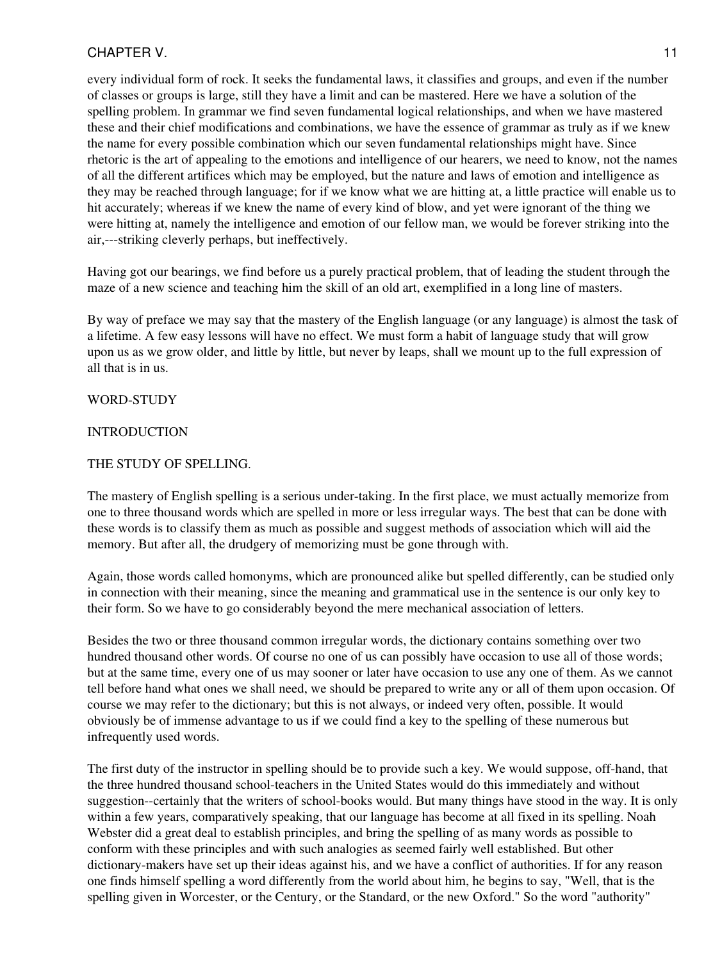every individual form of rock. It seeks the fundamental laws, it classifies and groups, and even if the number of classes or groups is large, still they have a limit and can be mastered. Here we have a solution of the spelling problem. In grammar we find seven fundamental logical relationships, and when we have mastered these and their chief modifications and combinations, we have the essence of grammar as truly as if we knew the name for every possible combination which our seven fundamental relationships might have. Since rhetoric is the art of appealing to the emotions and intelligence of our hearers, we need to know, not the names of all the different artifices which may be employed, but the nature and laws of emotion and intelligence as they may be reached through language; for if we know what we are hitting at, a little practice will enable us to hit accurately; whereas if we knew the name of every kind of blow, and yet were ignorant of the thing we were hitting at, namely the intelligence and emotion of our fellow man, we would be forever striking into the air,---striking cleverly perhaps, but ineffectively.

Having got our bearings, we find before us a purely practical problem, that of leading the student through the maze of a new science and teaching him the skill of an old art, exemplified in a long line of masters.

By way of preface we may say that the mastery of the English language (or any language) is almost the task of a lifetime. A few easy lessons will have no effect. We must form a habit of language study that will grow upon us as we grow older, and little by little, but never by leaps, shall we mount up to the full expression of all that is in us.

#### WORD-STUDY

#### INTRODUCTION

#### THE STUDY OF SPELLING.

The mastery of English spelling is a serious under-taking. In the first place, we must actually memorize from one to three thousand words which are spelled in more or less irregular ways. The best that can be done with these words is to classify them as much as possible and suggest methods of association which will aid the memory. But after all, the drudgery of memorizing must be gone through with.

Again, those words called homonyms, which are pronounced alike but spelled differently, can be studied only in connection with their meaning, since the meaning and grammatical use in the sentence is our only key to their form. So we have to go considerably beyond the mere mechanical association of letters.

Besides the two or three thousand common irregular words, the dictionary contains something over two hundred thousand other words. Of course no one of us can possibly have occasion to use all of those words; but at the same time, every one of us may sooner or later have occasion to use any one of them. As we cannot tell before hand what ones we shall need, we should be prepared to write any or all of them upon occasion. Of course we may refer to the dictionary; but this is not always, or indeed very often, possible. It would obviously be of immense advantage to us if we could find a key to the spelling of these numerous but infrequently used words.

The first duty of the instructor in spelling should be to provide such a key. We would suppose, off-hand, that the three hundred thousand school-teachers in the United States would do this immediately and without suggestion--certainly that the writers of school-books would. But many things have stood in the way. It is only within a few years, comparatively speaking, that our language has become at all fixed in its spelling. Noah Webster did a great deal to establish principles, and bring the spelling of as many words as possible to conform with these principles and with such analogies as seemed fairly well established. But other dictionary-makers have set up their ideas against his, and we have a conflict of authorities. If for any reason one finds himself spelling a word differently from the world about him, he begins to say, "Well, that is the spelling given in Worcester, or the Century, or the Standard, or the new Oxford." So the word "authority"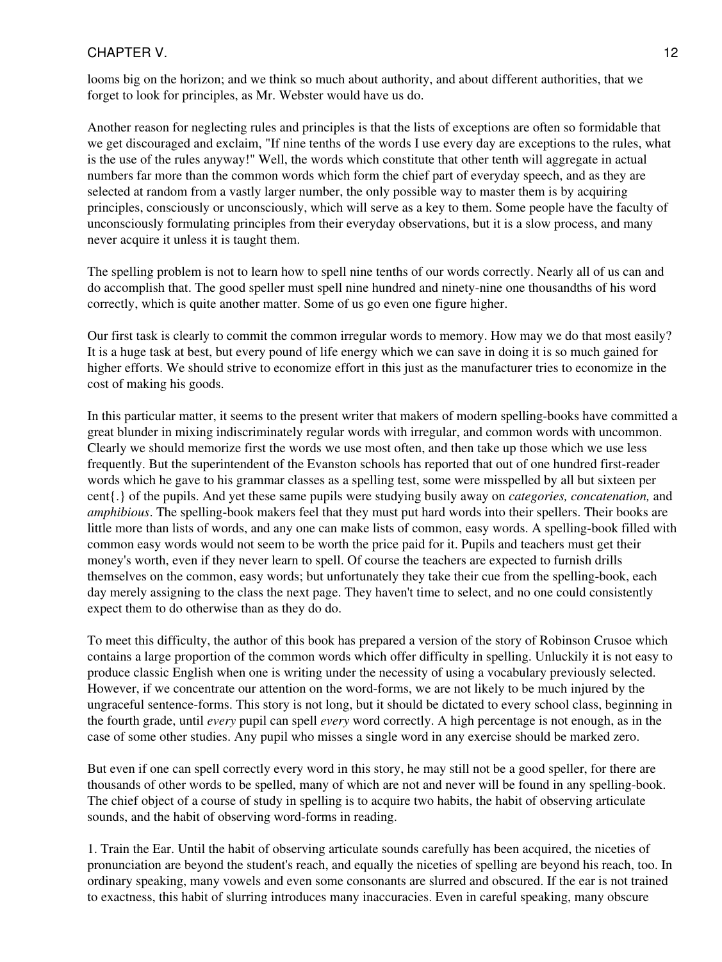looms big on the horizon; and we think so much about authority, and about different authorities, that we forget to look for principles, as Mr. Webster would have us do.

Another reason for neglecting rules and principles is that the lists of exceptions are often so formidable that we get discouraged and exclaim, "If nine tenths of the words I use every day are exceptions to the rules, what is the use of the rules anyway!" Well, the words which constitute that other tenth will aggregate in actual numbers far more than the common words which form the chief part of everyday speech, and as they are selected at random from a vastly larger number, the only possible way to master them is by acquiring principles, consciously or unconsciously, which will serve as a key to them. Some people have the faculty of unconsciously formulating principles from their everyday observations, but it is a slow process, and many never acquire it unless it is taught them.

The spelling problem is not to learn how to spell nine tenths of our words correctly. Nearly all of us can and do accomplish that. The good speller must spell nine hundred and ninety-nine one thousandths of his word correctly, which is quite another matter. Some of us go even one figure higher.

Our first task is clearly to commit the common irregular words to memory. How may we do that most easily? It is a huge task at best, but every pound of life energy which we can save in doing it is so much gained for higher efforts. We should strive to economize effort in this just as the manufacturer tries to economize in the cost of making his goods.

In this particular matter, it seems to the present writer that makers of modern spelling-books have committed a great blunder in mixing indiscriminately regular words with irregular, and common words with uncommon. Clearly we should memorize first the words we use most often, and then take up those which we use less frequently. But the superintendent of the Evanston schools has reported that out of one hundred first-reader words which he gave to his grammar classes as a spelling test, some were misspelled by all but sixteen per cent{.} of the pupils. And yet these same pupils were studying busily away on *categories, concatenation,* and *amphibious*. The spelling-book makers feel that they must put hard words into their spellers. Their books are little more than lists of words, and any one can make lists of common, easy words. A spelling-book filled with common easy words would not seem to be worth the price paid for it. Pupils and teachers must get their money's worth, even if they never learn to spell. Of course the teachers are expected to furnish drills themselves on the common, easy words; but unfortunately they take their cue from the spelling-book, each day merely assigning to the class the next page. They haven't time to select, and no one could consistently expect them to do otherwise than as they do do.

To meet this difficulty, the author of this book has prepared a version of the story of Robinson Crusoe which contains a large proportion of the common words which offer difficulty in spelling. Unluckily it is not easy to produce classic English when one is writing under the necessity of using a vocabulary previously selected. However, if we concentrate our attention on the word-forms, we are not likely to be much injured by the ungraceful sentence-forms. This story is not long, but it should be dictated to every school class, beginning in the fourth grade, until *every* pupil can spell *every* word correctly. A high percentage is not enough, as in the case of some other studies. Any pupil who misses a single word in any exercise should be marked zero.

But even if one can spell correctly every word in this story, he may still not be a good speller, for there are thousands of other words to be spelled, many of which are not and never will be found in any spelling-book. The chief object of a course of study in spelling is to acquire two habits, the habit of observing articulate sounds, and the habit of observing word-forms in reading.

1. Train the Ear. Until the habit of observing articulate sounds carefully has been acquired, the niceties of pronunciation are beyond the student's reach, and equally the niceties of spelling are beyond his reach, too. In ordinary speaking, many vowels and even some consonants are slurred and obscured. If the ear is not trained to exactness, this habit of slurring introduces many inaccuracies. Even in careful speaking, many obscure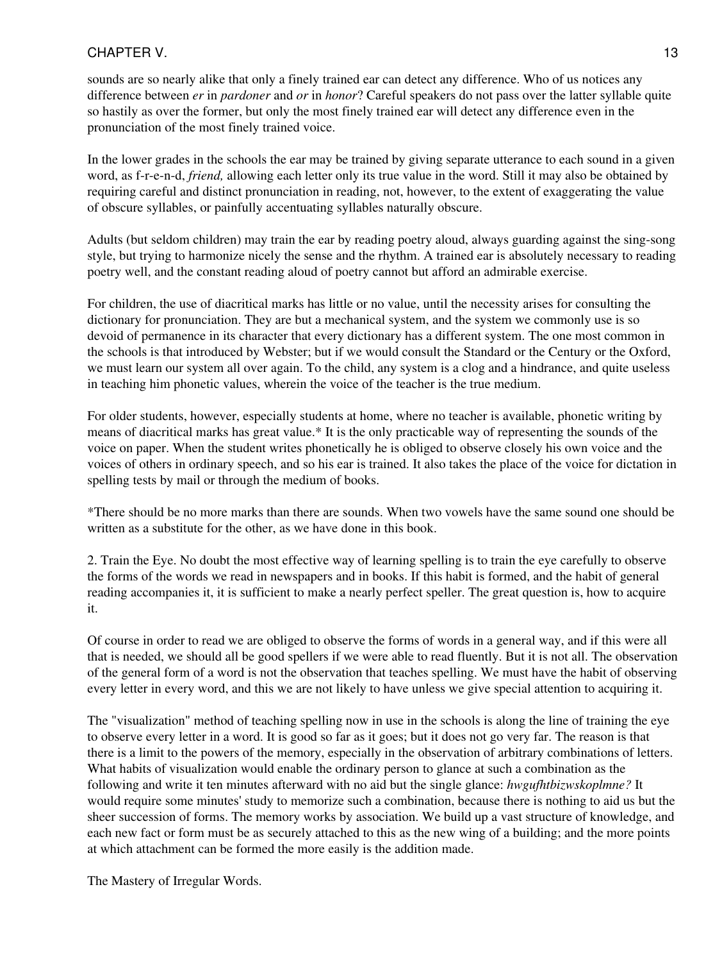sounds are so nearly alike that only a finely trained ear can detect any difference. Who of us notices any difference between *er* in *pardoner* and *or* in *honor*? Careful speakers do not pass over the latter syllable quite so hastily as over the former, but only the most finely trained ear will detect any difference even in the pronunciation of the most finely trained voice.

In the lower grades in the schools the ear may be trained by giving separate utterance to each sound in a given word, as f-r-e-n-d, *friend,* allowing each letter only its true value in the word. Still it may also be obtained by requiring careful and distinct pronunciation in reading, not, however, to the extent of exaggerating the value of obscure syllables, or painfully accentuating syllables naturally obscure.

Adults (but seldom children) may train the ear by reading poetry aloud, always guarding against the sing-song style, but trying to harmonize nicely the sense and the rhythm. A trained ear is absolutely necessary to reading poetry well, and the constant reading aloud of poetry cannot but afford an admirable exercise.

For children, the use of diacritical marks has little or no value, until the necessity arises for consulting the dictionary for pronunciation. They are but a mechanical system, and the system we commonly use is so devoid of permanence in its character that every dictionary has a different system. The one most common in the schools is that introduced by Webster; but if we would consult the Standard or the Century or the Oxford, we must learn our system all over again. To the child, any system is a clog and a hindrance, and quite useless in teaching him phonetic values, wherein the voice of the teacher is the true medium.

For older students, however, especially students at home, where no teacher is available, phonetic writing by means of diacritical marks has great value.\* It is the only practicable way of representing the sounds of the voice on paper. When the student writes phonetically he is obliged to observe closely his own voice and the voices of others in ordinary speech, and so his ear is trained. It also takes the place of the voice for dictation in spelling tests by mail or through the medium of books.

\*There should be no more marks than there are sounds. When two vowels have the same sound one should be written as a substitute for the other, as we have done in this book.

2. Train the Eye. No doubt the most effective way of learning spelling is to train the eye carefully to observe the forms of the words we read in newspapers and in books. If this habit is formed, and the habit of general reading accompanies it, it is sufficient to make a nearly perfect speller. The great question is, how to acquire it.

Of course in order to read we are obliged to observe the forms of words in a general way, and if this were all that is needed, we should all be good spellers if we were able to read fluently. But it is not all. The observation of the general form of a word is not the observation that teaches spelling. We must have the habit of observing every letter in every word, and this we are not likely to have unless we give special attention to acquiring it.

The "visualization" method of teaching spelling now in use in the schools is along the line of training the eye to observe every letter in a word. It is good so far as it goes; but it does not go very far. The reason is that there is a limit to the powers of the memory, especially in the observation of arbitrary combinations of letters. What habits of visualization would enable the ordinary person to glance at such a combination as the following and write it ten minutes afterward with no aid but the single glance: *hwgufhtbizwskoplmne?* It would require some minutes' study to memorize such a combination, because there is nothing to aid us but the sheer succession of forms. The memory works by association. We build up a vast structure of knowledge, and each new fact or form must be as securely attached to this as the new wing of a building; and the more points at which attachment can be formed the more easily is the addition made.

The Mastery of Irregular Words.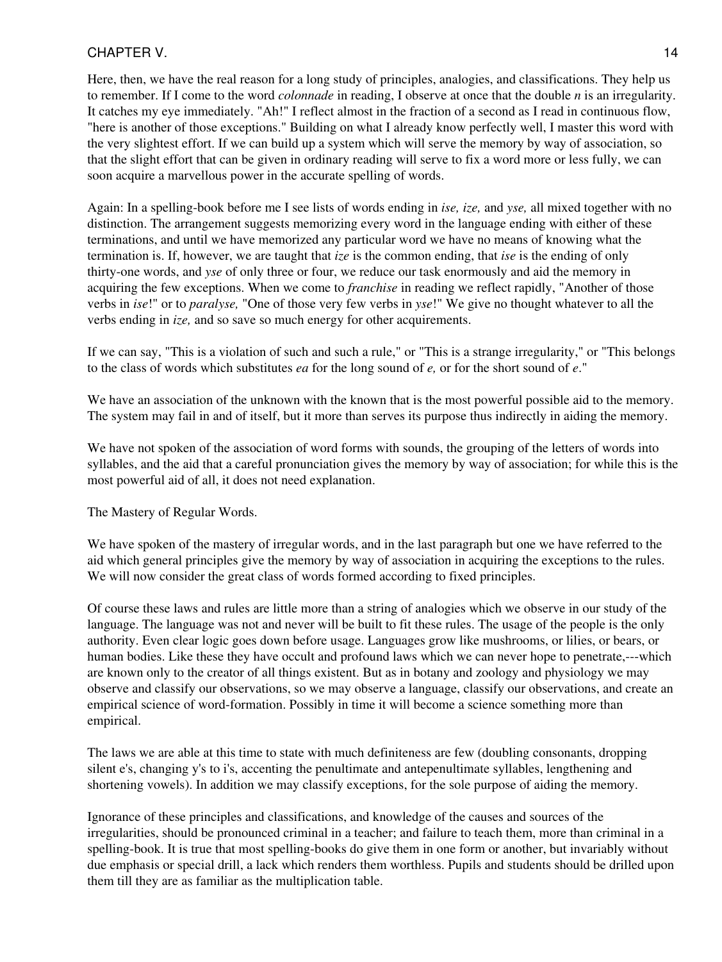Here, then, we have the real reason for a long study of principles, analogies, and classifications. They help us to remember. If I come to the word *colonnade* in reading, I observe at once that the double *n* is an irregularity. It catches my eye immediately. "Ah!" I reflect almost in the fraction of a second as I read in continuous flow, "here is another of those exceptions." Building on what I already know perfectly well, I master this word with the very slightest effort. If we can build up a system which will serve the memory by way of association, so that the slight effort that can be given in ordinary reading will serve to fix a word more or less fully, we can soon acquire a marvellous power in the accurate spelling of words.

Again: In a spelling-book before me I see lists of words ending in *ise, ize,* and *yse,* all mixed together with no distinction. The arrangement suggests memorizing every word in the language ending with either of these terminations, and until we have memorized any particular word we have no means of knowing what the termination is. If, however, we are taught that *ize* is the common ending, that *ise* is the ending of only thirty-one words, and *yse* of only three or four, we reduce our task enormously and aid the memory in acquiring the few exceptions. When we come to *franchise* in reading we reflect rapidly, "Another of those verbs in *ise*!" or to *paralyse,* "One of those very few verbs in *yse*!" We give no thought whatever to all the verbs ending in *ize,* and so save so much energy for other acquirements.

If we can say, "This is a violation of such and such a rule," or "This is a strange irregularity," or "This belongs to the class of words which substitutes *ea* for the long sound of *e,* or for the short sound of *e*."

We have an association of the unknown with the known that is the most powerful possible aid to the memory. The system may fail in and of itself, but it more than serves its purpose thus indirectly in aiding the memory.

We have not spoken of the association of word forms with sounds, the grouping of the letters of words into syllables, and the aid that a careful pronunciation gives the memory by way of association; for while this is the most powerful aid of all, it does not need explanation.

The Mastery of Regular Words.

We have spoken of the mastery of irregular words, and in the last paragraph but one we have referred to the aid which general principles give the memory by way of association in acquiring the exceptions to the rules. We will now consider the great class of words formed according to fixed principles.

Of course these laws and rules are little more than a string of analogies which we observe in our study of the language. The language was not and never will be built to fit these rules. The usage of the people is the only authority. Even clear logic goes down before usage. Languages grow like mushrooms, or lilies, or bears, or human bodies. Like these they have occult and profound laws which we can never hope to penetrate,---which are known only to the creator of all things existent. But as in botany and zoology and physiology we may observe and classify our observations, so we may observe a language, classify our observations, and create an empirical science of word-formation. Possibly in time it will become a science something more than empirical.

The laws we are able at this time to state with much definiteness are few (doubling consonants, dropping silent e's, changing y's to i's, accenting the penultimate and antepenultimate syllables, lengthening and shortening vowels). In addition we may classify exceptions, for the sole purpose of aiding the memory.

Ignorance of these principles and classifications, and knowledge of the causes and sources of the irregularities, should be pronounced criminal in a teacher; and failure to teach them, more than criminal in a spelling-book. It is true that most spelling-books do give them in one form or another, but invariably without due emphasis or special drill, a lack which renders them worthless. Pupils and students should be drilled upon them till they are as familiar as the multiplication table.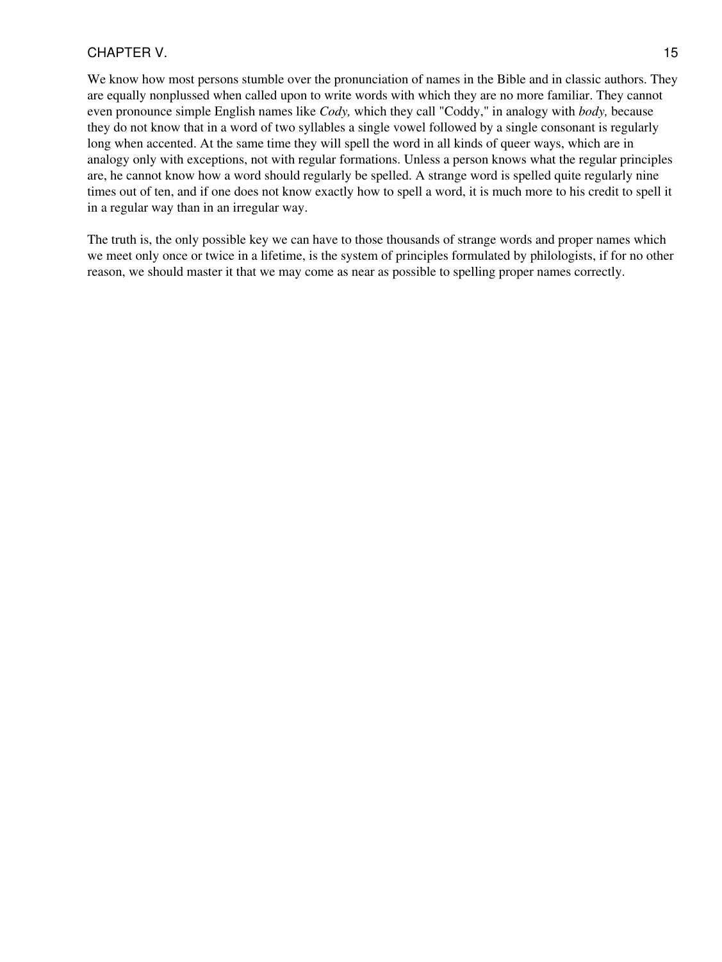We know how most persons stumble over the pronunciation of names in the Bible and in classic authors. They are equally nonplussed when called upon to write words with which they are no more familiar. They cannot even pronounce simple English names like *Cody,* which they call "Coddy," in analogy with *body,* because they do not know that in a word of two syllables a single vowel followed by a single consonant is regularly long when accented. At the same time they will spell the word in all kinds of queer ways, which are in analogy only with exceptions, not with regular formations. Unless a person knows what the regular principles are, he cannot know how a word should regularly be spelled. A strange word is spelled quite regularly nine times out of ten, and if one does not know exactly how to spell a word, it is much more to his credit to spell it in a regular way than in an irregular way.

The truth is, the only possible key we can have to those thousands of strange words and proper names which we meet only once or twice in a lifetime, is the system of principles formulated by philologists, if for no other reason, we should master it that we may come as near as possible to spelling proper names correctly.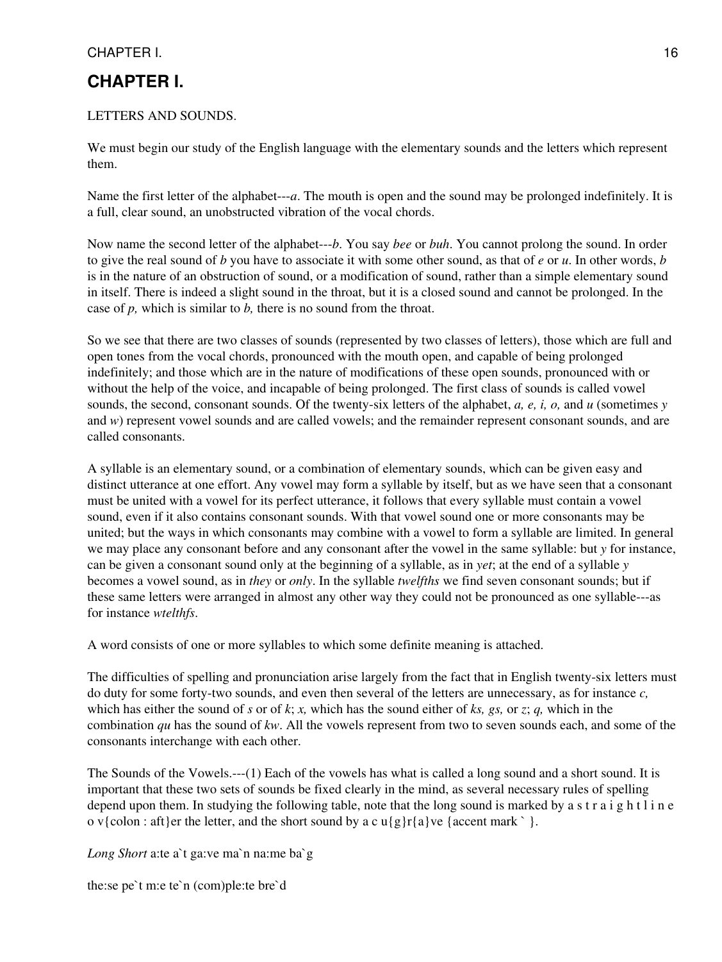## **CHAPTER I.**

#### LETTERS AND SOUNDS.

We must begin our study of the English language with the elementary sounds and the letters which represent them.

Name the first letter of the alphabet---*a*. The mouth is open and the sound may be prolonged indefinitely. It is a full, clear sound, an unobstructed vibration of the vocal chords.

Now name the second letter of the alphabet---*b*. You say *bee* or *buh*. You cannot prolong the sound. In order to give the real sound of *b* you have to associate it with some other sound, as that of *e* or *u*. In other words, *b* is in the nature of an obstruction of sound, or a modification of sound, rather than a simple elementary sound in itself. There is indeed a slight sound in the throat, but it is a closed sound and cannot be prolonged. In the case of *p,* which is similar to *b,* there is no sound from the throat.

So we see that there are two classes of sounds (represented by two classes of letters), those which are full and open tones from the vocal chords, pronounced with the mouth open, and capable of being prolonged indefinitely; and those which are in the nature of modifications of these open sounds, pronounced with or without the help of the voice, and incapable of being prolonged. The first class of sounds is called vowel sounds, the second, consonant sounds. Of the twenty-six letters of the alphabet, *a, e, i, o,* and *u* (sometimes *y* and *w*) represent vowel sounds and are called vowels; and the remainder represent consonant sounds, and are called consonants.

A syllable is an elementary sound, or a combination of elementary sounds, which can be given easy and distinct utterance at one effort. Any vowel may form a syllable by itself, but as we have seen that a consonant must be united with a vowel for its perfect utterance, it follows that every syllable must contain a vowel sound, even if it also contains consonant sounds. With that vowel sound one or more consonants may be united; but the ways in which consonants may combine with a vowel to form a syllable are limited. In general we may place any consonant before and any consonant after the vowel in the same syllable: but *y* for instance, can be given a consonant sound only at the beginning of a syllable, as in *yet*; at the end of a syllable *y* becomes a vowel sound, as in *they* or *only*. In the syllable *twelfths* we find seven consonant sounds; but if these same letters were arranged in almost any other way they could not be pronounced as one syllable---as for instance *wtelthfs*.

A word consists of one or more syllables to which some definite meaning is attached.

The difficulties of spelling and pronunciation arise largely from the fact that in English twenty-six letters must do duty for some forty-two sounds, and even then several of the letters are unnecessary, as for instance *c,* which has either the sound of *s* or of *k*; *x,* which has the sound either of *ks, gs,* or *z*; *q,* which in the combination *qu* has the sound of *kw*. All the vowels represent from two to seven sounds each, and some of the consonants interchange with each other.

The Sounds of the Vowels.---(1) Each of the vowels has what is called a long sound and a short sound. It is important that these two sets of sounds be fixed clearly in the mind, as several necessary rules of spelling depend upon them. In studying the following table, note that the long sound is marked by a s t r a i g h t l i n e o v{colon : aft}er the letter, and the short sound by a c u{g}r{a}ve {accent mark ` }.

*Long Short* a:te a`t ga:ve ma`n na:me ba`g

the:se pe`t m:e te`n (com)ple:te bre`d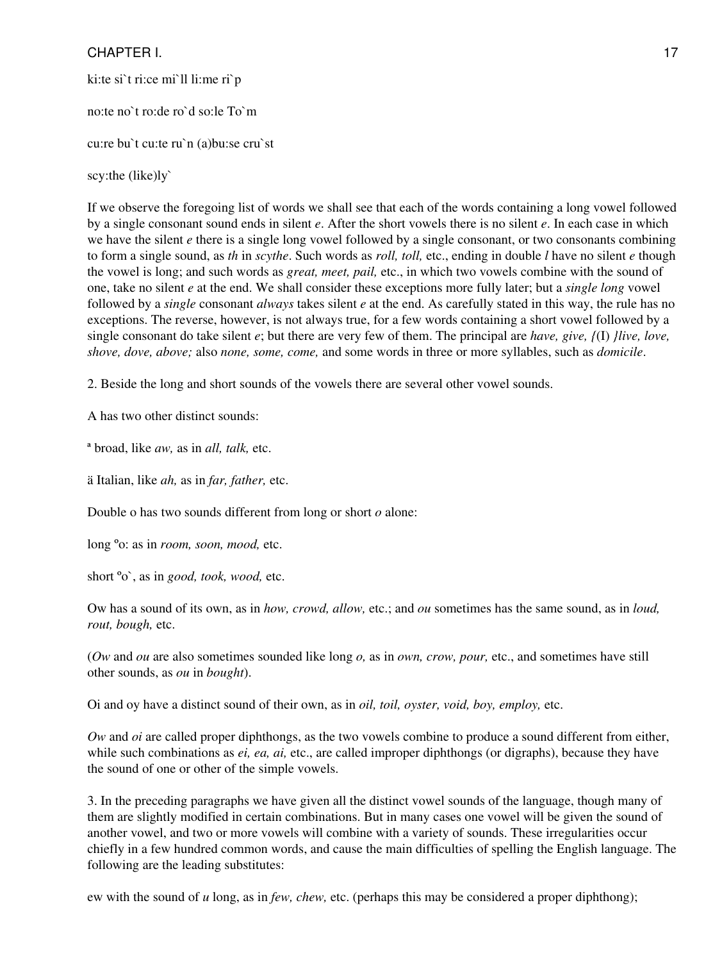ki:te si`t ri:ce mi`ll li:me ri`p

no:te no`t ro:de ro`d so:le To`m

cu:re bu`t cu:te ru`n (a)bu:se cru`st

scy:the (like)ly`

If we observe the foregoing list of words we shall see that each of the words containing a long vowel followed by a single consonant sound ends in silent *e*. After the short vowels there is no silent *e*. In each case in which we have the silent *e* there is a single long vowel followed by a single consonant, or two consonants combining to form a single sound, as *th* in *scythe*. Such words as *roll, toll,* etc., ending in double *l* have no silent *e* though the vowel is long; and such words as *great, meet, pail,* etc., in which two vowels combine with the sound of one, take no silent *e* at the end. We shall consider these exceptions more fully later; but a *single long* vowel followed by a *single* consonant *always* takes silent *e* at the end. As carefully stated in this way, the rule has no exceptions. The reverse, however, is not always true, for a few words containing a short vowel followed by a single consonant do take silent *e*; but there are very few of them. The principal are *have, give, {*(I) *}live, love, shove, dove, above;* also *none, some, come,* and some words in three or more syllables, such as *domicile*.

2. Beside the long and short sounds of the vowels there are several other vowel sounds.

A has two other distinct sounds:

ª broad, like *aw,* as in *all, talk,* etc.

ä Italian, like *ah,* as in *far, father,* etc.

Double o has two sounds different from long or short *o* alone:

long ºo: as in *room, soon, mood,* etc.

short ºo`, as in *good, took, wood,* etc.

Ow has a sound of its own, as in *how, crowd, allow,* etc.; and *ou* sometimes has the same sound, as in *loud, rout, bough,* etc.

(*Ow* and *ou* are also sometimes sounded like long *o,* as in *own, crow, pour,* etc., and sometimes have still other sounds, as *ou* in *bought*).

Oi and oy have a distinct sound of their own, as in *oil, toil, oyster, void, boy, employ,* etc.

*Ow* and *oi* are called proper diphthongs, as the two vowels combine to produce a sound different from either, while such combinations as *ei, ea, ai,* etc., are called improper diphthongs (or digraphs), because they have the sound of one or other of the simple vowels.

3. In the preceding paragraphs we have given all the distinct vowel sounds of the language, though many of them are slightly modified in certain combinations. But in many cases one vowel will be given the sound of another vowel, and two or more vowels will combine with a variety of sounds. These irregularities occur chiefly in a few hundred common words, and cause the main difficulties of spelling the English language. The following are the leading substitutes:

ew with the sound of *u* long, as in *few, chew,* etc. (perhaps this may be considered a proper diphthong);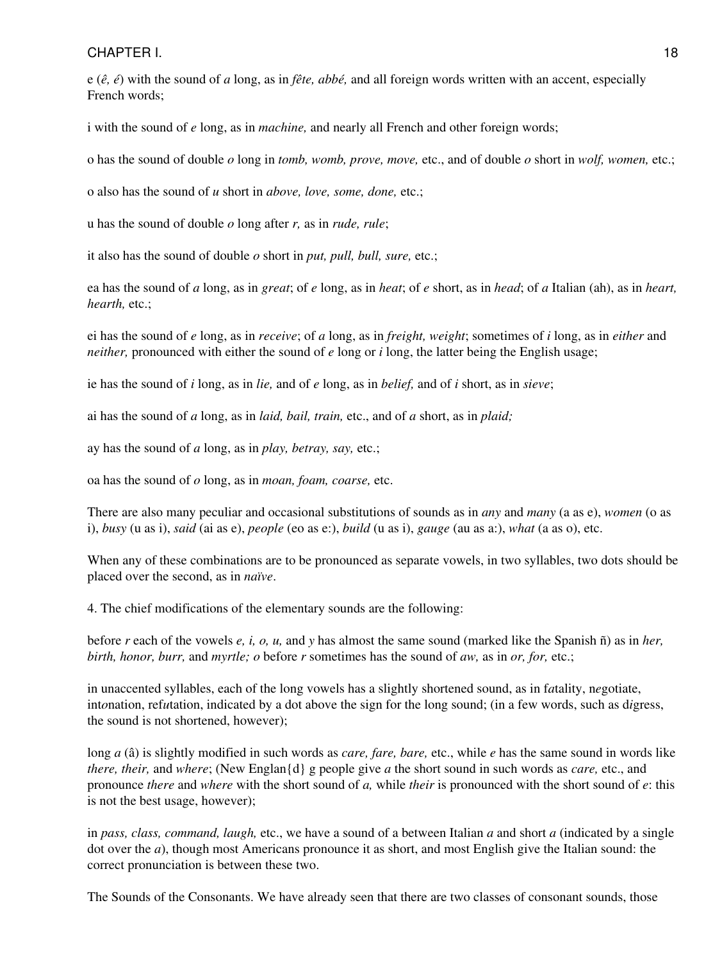e (*ê, é*) with the sound of *a* long, as in *fête, abbé,* and all foreign words written with an accent, especially French words;

i with the sound of *e* long, as in *machine,* and nearly all French and other foreign words;

o has the sound of double *o* long in *tomb, womb, prove, move,* etc., and of double *o* short in *wolf, women,* etc.;

o also has the sound of *u* short in *above, love, some, done,* etc.;

u has the sound of double *o* long after *r,* as in *rude, rule*;

it also has the sound of double *o* short in *put, pull, bull, sure,* etc.;

ea has the sound of *a* long, as in *great*; of *e* long, as in *heat*; of *e* short, as in *head*; of *a* Italian (ah), as in *heart, hearth,* etc.;

ei has the sound of *e* long, as in *receive*; of *a* long, as in *freight, weight*; sometimes of *i* long, as in *either* and *neither*, pronounced with either the sound of *e* long or *i* long, the latter being the English usage;

ie has the sound of *i* long, as in *lie,* and of *e* long, as in *belief,* and of *i* short, as in *sieve*;

ai has the sound of *a* long, as in *laid, bail, train,* etc., and of *a* short, as in *plaid;*

ay has the sound of *a* long, as in *play, betray, say,* etc.;

oa has the sound of *o* long, as in *moan, foam, coarse,* etc.

There are also many peculiar and occasional substitutions of sounds as in *any* and *many* (a as e), *women* (o as i), *busy* (u as i), *said* (ai as e), *people* (eo as e:), *build* (u as i), *gauge* (au as a:), *what* (a as o), etc.

When any of these combinations are to be pronounced as separate vowels, in two syllables, two dots should be placed over the second, as in *naïve*.

4. The chief modifications of the elementary sounds are the following:

before *r* each of the vowels *e, i, o, u,* and *y* has almost the same sound (marked like the Spanish ñ) as in *her, birth, honor, burr,* and *myrtle; o* before *r* sometimes has the sound of *aw,* as in *or, for,* etc.;

in unaccented syllables, each of the long vowels has a slightly shortened sound, as in f*a*tality, n*e*gotiate, int*o*nation, ref*u*tation, indicated by a dot above the sign for the long sound; (in a few words, such as d*i*gress, the sound is not shortened, however);

long *a* (â) is slightly modified in such words as *care, fare, bare,* etc., while *e* has the same sound in words like *there, their,* and *where*; (New Englan{d} g people give *a* the short sound in such words as *care,* etc., and pronounce *there* and *where* with the short sound of *a,* while *their* is pronounced with the short sound of *e*: this is not the best usage, however);

in *pass, class, command, laugh,* etc., we have a sound of a between Italian *a* and short *a* (indicated by a single dot over the *a*), though most Americans pronounce it as short, and most English give the Italian sound: the correct pronunciation is between these two.

The Sounds of the Consonants. We have already seen that there are two classes of consonant sounds, those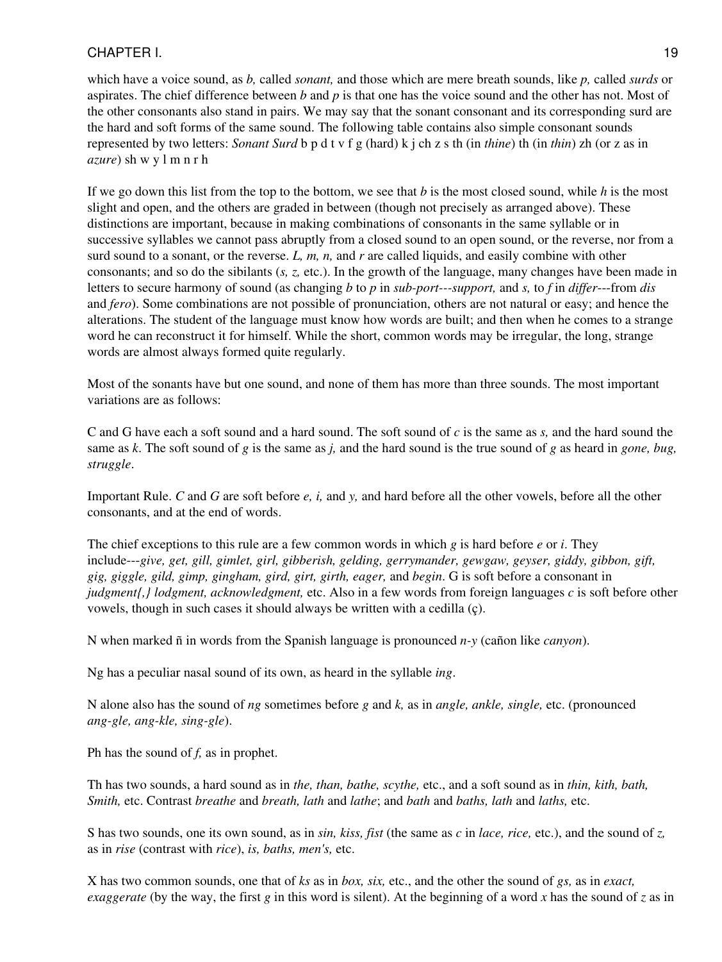which have a voice sound, as *b,* called *sonant,* and those which are mere breath sounds, like *p,* called *surds* or aspirates. The chief difference between *b* and *p* is that one has the voice sound and the other has not. Most of the other consonants also stand in pairs. We may say that the sonant consonant and its corresponding surd are the hard and soft forms of the same sound. The following table contains also simple consonant sounds represented by two letters: *Sonant Surd* b p d t v f g (hard) k j ch z s th (in *thine*) th (in *thin*) zh (or z as in *azure*) sh w y l m n r h

If we go down this list from the top to the bottom, we see that *b* is the most closed sound, while *h* is the most slight and open, and the others are graded in between (though not precisely as arranged above). These distinctions are important, because in making combinations of consonants in the same syllable or in successive syllables we cannot pass abruptly from a closed sound to an open sound, or the reverse, nor from a surd sound to a sonant, or the reverse. *L, m, n,* and *r* are called liquids, and easily combine with other consonants; and so do the sibilants (*s, z,* etc.). In the growth of the language, many changes have been made in letters to secure harmony of sound (as changing *b* to *p* in *sub-port---support,* and *s,* to *f* in *differ*---from *dis* and *fero*). Some combinations are not possible of pronunciation, others are not natural or easy; and hence the alterations. The student of the language must know how words are built; and then when he comes to a strange word he can reconstruct it for himself. While the short, common words may be irregular, the long, strange words are almost always formed quite regularly.

Most of the sonants have but one sound, and none of them has more than three sounds. The most important variations are as follows:

C and G have each a soft sound and a hard sound. The soft sound of *c* is the same as *s,* and the hard sound the same as *k*. The soft sound of *g* is the same as *j,* and the hard sound is the true sound of *g* as heard in *gone, bug, struggle*.

Important Rule. *C* and *G* are soft before *e, i,* and *y,* and hard before all the other vowels, before all the other consonants, and at the end of words.

The chief exceptions to this rule are a few common words in which *g* is hard before *e* or *i*. They include---*give, get, gill, gimlet, girl, gibberish, gelding, gerrymander, gewgaw, geyser, giddy, gibbon, gift, gig, giggle, gild, gimp, gingham, gird, girt, girth, eager,* and *begin*. G is soft before a consonant in *judgment{,} lodgment, acknowledgment,* etc. Also in a few words from foreign languages *c* is soft before other vowels, though in such cases it should always be written with a cedilla (ç).

N when marked ñ in words from the Spanish language is pronounced *n-y* (cañon like *canyon*).

Ng has a peculiar nasal sound of its own, as heard in the syllable *ing*.

N alone also has the sound of *ng* sometimes before *g* and *k,* as in *angle, ankle, single,* etc. (pronounced *ang-gle, ang-kle, sing-gle*).

Ph has the sound of *f,* as in prophet.

Th has two sounds, a hard sound as in *the, than, bathe, scythe,* etc., and a soft sound as in *thin, kith, bath, Smith,* etc. Contrast *breathe* and *breath, lath* and *lathe*; and *bath* and *baths, lath* and *laths,* etc.

S has two sounds, one its own sound, as in *sin, kiss, fist* (the same as *c* in *lace, rice,* etc.), and the sound of *z,* as in *rise* (contrast with *rice*), *is, baths, men's,* etc.

X has two common sounds, one that of *ks* as in *box, six,* etc., and the other the sound of *gs,* as in *exact, exaggerate* (by the way, the first *g* in this word is silent). At the beginning of a word *x* has the sound of *z* as in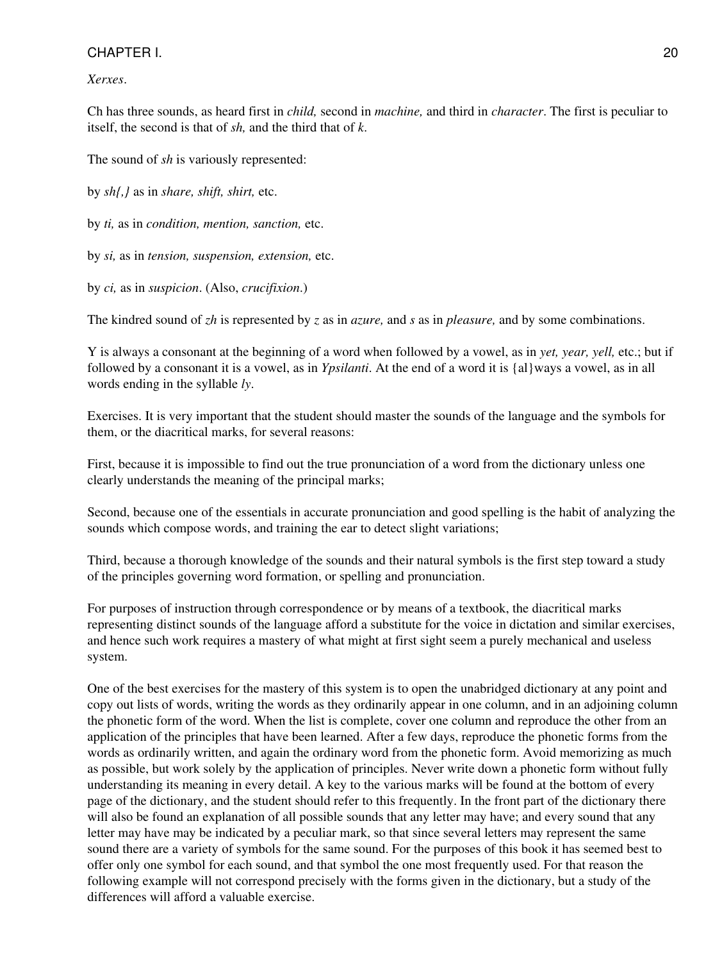*Xerxes*.

Ch has three sounds, as heard first in *child,* second in *machine,* and third in *character*. The first is peculiar to itself, the second is that of *sh,* and the third that of *k*.

The sound of *sh* is variously represented:

by *sh{,}* as in *share, shift, shirt,* etc.

by *ti,* as in *condition, mention, sanction,* etc.

by *si,* as in *tension, suspension, extension,* etc.

by *ci,* as in *suspicion*. (Also, *crucifixion*.)

The kindred sound of *zh* is represented by *z* as in *azure,* and *s* as in *pleasure,* and by some combinations.

Y is always a consonant at the beginning of a word when followed by a vowel, as in *yet, year, yell,* etc.; but if followed by a consonant it is a vowel, as in *Ypsilanti*. At the end of a word it is {al}ways a vowel, as in all words ending in the syllable *ly*.

Exercises. It is very important that the student should master the sounds of the language and the symbols for them, or the diacritical marks, for several reasons:

First, because it is impossible to find out the true pronunciation of a word from the dictionary unless one clearly understands the meaning of the principal marks;

Second, because one of the essentials in accurate pronunciation and good spelling is the habit of analyzing the sounds which compose words, and training the ear to detect slight variations;

Third, because a thorough knowledge of the sounds and their natural symbols is the first step toward a study of the principles governing word formation, or spelling and pronunciation.

For purposes of instruction through correspondence or by means of a textbook, the diacritical marks representing distinct sounds of the language afford a substitute for the voice in dictation and similar exercises, and hence such work requires a mastery of what might at first sight seem a purely mechanical and useless system.

One of the best exercises for the mastery of this system is to open the unabridged dictionary at any point and copy out lists of words, writing the words as they ordinarily appear in one column, and in an adjoining column the phonetic form of the word. When the list is complete, cover one column and reproduce the other from an application of the principles that have been learned. After a few days, reproduce the phonetic forms from the words as ordinarily written, and again the ordinary word from the phonetic form. Avoid memorizing as much as possible, but work solely by the application of principles. Never write down a phonetic form without fully understanding its meaning in every detail. A key to the various marks will be found at the bottom of every page of the dictionary, and the student should refer to this frequently. In the front part of the dictionary there will also be found an explanation of all possible sounds that any letter may have; and every sound that any letter may have may be indicated by a peculiar mark, so that since several letters may represent the same sound there are a variety of symbols for the same sound. For the purposes of this book it has seemed best to offer only one symbol for each sound, and that symbol the one most frequently used. For that reason the following example will not correspond precisely with the forms given in the dictionary, but a study of the differences will afford a valuable exercise.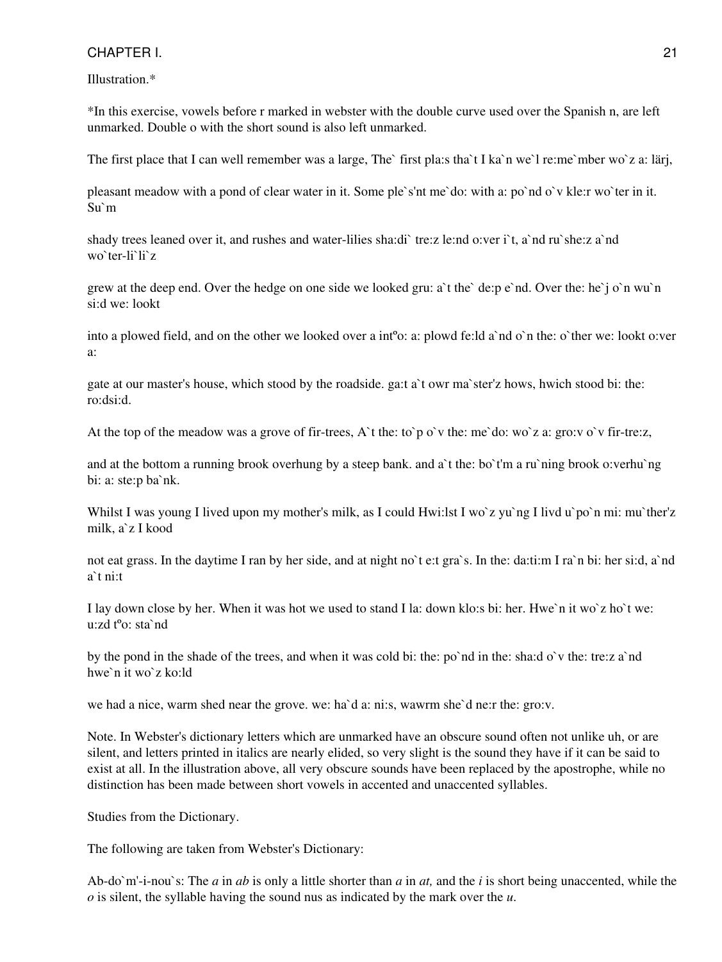Illustration.\*

\*In this exercise, vowels before r marked in webster with the double curve used over the Spanish n, are left unmarked. Double o with the short sound is also left unmarked.

The first place that I can well remember was a large, The` first pla:s tha`t I ka`n we`l re:me`mber wo`z a: lärj,

pleasant meadow with a pond of clear water in it. Some ple`s'nt me`do: with a: po`nd o`v kle:r wo`ter in it. Su`m

shady trees leaned over it, and rushes and water-lilies sha:di` tre:z le:nd o:ver i`t, a`nd ru`she:z a`nd wo`ter-li`li`z

grew at the deep end. Over the hedge on one side we looked gru: a`t the` de:p e`nd. Over the: he`j o`n wu`n si:d we: lookt

into a plowed field, and on the other we looked over a intºo: a: plowd fe:ld a`nd o`n the: o`ther we: lookt o:ver a:

gate at our master's house, which stood by the roadside. ga:t a`t owr ma`ster'z hows, hwich stood bi: the: ro:dsi:d.

At the top of the meadow was a grove of fir-trees,  $A^t$  the: to p o'v the: me'do: wo'z a: gro:v o'v fir-tre:z,

and at the bottom a running brook overhung by a steep bank. and a`t the: bo`t'm a ru`ning brook o:verhu`ng bi: a: ste:p ba`nk.

Whilst I was young I lived upon my mother's milk, as I could Hwi:lst I wo'z yu'ng I livd u'po'n mi: mu'ther'z milk, a`z I kood

not eat grass. In the daytime I ran by her side, and at night no`t e:t gra`s. In the: da:ti:m I ra`n bi: her si:d, a`nd a`t ni:t

I lay down close by her. When it was hot we used to stand I la: down klo:s bi: her. Hwe`n it wo`z ho`t we: u:zd tºo: sta`nd

by the pond in the shade of the trees, and when it was cold bi: the: po`nd in the: sha:d o`v the: tre:z a`nd hwe`n it wo`z ko:ld

we had a nice, warm shed near the grove. we: ha`d a: ni:s, wawrm she`d ne:r the: gro:v.

Note. In Webster's dictionary letters which are unmarked have an obscure sound often not unlike uh, or are silent, and letters printed in italics are nearly elided, so very slight is the sound they have if it can be said to exist at all. In the illustration above, all very obscure sounds have been replaced by the apostrophe, while no distinction has been made between short vowels in accented and unaccented syllables.

Studies from the Dictionary.

The following are taken from Webster's Dictionary:

Ab-do`m'-i-nou`s: The *a* in *ab* is only a little shorter than *a* in *at,* and the *i* is short being unaccented, while the *o* is silent, the syllable having the sound nus as indicated by the mark over the *u*.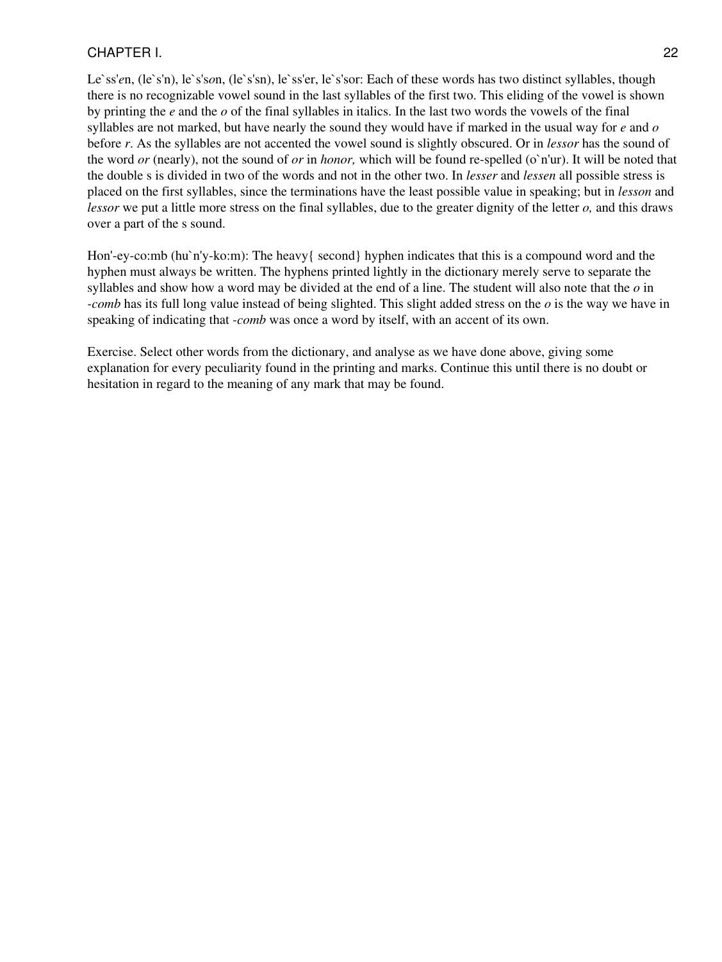Le`ss'*e*n, (le`s'n), le`s's*o*n, (le`s'sn), le`ss'er, le`s'sor: Each of these words has two distinct syllables, though there is no recognizable vowel sound in the last syllables of the first two. This eliding of the vowel is shown by printing the *e* and the *o* of the final syllables in italics. In the last two words the vowels of the final syllables are not marked, but have nearly the sound they would have if marked in the usual way for *e* and *o* before *r*. As the syllables are not accented the vowel sound is slightly obscured. Or in *lessor* has the sound of the word *or* (nearly), not the sound of *or* in *honor,* which will be found re-spelled (o`n'ur). It will be noted that the double s is divided in two of the words and not in the other two. In *lesser* and *lessen* all possible stress is placed on the first syllables, since the terminations have the least possible value in speaking; but in *lesson* and *lessor* we put a little more stress on the final syllables, due to the greater dignity of the letter *o,* and this draws over a part of the s sound.

Hon'-ey-co:mb (hu`n'y-ko:m): The heavy{ second} hyphen indicates that this is a compound word and the hyphen must always be written. The hyphens printed lightly in the dictionary merely serve to separate the syllables and show how a word may be divided at the end of a line. The student will also note that the *o* in *-comb* has its full long value instead of being slighted. This slight added stress on the *o* is the way we have in speaking of indicating that *-comb* was once a word by itself, with an accent of its own.

Exercise. Select other words from the dictionary, and analyse as we have done above, giving some explanation for every peculiarity found in the printing and marks. Continue this until there is no doubt or hesitation in regard to the meaning of any mark that may be found.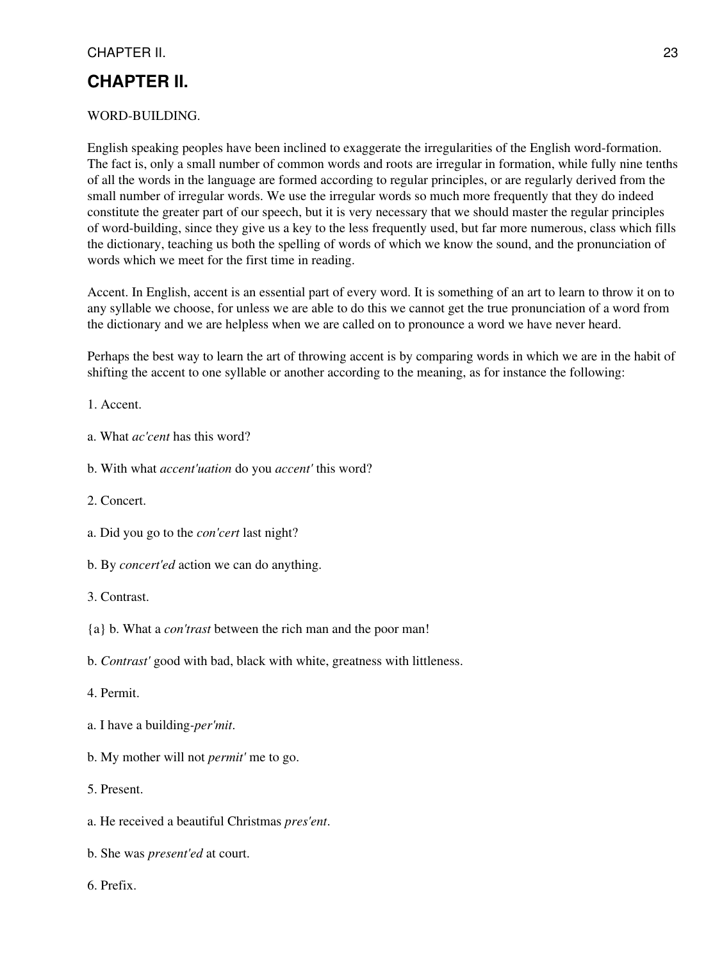## **CHAPTER II.**

#### WORD-BUILDING.

English speaking peoples have been inclined to exaggerate the irregularities of the English word-formation. The fact is, only a small number of common words and roots are irregular in formation, while fully nine tenths of all the words in the language are formed according to regular principles, or are regularly derived from the small number of irregular words. We use the irregular words so much more frequently that they do indeed constitute the greater part of our speech, but it is very necessary that we should master the regular principles of word-building, since they give us a key to the less frequently used, but far more numerous, class which fills the dictionary, teaching us both the spelling of words of which we know the sound, and the pronunciation of words which we meet for the first time in reading.

Accent. In English, accent is an essential part of every word. It is something of an art to learn to throw it on to any syllable we choose, for unless we are able to do this we cannot get the true pronunciation of a word from the dictionary and we are helpless when we are called on to pronounce a word we have never heard.

Perhaps the best way to learn the art of throwing accent is by comparing words in which we are in the habit of shifting the accent to one syllable or another according to the meaning, as for instance the following:

1. Accent.

- a. What *ac'cent* has this word?
- b. With what *accent'uation* do you *accent'* this word?
- 2. Concert.
- a. Did you go to the *con'cert* last night?
- b. By *concert'ed* action we can do anything.
- 3. Contrast.
- {a} b. What a *con'trast* between the rich man and the poor man!
- b. *Contrast'* good with bad, black with white, greatness with littleness.
- 4. Permit.
- a. I have a building*-per'mit*.
- b. My mother will not *permit'* me to go.
- 5. Present.
- a. He received a beautiful Christmas *pres'ent*.
- b. She was *present'ed* at court.
- 6. Prefix.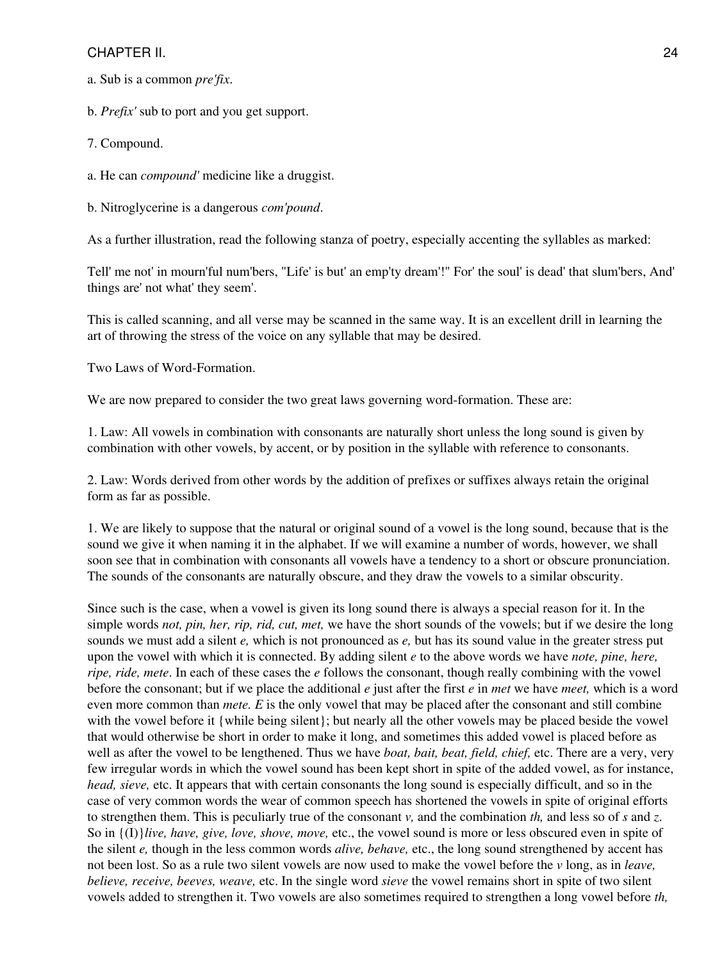a. Sub is a common *pre'fix*.

b. *Prefix'* sub to port and you get support.

7. Compound.

a. He can *compound'* medicine like a druggist.

b. Nitroglycerine is a dangerous *com'pound*.

As a further illustration, read the following stanza of poetry, especially accenting the syllables as marked:

Tell' me not' in mourn'ful num'bers, "Life' is but' an emp'ty dream'!" For' the soul' is dead' that slum'bers, And' things are' not what' they seem'.

This is called scanning, and all verse may be scanned in the same way. It is an excellent drill in learning the art of throwing the stress of the voice on any syllable that may be desired.

Two Laws of Word-Formation.

We are now prepared to consider the two great laws governing word-formation. These are:

1. Law: All vowels in combination with consonants are naturally short unless the long sound is given by combination with other vowels, by accent, or by position in the syllable with reference to consonants.

2. Law: Words derived from other words by the addition of prefixes or suffixes always retain the original form as far as possible.

1. We are likely to suppose that the natural or original sound of a vowel is the long sound, because that is the sound we give it when naming it in the alphabet. If we will examine a number of words, however, we shall soon see that in combination with consonants all vowels have a tendency to a short or obscure pronunciation. The sounds of the consonants are naturally obscure, and they draw the vowels to a similar obscurity.

Since such is the case, when a vowel is given its long sound there is always a special reason for it. In the simple words *not, pin, her, rip, rid, cut, met,* we have the short sounds of the vowels; but if we desire the long sounds we must add a silent *e,* which is not pronounced as *e,* but has its sound value in the greater stress put upon the vowel with which it is connected. By adding silent *e* to the above words we have *note, pine, here, ripe, ride, mete*. In each of these cases the *e* follows the consonant, though really combining with the vowel before the consonant; but if we place the additional *e* just after the first *e* in *met* we have *meet,* which is a word even more common than *mete. E* is the only vowel that may be placed after the consonant and still combine with the vowel before it {while being silent}; but nearly all the other vowels may be placed beside the vowel that would otherwise be short in order to make it long, and sometimes this added vowel is placed before as well as after the vowel to be lengthened. Thus we have *boat, bait, beat, field, chief,* etc. There are a very, very few irregular words in which the vowel sound has been kept short in spite of the added vowel, as for instance, *head, sieve,* etc. It appears that with certain consonants the long sound is especially difficult, and so in the case of very common words the wear of common speech has shortened the vowels in spite of original efforts to strengthen them. This is peculiarly true of the consonant *v,* and the combination *th,* and less so of *s* and *z*. So in {(I)}*live, have, give, love, shove, move,* etc., the vowel sound is more or less obscured even in spite of the silent *e,* though in the less common words *alive, behave,* etc., the long sound strengthened by accent has not been lost. So as a rule two silent vowels are now used to make the vowel before the *v* long, as in *leave, believe, receive, beeves, weave,* etc. In the single word *sieve* the vowel remains short in spite of two silent vowels added to strengthen it. Two vowels are also sometimes required to strengthen a long vowel before *th,*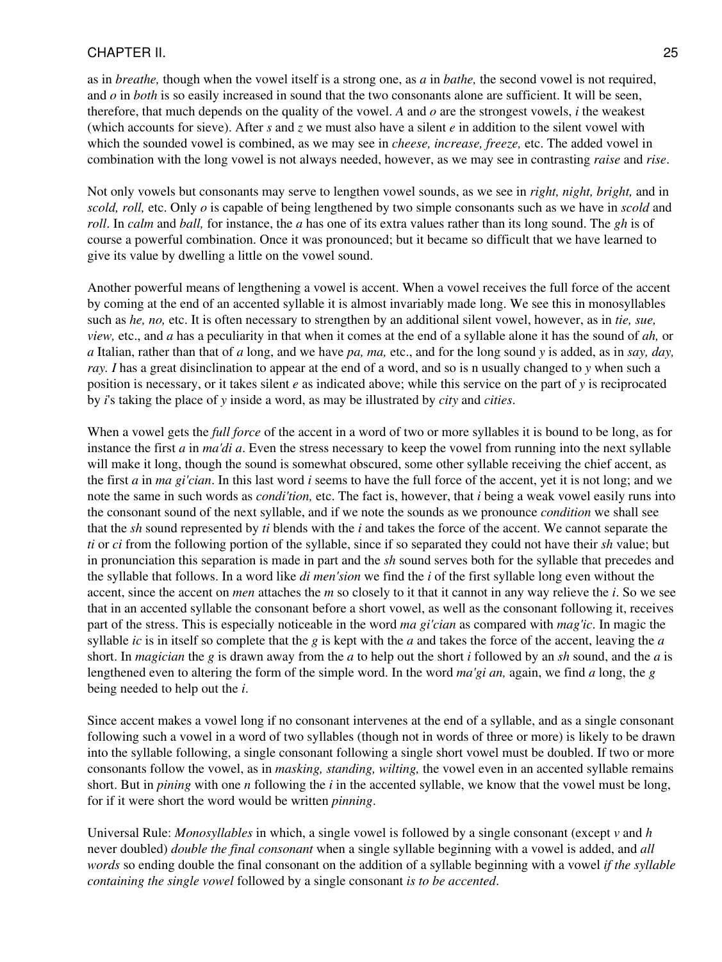as in *breathe,* though when the vowel itself is a strong one, as *a* in *bathe,* the second vowel is not required, and *o* in *both* is so easily increased in sound that the two consonants alone are sufficient. It will be seen, therefore, that much depends on the quality of the vowel. *A* and *o* are the strongest vowels, *i* the weakest (which accounts for sieve). After *s* and *z* we must also have a silent *e* in addition to the silent vowel with which the sounded vowel is combined, as we may see in *cheese, increase, freeze,* etc. The added vowel in combination with the long vowel is not always needed, however, as we may see in contrasting *raise* and *rise*.

Not only vowels but consonants may serve to lengthen vowel sounds, as we see in *right, night, bright,* and in *scold, roll,* etc. Only *o* is capable of being lengthened by two simple consonants such as we have in *scold* and *roll*. In *calm* and *ball,* for instance, the *a* has one of its extra values rather than its long sound. The *gh* is of course a powerful combination. Once it was pronounced; but it became so difficult that we have learned to give its value by dwelling a little on the vowel sound.

Another powerful means of lengthening a vowel is accent. When a vowel receives the full force of the accent by coming at the end of an accented syllable it is almost invariably made long. We see this in monosyllables such as *he, no,* etc. It is often necessary to strengthen by an additional silent vowel, however, as in *tie, sue, view,* etc., and *a* has a peculiarity in that when it comes at the end of a syllable alone it has the sound of *ah,* or *a* Italian, rather than that of *a* long, and we have *pa, ma,* etc., and for the long sound *y* is added, as in *say, day, ray. I* has a great disinclination to appear at the end of a word, and so is n usually changed to *y* when such a position is necessary, or it takes silent *e* as indicated above; while this service on the part of *y* is reciprocated by *i*'s taking the place of *y* inside a word, as may be illustrated by *city* and *cities*.

When a vowel gets the *full force* of the accent in a word of two or more syllables it is bound to be long, as for instance the first *a* in *ma'di a*. Even the stress necessary to keep the vowel from running into the next syllable will make it long, though the sound is somewhat obscured, some other syllable receiving the chief accent, as the first *a* in *ma gi'cian*. In this last word *i* seems to have the full force of the accent, yet it is not long; and we note the same in such words as *condi'tion,* etc. The fact is, however, that *i* being a weak vowel easily runs into the consonant sound of the next syllable, and if we note the sounds as we pronounce *condition* we shall see that the *sh* sound represented by *ti* blends with the *i* and takes the force of the accent. We cannot separate the *ti* or *ci* from the following portion of the syllable, since if so separated they could not have their *sh* value; but in pronunciation this separation is made in part and the *sh* sound serves both for the syllable that precedes and the syllable that follows. In a word like *di men'sion* we find the *i* of the first syllable long even without the accent, since the accent on *men* attaches the *m* so closely to it that it cannot in any way relieve the *i*. So we see that in an accented syllable the consonant before a short vowel, as well as the consonant following it, receives part of the stress. This is especially noticeable in the word *ma gi'cian* as compared with *mag'ic*. In magic the syllable *ic* is in itself so complete that the *g* is kept with the *a* and takes the force of the accent, leaving the *a* short. In *magician* the *g* is drawn away from the *a* to help out the short *i* followed by an *sh* sound, and the *a* is lengthened even to altering the form of the simple word. In the word *ma'gi an,* again, we find *a* long, the *g* being needed to help out the *i*.

Since accent makes a vowel long if no consonant intervenes at the end of a syllable, and as a single consonant following such a vowel in a word of two syllables (though not in words of three or more) is likely to be drawn into the syllable following, a single consonant following a single short vowel must be doubled. If two or more consonants follow the vowel, as in *masking, standing, wilting,* the vowel even in an accented syllable remains short. But in *pining* with one *n* following the *i* in the accented syllable, we know that the vowel must be long, for if it were short the word would be written *pinning*.

Universal Rule: *Monosyllables* in which, a single vowel is followed by a single consonant (except *v* and *h* never doubled) *double the final consonant* when a single syllable beginning with a vowel is added, and *all words* so ending double the final consonant on the addition of a syllable beginning with a vowel *if the syllable containing the single vowel* followed by a single consonant *is to be accented*.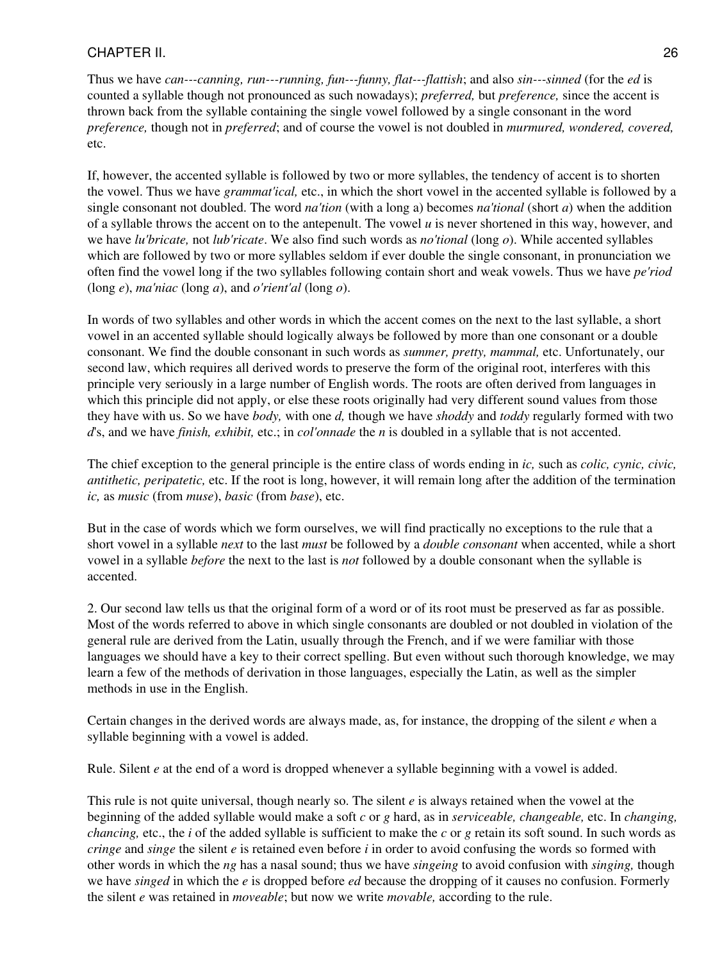Thus we have *can---canning, run---running, fun---funny, flat---flattish*; and also *sin---sinned* (for the *ed* is counted a syllable though not pronounced as such nowadays); *preferred,* but *preference,* since the accent is thrown back from the syllable containing the single vowel followed by a single consonant in the word *preference,* though not in *preferred*; and of course the vowel is not doubled in *murmured, wondered, covered,* etc.

If, however, the accented syllable is followed by two or more syllables, the tendency of accent is to shorten the vowel. Thus we have *grammat'ical,* etc., in which the short vowel in the accented syllable is followed by a single consonant not doubled. The word *na'tion* (with a long a) becomes *na'tional* (short *a*) when the addition of a syllable throws the accent on to the antepenult. The vowel *u* is never shortened in this way, however, and we have *lu'bricate,* not *lub'ricate*. We also find such words as *no'tional* (long *o*). While accented syllables which are followed by two or more syllables seldom if ever double the single consonant, in pronunciation we often find the vowel long if the two syllables following contain short and weak vowels. Thus we have *pe'riod* (long *e*), *ma'niac* (long *a*), and *o'rient'al* (long *o*).

In words of two syllables and other words in which the accent comes on the next to the last syllable, a short vowel in an accented syllable should logically always be followed by more than one consonant or a double consonant. We find the double consonant in such words as *summer, pretty, mammal,* etc. Unfortunately, our second law, which requires all derived words to preserve the form of the original root, interferes with this principle very seriously in a large number of English words. The roots are often derived from languages in which this principle did not apply, or else these roots originally had very different sound values from those they have with us. So we have *body,* with one *d,* though we have *shoddy* and *toddy* regularly formed with two *d*'s, and we have *finish, exhibit,* etc.; in *col'onnade* the *n* is doubled in a syllable that is not accented.

The chief exception to the general principle is the entire class of words ending in *ic,* such as *colic, cynic, civic, antithetic, peripatetic,* etc. If the root is long, however, it will remain long after the addition of the termination *ic,* as *music* (from *muse*), *basic* (from *base*), etc.

But in the case of words which we form ourselves, we will find practically no exceptions to the rule that a short vowel in a syllable *next* to the last *must* be followed by a *double consonant* when accented, while a short vowel in a syllable *before* the next to the last is *not* followed by a double consonant when the syllable is accented.

2. Our second law tells us that the original form of a word or of its root must be preserved as far as possible. Most of the words referred to above in which single consonants are doubled or not doubled in violation of the general rule are derived from the Latin, usually through the French, and if we were familiar with those languages we should have a key to their correct spelling. But even without such thorough knowledge, we may learn a few of the methods of derivation in those languages, especially the Latin, as well as the simpler methods in use in the English.

Certain changes in the derived words are always made, as, for instance, the dropping of the silent *e* when a syllable beginning with a vowel is added.

Rule. Silent *e* at the end of a word is dropped whenever a syllable beginning with a vowel is added.

This rule is not quite universal, though nearly so. The silent *e* is always retained when the vowel at the beginning of the added syllable would make a soft *c* or *g* hard, as in *serviceable, changeable,* etc. In *changing, chancing,* etc., the *i* of the added syllable is sufficient to make the *c* or *g* retain its soft sound. In such words as *cringe* and *singe* the silent *e* is retained even before *i* in order to avoid confusing the words so formed with other words in which the *ng* has a nasal sound; thus we have *singeing* to avoid confusion with *singing,* though we have *singed* in which the *e* is dropped before *ed* because the dropping of it causes no confusion. Formerly the silent *e* was retained in *moveable*; but now we write *movable,* according to the rule.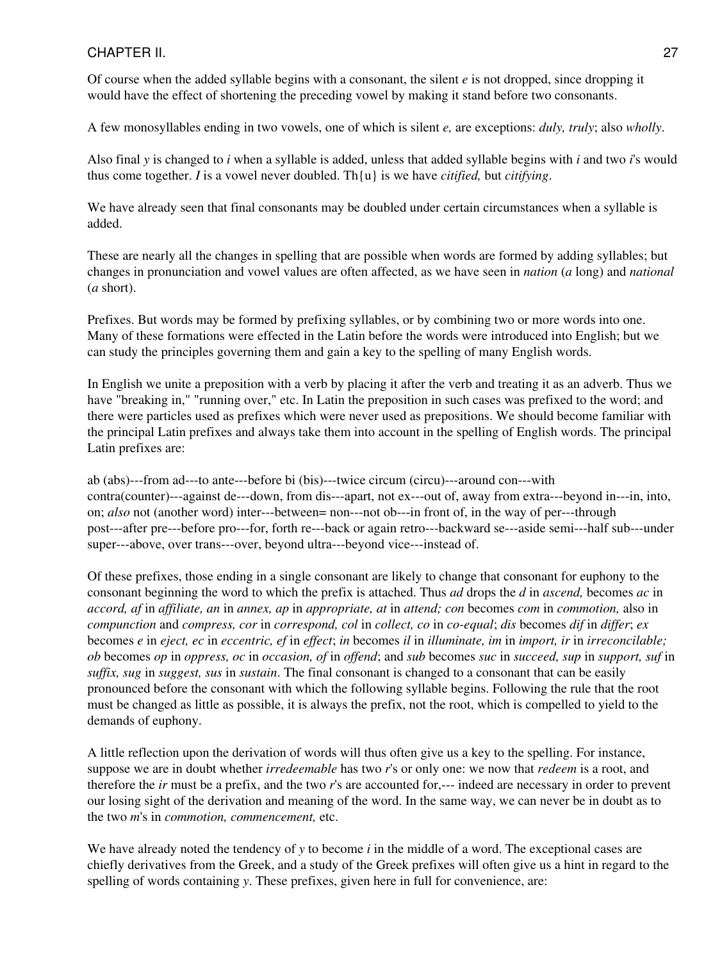Of course when the added syllable begins with a consonant, the silent *e* is not dropped, since dropping it would have the effect of shortening the preceding vowel by making it stand before two consonants.

A few monosyllables ending in two vowels, one of which is silent *e,* are exceptions: *duly, truly*; also *wholly*.

Also final *y* is changed to *i* when a syllable is added, unless that added syllable begins with *i* and two *i*'s would thus come together. *I* is a vowel never doubled. Th{u} is we have *citified,* but *citifying*.

We have already seen that final consonants may be doubled under certain circumstances when a syllable is added.

These are nearly all the changes in spelling that are possible when words are formed by adding syllables; but changes in pronunciation and vowel values are often affected, as we have seen in *nation* (*a* long) and *national* (*a* short).

Prefixes. But words may be formed by prefixing syllables, or by combining two or more words into one. Many of these formations were effected in the Latin before the words were introduced into English; but we can study the principles governing them and gain a key to the spelling of many English words.

In English we unite a preposition with a verb by placing it after the verb and treating it as an adverb. Thus we have "breaking in," "running over," etc. In Latin the preposition in such cases was prefixed to the word; and there were particles used as prefixes which were never used as prepositions. We should become familiar with the principal Latin prefixes and always take them into account in the spelling of English words. The principal Latin prefixes are:

ab (abs)---from ad---to ante---before bi (bis)---twice circum (circu)---around con---with contra(counter)---against de---down, from dis---apart, not ex---out of, away from extra---beyond in---in, into, on; *also* not (another word) inter---between= non---not ob---in front of, in the way of per---through post---after pre---before pro---for, forth re---back or again retro---backward se---aside semi---half sub---under super---above, over trans---over, beyond ultra---beyond vice---instead of.

Of these prefixes, those ending in a single consonant are likely to change that consonant for euphony to the consonant beginning the word to which the prefix is attached. Thus *ad* drops the *d* in *ascend,* becomes *ac* in *accord, af* in *affiliate, an* in *annex, ap* in *appropriate, at* in *attend; con* becomes *com* in *commotion,* also in *compunction* and *compress, cor* in *correspond, col* in *collect, co* in *co-equal*; *dis* becomes *dif* in *differ*; *ex* becomes *e* in *eject, ec* in *eccentric, ef* in *effect*; *in* becomes *il* in *illuminate, im* in *import, ir* in *irreconcilable; ob* becomes *op* in *oppress, oc* in *occasion, of* in *offend*; and *sub* becomes *suc* in *succeed, sup* in *support, suf* in *suffix, sug* in *suggest, sus* in *sustain*. The final consonant is changed to a consonant that can be easily pronounced before the consonant with which the following syllable begins. Following the rule that the root must be changed as little as possible, it is always the prefix, not the root, which is compelled to yield to the demands of euphony.

A little reflection upon the derivation of words will thus often give us a key to the spelling. For instance, suppose we are in doubt whether *irredeemable* has two *r*'s or only one: we now that *redeem* is a root, and therefore the *ir* must be a prefix, and the two *r*'s are accounted for,--- indeed are necessary in order to prevent our losing sight of the derivation and meaning of the word. In the same way, we can never be in doubt as to the two *m*'s in *commotion, commencement,* etc.

We have already noted the tendency of y to become *i* in the middle of a word. The exceptional cases are chiefly derivatives from the Greek, and a study of the Greek prefixes will often give us a hint in regard to the spelling of words containing *y*. These prefixes, given here in full for convenience, are: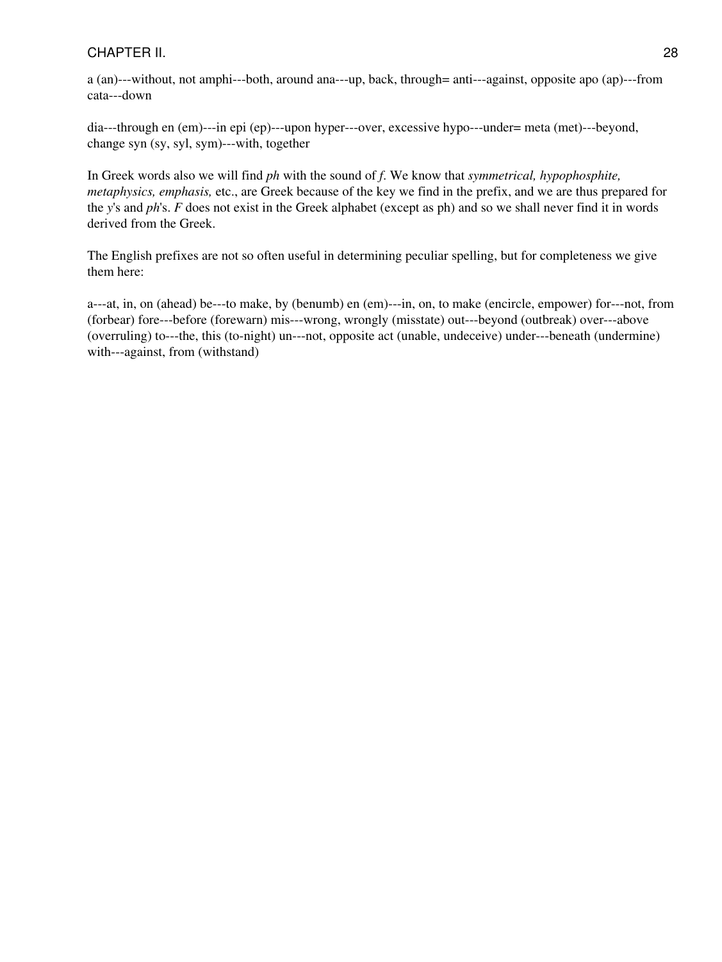a (an)---without, not amphi---both, around ana---up, back, through= anti---against, opposite apo (ap)---from cata---down

dia---through en (em)---in epi (ep)---upon hyper---over, excessive hypo---under= meta (met)---beyond, change syn (sy, syl, sym)---with, together

In Greek words also we will find *ph* with the sound of *f*. We know that *symmetrical, hypophosphite, metaphysics, emphasis,* etc., are Greek because of the key we find in the prefix, and we are thus prepared for the *y*'s and *ph*'s. *F* does not exist in the Greek alphabet (except as ph) and so we shall never find it in words derived from the Greek.

The English prefixes are not so often useful in determining peculiar spelling, but for completeness we give them here:

a---at, in, on (ahead) be---to make, by (benumb) en (em)---in, on, to make (encircle, empower) for---not, from (forbear) fore---before (forewarn) mis---wrong, wrongly (misstate) out---beyond (outbreak) over---above (overruling) to---the, this (to-night) un---not, opposite act (unable, undeceive) under---beneath (undermine) with---against, from (withstand)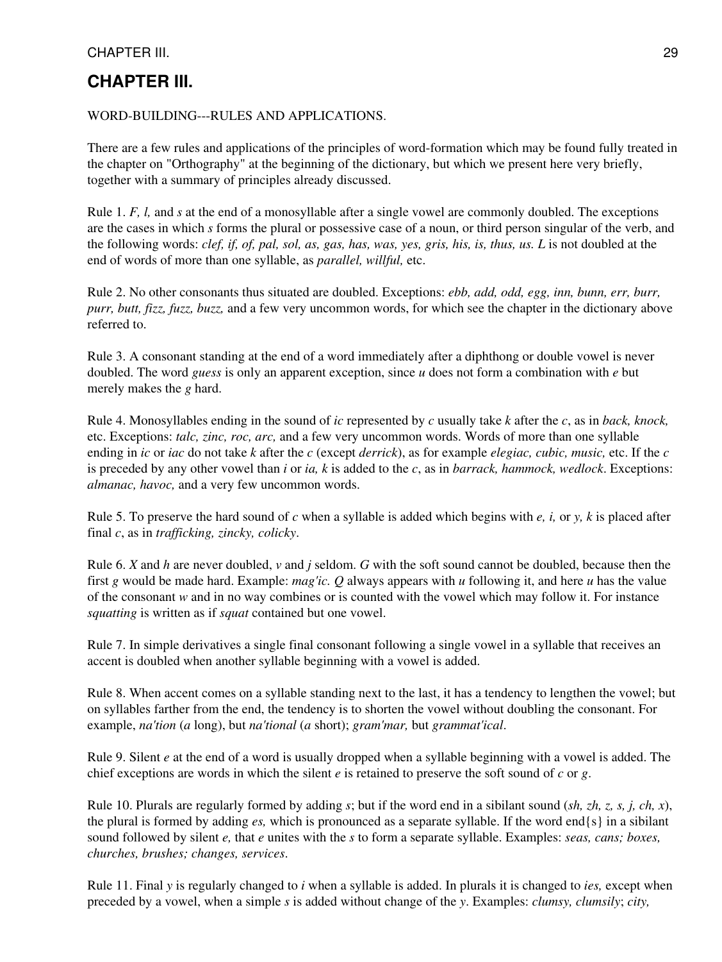## **CHAPTER III.**

#### WORD-BUILDING---RULES AND APPLICATIONS.

There are a few rules and applications of the principles of word-formation which may be found fully treated in the chapter on "Orthography" at the beginning of the dictionary, but which we present here very briefly, together with a summary of principles already discussed.

Rule 1. *F, l,* and *s* at the end of a monosyllable after a single vowel are commonly doubled. The exceptions are the cases in which *s* forms the plural or possessive case of a noun, or third person singular of the verb, and the following words: *clef, if, of, pal, sol, as, gas, has, was, yes, gris, his, is, thus, us. L* is not doubled at the end of words of more than one syllable, as *parallel, willful,* etc.

Rule 2. No other consonants thus situated are doubled. Exceptions: *ebb, add, odd, egg, inn, bunn, err, burr, purr, butt, fizz, fuzz, buzz,* and a few very uncommon words, for which see the chapter in the dictionary above referred to.

Rule 3. A consonant standing at the end of a word immediately after a diphthong or double vowel is never doubled. The word *guess* is only an apparent exception, since *u* does not form a combination with *e* but merely makes the *g* hard.

Rule 4. Monosyllables ending in the sound of *ic* represented by *c* usually take *k* after the *c*, as in *back, knock,* etc. Exceptions: *talc, zinc, roc, arc,* and a few very uncommon words. Words of more than one syllable ending in *ic* or *iac* do not take *k* after the *c* (except *derrick*), as for example *elegiac, cubic, music,* etc. If the *c* is preceded by any other vowel than *i* or *ia, k* is added to the *c*, as in *barrack, hammock, wedlock*. Exceptions: *almanac, havoc,* and a very few uncommon words.

Rule 5. To preserve the hard sound of *c* when a syllable is added which begins with *e, i,* or *y, k* is placed after final *c*, as in *trafficking, zincky, colicky*.

Rule 6. *X* and *h* are never doubled, *v* and *j* seldom. *G* with the soft sound cannot be doubled, because then the first *g* would be made hard. Example: *mag'ic. Q* always appears with *u* following it, and here *u* has the value of the consonant *w* and in no way combines or is counted with the vowel which may follow it. For instance *squatting* is written as if *squat* contained but one vowel.

Rule 7. In simple derivatives a single final consonant following a single vowel in a syllable that receives an accent is doubled when another syllable beginning with a vowel is added.

Rule 8. When accent comes on a syllable standing next to the last, it has a tendency to lengthen the vowel; but on syllables farther from the end, the tendency is to shorten the vowel without doubling the consonant. For example, *na'tion* (*a* long), but *na'tional* (*a* short); *gram'mar,* but *grammat'ical*.

Rule 9. Silent *e* at the end of a word is usually dropped when a syllable beginning with a vowel is added. The chief exceptions are words in which the silent *e* is retained to preserve the soft sound of *c* or *g*.

Rule 10. Plurals are regularly formed by adding *s*; but if the word end in a sibilant sound (*sh, zh, z, s, j, ch, x*), the plural is formed by adding *es,* which is pronounced as a separate syllable. If the word end{s} in a sibilant sound followed by silent *e,* that *e* unites with the *s* to form a separate syllable. Examples: *seas, cans; boxes, churches, brushes; changes, services*.

Rule 11. Final *y* is regularly changed to *i* when a syllable is added. In plurals it is changed to *ies,* except when preceded by a vowel, when a simple *s* is added without change of the *y*. Examples: *clumsy, clumsily*; *city,*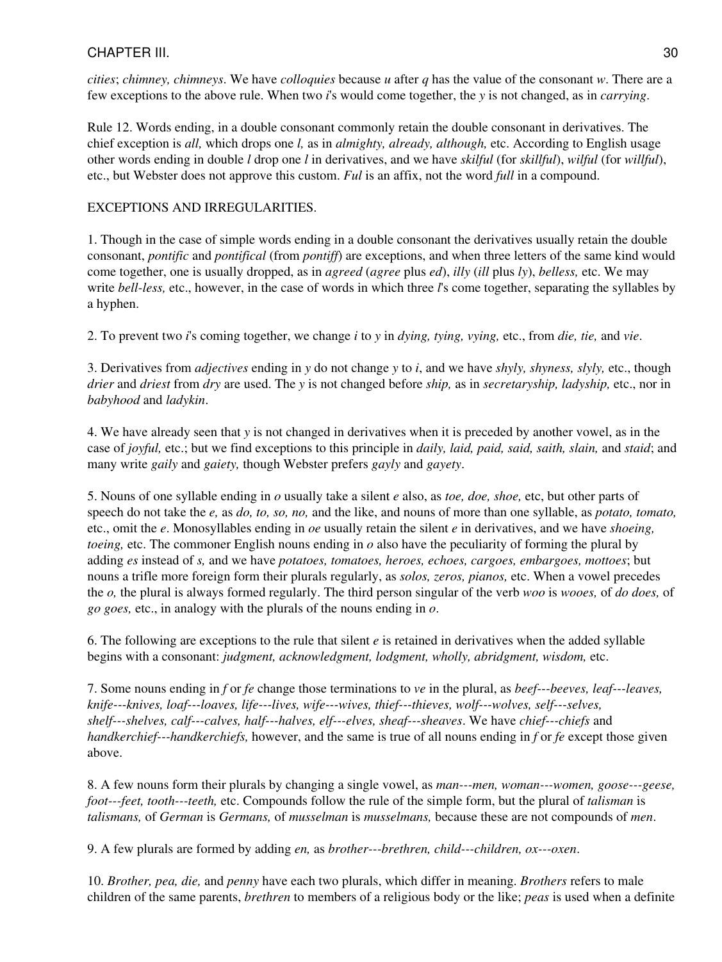*cities*; *chimney, chimneys*. We have *colloquies* because *u* after *q* has the value of the consonant *w*. There are a few exceptions to the above rule. When two *i*'s would come together, the *y* is not changed, as in *carrying*.

Rule 12. Words ending, in a double consonant commonly retain the double consonant in derivatives. The chief exception is *all,* which drops one *l,* as in *almighty, already, although,* etc. According to English usage other words ending in double *l* drop one *l* in derivatives, and we have *skilful* (for *skillful*), *wilful* (for *willful*), etc., but Webster does not approve this custom. *Ful* is an affix, not the word *full* in a compound.

### EXCEPTIONS AND IRREGULARITIES.

1. Though in the case of simple words ending in a double consonant the derivatives usually retain the double consonant, *pontific* and *pontifical* (from *pontiff*) are exceptions, and when three letters of the same kind would come together, one is usually dropped, as in *agreed* (*agree* plus *ed*), *illy* (*ill* plus *ly*), *belless,* etc. We may write *bell-less,* etc., however, in the case of words in which three *l*'s come together, separating the syllables by a hyphen.

2. To prevent two *i*'s coming together, we change *i* to *y* in *dying, tying, vying,* etc., from *die, tie,* and *vie*.

3. Derivatives from *adjectives* ending in *y* do not change *y* to *i*, and we have *shyly, shyness, slyly,* etc., though *drier* and *driest* from *dry* are used. The *y* is not changed before *ship,* as in *secretaryship, ladyship,* etc., nor in *babyhood* and *ladykin*.

4. We have already seen that *y* is not changed in derivatives when it is preceded by another vowel, as in the case of *joyful,* etc.; but we find exceptions to this principle in *daily, laid, paid, said, saith, slain,* and *staid*; and many write *gaily* and *gaiety,* though Webster prefers *gayly* and *gayety*.

5. Nouns of one syllable ending in *o* usually take a silent *e* also, as *toe, doe, shoe,* etc, but other parts of speech do not take the *e,* as *do, to, so, no,* and the like, and nouns of more than one syllable, as *potato, tomato,* etc., omit the *e*. Monosyllables ending in *oe* usually retain the silent *e* in derivatives, and we have *shoeing, toeing,* etc. The commoner English nouns ending in *o* also have the peculiarity of forming the plural by adding *es* instead of *s,* and we have *potatoes, tomatoes, heroes, echoes, cargoes, embargoes, mottoes*; but nouns a trifle more foreign form their plurals regularly, as *solos, zeros, pianos,* etc. When a vowel precedes the *o,* the plural is always formed regularly. The third person singular of the verb *woo* is *wooes,* of *do does,* of *go goes,* etc., in analogy with the plurals of the nouns ending in *o*.

6. The following are exceptions to the rule that silent *e* is retained in derivatives when the added syllable begins with a consonant: *judgment, acknowledgment, lodgment, wholly, abridgment, wisdom,* etc.

7. Some nouns ending in *f* or *fe* change those terminations to *ve* in the plural, as *beef---beeves, leaf---leaves, knife---knives, loaf---loaves, life---lives, wife---wives, thief---thieves, wolf---wolves, self---selves, shelf---shelves, calf---calves, half---halves, elf---elves, sheaf---sheaves*. We have *chief---chiefs* and *handkerchief---handkerchiefs,* however, and the same is true of all nouns ending in *f* or *fe* except those given above.

8. A few nouns form their plurals by changing a single vowel, as *man---men, woman---women, goose---geese, foot---feet, tooth---teeth,* etc. Compounds follow the rule of the simple form, but the plural of *talisman* is *talismans,* of *German* is *Germans,* of *musselman* is *musselmans,* because these are not compounds of *men*.

9. A few plurals are formed by adding *en,* as *brother---brethren, child---children, ox---oxen*.

10. *Brother, pea, die,* and *penny* have each two plurals, which differ in meaning. *Brothers* refers to male children of the same parents, *brethren* to members of a religious body or the like; *peas* is used when a definite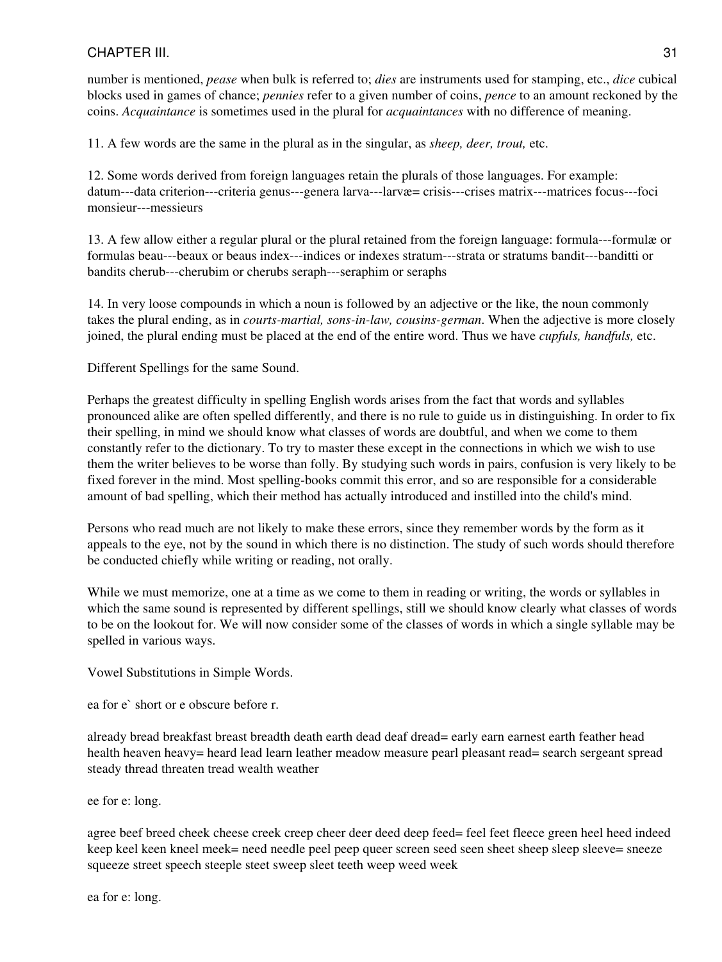number is mentioned, *pease* when bulk is referred to; *dies* are instruments used for stamping, etc., *dice* cubical blocks used in games of chance; *pennies* refer to a given number of coins, *pence* to an amount reckoned by the coins. *Acquaintance* is sometimes used in the plural for *acquaintances* with no difference of meaning.

11. A few words are the same in the plural as in the singular, as *sheep, deer, trout,* etc.

12. Some words derived from foreign languages retain the plurals of those languages. For example: datum---data criterion---criteria genus---genera larva---larvæ= crisis---crises matrix---matrices focus---foci monsieur---messieurs

13. A few allow either a regular plural or the plural retained from the foreign language: formula---formulæ or formulas beau---beaux or beaus index---indices or indexes stratum---strata or stratums bandit---banditti or bandits cherub---cherubim or cherubs seraph---seraphim or seraphs

14. In very loose compounds in which a noun is followed by an adjective or the like, the noun commonly takes the plural ending, as in *courts-martial, sons-in-law, cousins-german*. When the adjective is more closely joined, the plural ending must be placed at the end of the entire word. Thus we have *cupfuls, handfuls,* etc.

Different Spellings for the same Sound.

Perhaps the greatest difficulty in spelling English words arises from the fact that words and syllables pronounced alike are often spelled differently, and there is no rule to guide us in distinguishing. In order to fix their spelling, in mind we should know what classes of words are doubtful, and when we come to them constantly refer to the dictionary. To try to master these except in the connections in which we wish to use them the writer believes to be worse than folly. By studying such words in pairs, confusion is very likely to be fixed forever in the mind. Most spelling-books commit this error, and so are responsible for a considerable amount of bad spelling, which their method has actually introduced and instilled into the child's mind.

Persons who read much are not likely to make these errors, since they remember words by the form as it appeals to the eye, not by the sound in which there is no distinction. The study of such words should therefore be conducted chiefly while writing or reading, not orally.

While we must memorize, one at a time as we come to them in reading or writing, the words or syllables in which the same sound is represented by different spellings, still we should know clearly what classes of words to be on the lookout for. We will now consider some of the classes of words in which a single syllable may be spelled in various ways.

Vowel Substitutions in Simple Words.

ea for e` short or e obscure before r.

already bread breakfast breast breadth death earth dead deaf dread= early earn earnest earth feather head health heaven heavy= heard lead learn leather meadow measure pearl pleasant read= search sergeant spread steady thread threaten tread wealth weather

ee for e: long.

agree beef breed cheek cheese creek creep cheer deer deed deep feed= feel feet fleece green heel heed indeed keep keel keen kneel meek= need needle peel peep queer screen seed seen sheet sheep sleep sleeve= sneeze squeeze street speech steeple steet sweep sleet teeth weep weed week

ea for e: long.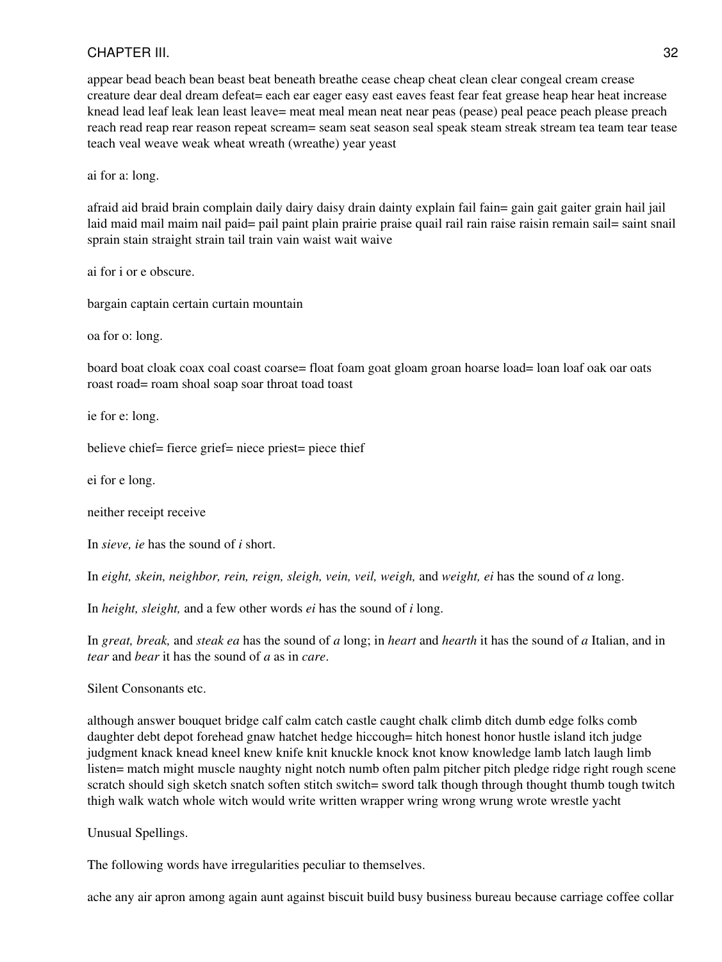appear bead beach bean beast beat beneath breathe cease cheap cheat clean clear congeal cream crease creature dear deal dream defeat= each ear eager easy east eaves feast fear feat grease heap hear heat increase knead lead leaf leak lean least leave= meat meal mean neat near peas (pease) peal peace peach please preach reach read reap rear reason repeat scream= seam seat season seal speak steam streak stream tea team tear tease teach veal weave weak wheat wreath (wreathe) year yeast

ai for a: long.

afraid aid braid brain complain daily dairy daisy drain dainty explain fail fain= gain gait gaiter grain hail jail laid maid mail maim nail paid= pail paint plain prairie praise quail rail rain raise raisin remain sail= saint snail sprain stain straight strain tail train vain waist wait waive

ai for i or e obscure.

bargain captain certain curtain mountain

oa for o: long.

board boat cloak coax coal coast coarse= float foam goat gloam groan hoarse load= loan loaf oak oar oats roast road= roam shoal soap soar throat toad toast

ie for e: long.

believe chief= fierce grief= niece priest= piece thief

ei for e long.

neither receipt receive

In *sieve, ie* has the sound of *i* short.

In *eight, skein, neighbor, rein, reign, sleigh, vein, veil, weigh,* and *weight, ei* has the sound of *a* long.

In *height, sleight,* and a few other words *ei* has the sound of *i* long.

In *great, break,* and *steak ea* has the sound of *a* long; in *heart* and *hearth* it has the sound of *a* Italian, and in *tear* and *bear* it has the sound of *a* as in *care*.

Silent Consonants etc.

although answer bouquet bridge calf calm catch castle caught chalk climb ditch dumb edge folks comb daughter debt depot forehead gnaw hatchet hedge hiccough= hitch honest honor hustle island itch judge judgment knack knead kneel knew knife knit knuckle knock knot know knowledge lamb latch laugh limb listen= match might muscle naughty night notch numb often palm pitcher pitch pledge ridge right rough scene scratch should sigh sketch snatch soften stitch switch= sword talk though through thought thumb tough twitch thigh walk watch whole witch would write written wrapper wring wrong wrung wrote wrestle yacht

Unusual Spellings.

The following words have irregularities peculiar to themselves.

ache any air apron among again aunt against biscuit build busy business bureau because carriage coffee collar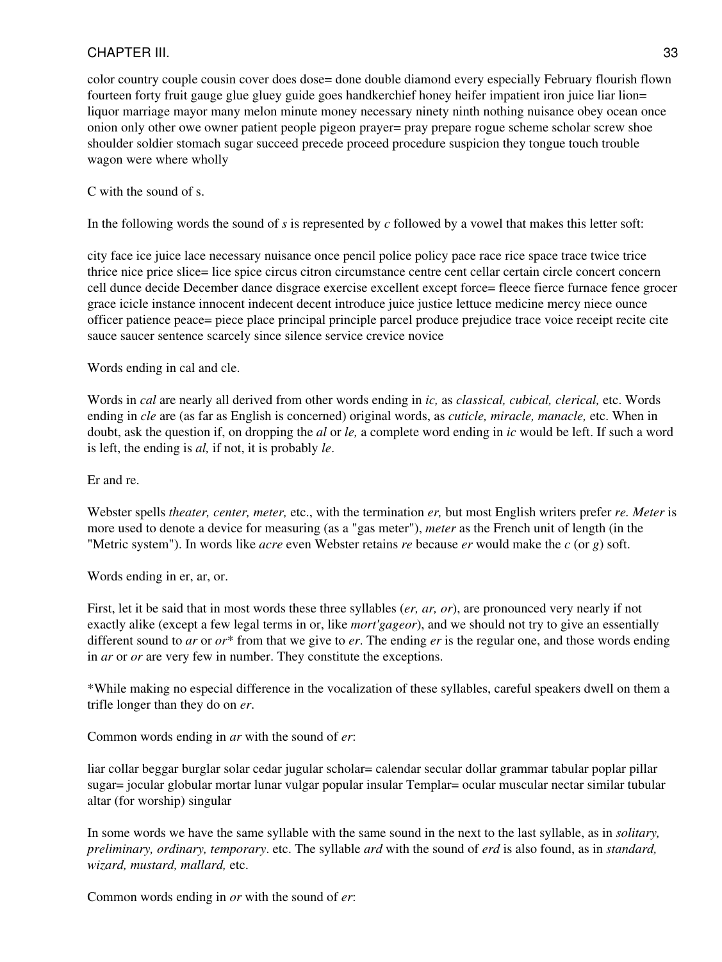color country couple cousin cover does dose= done double diamond every especially February flourish flown fourteen forty fruit gauge glue gluey guide goes handkerchief honey heifer impatient iron juice liar lion= liquor marriage mayor many melon minute money necessary ninety ninth nothing nuisance obey ocean once onion only other owe owner patient people pigeon prayer= pray prepare rogue scheme scholar screw shoe shoulder soldier stomach sugar succeed precede proceed procedure suspicion they tongue touch trouble wagon were where wholly

C with the sound of s.

In the following words the sound of *s* is represented by *c* followed by a vowel that makes this letter soft:

city face ice juice lace necessary nuisance once pencil police policy pace race rice space trace twice trice thrice nice price slice= lice spice circus citron circumstance centre cent cellar certain circle concert concern cell dunce decide December dance disgrace exercise excellent except force= fleece fierce furnace fence grocer grace icicle instance innocent indecent decent introduce juice justice lettuce medicine mercy niece ounce officer patience peace= piece place principal principle parcel produce prejudice trace voice receipt recite cite sauce saucer sentence scarcely since silence service crevice novice

Words ending in cal and cle.

Words in *cal* are nearly all derived from other words ending in *ic,* as *classical, cubical, clerical,* etc. Words ending in *cle* are (as far as English is concerned) original words, as *cuticle, miracle, manacle,* etc. When in doubt, ask the question if, on dropping the *al* or *le,* a complete word ending in *ic* would be left. If such a word is left, the ending is *al,* if not, it is probably *le*.

Er and re.

Webster spells *theater, center, meter,* etc., with the termination *er,* but most English writers prefer *re. Meter* is more used to denote a device for measuring (as a "gas meter"), *meter* as the French unit of length (in the "Metric system"). In words like *acre* even Webster retains *re* because *er* would make the *c* (or *g*) soft.

Words ending in er, ar, or.

First, let it be said that in most words these three syllables (*er, ar, or*), are pronounced very nearly if not exactly alike (except a few legal terms in or, like *mort'gageor*), and we should not try to give an essentially different sound to *ar* or *or*\* from that we give to *er*. The ending *er* is the regular one, and those words ending in *ar* or *or* are very few in number. They constitute the exceptions.

\*While making no especial difference in the vocalization of these syllables, careful speakers dwell on them a trifle longer than they do on *er*.

Common words ending in *ar* with the sound of *er*:

liar collar beggar burglar solar cedar jugular scholar= calendar secular dollar grammar tabular poplar pillar sugar= jocular globular mortar lunar vulgar popular insular Templar= ocular muscular nectar similar tubular altar (for worship) singular

In some words we have the same syllable with the same sound in the next to the last syllable, as in *solitary, preliminary, ordinary, temporary*. etc. The syllable *ard* with the sound of *erd* is also found, as in *standard, wizard, mustard, mallard,* etc.

Common words ending in *or* with the sound of *er*: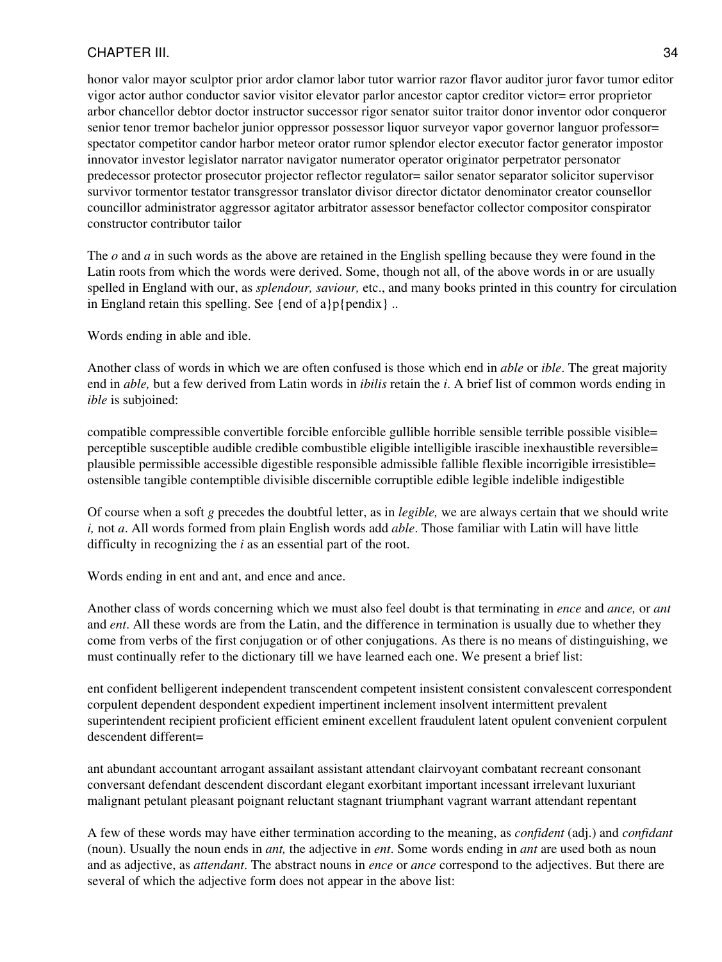honor valor mayor sculptor prior ardor clamor labor tutor warrior razor flavor auditor juror favor tumor editor vigor actor author conductor savior visitor elevator parlor ancestor captor creditor victor= error proprietor arbor chancellor debtor doctor instructor successor rigor senator suitor traitor donor inventor odor conqueror senior tenor tremor bachelor junior oppressor possessor liquor surveyor vapor governor languor professor= spectator competitor candor harbor meteor orator rumor splendor elector executor factor generator impostor innovator investor legislator narrator navigator numerator operator originator perpetrator personator predecessor protector prosecutor projector reflector regulator= sailor senator separator solicitor supervisor survivor tormentor testator transgressor translator divisor director dictator denominator creator counsellor councillor administrator aggressor agitator arbitrator assessor benefactor collector compositor conspirator constructor contributor tailor

The *o* and *a* in such words as the above are retained in the English spelling because they were found in the Latin roots from which the words were derived. Some, though not all, of the above words in or are usually spelled in England with our, as *splendour, saviour,* etc., and many books printed in this country for circulation in England retain this spelling. See {end of a}p{pendix}...

Words ending in able and ible.

Another class of words in which we are often confused is those which end in *able* or *ible*. The great majority end in *able,* but a few derived from Latin words in *ibilis* retain the *i*. A brief list of common words ending in *ible* is subjoined:

compatible compressible convertible forcible enforcible gullible horrible sensible terrible possible visible= perceptible susceptible audible credible combustible eligible intelligible irascible inexhaustible reversible= plausible permissible accessible digestible responsible admissible fallible flexible incorrigible irresistible= ostensible tangible contemptible divisible discernible corruptible edible legible indelible indigestible

Of course when a soft *g* precedes the doubtful letter, as in *legible,* we are always certain that we should write *i,* not *a*. All words formed from plain English words add *able*. Those familiar with Latin will have little difficulty in recognizing the *i* as an essential part of the root.

Words ending in ent and ant, and ence and ance.

Another class of words concerning which we must also feel doubt is that terminating in *ence* and *ance,* or *ant* and *ent*. All these words are from the Latin, and the difference in termination is usually due to whether they come from verbs of the first conjugation or of other conjugations. As there is no means of distinguishing, we must continually refer to the dictionary till we have learned each one. We present a brief list:

ent confident belligerent independent transcendent competent insistent consistent convalescent correspondent corpulent dependent despondent expedient impertinent inclement insolvent intermittent prevalent superintendent recipient proficient efficient eminent excellent fraudulent latent opulent convenient corpulent descendent different=

ant abundant accountant arrogant assailant assistant attendant clairvoyant combatant recreant consonant conversant defendant descendent discordant elegant exorbitant important incessant irrelevant luxuriant malignant petulant pleasant poignant reluctant stagnant triumphant vagrant warrant attendant repentant

A few of these words may have either termination according to the meaning, as *confident* (adj.) and *confidant* (noun). Usually the noun ends in *ant,* the adjective in *ent*. Some words ending in *ant* are used both as noun and as adjective, as *attendant*. The abstract nouns in *ence* or *ance* correspond to the adjectives. But there are several of which the adjective form does not appear in the above list: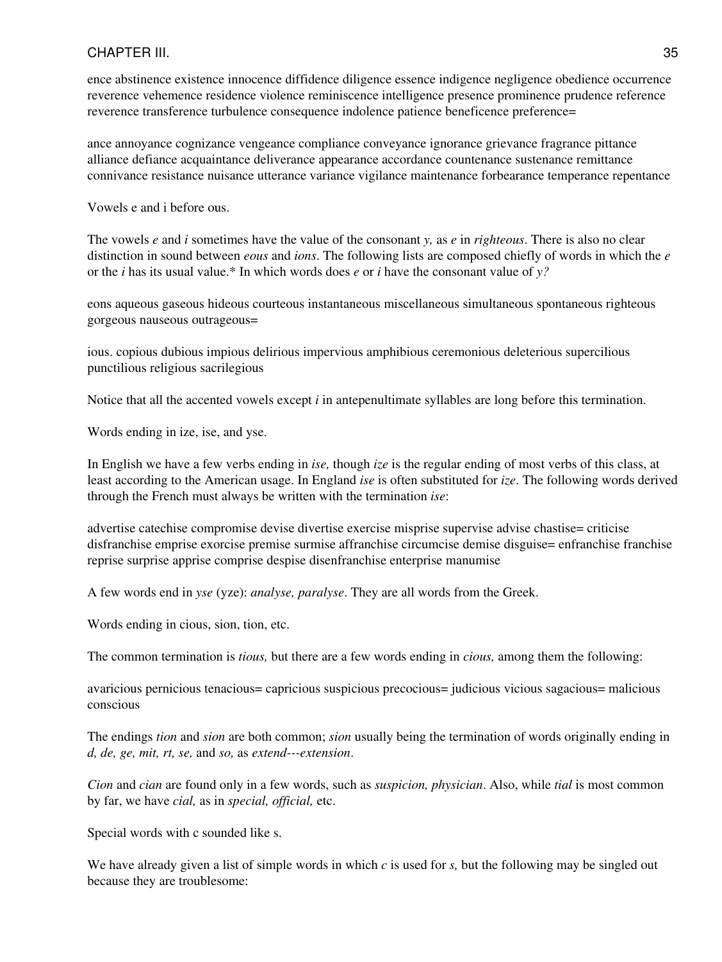ence abstinence existence innocence diffidence diligence essence indigence negligence obedience occurrence reverence vehemence residence violence reminiscence intelligence presence prominence prudence reference reverence transference turbulence consequence indolence patience beneficence preference=

ance annoyance cognizance vengeance compliance conveyance ignorance grievance fragrance pittance alliance defiance acquaintance deliverance appearance accordance countenance sustenance remittance connivance resistance nuisance utterance variance vigilance maintenance forbearance temperance repentance

Vowels e and i before ous.

The vowels *e* and *i* sometimes have the value of the consonant *y,* as *e* in *righteous*. There is also no clear distinction in sound between *eous* and *ions*. The following lists are composed chiefly of words in which the *e* or the *i* has its usual value.\* In which words does *e* or *i* have the consonant value of *y?*

eons aqueous gaseous hideous courteous instantaneous miscellaneous simultaneous spontaneous righteous gorgeous nauseous outrageous=

ious. copious dubious impious delirious impervious amphibious ceremonious deleterious supercilious punctilious religious sacrilegious

Notice that all the accented vowels except *i* in antepenultimate syllables are long before this termination.

Words ending in ize, ise, and yse.

In English we have a few verbs ending in *ise,* though *ize* is the regular ending of most verbs of this class, at least according to the American usage. In England *ise* is often substituted for *ize*. The following words derived through the French must always be written with the termination *ise*:

advertise catechise compromise devise divertise exercise misprise supervise advise chastise= criticise disfranchise emprise exorcise premise surmise affranchise circumcise demise disguise= enfranchise franchise reprise surprise apprise comprise despise disenfranchise enterprise manumise

A few words end in *yse* (yze): *analyse, paralyse*. They are all words from the Greek.

Words ending in cious, sion, tion, etc.

The common termination is *tious,* but there are a few words ending in *cious,* among them the following:

avaricious pernicious tenacious= capricious suspicious precocious= judicious vicious sagacious= malicious conscious

The endings *tion* and *sion* are both common; *sion* usually being the termination of words originally ending in *d, de, ge, mit, rt, se,* and *so,* as *extend---extension*.

*Cion* and *cian* are found only in a few words, such as *suspicion, physician*. Also, while *tial* is most common by far, we have *cial,* as in *special, official,* etc.

Special words with c sounded like s.

We have already given a list of simple words in which c is used for s, but the following may be singled out because they are troublesome: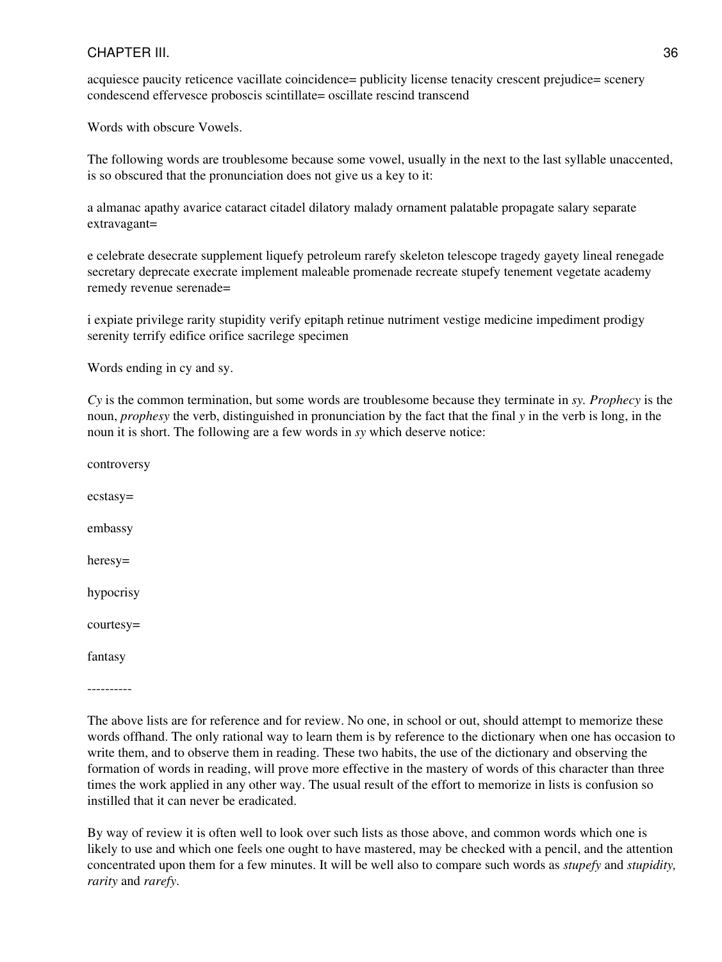acquiesce paucity reticence vacillate coincidence= publicity license tenacity crescent prejudice= scenery condescend effervesce proboscis scintillate= oscillate rescind transcend

Words with obscure Vowels.

The following words are troublesome because some vowel, usually in the next to the last syllable unaccented, is so obscured that the pronunciation does not give us a key to it:

a almanac apathy avarice cataract citadel dilatory malady ornament palatable propagate salary separate extravagant=

e celebrate desecrate supplement liquefy petroleum rarefy skeleton telescope tragedy gayety lineal renegade secretary deprecate execrate implement maleable promenade recreate stupefy tenement vegetate academy remedy revenue serenade=

i expiate privilege rarity stupidity verify epitaph retinue nutriment vestige medicine impediment prodigy serenity terrify edifice orifice sacrilege specimen

Words ending in cy and sy.

*Cy* is the common termination, but some words are troublesome because they terminate in *sy. Prophecy* is the noun, *prophesy* the verb, distinguished in pronunciation by the fact that the final *y* in the verb is long, in the noun it is short. The following are a few words in *sy* which deserve notice:

```
controversy
ecstasy=
embassy
heresy=
hypocrisy
courtesy=
fantasy
----------
```
The above lists are for reference and for review. No one, in school or out, should attempt to memorize these words offhand. The only rational way to learn them is by reference to the dictionary when one has occasion to write them, and to observe them in reading. These two habits, the use of the dictionary and observing the formation of words in reading, will prove more effective in the mastery of words of this character than three times the work applied in any other way. The usual result of the effort to memorize in lists is confusion so instilled that it can never be eradicated.

By way of review it is often well to look over such lists as those above, and common words which one is likely to use and which one feels one ought to have mastered, may be checked with a pencil, and the attention concentrated upon them for a few minutes. It will be well also to compare such words as *stupefy* and *stupidity, rarity* and *rarefy*.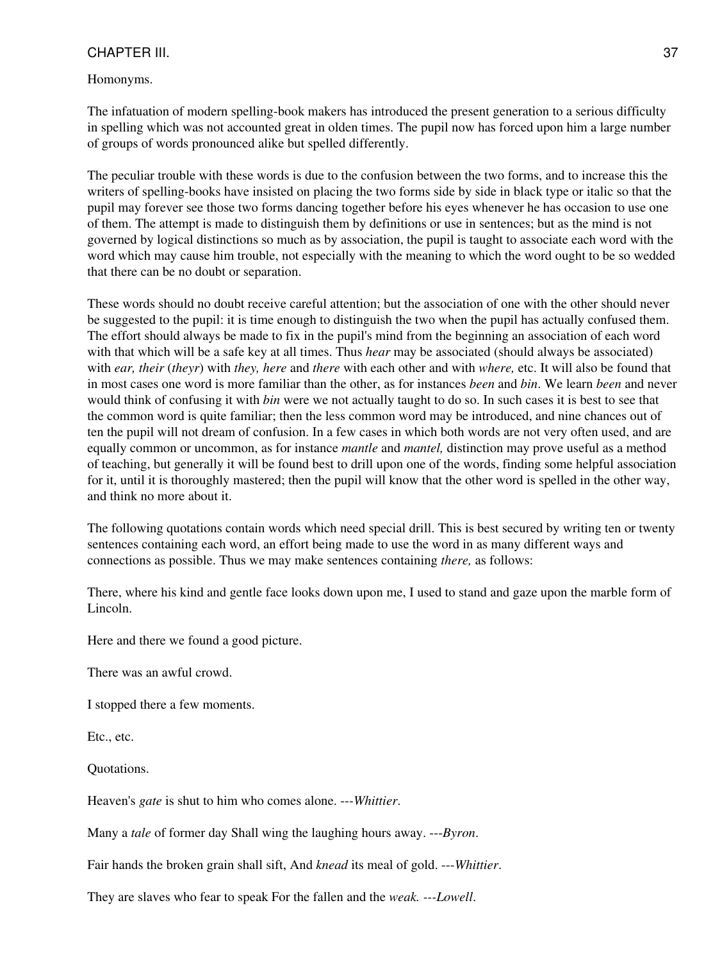#### Homonyms.

The infatuation of modern spelling-book makers has introduced the present generation to a serious difficulty in spelling which was not accounted great in olden times. The pupil now has forced upon him a large number of groups of words pronounced alike but spelled differently.

The peculiar trouble with these words is due to the confusion between the two forms, and to increase this the writers of spelling-books have insisted on placing the two forms side by side in black type or italic so that the pupil may forever see those two forms dancing together before his eyes whenever he has occasion to use one of them. The attempt is made to distinguish them by definitions or use in sentences; but as the mind is not governed by logical distinctions so much as by association, the pupil is taught to associate each word with the word which may cause him trouble, not especially with the meaning to which the word ought to be so wedded that there can be no doubt or separation.

These words should no doubt receive careful attention; but the association of one with the other should never be suggested to the pupil: it is time enough to distinguish the two when the pupil has actually confused them. The effort should always be made to fix in the pupil's mind from the beginning an association of each word with that which will be a safe key at all times. Thus *hear* may be associated (should always be associated) with *ear, their* (*theyr*) with *they, here* and *there* with each other and with *where,* etc. It will also be found that in most cases one word is more familiar than the other, as for instances *been* and *bin*. We learn *been* and never would think of confusing it with *bin* were we not actually taught to do so. In such cases it is best to see that the common word is quite familiar; then the less common word may be introduced, and nine chances out of ten the pupil will not dream of confusion. In a few cases in which both words are not very often used, and are equally common or uncommon, as for instance *mantle* and *mantel,* distinction may prove useful as a method of teaching, but generally it will be found best to drill upon one of the words, finding some helpful association for it, until it is thoroughly mastered; then the pupil will know that the other word is spelled in the other way, and think no more about it.

The following quotations contain words which need special drill. This is best secured by writing ten or twenty sentences containing each word, an effort being made to use the word in as many different ways and connections as possible. Thus we may make sentences containing *there,* as follows:

There, where his kind and gentle face looks down upon me, I used to stand and gaze upon the marble form of Lincoln.

Here and there we found a good picture.

There was an awful crowd.

I stopped there a few moments.

Etc., etc.

Quotations.

Heaven's *gate* is shut to him who comes alone. ---*Whittier*.

Many a *tale* of former day Shall wing the laughing hours away. ---*Byron*.

Fair hands the broken grain shall sift, And *knead* its meal of gold. ---*Whittier*.

They are slaves who fear to speak For the fallen and the *weak. ---Lowell*.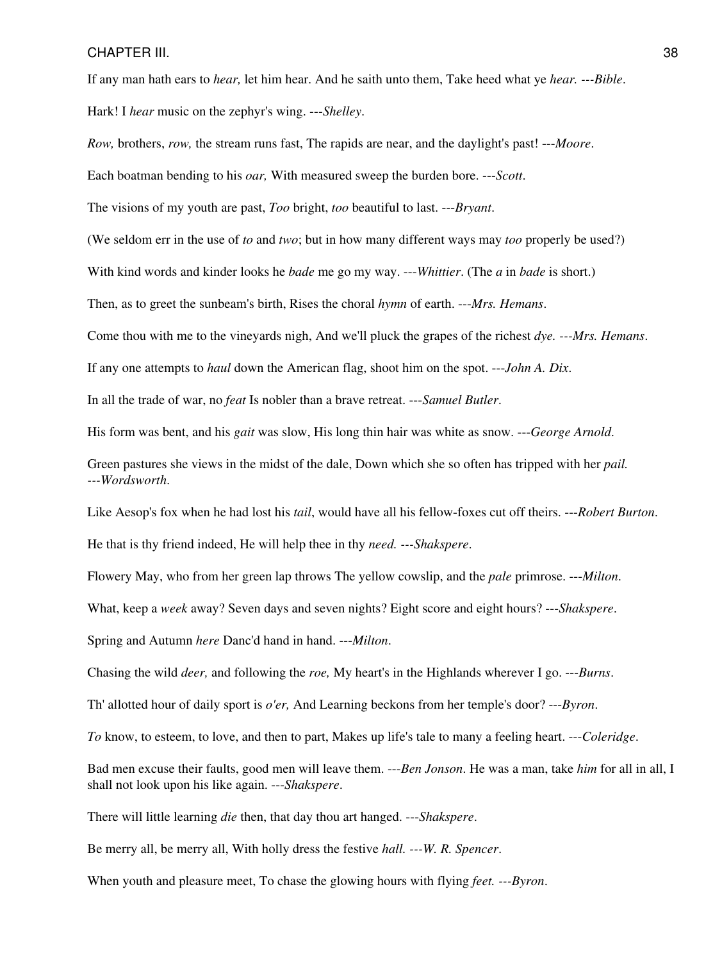If any man hath ears to *hear,* let him hear. And he saith unto them, Take heed what ye *hear. ---Bible*.

Hark! I *hear* music on the zephyr's wing. ---*Shelley*.

*Row,* brothers, *row,* the stream runs fast, The rapids are near, and the daylight's past! ---*Moore*.

Each boatman bending to his *oar,* With measured sweep the burden bore. ---*Scott*.

The visions of my youth are past, *Too* bright, *too* beautiful to last. ---*Bryant*.

(We seldom err in the use of *to* and *two*; but in how many different ways may *too* properly be used?)

With kind words and kinder looks he *bade* me go my way. ---*Whittier*. (The *a* in *bade* is short.)

Then, as to greet the sunbeam's birth, Rises the choral *hymn* of earth. ---*Mrs. Hemans*.

Come thou with me to the vineyards nigh, And we'll pluck the grapes of the richest *dye. ---Mrs. Hemans*.

If any one attempts to *haul* down the American flag, shoot him on the spot. ---*John A. Dix*.

In all the trade of war, no *feat* Is nobler than a brave retreat. ---*Samuel Butler*.

His form was bent, and his *gait* was slow, His long thin hair was white as snow. ---*George Arnold*.

Green pastures she views in the midst of the dale, Down which she so often has tripped with her *pail. ---Wordsworth*.

Like Aesop's fox when he had lost his *tail*, would have all his fellow-foxes cut off theirs. ---*Robert Burton*. He that is thy friend indeed, He will help thee in thy *need. ---Shakspere*.

Flowery May, who from her green lap throws The yellow cowslip, and the *pale* primrose. ---*Milton*.

What, keep a *week* away? Seven days and seven nights? Eight score and eight hours? ---*Shakspere*.

Spring and Autumn *here* Danc'd hand in hand. ---*Milton*.

Chasing the wild *deer,* and following the *roe,* My heart's in the Highlands wherever I go. ---*Burns*.

Th' allotted hour of daily sport is *o'er,* And Learning beckons from her temple's door? ---*Byron*.

*To* know, to esteem, to love, and then to part, Makes up life's tale to many a feeling heart. ---*Coleridge*.

Bad men excuse their faults, good men will leave them. ---*Ben Jonson*. He was a man, take *him* for all in all, I shall not look upon his like again. ---*Shakspere*.

There will little learning *die* then, that day thou art hanged. ---*Shakspere*.

Be merry all, be merry all, With holly dress the festive *hall. ---W. R. Spencer*.

When youth and pleasure meet, To chase the glowing hours with flying *feet. ---Byron*.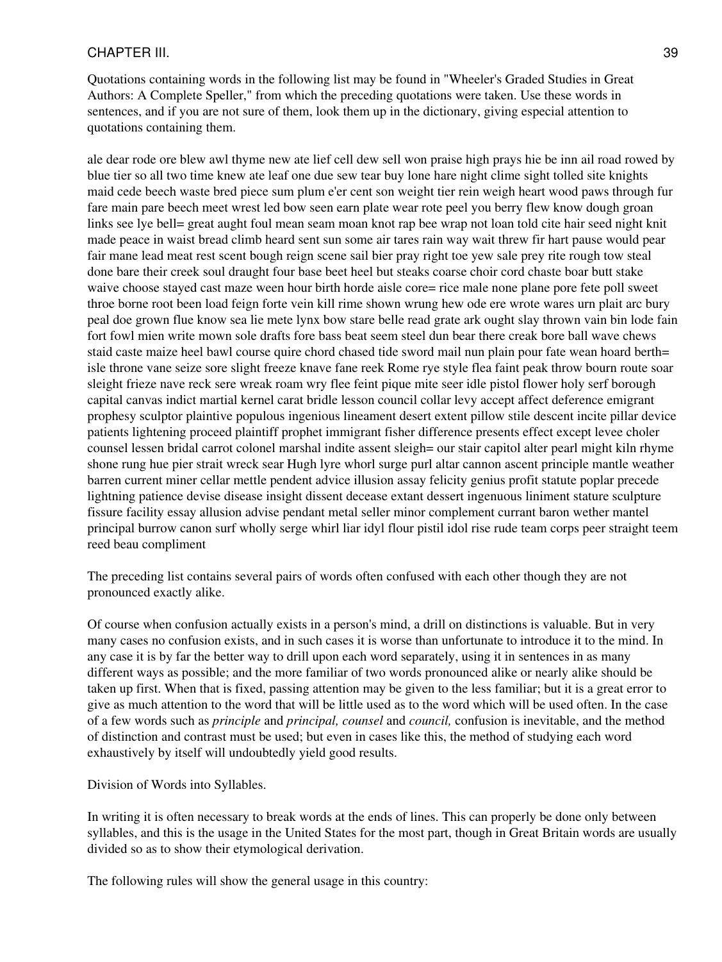Quotations containing words in the following list may be found in "Wheeler's Graded Studies in Great Authors: A Complete Speller," from which the preceding quotations were taken. Use these words in sentences, and if you are not sure of them, look them up in the dictionary, giving especial attention to quotations containing them.

ale dear rode ore blew awl thyme new ate lief cell dew sell won praise high prays hie be inn ail road rowed by blue tier so all two time knew ate leaf one due sew tear buy lone hare night clime sight tolled site knights maid cede beech waste bred piece sum plum e'er cent son weight tier rein weigh heart wood paws through fur fare main pare beech meet wrest led bow seen earn plate wear rote peel you berry flew know dough groan links see lye bell= great aught foul mean seam moan knot rap bee wrap not loan told cite hair seed night knit made peace in waist bread climb heard sent sun some air tares rain way wait threw fir hart pause would pear fair mane lead meat rest scent bough reign scene sail bier pray right toe yew sale prey rite rough tow steal done bare their creek soul draught four base beet heel but steaks coarse choir cord chaste boar butt stake waive choose stayed cast maze ween hour birth horde aisle core= rice male none plane pore fete poll sweet throe borne root been load feign forte vein kill rime shown wrung hew ode ere wrote wares urn plait arc bury peal doe grown flue know sea lie mete lynx bow stare belle read grate ark ought slay thrown vain bin lode fain fort fowl mien write mown sole drafts fore bass beat seem steel dun bear there creak bore ball wave chews staid caste maize heel bawl course quire chord chased tide sword mail nun plain pour fate wean hoard berth= isle throne vane seize sore slight freeze knave fane reek Rome rye style flea faint peak throw bourn route soar sleight frieze nave reck sere wreak roam wry flee feint pique mite seer idle pistol flower holy serf borough capital canvas indict martial kernel carat bridle lesson council collar levy accept affect deference emigrant prophesy sculptor plaintive populous ingenious lineament desert extent pillow stile descent incite pillar device patients lightening proceed plaintiff prophet immigrant fisher difference presents effect except levee choler counsel lessen bridal carrot colonel marshal indite assent sleigh= our stair capitol alter pearl might kiln rhyme shone rung hue pier strait wreck sear Hugh lyre whorl surge purl altar cannon ascent principle mantle weather barren current miner cellar mettle pendent advice illusion assay felicity genius profit statute poplar precede lightning patience devise disease insight dissent decease extant dessert ingenuous liniment stature sculpture fissure facility essay allusion advise pendant metal seller minor complement currant baron wether mantel principal burrow canon surf wholly serge whirl liar idyl flour pistil idol rise rude team corps peer straight teem reed beau compliment

The preceding list contains several pairs of words often confused with each other though they are not pronounced exactly alike.

Of course when confusion actually exists in a person's mind, a drill on distinctions is valuable. But in very many cases no confusion exists, and in such cases it is worse than unfortunate to introduce it to the mind. In any case it is by far the better way to drill upon each word separately, using it in sentences in as many different ways as possible; and the more familiar of two words pronounced alike or nearly alike should be taken up first. When that is fixed, passing attention may be given to the less familiar; but it is a great error to give as much attention to the word that will be little used as to the word which will be used often. In the case of a few words such as *principle* and *principal, counsel* and *council,* confusion is inevitable, and the method of distinction and contrast must be used; but even in cases like this, the method of studying each word exhaustively by itself will undoubtedly yield good results.

Division of Words into Syllables.

In writing it is often necessary to break words at the ends of lines. This can properly be done only between syllables, and this is the usage in the United States for the most part, though in Great Britain words are usually divided so as to show their etymological derivation.

The following rules will show the general usage in this country: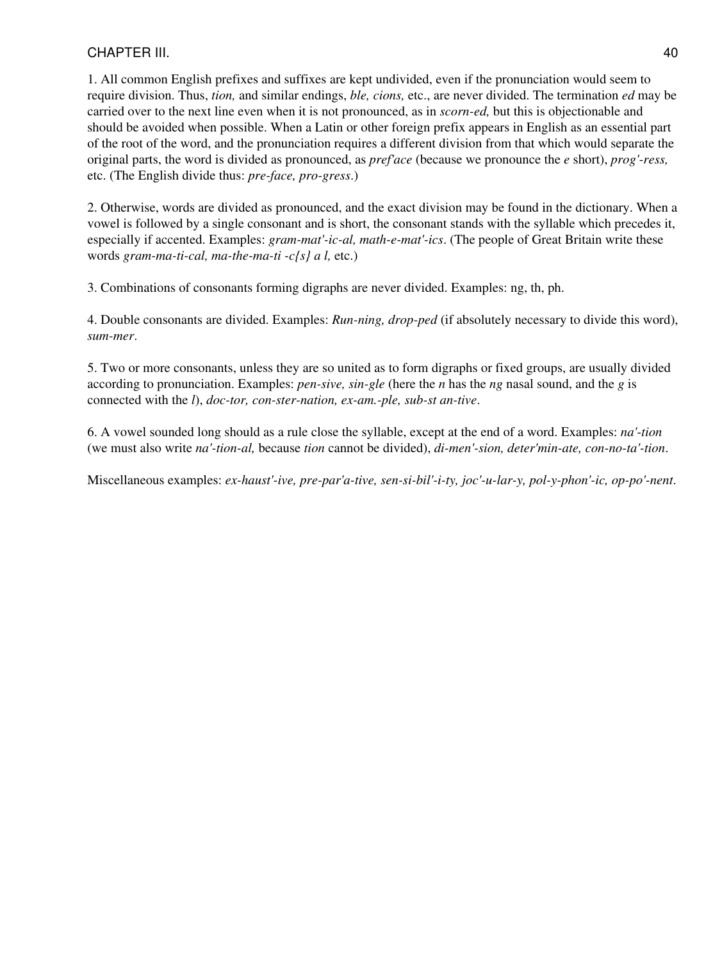1. All common English prefixes and suffixes are kept undivided, even if the pronunciation would seem to require division. Thus, *tion,* and similar endings, *ble, cions,* etc., are never divided. The termination *ed* may be carried over to the next line even when it is not pronounced, as in *scorn-ed,* but this is objectionable and should be avoided when possible. When a Latin or other foreign prefix appears in English as an essential part of the root of the word, and the pronunciation requires a different division from that which would separate the original parts, the word is divided as pronounced, as *pref'ace* (because we pronounce the *e* short), *prog'-ress,* etc. (The English divide thus: *pre-face, pro-gress*.)

2. Otherwise, words are divided as pronounced, and the exact division may be found in the dictionary. When a vowel is followed by a single consonant and is short, the consonant stands with the syllable which precedes it, especially if accented. Examples: *gram-mat'-ic-al, math-e-mat'-ics*. (The people of Great Britain write these words *gram-ma-ti-cal, ma-the-ma-ti -c{s} a l,* etc.)

3. Combinations of consonants forming digraphs are never divided. Examples: ng, th, ph.

4. Double consonants are divided. Examples: *Run-ning, drop-ped* (if absolutely necessary to divide this word), *sum-mer*.

5. Two or more consonants, unless they are so united as to form digraphs or fixed groups, are usually divided according to pronunciation. Examples: *pen-sive, sin-gle* (here the *n* has the *ng* nasal sound, and the *g* is connected with the *l*), *doc-tor, con-ster-nation, ex-am.-ple, sub-st an-tive*.

6. A vowel sounded long should as a rule close the syllable, except at the end of a word. Examples: *na'-tion* (we must also write *na'-tion-al,* because *tion* cannot be divided), *di-men'-sion, deter'min-ate, con-no-ta'-tion*.

Miscellaneous examples: *ex-haust'-ive, pre-par'a-tive, sen-si-bil'-i-ty, joc'-u-lar-y, pol-y-phon'-ic, op-po'-nent*.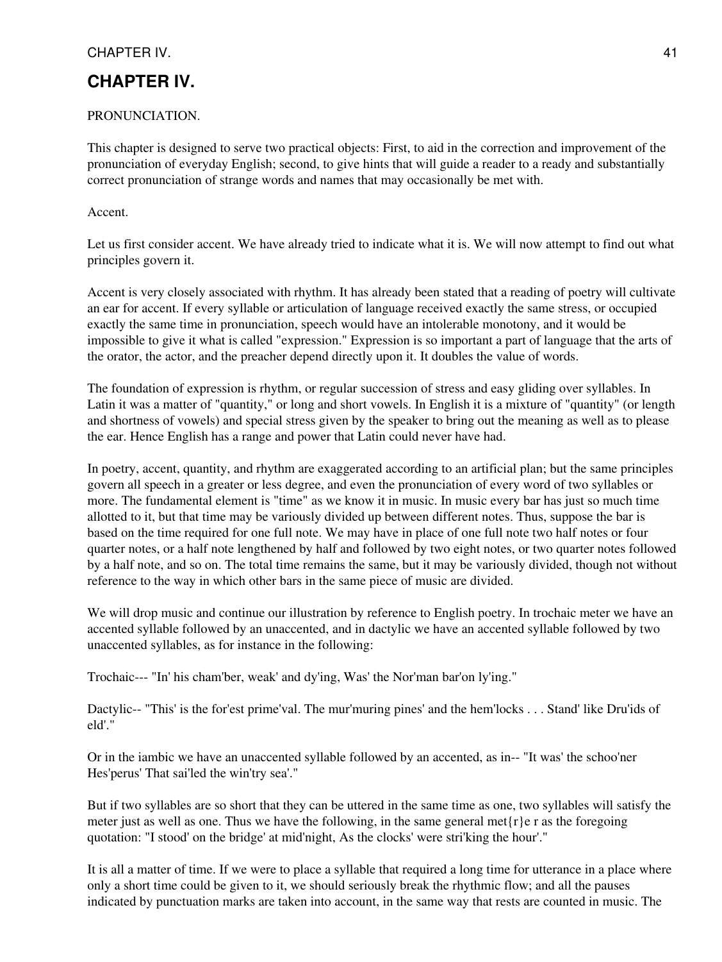## **CHAPTER IV.**

### PRONUNCIATION.

This chapter is designed to serve two practical objects: First, to aid in the correction and improvement of the pronunciation of everyday English; second, to give hints that will guide a reader to a ready and substantially correct pronunciation of strange words and names that may occasionally be met with.

#### Accent.

Let us first consider accent. We have already tried to indicate what it is. We will now attempt to find out what principles govern it.

Accent is very closely associated with rhythm. It has already been stated that a reading of poetry will cultivate an ear for accent. If every syllable or articulation of language received exactly the same stress, or occupied exactly the same time in pronunciation, speech would have an intolerable monotony, and it would be impossible to give it what is called "expression." Expression is so important a part of language that the arts of the orator, the actor, and the preacher depend directly upon it. It doubles the value of words.

The foundation of expression is rhythm, or regular succession of stress and easy gliding over syllables. In Latin it was a matter of "quantity," or long and short vowels. In English it is a mixture of "quantity" (or length and shortness of vowels) and special stress given by the speaker to bring out the meaning as well as to please the ear. Hence English has a range and power that Latin could never have had.

In poetry, accent, quantity, and rhythm are exaggerated according to an artificial plan; but the same principles govern all speech in a greater or less degree, and even the pronunciation of every word of two syllables or more. The fundamental element is "time" as we know it in music. In music every bar has just so much time allotted to it, but that time may be variously divided up between different notes. Thus, suppose the bar is based on the time required for one full note. We may have in place of one full note two half notes or four quarter notes, or a half note lengthened by half and followed by two eight notes, or two quarter notes followed by a half note, and so on. The total time remains the same, but it may be variously divided, though not without reference to the way in which other bars in the same piece of music are divided.

We will drop music and continue our illustration by reference to English poetry. In trochaic meter we have an accented syllable followed by an unaccented, and in dactylic we have an accented syllable followed by two unaccented syllables, as for instance in the following:

Trochaic--- "In' his cham'ber, weak' and dy'ing, Was' the Nor'man bar'on ly'ing."

Dactylic-- "This' is the for'est prime'val. The mur'muring pines' and the hem'locks . . . Stand' like Dru'ids of eld'."

Or in the iambic we have an unaccented syllable followed by an accented, as in-- "It was' the schoo'ner Hes'perus' That sai'led the win'try sea'."

But if two syllables are so short that they can be uttered in the same time as one, two syllables will satisfy the meter just as well as one. Thus we have the following, in the same general met $\{r\}$ e r as the foregoing quotation: "I stood' on the bridge' at mid'night, As the clocks' were stri'king the hour'."

It is all a matter of time. If we were to place a syllable that required a long time for utterance in a place where only a short time could be given to it, we should seriously break the rhythmic flow; and all the pauses indicated by punctuation marks are taken into account, in the same way that rests are counted in music. The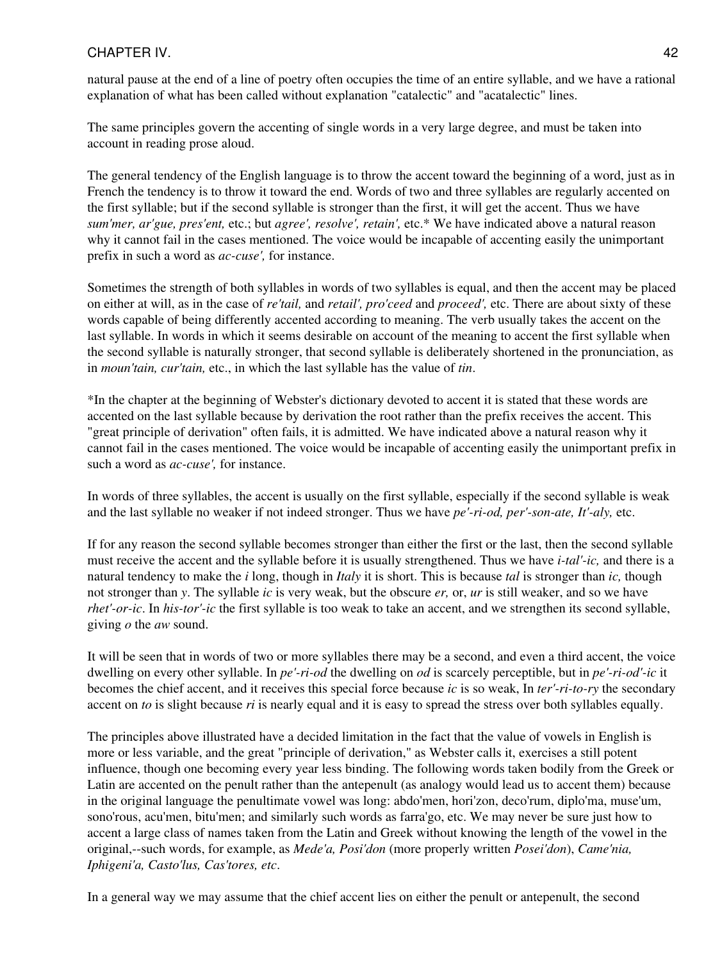natural pause at the end of a line of poetry often occupies the time of an entire syllable, and we have a rational explanation of what has been called without explanation "catalectic" and "acatalectic" lines.

The same principles govern the accenting of single words in a very large degree, and must be taken into account in reading prose aloud.

The general tendency of the English language is to throw the accent toward the beginning of a word, just as in French the tendency is to throw it toward the end. Words of two and three syllables are regularly accented on the first syllable; but if the second syllable is stronger than the first, it will get the accent. Thus we have *sum'mer, ar'gue, pres'ent,* etc.; but *agree', resolve', retain',* etc.\* We have indicated above a natural reason why it cannot fail in the cases mentioned. The voice would be incapable of accenting easily the unimportant prefix in such a word as *ac-cuse',* for instance.

Sometimes the strength of both syllables in words of two syllables is equal, and then the accent may be placed on either at will, as in the case of *re'tail,* and *retail', pro'ceed* and *proceed',* etc. There are about sixty of these words capable of being differently accented according to meaning. The verb usually takes the accent on the last syllable. In words in which it seems desirable on account of the meaning to accent the first syllable when the second syllable is naturally stronger, that second syllable is deliberately shortened in the pronunciation, as in *moun'tain, cur'tain,* etc., in which the last syllable has the value of *tin*.

\*In the chapter at the beginning of Webster's dictionary devoted to accent it is stated that these words are accented on the last syllable because by derivation the root rather than the prefix receives the accent. This "great principle of derivation" often fails, it is admitted. We have indicated above a natural reason why it cannot fail in the cases mentioned. The voice would be incapable of accenting easily the unimportant prefix in such a word as *ac-cuse',* for instance.

In words of three syllables, the accent is usually on the first syllable, especially if the second syllable is weak and the last syllable no weaker if not indeed stronger. Thus we have *pe'-ri-od, per'-son-ate, It'-aly,* etc.

If for any reason the second syllable becomes stronger than either the first or the last, then the second syllable must receive the accent and the syllable before it is usually strengthened. Thus we have *i-tal'-ic,* and there is a natural tendency to make the *i* long, though in *Italy* it is short. This is because *tal* is stronger than *ic,* though not stronger than *y*. The syllable *ic* is very weak, but the obscure *er,* or, *ur* is still weaker, and so we have *rhet'-or-ic*. In *his-tor'-ic* the first syllable is too weak to take an accent, and we strengthen its second syllable, giving *o* the *aw* sound.

It will be seen that in words of two or more syllables there may be a second, and even a third accent, the voice dwelling on every other syllable. In *pe'-ri-od* the dwelling on *od* is scarcely perceptible, but in *pe'-ri-od'-ic* it becomes the chief accent, and it receives this special force because *ic* is so weak, In *ter'-ri-to-ry* the secondary accent on *to* is slight because *ri* is nearly equal and it is easy to spread the stress over both syllables equally.

The principles above illustrated have a decided limitation in the fact that the value of vowels in English is more or less variable, and the great "principle of derivation," as Webster calls it, exercises a still potent influence, though one becoming every year less binding. The following words taken bodily from the Greek or Latin are accented on the penult rather than the antepenult (as analogy would lead us to accent them) because in the original language the penultimate vowel was long: abdo'men, hori'zon, deco'rum, diplo'ma, muse'um, sono'rous, acu'men, bitu'men; and similarly such words as farra'go, etc. We may never be sure just how to accent a large class of names taken from the Latin and Greek without knowing the length of the vowel in the original,--such words, for example, as *Mede'a, Posi'don* (more properly written *Posei'don*), *Came'nia, Iphigeni'a, Casto'lus, Cas'tores, etc*.

In a general way we may assume that the chief accent lies on either the penult or antepenult, the second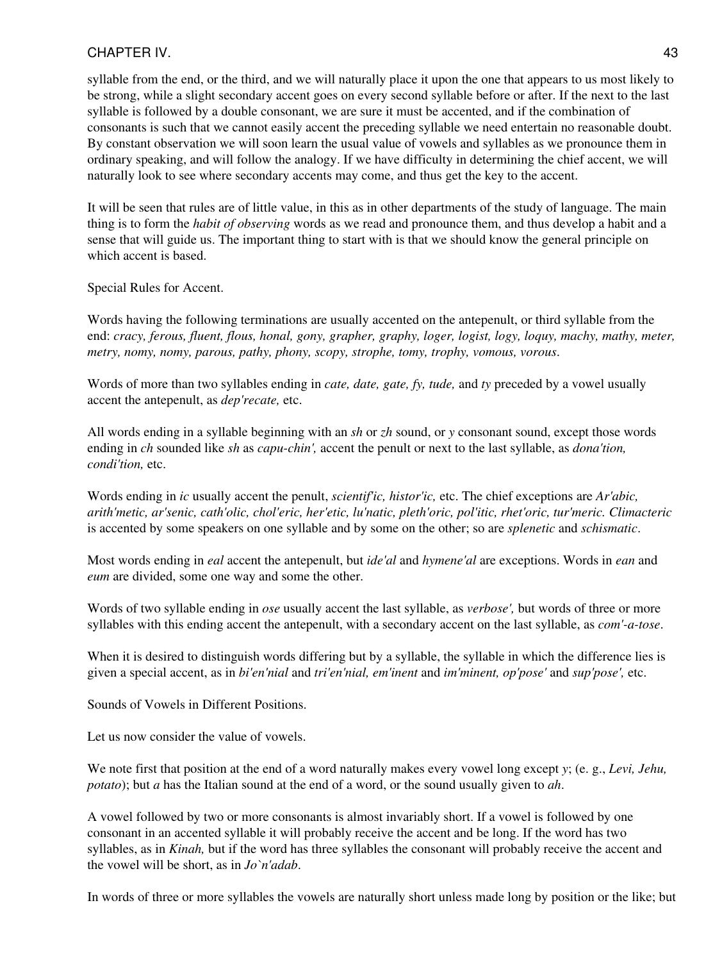syllable from the end, or the third, and we will naturally place it upon the one that appears to us most likely to be strong, while a slight secondary accent goes on every second syllable before or after. If the next to the last syllable is followed by a double consonant, we are sure it must be accented, and if the combination of consonants is such that we cannot easily accent the preceding syllable we need entertain no reasonable doubt. By constant observation we will soon learn the usual value of vowels and syllables as we pronounce them in ordinary speaking, and will follow the analogy. If we have difficulty in determining the chief accent, we will naturally look to see where secondary accents may come, and thus get the key to the accent.

It will be seen that rules are of little value, in this as in other departments of the study of language. The main thing is to form the *habit of observing* words as we read and pronounce them, and thus develop a habit and a sense that will guide us. The important thing to start with is that we should know the general principle on which accent is based.

Special Rules for Accent.

Words having the following terminations are usually accented on the antepenult, or third syllable from the end: *cracy, ferous, fluent, flous, honal, gony, grapher, graphy, loger, logist, logy, loquy, machy, mathy, meter, metry, nomy, nomy, parous, pathy, phony, scopy, strophe, tomy, trophy, vomous, vorous*.

Words of more than two syllables ending in *cate, date, gate, fy, tude,* and *ty* preceded by a vowel usually accent the antepenult, as *dep'recate,* etc.

All words ending in a syllable beginning with an *sh* or *zh* sound, or *y* consonant sound, except those words ending in *ch* sounded like *sh* as *capu-chin',* accent the penult or next to the last syllable, as *dona'tion, condi'tion,* etc.

Words ending in *ic* usually accent the penult, *scientif'ic, histor'ic,* etc. The chief exceptions are *Ar'abic, arith'metic, ar'senic, cath'olic, chol'eric, her'etic, lu'natic, pleth'oric, pol'itic, rhet'oric, tur'meric. Climacteric* is accented by some speakers on one syllable and by some on the other; so are *splenetic* and *schismatic*.

Most words ending in *eal* accent the antepenult, but *ide'al* and *hymene'al* are exceptions. Words in *ean* and *eum* are divided, some one way and some the other.

Words of two syllable ending in *ose* usually accent the last syllable, as *verbose',* but words of three or more syllables with this ending accent the antepenult, with a secondary accent on the last syllable, as *com'-a-tose*.

When it is desired to distinguish words differing but by a syllable, the syllable in which the difference lies is given a special accent, as in *bi'en'nial* and *tri'en'nial, em'inent* and *im'minent, op'pose'* and *sup'pose',* etc.

Sounds of Vowels in Different Positions.

Let us now consider the value of vowels.

We note first that position at the end of a word naturally makes every vowel long except *y*; (e. g., *Levi, Jehu, potato*); but *a* has the Italian sound at the end of a word, or the sound usually given to *ah*.

A vowel followed by two or more consonants is almost invariably short. If a vowel is followed by one consonant in an accented syllable it will probably receive the accent and be long. If the word has two syllables, as in *Kinah,* but if the word has three syllables the consonant will probably receive the accent and the vowel will be short, as in *Jo`n'adab*.

In words of three or more syllables the vowels are naturally short unless made long by position or the like; but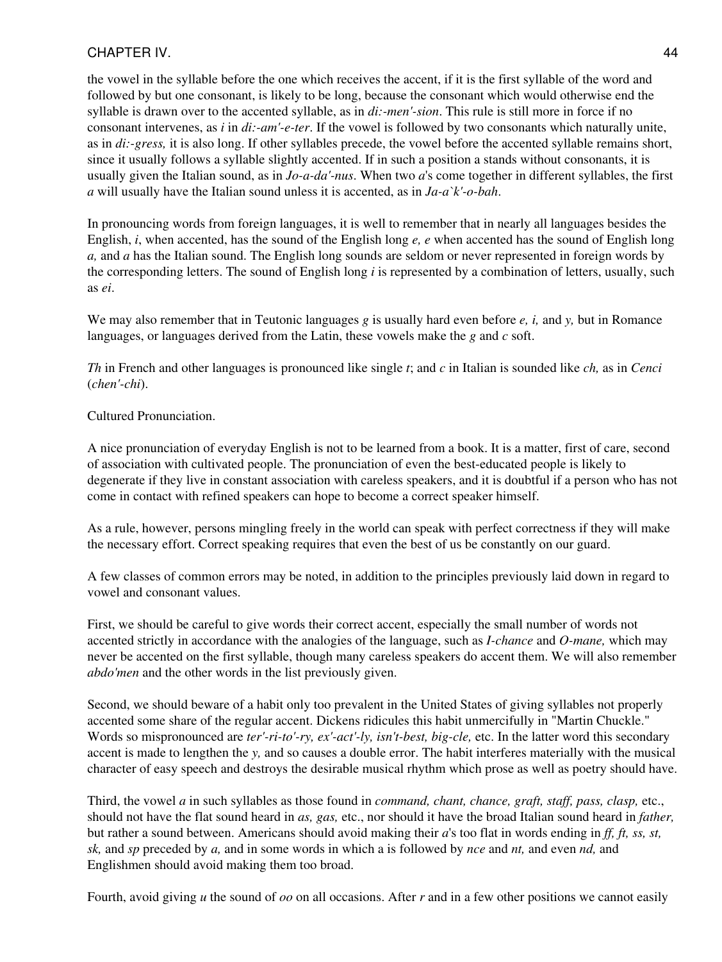the vowel in the syllable before the one which receives the accent, if it is the first syllable of the word and followed by but one consonant, is likely to be long, because the consonant which would otherwise end the syllable is drawn over to the accented syllable, as in *di:-men'-sion*. This rule is still more in force if no consonant intervenes, as *i* in *di:-am'-e-ter*. If the vowel is followed by two consonants which naturally unite, as in *di:-gress,* it is also long. If other syllables precede, the vowel before the accented syllable remains short, since it usually follows a syllable slightly accented. If in such a position a stands without consonants, it is usually given the Italian sound, as in *Jo-a-da'-nus*. When two *a*'s come together in different syllables, the first *a* will usually have the Italian sound unless it is accented, as in *Ja-a`k'-o-bah*.

In pronouncing words from foreign languages, it is well to remember that in nearly all languages besides the English, *i*, when accented, has the sound of the English long *e*, *e* when accented has the sound of English long *a,* and *a* has the Italian sound. The English long sounds are seldom or never represented in foreign words by the corresponding letters. The sound of English long *i* is represented by a combination of letters, usually, such as *ei*.

We may also remember that in Teutonic languages *g* is usually hard even before *e, i,* and *y,* but in Romance languages, or languages derived from the Latin, these vowels make the *g* and *c* soft.

*Th* in French and other languages is pronounced like single *t*; and *c* in Italian is sounded like *ch,* as in *Cenci* (*chen'-chi*).

#### Cultured Pronunciation.

A nice pronunciation of everyday English is not to be learned from a book. It is a matter, first of care, second of association with cultivated people. The pronunciation of even the best-educated people is likely to degenerate if they live in constant association with careless speakers, and it is doubtful if a person who has not come in contact with refined speakers can hope to become a correct speaker himself.

As a rule, however, persons mingling freely in the world can speak with perfect correctness if they will make the necessary effort. Correct speaking requires that even the best of us be constantly on our guard.

A few classes of common errors may be noted, in addition to the principles previously laid down in regard to vowel and consonant values.

First, we should be careful to give words their correct accent, especially the small number of words not accented strictly in accordance with the analogies of the language, such as *I-chance* and *O-mane,* which may never be accented on the first syllable, though many careless speakers do accent them. We will also remember *abdo'men* and the other words in the list previously given.

Second, we should beware of a habit only too prevalent in the United States of giving syllables not properly accented some share of the regular accent. Dickens ridicules this habit unmercifully in "Martin Chuckle." Words so mispronounced are *ter'-ri-to'-ry, ex'-act'-ly, isn't-best, big-cle,* etc. In the latter word this secondary accent is made to lengthen the *y,* and so causes a double error. The habit interferes materially with the musical character of easy speech and destroys the desirable musical rhythm which prose as well as poetry should have.

Third, the vowel *a* in such syllables as those found in *command, chant, chance, graft, staff, pass, clasp,* etc., should not have the flat sound heard in *as, gas,* etc., nor should it have the broad Italian sound heard in *father,* but rather a sound between. Americans should avoid making their *a*'s too flat in words ending in *ff, ft, ss, st, sk,* and *sp* preceded by *a,* and in some words in which a is followed by *nce* and *nt,* and even *nd,* and Englishmen should avoid making them too broad.

Fourth, avoid giving *u* the sound of *oo* on all occasions. After *r* and in a few other positions we cannot easily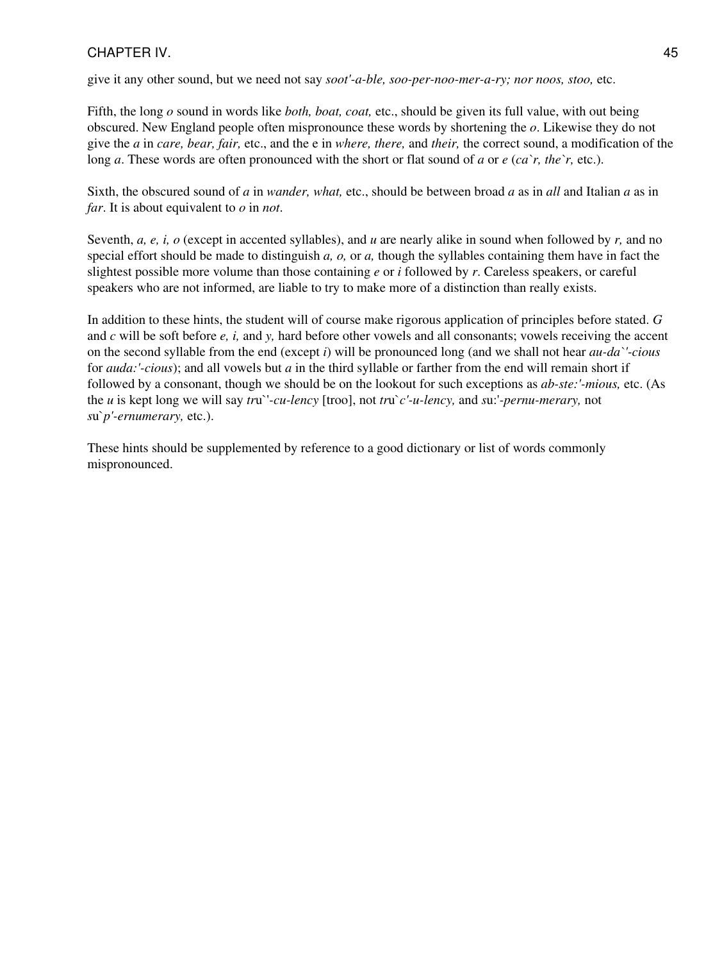give it any other sound, but we need not say *soot'-a-ble, soo-per-noo-mer-a-ry; nor noos, stoo,* etc.

Fifth, the long *o* sound in words like *both, boat, coat,* etc., should be given its full value, with out being obscured. New England people often mispronounce these words by shortening the *o*. Likewise they do not give the *a* in *care, bear, fair,* etc., and the e in *where, there,* and *their,* the correct sound, a modification of the long *a*. These words are often pronounced with the short or flat sound of *a* or *e* (*ca`r, the`r,* etc.).

Sixth, the obscured sound of *a* in *wander, what,* etc., should be between broad *a* as in *all* and Italian *a* as in *far*. It is about equivalent to *o* in *not*.

Seventh, *a, e, i, o* (except in accented syllables), and *u* are nearly alike in sound when followed by *r,* and no special effort should be made to distinguish *a, o,* or *a,* though the syllables containing them have in fact the slightest possible more volume than those containing *e* or *i* followed by *r*. Careless speakers, or careful speakers who are not informed, are liable to try to make more of a distinction than really exists.

In addition to these hints, the student will of course make rigorous application of principles before stated. *G* and *c* will be soft before *e, i,* and *y,* hard before other vowels and all consonants; vowels receiving the accent on the second syllable from the end (except *i*) will be pronounced long (and we shall not hear *au-da`'-cious* for *auda:'-cious*); and all vowels but *a* in the third syllable or farther from the end will remain short if followed by a consonant, though we should be on the lookout for such exceptions as *ab-ste:'-mious,* etc. (As the *u* is kept long we will say *tr*u`'*-cu-lency* [troo], not *tr*u`*c'-u-lency,* and *s*u:'*-pernu-merary,* not *s*u`*p'-ernumerary,* etc.).

These hints should be supplemented by reference to a good dictionary or list of words commonly mispronounced.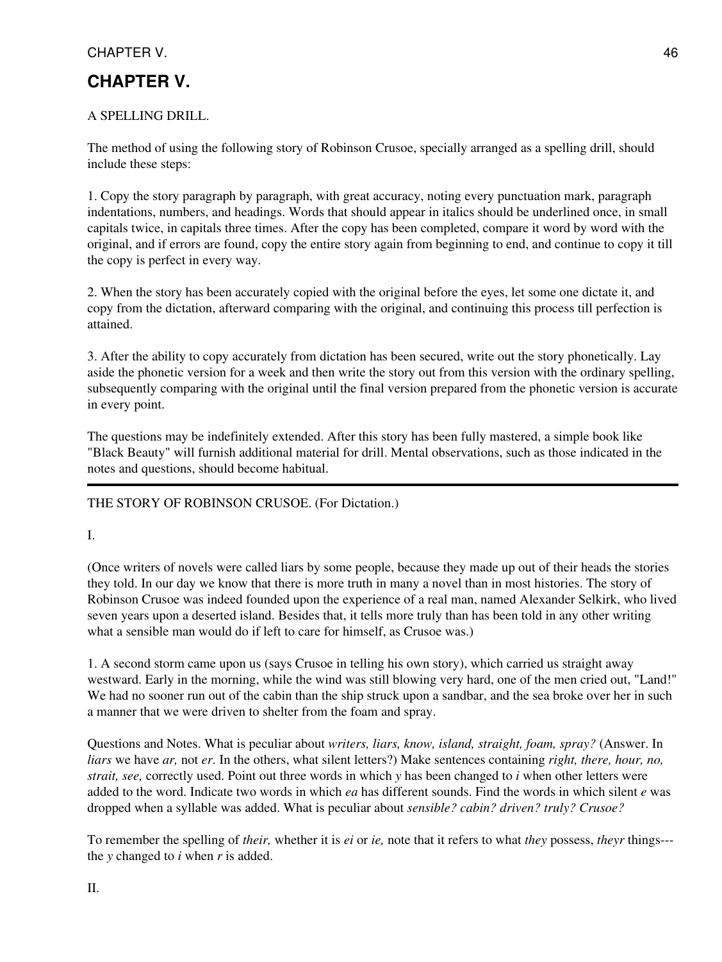## **CHAPTER V.**

## A SPELLING DRILL.

The method of using the following story of Robinson Crusoe, specially arranged as a spelling drill, should include these steps:

1. Copy the story paragraph by paragraph, with great accuracy, noting every punctuation mark, paragraph indentations, numbers, and headings. Words that should appear in italics should be underlined once, in small capitals twice, in capitals three times. After the copy has been completed, compare it word by word with the original, and if errors are found, copy the entire story again from beginning to end, and continue to copy it till the copy is perfect in every way.

2. When the story has been accurately copied with the original before the eyes, let some one dictate it, and copy from the dictation, afterward comparing with the original, and continuing this process till perfection is attained.

3. After the ability to copy accurately from dictation has been secured, write out the story phonetically. Lay aside the phonetic version for a week and then write the story out from this version with the ordinary spelling, subsequently comparing with the original until the final version prepared from the phonetic version is accurate in every point.

The questions may be indefinitely extended. After this story has been fully mastered, a simple book like "Black Beauty" will furnish additional material for drill. Mental observations, such as those indicated in the notes and questions, should become habitual.

## THE STORY OF ROBINSON CRUSOE. (For Dictation.)

## I.

(Once writers of novels were called liars by some people, because they made up out of their heads the stories they told. In our day we know that there is more truth in many a novel than in most histories. The story of Robinson Crusoe was indeed founded upon the experience of a real man, named Alexander Selkirk, who lived seven years upon a deserted island. Besides that, it tells more truly than has been told in any other writing what a sensible man would do if left to care for himself, as Crusoe was.)

1. A second storm came upon us (says Crusoe in telling his own story), which carried us straight away westward. Early in the morning, while the wind was still blowing very hard, one of the men cried out, "Land!" We had no sooner run out of the cabin than the ship struck upon a sandbar, and the sea broke over her in such a manner that we were driven to shelter from the foam and spray.

Questions and Notes. What is peculiar about *writers, liars, know, island, straight, foam, spray?* (Answer. In *liars* we have *ar,* not *er*. In the others, what silent letters?) Make sentences containing *right, there, hour, no, strait, see,* correctly used. Point out three words in which *y* has been changed to *i* when other letters were added to the word. Indicate two words in which *ea* has different sounds. Find the words in which silent *e* was dropped when a syllable was added. What is peculiar about *sensible? cabin? driven? truly? Crusoe?*

To remember the spelling of *their,* whether it is *ei* or *ie,* note that it refers to what *they* possess, *theyr* things-- the *y* changed to *i* when *r* is added.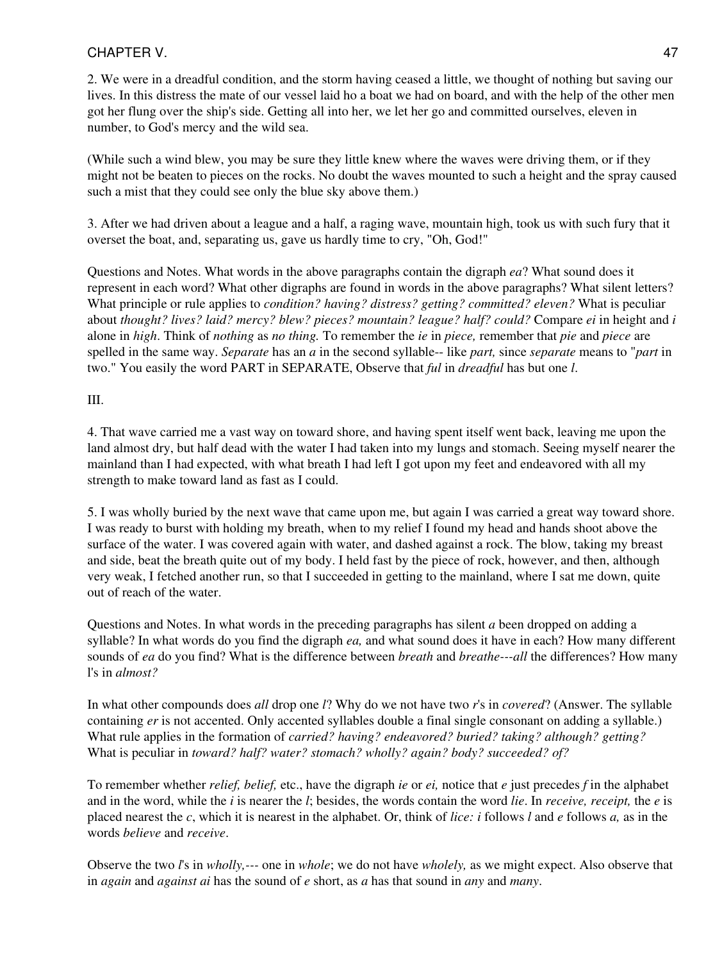2. We were in a dreadful condition, and the storm having ceased a little, we thought of nothing but saving our lives. In this distress the mate of our vessel laid ho a boat we had on board, and with the help of the other men got her flung over the ship's side. Getting all into her, we let her go and committed ourselves, eleven in number, to God's mercy and the wild sea.

(While such a wind blew, you may be sure they little knew where the waves were driving them, or if they might not be beaten to pieces on the rocks. No doubt the waves mounted to such a height and the spray caused such a mist that they could see only the blue sky above them.)

3. After we had driven about a league and a half, a raging wave, mountain high, took us with such fury that it overset the boat, and, separating us, gave us hardly time to cry, "Oh, God!"

Questions and Notes. What words in the above paragraphs contain the digraph *ea*? What sound does it represent in each word? What other digraphs are found in words in the above paragraphs? What silent letters? What principle or rule applies to *condition? having? distress? getting? committed? eleven?* What is peculiar about *thought? lives? laid? mercy? blew? pieces? mountain? league? half? could?* Compare *ei* in height and *i* alone in *high*. Think of *nothing* as *no thing.* To remember the *ie* in *piece,* remember that *pie* and *piece* are spelled in the same way. *Separate* has an *a* in the second syllable-- like *part,* since *separate* means to "*part* in two." You easily the word PART in SEPARATE, Observe that *ful* in *dreadful* has but one *l*.

## III.

4. That wave carried me a vast way on toward shore, and having spent itself went back, leaving me upon the land almost dry, but half dead with the water I had taken into my lungs and stomach. Seeing myself nearer the mainland than I had expected, with what breath I had left I got upon my feet and endeavored with all my strength to make toward land as fast as I could.

5. I was wholly buried by the next wave that came upon me, but again I was carried a great way toward shore. I was ready to burst with holding my breath, when to my relief I found my head and hands shoot above the surface of the water. I was covered again with water, and dashed against a rock. The blow, taking my breast and side, beat the breath quite out of my body. I held fast by the piece of rock, however, and then, although very weak, I fetched another run, so that I succeeded in getting to the mainland, where I sat me down, quite out of reach of the water.

Questions and Notes. In what words in the preceding paragraphs has silent *a* been dropped on adding a syllable? In what words do you find the digraph *ea,* and what sound does it have in each? How many different sounds of *ea* do you find? What is the difference between *breath* and *breathe---all* the differences? How many l's in *almost?*

In what other compounds does *all* drop one *l*? Why do we not have two *r*'s in *covered*? (Answer. The syllable containing *er* is not accented. Only accented syllables double a final single consonant on adding a syllable.) What rule applies in the formation of *carried? having? endeavored? buried? taking? although? getting?* What is peculiar in *toward? half? water? stomach? wholly? again? body? succeeded? of?*

To remember whether *relief, belief,* etc., have the digraph *ie* or *ei,* notice that *e* just precedes *f* in the alphabet and in the word, while the *i* is nearer the *l*; besides, the words contain the word *lie*. In *receive, receipt,* the *e* is placed nearest the *c*, which it is nearest in the alphabet. Or, think of *lice: i* follows *l* and *e* follows *a,* as in the words *believe* and *receive*.

Observe the two *l*'s in *wholly,---* one in *whole*; we do not have *wholely,* as we might expect. Also observe that in *again* and *against ai* has the sound of *e* short, as *a* has that sound in *any* and *many*.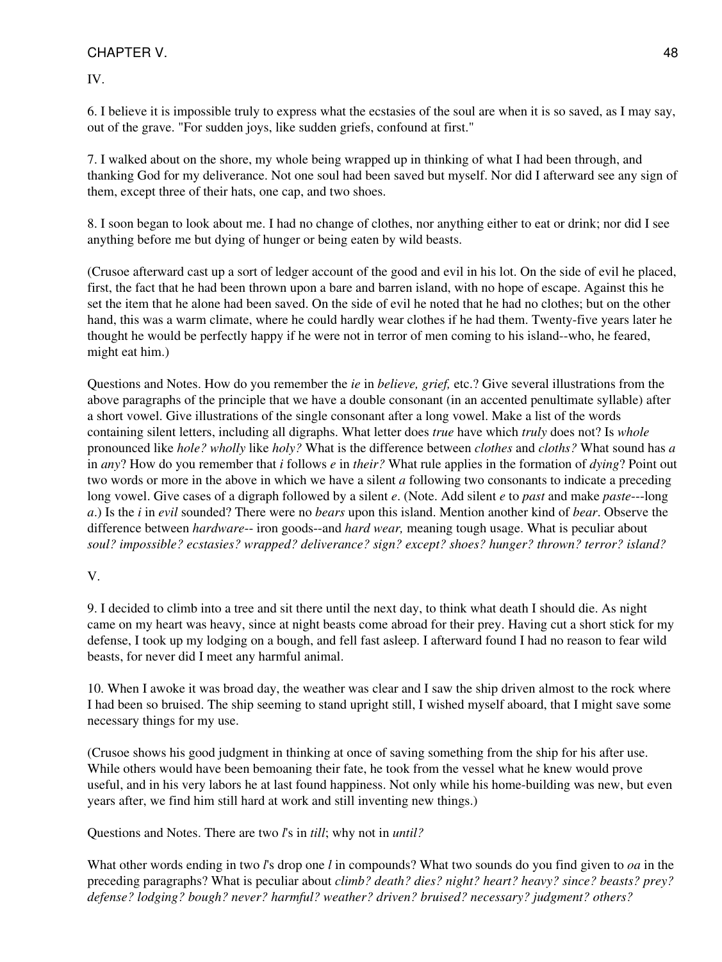IV.

6. I believe it is impossible truly to express what the ecstasies of the soul are when it is so saved, as I may say, out of the grave. "For sudden joys, like sudden griefs, confound at first."

7. I walked about on the shore, my whole being wrapped up in thinking of what I had been through, and thanking God for my deliverance. Not one soul had been saved but myself. Nor did I afterward see any sign of them, except three of their hats, one cap, and two shoes.

8. I soon began to look about me. I had no change of clothes, nor anything either to eat or drink; nor did I see anything before me but dying of hunger or being eaten by wild beasts.

(Crusoe afterward cast up a sort of ledger account of the good and evil in his lot. On the side of evil he placed, first, the fact that he had been thrown upon a bare and barren island, with no hope of escape. Against this he set the item that he alone had been saved. On the side of evil he noted that he had no clothes; but on the other hand, this was a warm climate, where he could hardly wear clothes if he had them. Twenty-five years later he thought he would be perfectly happy if he were not in terror of men coming to his island--who, he feared, might eat him.)

Questions and Notes. How do you remember the *ie* in *believe, grief,* etc.? Give several illustrations from the above paragraphs of the principle that we have a double consonant (in an accented penultimate syllable) after a short vowel. Give illustrations of the single consonant after a long vowel. Make a list of the words containing silent letters, including all digraphs. What letter does *true* have which *truly* does not? Is *whole* pronounced like *hole? wholly* like *holy?* What is the difference between *clothes* and *cloths?* What sound has *a* in *any*? How do you remember that *i* follows *e* in *their?* What rule applies in the formation of *dying*? Point out two words or more in the above in which we have a silent *a* following two consonants to indicate a preceding long vowel. Give cases of a digraph followed by a silent *e*. (Note. Add silent *e* to *past* and make *paste*---long *a*.) Is the *i* in *evil* sounded? There were no *bears* upon this island. Mention another kind of *bear*. Observe the difference between *hardware*-- iron goods--and *hard wear,* meaning tough usage. What is peculiar about *soul? impossible? ecstasies? wrapped? deliverance? sign? except? shoes? hunger? thrown? terror? island?*

## V.

9. I decided to climb into a tree and sit there until the next day, to think what death I should die. As night came on my heart was heavy, since at night beasts come abroad for their prey. Having cut a short stick for my defense, I took up my lodging on a bough, and fell fast asleep. I afterward found I had no reason to fear wild beasts, for never did I meet any harmful animal.

10. When I awoke it was broad day, the weather was clear and I saw the ship driven almost to the rock where I had been so bruised. The ship seeming to stand upright still, I wished myself aboard, that I might save some necessary things for my use.

(Crusoe shows his good judgment in thinking at once of saving something from the ship for his after use. While others would have been bemoaning their fate, he took from the vessel what he knew would prove useful, and in his very labors he at last found happiness. Not only while his home-building was new, but even years after, we find him still hard at work and still inventing new things.)

Questions and Notes. There are two *l*'s in *till*; why not in *until?*

What other words ending in two *l*'s drop one *l* in compounds? What two sounds do you find given to *oa* in the preceding paragraphs? What is peculiar about *climb? death? dies? night? heart? heavy? since? beasts? prey? defense? lodging? bough? never? harmful? weather? driven? bruised? necessary? judgment? others?*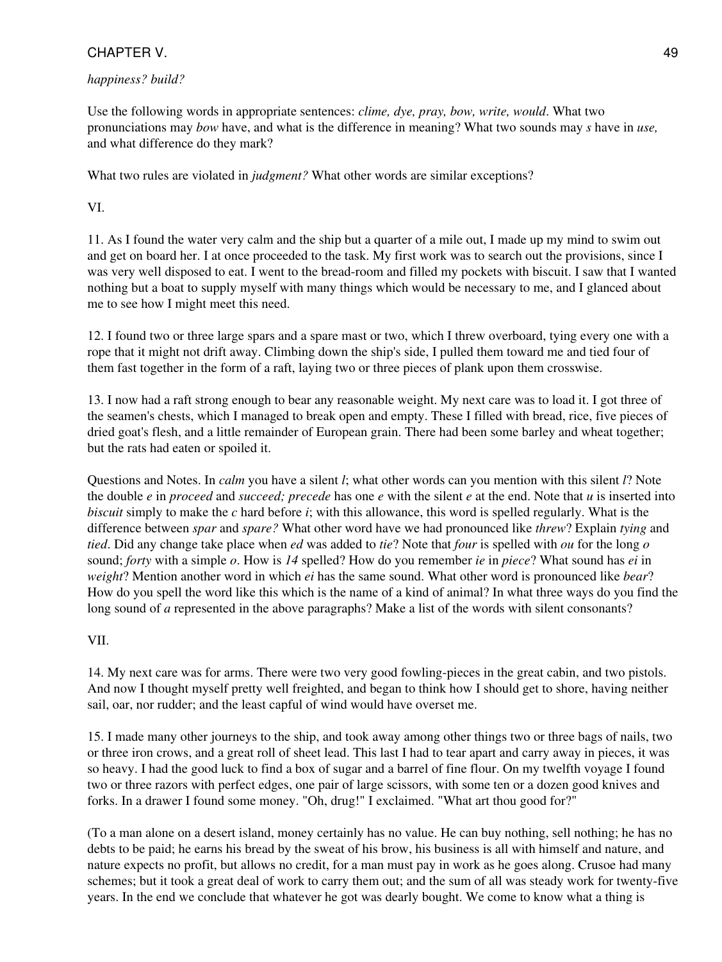### *happiness? build?*

Use the following words in appropriate sentences: *clime, dye, pray, bow, write, would*. What two pronunciations may *bow* have, and what is the difference in meaning? What two sounds may *s* have in *use,* and what difference do they mark?

What two rules are violated in *judgment?* What other words are similar exceptions?

### VI.

11. As I found the water very calm and the ship but a quarter of a mile out, I made up my mind to swim out and get on board her. I at once proceeded to the task. My first work was to search out the provisions, since I was very well disposed to eat. I went to the bread-room and filled my pockets with biscuit. I saw that I wanted nothing but a boat to supply myself with many things which would be necessary to me, and I glanced about me to see how I might meet this need.

12. I found two or three large spars and a spare mast or two, which I threw overboard, tying every one with a rope that it might not drift away. Climbing down the ship's side, I pulled them toward me and tied four of them fast together in the form of a raft, laying two or three pieces of plank upon them crosswise.

13. I now had a raft strong enough to bear any reasonable weight. My next care was to load it. I got three of the seamen's chests, which I managed to break open and empty. These I filled with bread, rice, five pieces of dried goat's flesh, and a little remainder of European grain. There had been some barley and wheat together; but the rats had eaten or spoiled it.

Questions and Notes. In *calm* you have a silent *l*; what other words can you mention with this silent *l*? Note the double *e* in *proceed* and *succeed; precede* has one *e* with the silent *e* at the end. Note that *u* is inserted into *biscuit* simply to make the *c* hard before *i*; with this allowance, this word is spelled regularly. What is the difference between *spar* and *spare?* What other word have we had pronounced like *threw*? Explain *tying* and *tied*. Did any change take place when *ed* was added to *tie*? Note that *four* is spelled with *ou* for the long *o* sound; *forty* with a simple *o*. How is *14* spelled? How do you remember *ie* in *piece*? What sound has *ei* in *weight*? Mention another word in which *ei* has the same sound. What other word is pronounced like *bear*? How do you spell the word like this which is the name of a kind of animal? In what three ways do you find the long sound of *a* represented in the above paragraphs? Make a list of the words with silent consonants?

## VII.

14. My next care was for arms. There were two very good fowling-pieces in the great cabin, and two pistols. And now I thought myself pretty well freighted, and began to think how I should get to shore, having neither sail, oar, nor rudder; and the least capful of wind would have overset me.

15. I made many other journeys to the ship, and took away among other things two or three bags of nails, two or three iron crows, and a great roll of sheet lead. This last I had to tear apart and carry away in pieces, it was so heavy. I had the good luck to find a box of sugar and a barrel of fine flour. On my twelfth voyage I found two or three razors with perfect edges, one pair of large scissors, with some ten or a dozen good knives and forks. In a drawer I found some money. "Oh, drug!" I exclaimed. "What art thou good for?"

(To a man alone on a desert island, money certainly has no value. He can buy nothing, sell nothing; he has no debts to be paid; he earns his bread by the sweat of his brow, his business is all with himself and nature, and nature expects no profit, but allows no credit, for a man must pay in work as he goes along. Crusoe had many schemes; but it took a great deal of work to carry them out; and the sum of all was steady work for twenty-five years. In the end we conclude that whatever he got was dearly bought. We come to know what a thing is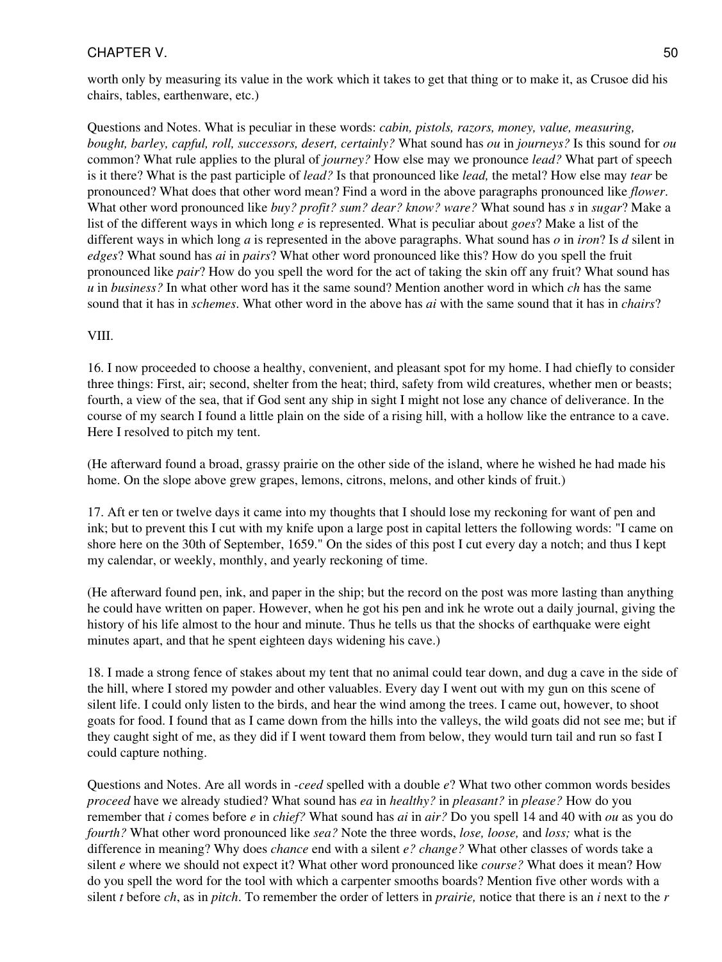worth only by measuring its value in the work which it takes to get that thing or to make it, as Crusoe did his chairs, tables, earthenware, etc.)

Questions and Notes. What is peculiar in these words: *cabin, pistols, razors, money, value, measuring, bought, barley, capful, roll, successors, desert, certainly?* What sound has *ou* in *journeys?* Is this sound for *ou* common? What rule applies to the plural of *journey?* How else may we pronounce *lead?* What part of speech is it there? What is the past participle of *lead?* Is that pronounced like *lead,* the metal? How else may *tear* be pronounced? What does that other word mean? Find a word in the above paragraphs pronounced like *flower*. What other word pronounced like *buy? profit? sum? dear? know? ware?* What sound has *s* in *sugar*? Make a list of the different ways in which long *e* is represented. What is peculiar about *goes*? Make a list of the different ways in which long *a* is represented in the above paragraphs. What sound has *o* in *iron*? Is *d* silent in *edges*? What sound has *ai* in *pairs*? What other word pronounced like this? How do you spell the fruit pronounced like *pair*? How do you spell the word for the act of taking the skin off any fruit? What sound has *u* in *business?* In what other word has it the same sound? Mention another word in which *ch* has the same sound that it has in *schemes*. What other word in the above has *ai* with the same sound that it has in *chairs*?

#### VIII.

16. I now proceeded to choose a healthy, convenient, and pleasant spot for my home. I had chiefly to consider three things: First, air; second, shelter from the heat; third, safety from wild creatures, whether men or beasts; fourth, a view of the sea, that if God sent any ship in sight I might not lose any chance of deliverance. In the course of my search I found a little plain on the side of a rising hill, with a hollow like the entrance to a cave. Here I resolved to pitch my tent.

(He afterward found a broad, grassy prairie on the other side of the island, where he wished he had made his home. On the slope above grew grapes, lemons, citrons, melons, and other kinds of fruit.)

17. Aft er ten or twelve days it came into my thoughts that I should lose my reckoning for want of pen and ink; but to prevent this I cut with my knife upon a large post in capital letters the following words: "I came on shore here on the 30th of September, 1659." On the sides of this post I cut every day a notch; and thus I kept my calendar, or weekly, monthly, and yearly reckoning of time.

(He afterward found pen, ink, and paper in the ship; but the record on the post was more lasting than anything he could have written on paper. However, when he got his pen and ink he wrote out a daily journal, giving the history of his life almost to the hour and minute. Thus he tells us that the shocks of earthquake were eight minutes apart, and that he spent eighteen days widening his cave.)

18. I made a strong fence of stakes about my tent that no animal could tear down, and dug a cave in the side of the hill, where I stored my powder and other valuables. Every day I went out with my gun on this scene of silent life. I could only listen to the birds, and hear the wind among the trees. I came out, however, to shoot goats for food. I found that as I came down from the hills into the valleys, the wild goats did not see me; but if they caught sight of me, as they did if I went toward them from below, they would turn tail and run so fast I could capture nothing.

Questions and Notes. Are all words in *-ceed* spelled with a double *e*? What two other common words besides *proceed* have we already studied? What sound has *ea* in *healthy?* in *pleasant?* in *please?* How do you remember that *i* comes before *e* in *chief?* What sound has *ai* in *air?* Do you spell 14 and 40 with *ou* as you do *fourth?* What other word pronounced like *sea?* Note the three words, *lose, loose,* and *loss;* what is the difference in meaning? Why does *chance* end with a silent *e? change?* What other classes of words take a silent *e* where we should not expect it? What other word pronounced like *course?* What does it mean? How do you spell the word for the tool with which a carpenter smooths boards? Mention five other words with a silent *t* before *ch*, as in *pitch*. To remember the order of letters in *prairie,* notice that there is an *i* next to the *r*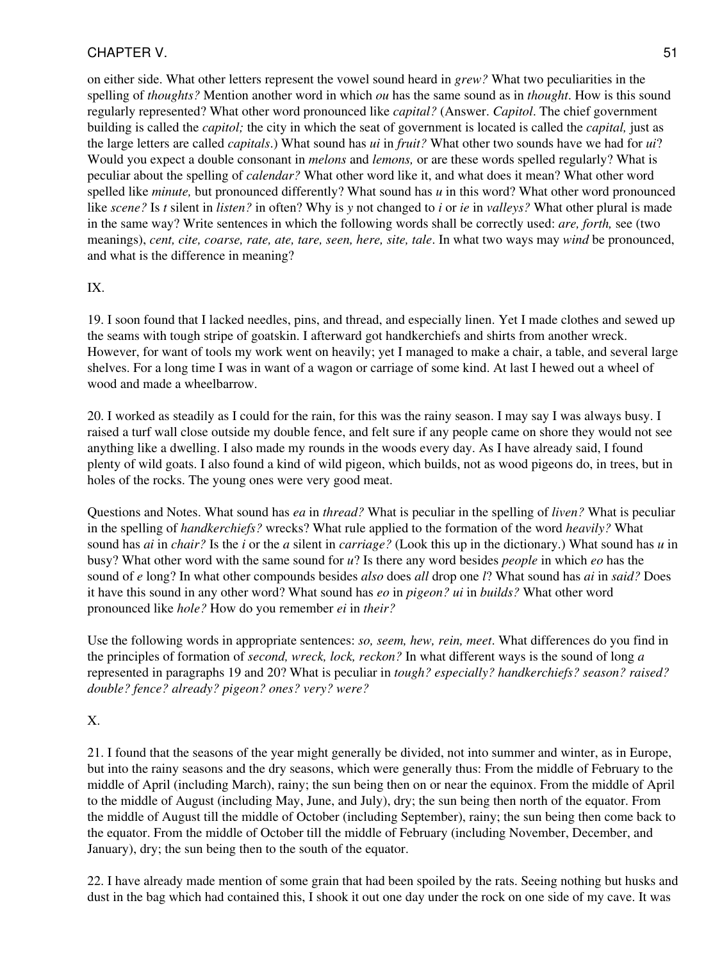on either side. What other letters represent the vowel sound heard in *grew?* What two peculiarities in the spelling of *thoughts?* Mention another word in which *ou* has the same sound as in *thought*. How is this sound regularly represented? What other word pronounced like *capital?* (Answer. *Capitol*. The chief government building is called the *capitol;* the city in which the seat of government is located is called the *capital,* just as the large letters are called *capitals*.) What sound has *ui* in *fruit?* What other two sounds have we had for *ui*? Would you expect a double consonant in *melons* and *lemons,* or are these words spelled regularly? What is peculiar about the spelling of *calendar?* What other word like it, and what does it mean? What other word spelled like *minute,* but pronounced differently? What sound has *u* in this word? What other word pronounced like *scene?* Is *t* silent in *listen?* in often? Why is *y* not changed to *i* or *ie* in *valleys?* What other plural is made in the same way? Write sentences in which the following words shall be correctly used: *are, forth,* see (two meanings), *cent, cite, coarse, rate, ate, tare, seen, here, site, tale*. In what two ways may *wind* be pronounced, and what is the difference in meaning?

### IX.

19. I soon found that I lacked needles, pins, and thread, and especially linen. Yet I made clothes and sewed up the seams with tough stripe of goatskin. I afterward got handkerchiefs and shirts from another wreck. However, for want of tools my work went on heavily; yet I managed to make a chair, a table, and several large shelves. For a long time I was in want of a wagon or carriage of some kind. At last I hewed out a wheel of wood and made a wheelbarrow.

20. I worked as steadily as I could for the rain, for this was the rainy season. I may say I was always busy. I raised a turf wall close outside my double fence, and felt sure if any people came on shore they would not see anything like a dwelling. I also made my rounds in the woods every day. As I have already said, I found plenty of wild goats. I also found a kind of wild pigeon, which builds, not as wood pigeons do, in trees, but in holes of the rocks. The young ones were very good meat.

Questions and Notes. What sound has *ea* in *thread?* What is peculiar in the spelling of *liven?* What is peculiar in the spelling of *handkerchiefs?* wrecks? What rule applied to the formation of the word *heavily?* What sound has *ai* in *chair?* Is the *i* or the *a* silent in *carriage?* (Look this up in the dictionary.) What sound has *u* in busy? What other word with the same sound for *u*? Is there any word besides *people* in which *eo* has the sound of *e* long? In what other compounds besides *also* does *all* drop one *l*? What sound has *ai* in *said?* Does it have this sound in any other word? What sound has *eo* in *pigeon? ui* in *builds?* What other word pronounced like *hole?* How do you remember *ei* in *their?*

Use the following words in appropriate sentences: *so, seem, hew, rein, meet*. What differences do you find in the principles of formation of *second, wreck, lock, reckon?* In what different ways is the sound of long *a* represented in paragraphs 19 and 20? What is peculiar in *tough? especially? handkerchiefs? season? raised? double? fence? already? pigeon? ones? very? were?*

## X.

21. I found that the seasons of the year might generally be divided, not into summer and winter, as in Europe, but into the rainy seasons and the dry seasons, which were generally thus: From the middle of February to the middle of April (including March), rainy; the sun being then on or near the equinox. From the middle of April to the middle of August (including May, June, and July), dry; the sun being then north of the equator. From the middle of August till the middle of October (including September), rainy; the sun being then come back to the equator. From the middle of October till the middle of February (including November, December, and January), dry; the sun being then to the south of the equator.

22. I have already made mention of some grain that had been spoiled by the rats. Seeing nothing but husks and dust in the bag which had contained this, I shook it out one day under the rock on one side of my cave. It was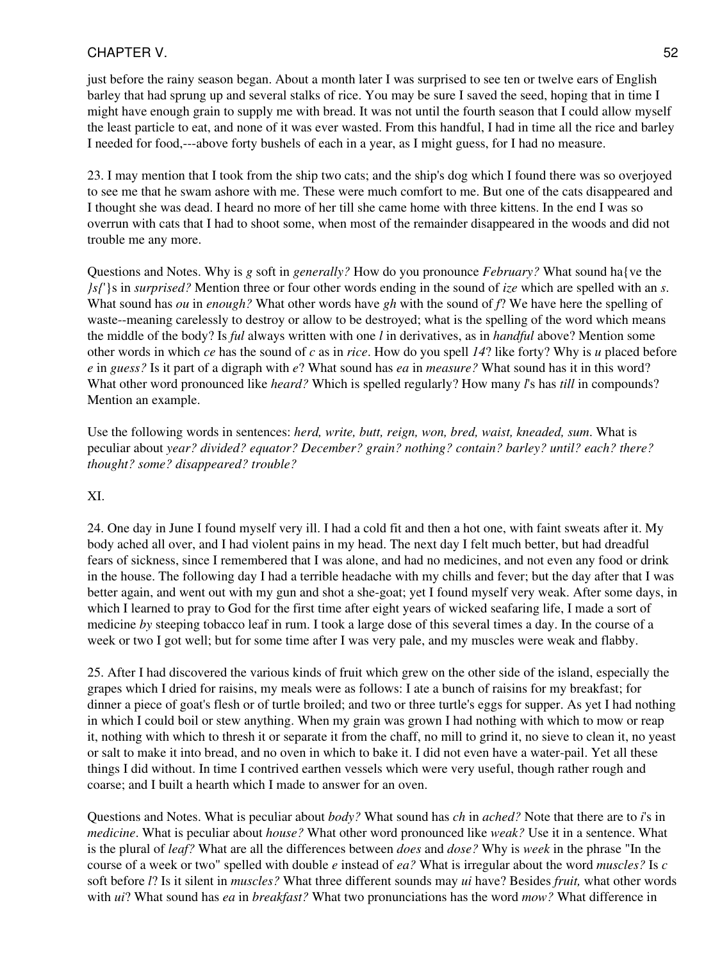just before the rainy season began. About a month later I was surprised to see ten or twelve ears of English barley that had sprung up and several stalks of rice. You may be sure I saved the seed, hoping that in time I might have enough grain to supply me with bread. It was not until the fourth season that I could allow myself the least particle to eat, and none of it was ever wasted. From this handful, I had in time all the rice and barley I needed for food,---above forty bushels of each in a year, as I might guess, for I had no measure.

23. I may mention that I took from the ship two cats; and the ship's dog which I found there was so overjoyed to see me that he swam ashore with me. These were much comfort to me. But one of the cats disappeared and I thought she was dead. I heard no more of her till she came home with three kittens. In the end I was so overrun with cats that I had to shoot some, when most of the remainder disappeared in the woods and did not trouble me any more.

Questions and Notes. Why is *g* soft in *generally?* How do you pronounce *February?* What sound ha{ve the *}s{*'}s in *surprised?* Mention three or four other words ending in the sound of *ize* which are spelled with an *s*. What sound has *ou* in *enough?* What other words have *gh* with the sound of *f*? We have here the spelling of waste--meaning carelessly to destroy or allow to be destroyed; what is the spelling of the word which means the middle of the body? Is *ful* always written with one *l* in derivatives, as in *handful* above? Mention some other words in which *ce* has the sound of *c* as in *rice*. How do you spell *14*? like forty? Why is *u* placed before *e* in *guess?* Is it part of a digraph with *e*? What sound has *ea* in *measure?* What sound has it in this word? What other word pronounced like *heard?* Which is spelled regularly? How many *l*'s has *till* in compounds? Mention an example.

Use the following words in sentences: *herd, write, butt, reign, won, bred, waist, kneaded, sum*. What is peculiar about *year? divided? equator? December? grain? nothing? contain? barley? until? each? there? thought? some? disappeared? trouble?*

## XI.

24. One day in June I found myself very ill. I had a cold fit and then a hot one, with faint sweats after it. My body ached all over, and I had violent pains in my head. The next day I felt much better, but had dreadful fears of sickness, since I remembered that I was alone, and had no medicines, and not even any food or drink in the house. The following day I had a terrible headache with my chills and fever; but the day after that I was better again, and went out with my gun and shot a she-goat; yet I found myself very weak. After some days, in which I learned to pray to God for the first time after eight years of wicked seafaring life, I made a sort of medicine *by* steeping tobacco leaf in rum. I took a large dose of this several times a day. In the course of a week or two I got well; but for some time after I was very pale, and my muscles were weak and flabby.

25. After I had discovered the various kinds of fruit which grew on the other side of the island, especially the grapes which I dried for raisins, my meals were as follows: I ate a bunch of raisins for my breakfast; for dinner a piece of goat's flesh or of turtle broiled; and two or three turtle's eggs for supper. As yet I had nothing in which I could boil or stew anything. When my grain was grown I had nothing with which to mow or reap it, nothing with which to thresh it or separate it from the chaff, no mill to grind it, no sieve to clean it, no yeast or salt to make it into bread, and no oven in which to bake it. I did not even have a water-pail. Yet all these things I did without. In time I contrived earthen vessels which were very useful, though rather rough and coarse; and I built a hearth which I made to answer for an oven.

Questions and Notes. What is peculiar about *body?* What sound has *ch* in *ached?* Note that there are to *i*'s in *medicine*. What is peculiar about *house?* What other word pronounced like *weak?* Use it in a sentence. What is the plural of *leaf?* What are all the differences between *does* and *dose?* Why is *week* in the phrase "In the course of a week or two" spelled with double *e* instead of *ea?* What is irregular about the word *muscles?* Is *c* soft before *l*? Is it silent in *muscles?* What three different sounds may *ui* have? Besides *fruit,* what other words with *ui*? What sound has *ea* in *breakfast?* What two pronunciations has the word *mow?* What difference in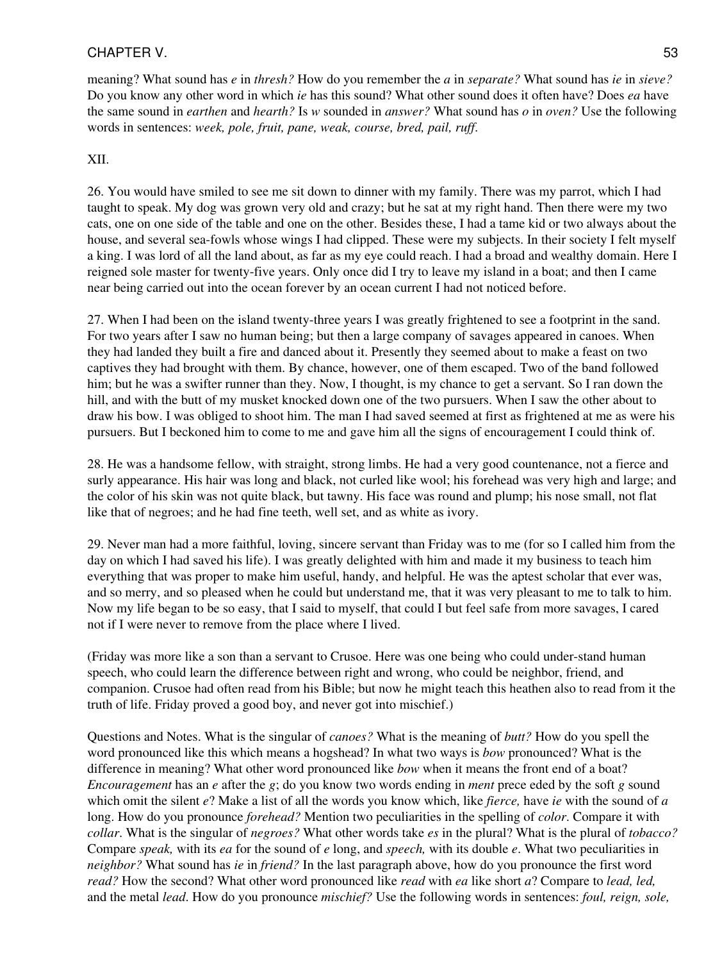meaning? What sound has *e* in *thresh?* How do you remember the *a* in *separate?* What sound has *ie* in *sieve?* Do you know any other word in which *ie* has this sound? What other sound does it often have? Does *ea* have the same sound in *earthen* and *hearth?* Is *w* sounded in *answer?* What sound has *o* in *oven?* Use the following words in sentences: *week, pole, fruit, pane, weak, course, bred, pail, ruff*.

### XII.

26. You would have smiled to see me sit down to dinner with my family. There was my parrot, which I had taught to speak. My dog was grown very old and crazy; but he sat at my right hand. Then there were my two cats, one on one side of the table and one on the other. Besides these, I had a tame kid or two always about the house, and several sea-fowls whose wings I had clipped. These were my subjects. In their society I felt myself a king. I was lord of all the land about, as far as my eye could reach. I had a broad and wealthy domain. Here I reigned sole master for twenty-five years. Only once did I try to leave my island in a boat; and then I came near being carried out into the ocean forever by an ocean current I had not noticed before.

27. When I had been on the island twenty-three years I was greatly frightened to see a footprint in the sand. For two years after I saw no human being; but then a large company of savages appeared in canoes. When they had landed they built a fire and danced about it. Presently they seemed about to make a feast on two captives they had brought with them. By chance, however, one of them escaped. Two of the band followed him; but he was a swifter runner than they. Now, I thought, is my chance to get a servant. So I ran down the hill, and with the butt of my musket knocked down one of the two pursuers. When I saw the other about to draw his bow. I was obliged to shoot him. The man I had saved seemed at first as frightened at me as were his pursuers. But I beckoned him to come to me and gave him all the signs of encouragement I could think of.

28. He was a handsome fellow, with straight, strong limbs. He had a very good countenance, not a fierce and surly appearance. His hair was long and black, not curled like wool; his forehead was very high and large; and the color of his skin was not quite black, but tawny. His face was round and plump; his nose small, not flat like that of negroes; and he had fine teeth, well set, and as white as ivory.

29. Never man had a more faithful, loving, sincere servant than Friday was to me (for so I called him from the day on which I had saved his life). I was greatly delighted with him and made it my business to teach him everything that was proper to make him useful, handy, and helpful. He was the aptest scholar that ever was, and so merry, and so pleased when he could but understand me, that it was very pleasant to me to talk to him. Now my life began to be so easy, that I said to myself, that could I but feel safe from more savages, I cared not if I were never to remove from the place where I lived.

(Friday was more like a son than a servant to Crusoe. Here was one being who could under-stand human speech, who could learn the difference between right and wrong, who could be neighbor, friend, and companion. Crusoe had often read from his Bible; but now he might teach this heathen also to read from it the truth of life. Friday proved a good boy, and never got into mischief.)

Questions and Notes. What is the singular of *canoes?* What is the meaning of *butt?* How do you spell the word pronounced like this which means a hogshead? In what two ways is *bow* pronounced? What is the difference in meaning? What other word pronounced like *bow* when it means the front end of a boat? *Encouragement* has an *e* after the *g*; do you know two words ending in *ment* prece eded by the soft *g* sound which omit the silent *e*? Make a list of all the words you know which, like *fierce,* have *ie* with the sound of *a* long. How do you pronounce *forehead?* Mention two peculiarities in the spelling of *color*. Compare it with *collar*. What is the singular of *negroes?* What other words take *es* in the plural? What is the plural of *tobacco?* Compare *speak,* with its *ea* for the sound of *e* long, and *speech,* with its double *e*. What two peculiarities in *neighbor?* What sound has *ie* in *friend?* In the last paragraph above, how do you pronounce the first word *read?* How the second? What other word pronounced like *read* with *ea* like short *a*? Compare to *lead, led,* and the metal *lead*. How do you pronounce *mischief?* Use the following words in sentences: *foul, reign, sole,*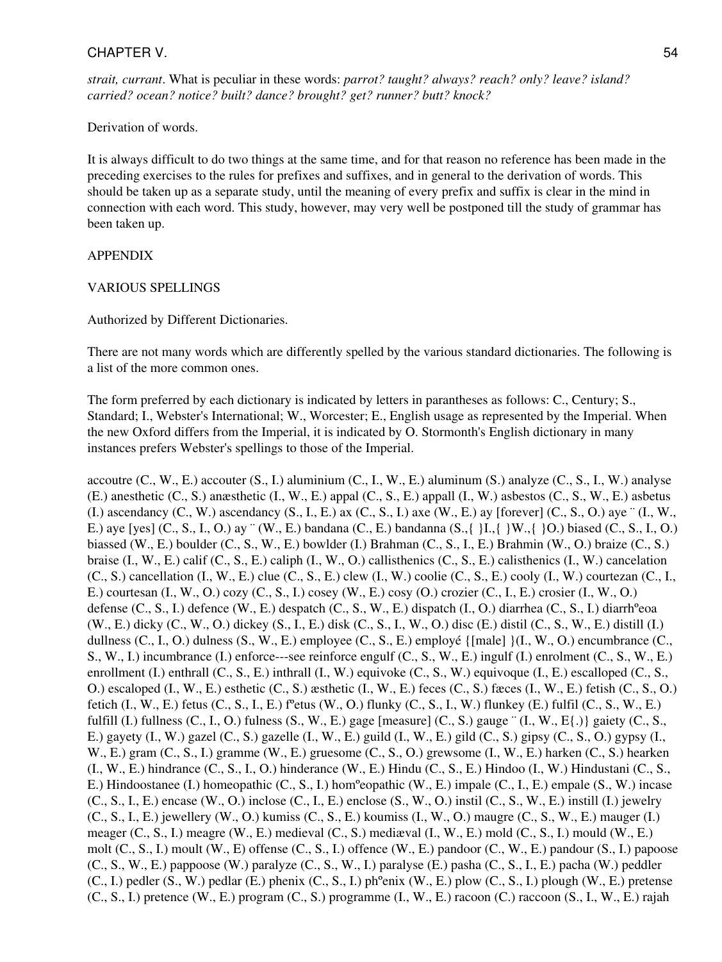Derivation of words.

It is always difficult to do two things at the same time, and for that reason no reference has been made in the preceding exercises to the rules for prefixes and suffixes, and in general to the derivation of words. This should be taken up as a separate study, until the meaning of every prefix and suffix is clear in the mind in connection with each word. This study, however, may very well be postponed till the study of grammar has been taken up.

#### APPENDIX

#### VARIOUS SPELLINGS

Authorized by Different Dictionaries.

There are not many words which are differently spelled by the various standard dictionaries. The following is a list of the more common ones.

The form preferred by each dictionary is indicated by letters in parantheses as follows: C., Century; S., Standard; I., Webster's International; W., Worcester; E., English usage as represented by the Imperial. When the new Oxford differs from the Imperial, it is indicated by O. Stormonth's English dictionary in many instances prefers Webster's spellings to those of the Imperial.

accoutre  $(C_1, W_1, E_2)$  accouter  $(S_1, I_1)$  aluminium  $(C_2, I_2, W_2, E_1)$  aluminum  $(S_2)$  analyze  $(C_1, S_2, I_1, W_2)$  analyse (E.) anesthetic (C., S.) anæsthetic (I., W., E.) appal (C., S., E.) appall (I., W.) asbestos (C., S., W., E.) asbetus (I.) ascendancy  $(C, W)$  ascendancy  $(S, I, E)$  ax  $(C, S, I)$  axe  $(W, E)$  ay [forever]  $(C, S, O)$  aye  $\dot{}(I, W, E)$ E.) aye [yes] (C., S., I., O.) ay ¨ (W., E.) bandana (C., E.) bandanna (S.,{ }I.,{ }W.,{ }O.) biased (C., S., I., O.) biassed (W., E.) boulder (C., S., W., E.) bowlder (I.) Brahman (C., S., I., E.) Brahmin (W., O.) braize (C., S.) braise (I., W., E.) calif (C., S., E.) caliph (I., W., O.) callisthenics (C., S., E.) calisthenics (I., W.) cancelation  $(C_1, S_2)$  cancellation  $(I_1, W_1, E_2)$  clue  $(C_1, S_2, E_1)$  clew  $(I_1, W_2)$  coolie  $(C_2, S_2, E_2)$  cooly  $(I_2, W_2)$  courtezan  $(C_2, I_1)$ E.) courtesan (I., W., O.) cozy (C., S., I.) cosey (W., E.) cosy (O.) crozier (C., I., E.) crosier (I., W., O.) defense (C., S., I.) defence (W., E.) despatch (C., S., W., E.) dispatch (I., O.) diarrhea (C., S., I.) diarrhºeoa (W., E.) dicky (C., W., O.) dickey (S., I., E.) disk (C., S., I., W., O.) disc (E.) distil (C., S., W., E.) distill (I.) dullness (C., I., O.) dulness (S., W., E.) employee (C., S., E.) employé {[male] }(I., W., O.) encumbrance (C., S., W., I.) incumbrance (I.) enforce---see reinforce engulf (C., S., W., E.) ingulf (I.) enrolment (C., S., W., E.) enrollment (I.) enthrall (C., S., E.) inthrall (I., W.) equivoke (C., S., W.) equivoque (I., E.) escalloped (C., S., O.) escaloped (I., W., E.) esthetic (C., S.) æsthetic (I., W., E.) feces (C., S.) fæces (I., W., E.) fetish (C., S., O.) fetich  $(I, W, E)$  fetus  $(C, S, I, E)$  f°etus  $(W, O)$  flunky  $(C, S, I, W)$  flunkey  $(E)$  fulfil  $(C, S, W, E)$ fulfill (I.) fullness (C., I., O.) fulness (S., W., E.) gage [measure] (C., S.) gauge "(I., W., E{.)} gaiety (C., S., E.) gayety (I., W.) gazel (C., S.) gazelle (I., W., E.) guild (I., W., E.) gild (C., S.) gipsy (C., S., O.) gypsy (I., W., E.) gram (C., S., I.) gramme (W., E.) gruesome (C., S., O.) grewsome (I., W., E.) harken (C., S.) hearken (I., W., E.) hindrance (C., S., I., O.) hinderance (W., E.) Hindu (C., S., E.) Hindoo (I., W.) Hindustani (C., S., E.) Hindoostanee (I.) homeopathic (C., S., I.) homºeopathic (W., E.) impale (C., I., E.) empale (S., W.) incase  $(C_1, S_1, I_1, E_2)$  encase  $(W_1, O_1)$  inclose  $(C_1, I_1, E_2)$  enclose  $(S_1, W_1, O_2)$  instill  $(C_1, S_2, W_1, E_2)$  instill  $(I_1)$  jewelry  $(C_1, S_1, I_1, E_2)$  jewellery  $(W_1, O_1)$  kumiss  $(C_1, S_1, E_2)$  koumiss  $(I_1, W_1, O_2)$  maugre  $(C_1, S_1, W_1, E_2)$  mauger  $(I_1)$ meager (C., S., I.) meagre (W., E.) medieval (C., S.) mediæval (I., W., E.) mold (C., S., I.) mould (W., E.) molt (C., S., I.) moult (W., E) offense (C., S., I.) offence (W., E.) pandoor (C., W., E.) pandour (S., I.) papoose (C., S., W., E.) pappoose (W.) paralyze (C., S., W., I.) paralyse (E.) pasha (C., S., I., E.) pacha (W.) peddler (C., I.) pedler (S., W.) pedlar (E.) phenix (C., S., I.) phºenix (W., E.) plow (C., S., I.) plough (W., E.) pretense (C., S., I.) pretence (W., E.) program (C., S.) programme (I., W., E.) racoon (C.) raccoon (S., I., W., E.) rajah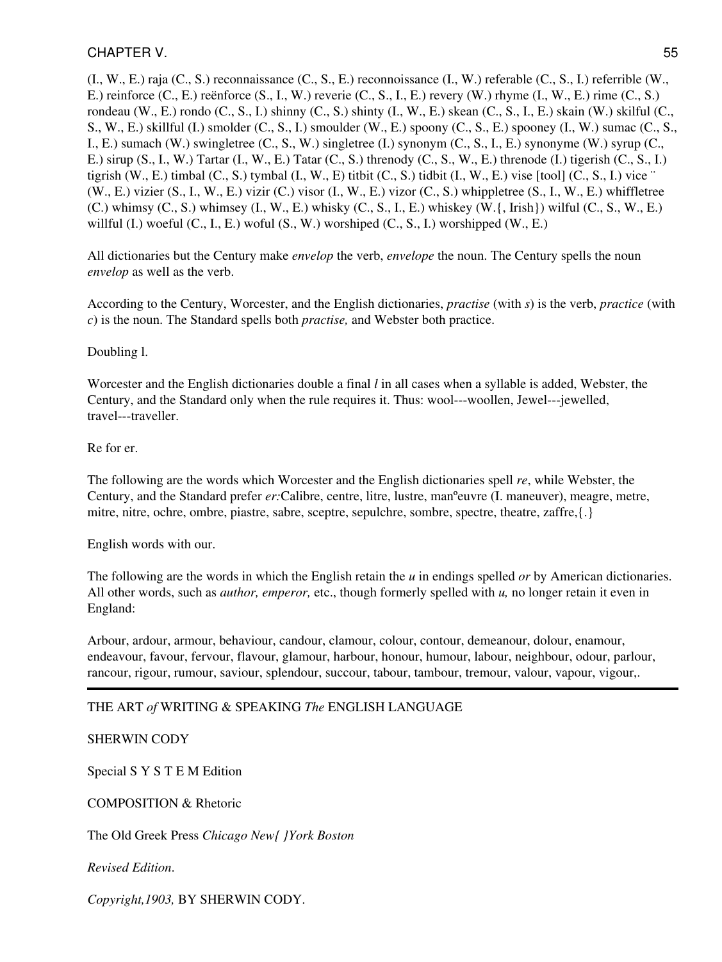(I., W., E.) raja (C., S.) reconnaissance (C., S., E.) reconnoissance (I., W.) referable (C., S., I.) referrible (W., E.) reinforce (C., E.) reënforce (S., I., W.) reverie (C., S., I., E.) revery (W.) rhyme (I., W., E.) rime (C., S.) rondeau (W., E.) rondo (C., S., I.) shinny (C., S.) shinty (I., W., E.) skean (C., S., I., E.) skain (W.) skilful (C., S., W., E.) skillful (I.) smolder (C., S., I.) smoulder (W., E.) spoony (C., S., E.) spooney (I., W.) sumac (C., S., I., E.) sumach (W.) swingletree (C., S., W.) singletree (I.) synonym (C., S., I., E.) synonyme (W.) syrup (C., E.) sirup (S., I., W.) Tartar (I., W., E.) Tatar (C., S.) threnody (C., S., W., E.) threnode (I.) tigerish (C., S., I.) tigrish (W., E.) timbal  $(C_1, S_2)$  tymbal  $(I_1, W_2, E)$  titbit  $(C_2, S_2)$  tidbit  $(I_2, W_2, E_2)$  vise [tool]  $(C_2, S_2, I_2)$  vice  $\ddot{\phi}$ (W., E.) vizier (S., I., W., E.) vizir (C.) visor (I., W., E.) vizor (C., S.) whippletree (S., I., W., E.) whiffletree (C.) whimsy (C., S.) whimsey (I., W., E.) whisky (C., S., I., E.) whiskey (W.{, Irish}) wilful (C., S., W., E.) willful (I.) woeful (C., I., E.) woful (S., W.) worshiped (C., S., I.) worshipped (W., E.)

All dictionaries but the Century make *envelop* the verb, *envelope* the noun. The Century spells the noun *envelop* as well as the verb.

According to the Century, Worcester, and the English dictionaries, *practise* (with *s*) is the verb, *practice* (with *c*) is the noun. The Standard spells both *practise,* and Webster both practice.

Doubling l.

Worcester and the English dictionaries double a final *l* in all cases when a syllable is added, Webster, the Century, and the Standard only when the rule requires it. Thus: wool---woollen, Jewel---jewelled, travel---traveller.

Re for er.

The following are the words which Worcester and the English dictionaries spell *re*, while Webster, the Century, and the Standard prefer *er:*Calibre, centre, litre, lustre, manºeuvre (I. maneuver), meagre, metre, mitre, nitre, ochre, ombre, piastre, sabre, sceptre, sepulchre, sombre, spectre, theatre, zaffre,{.}

English words with our.

The following are the words in which the English retain the *u* in endings spelled *or* by American dictionaries. All other words, such as *author, emperor,* etc., though formerly spelled with *u,* no longer retain it even in England:

Arbour, ardour, armour, behaviour, candour, clamour, colour, contour, demeanour, dolour, enamour, endeavour, favour, fervour, flavour, glamour, harbour, honour, humour, labour, neighbour, odour, parlour, rancour, rigour, rumour, saviour, splendour, succour, tabour, tambour, tremour, valour, vapour, vigour,.

## THE ART *of* WRITING & SPEAKING *The* ENGLISH LANGUAGE

## SHERWIN CODY

Special S Y S T E M Edition

COMPOSITION & Rhetoric

The Old Greek Press *Chicago New{ }York Boston*

*Revised Edition*.

*Copyright,1903,* BY SHERWIN CODY.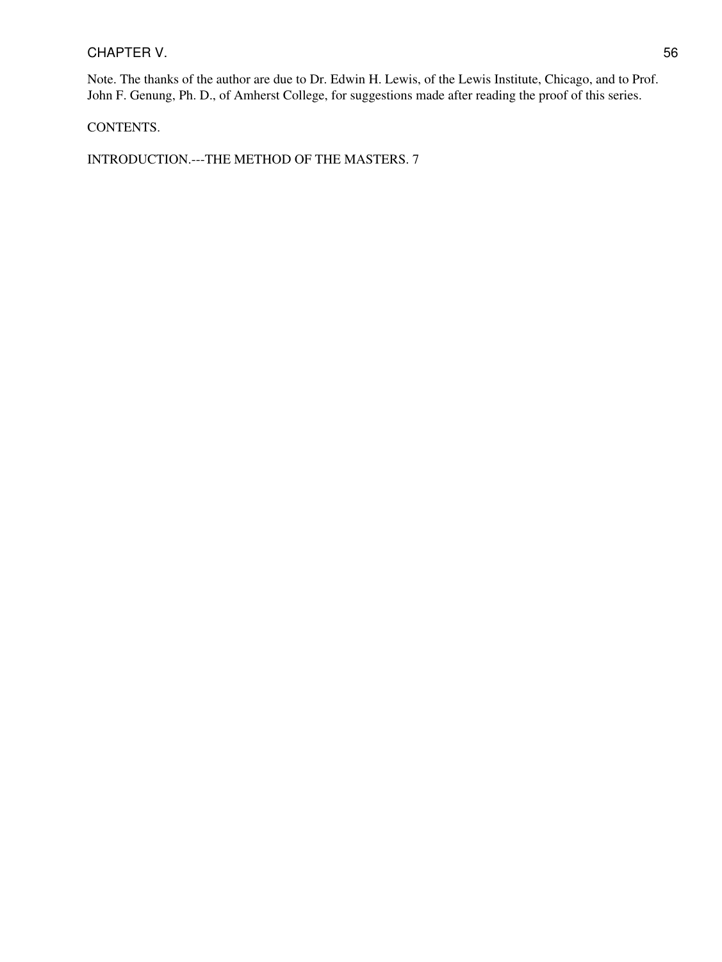Note. The thanks of the author are due to Dr. Edwin H. Lewis, of the Lewis Institute, Chicago, and to Prof. John F. Genung, Ph. D., of Amherst College, for suggestions made after reading the proof of this series.

CONTENTS.

INTRODUCTION.---THE METHOD OF THE MASTERS. 7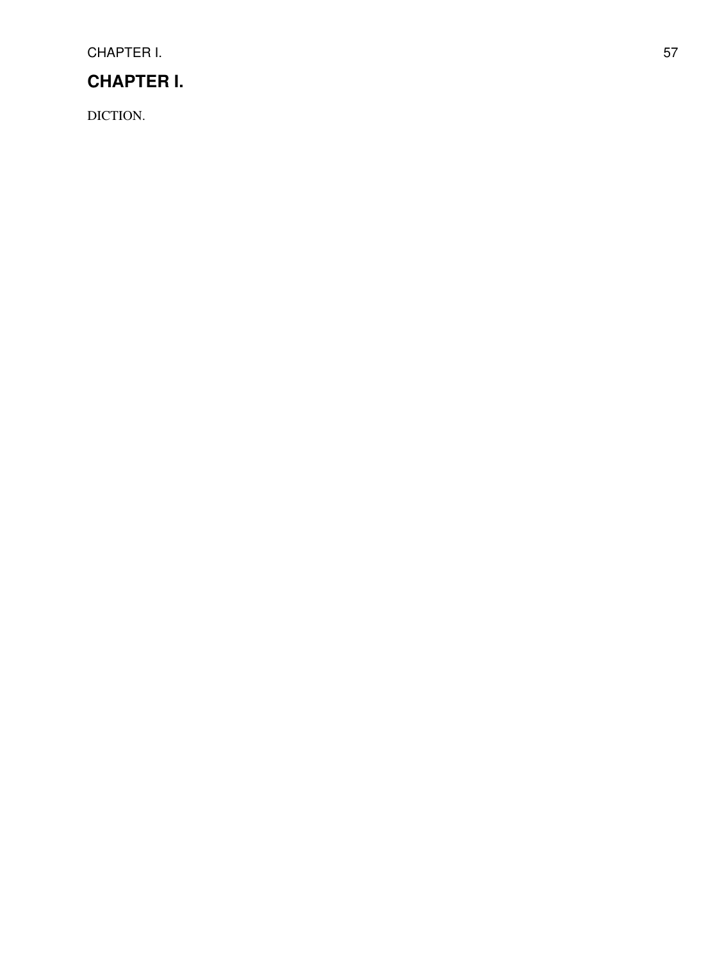# **CHAPTER I.**

DICTION.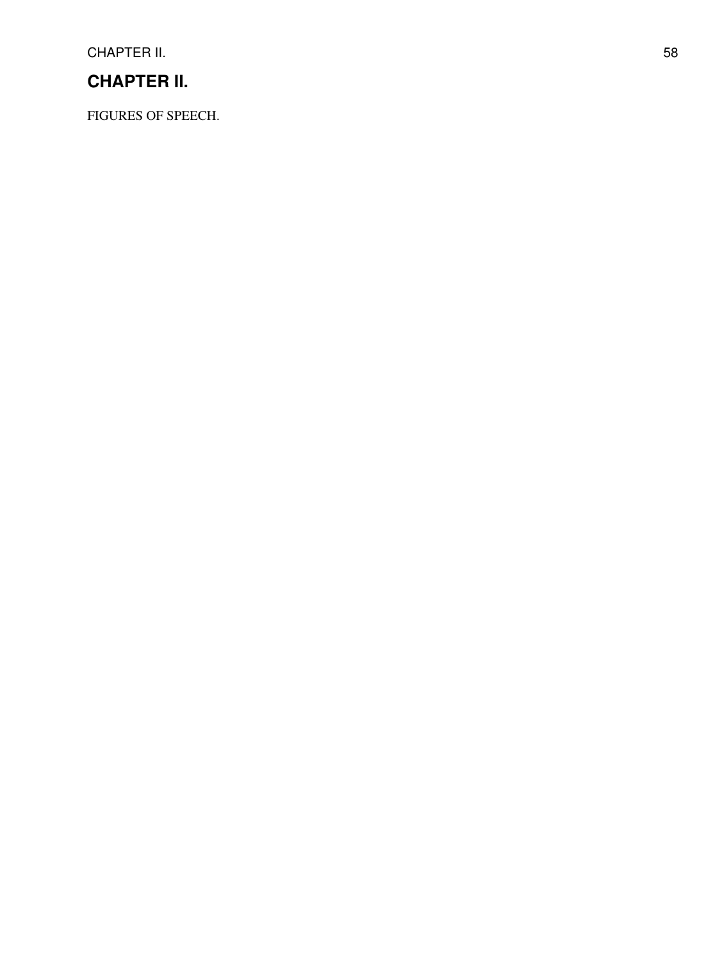## **CHAPTER II.**

FIGURES OF SPEECH.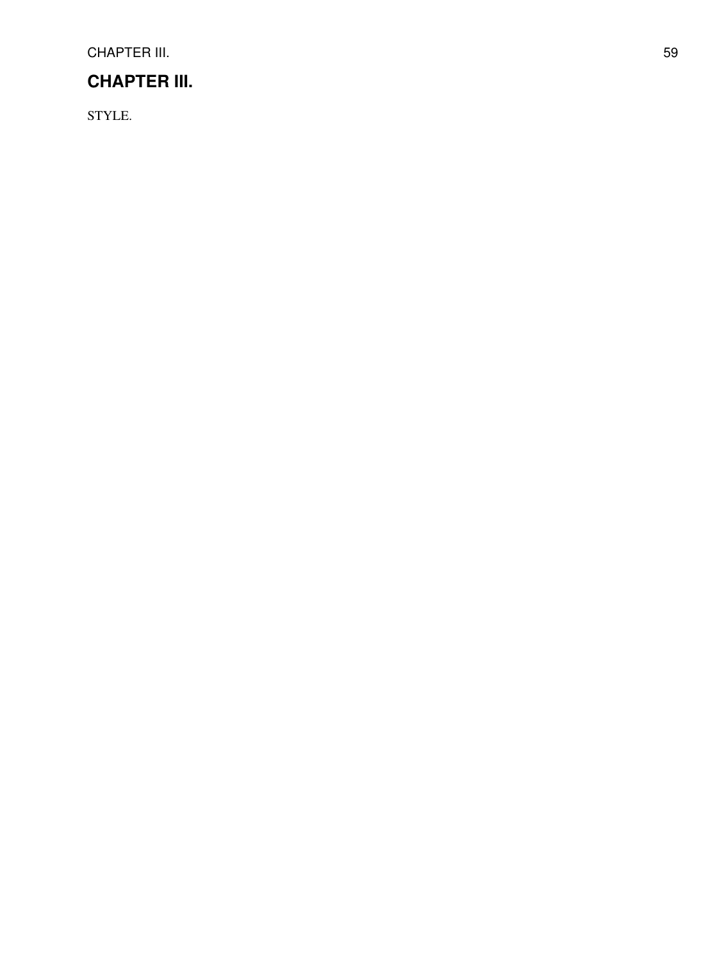## **CHAPTER III.**

STYLE.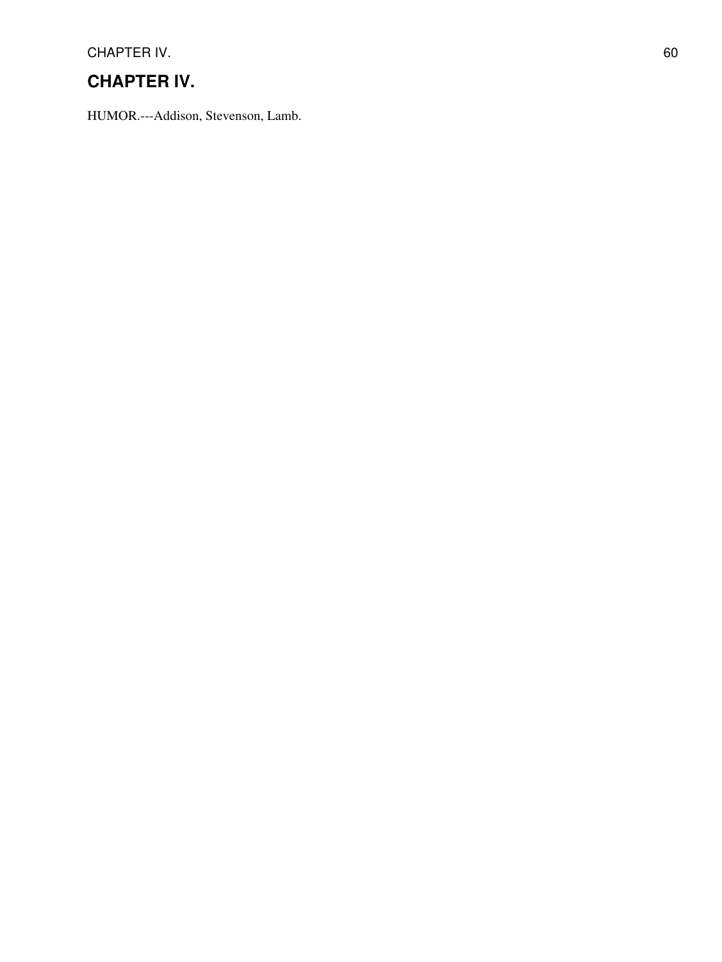# **CHAPTER IV.**

HUMOR.---Addison, Stevenson, Lamb.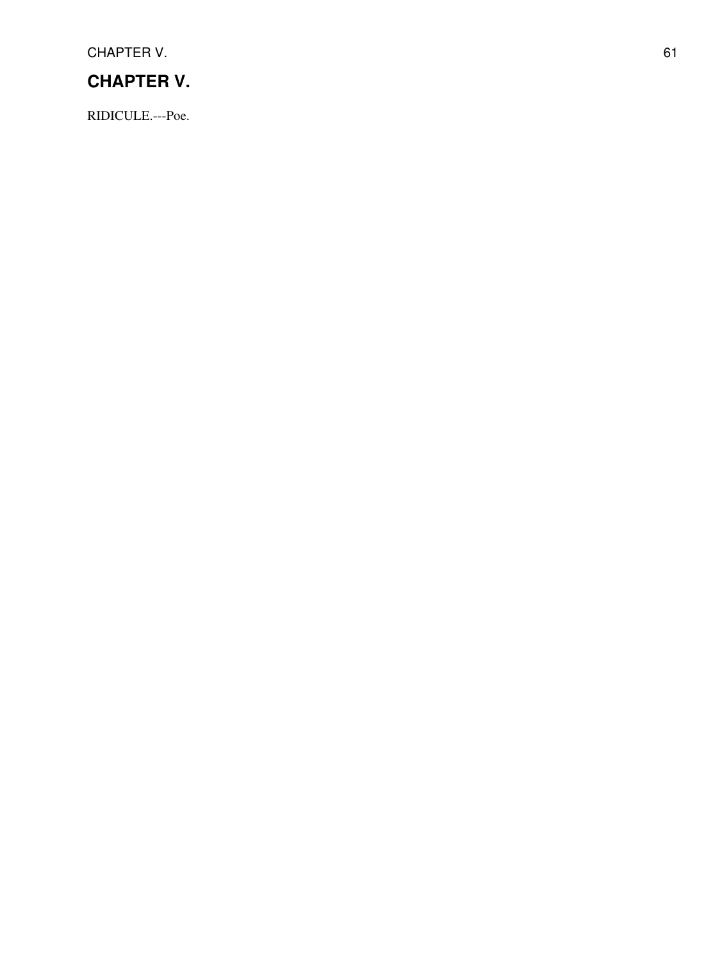## **CHAPTER V.**

RIDICULE.---Poe.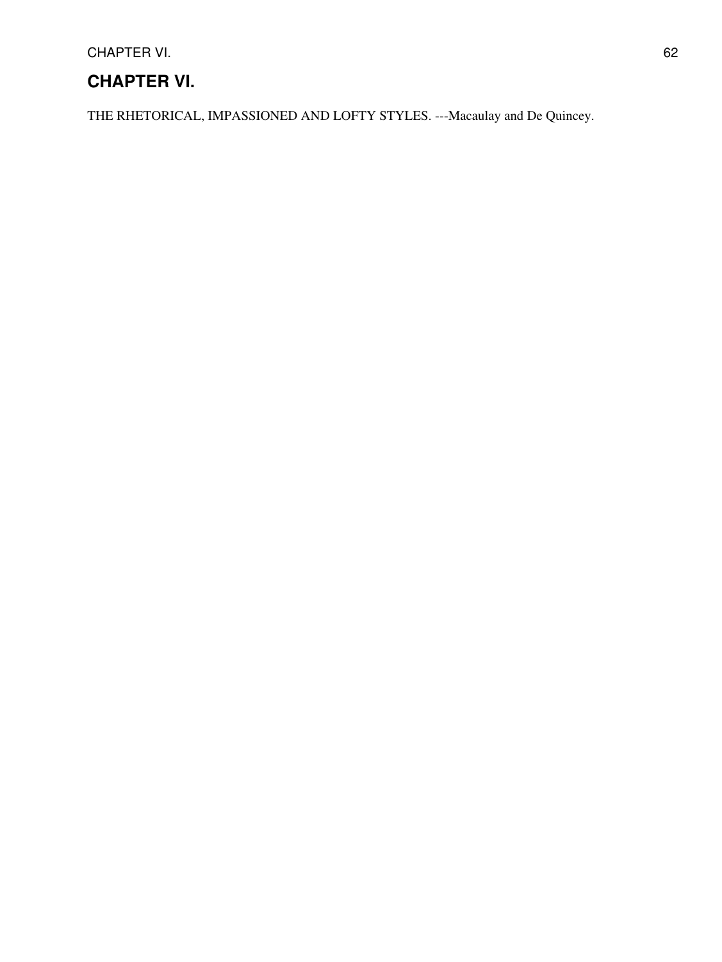# **CHAPTER VI.**

THE RHETORICAL, IMPASSIONED AND LOFTY STYLES. ---Macaulay and De Quincey.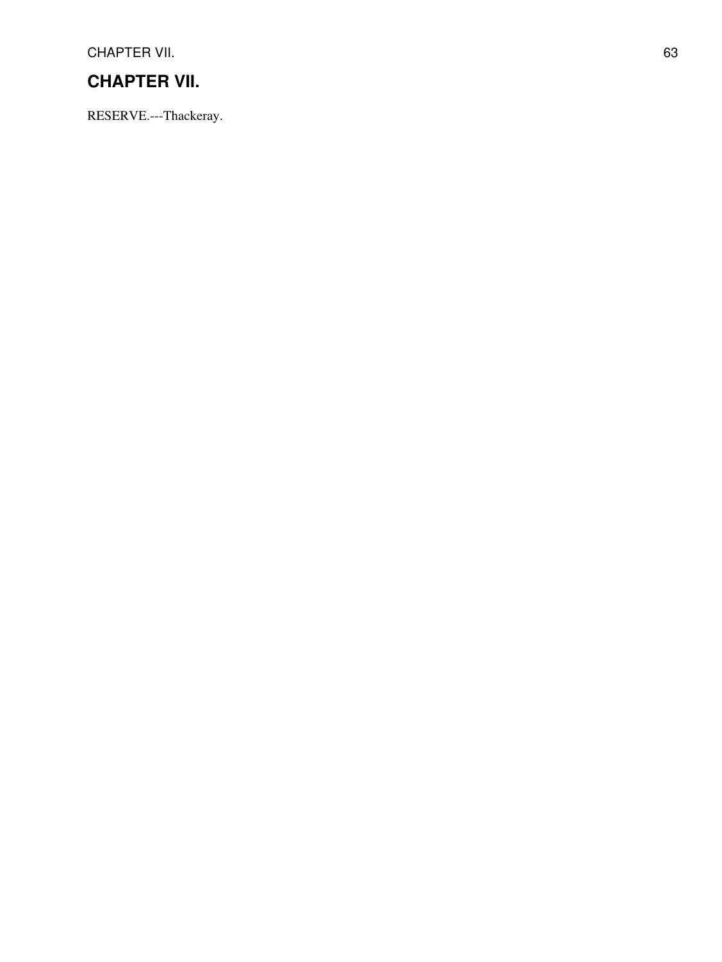## **CHAPTER VII.**

RESERVE.---Thackeray.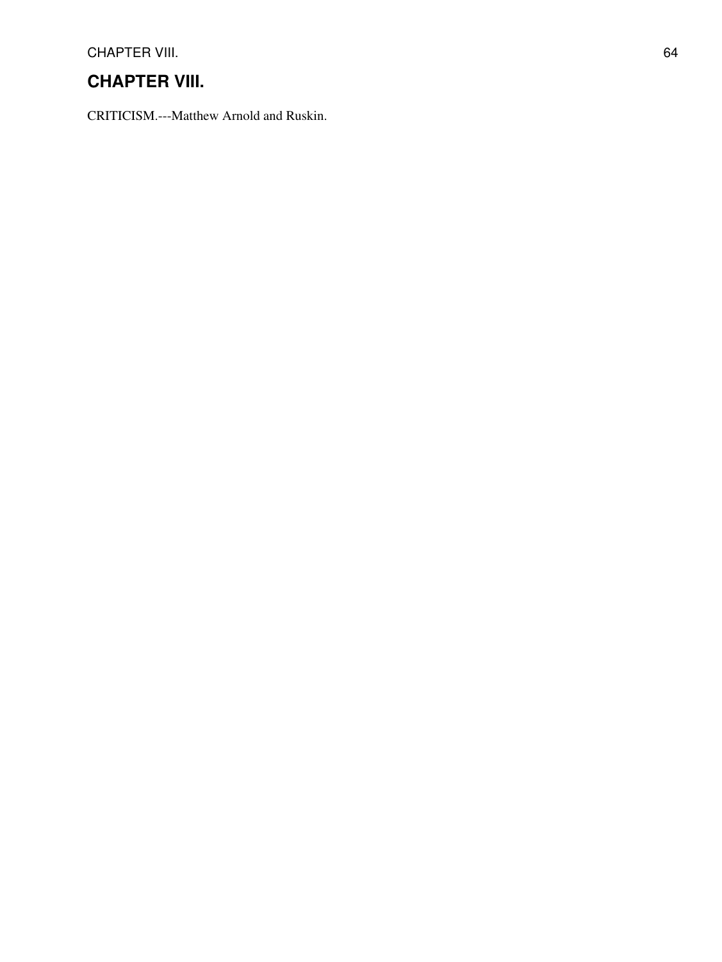# **CHAPTER VIII.**

CRITICISM.---Matthew Arnold and Ruskin.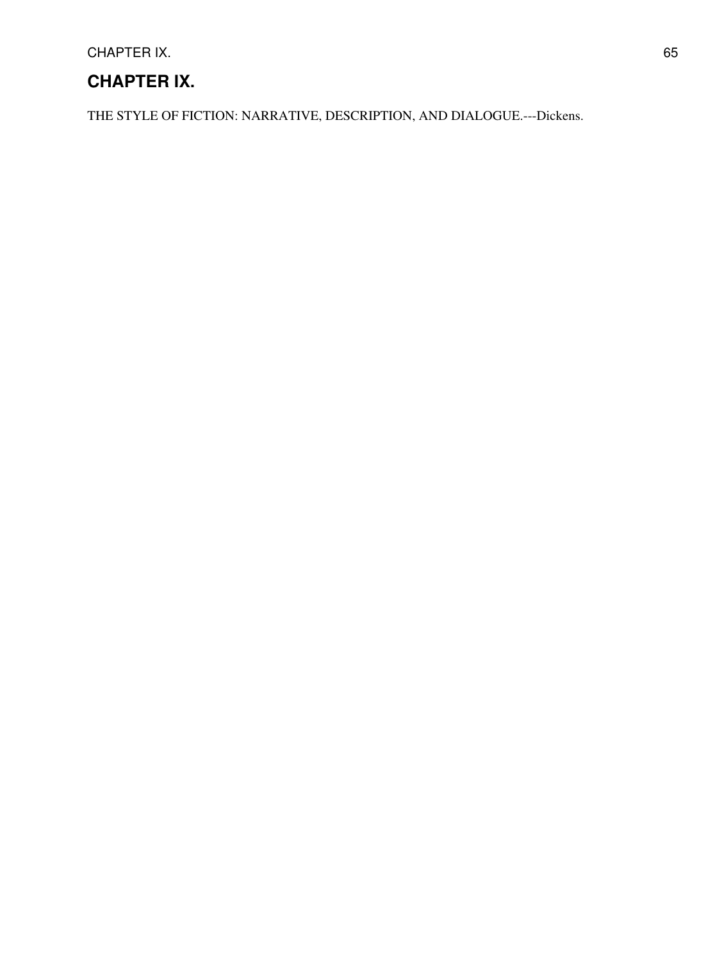# **CHAPTER IX.**

THE STYLE OF FICTION: NARRATIVE, DESCRIPTION, AND DIALOGUE.---Dickens.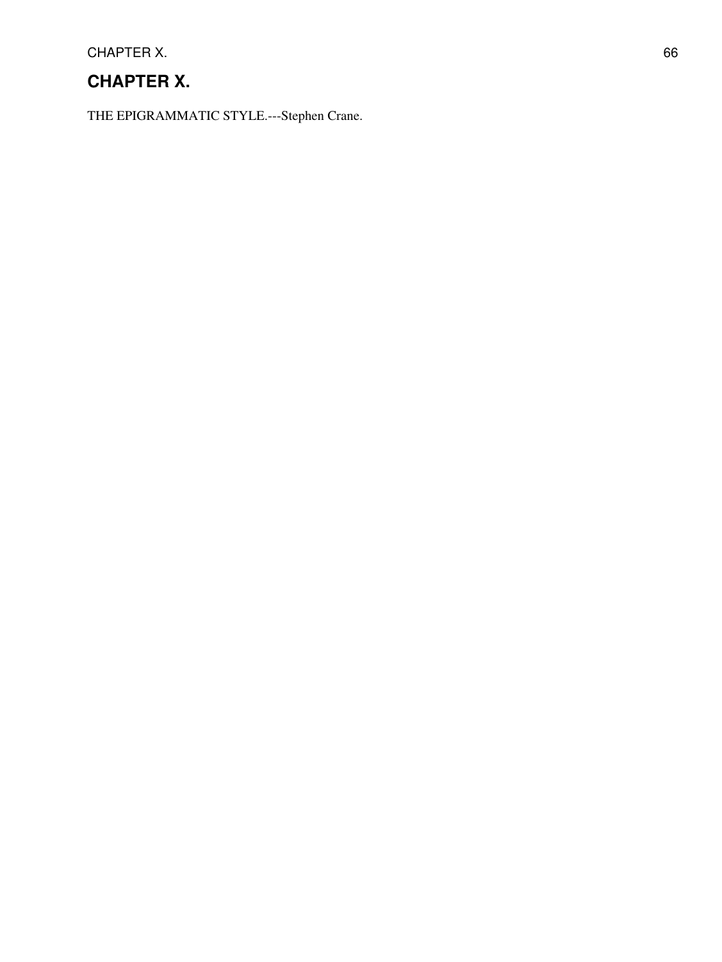CHAPTER X. 66

# **CHAPTER X.**

THE EPIGRAMMATIC STYLE.---Stephen Crane.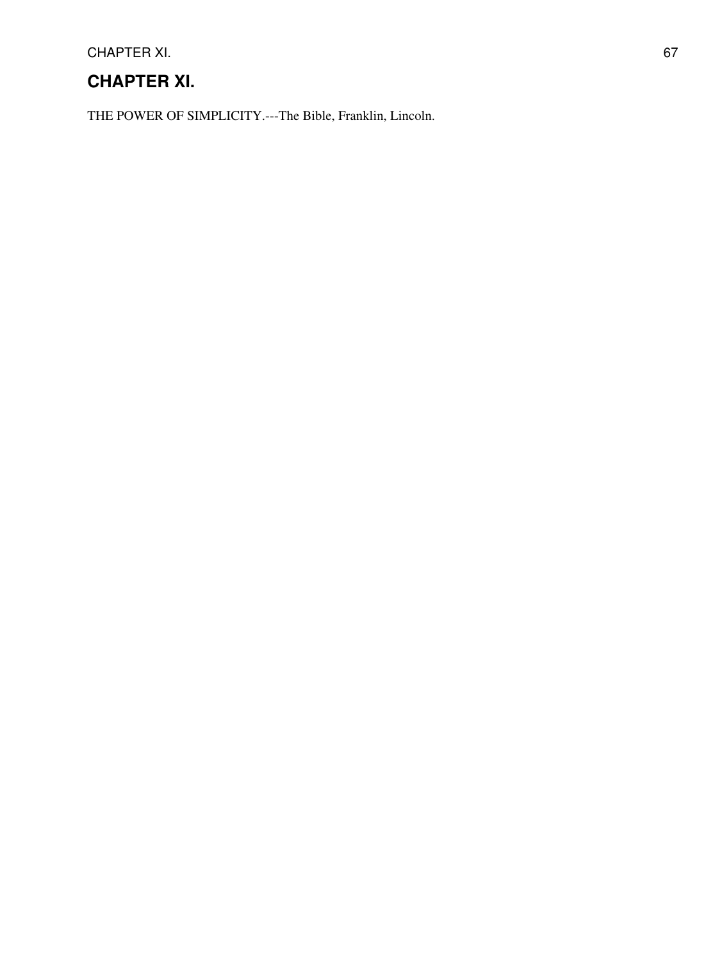# **CHAPTER XI.**

THE POWER OF SIMPLICITY.---The Bible, Franklin, Lincoln.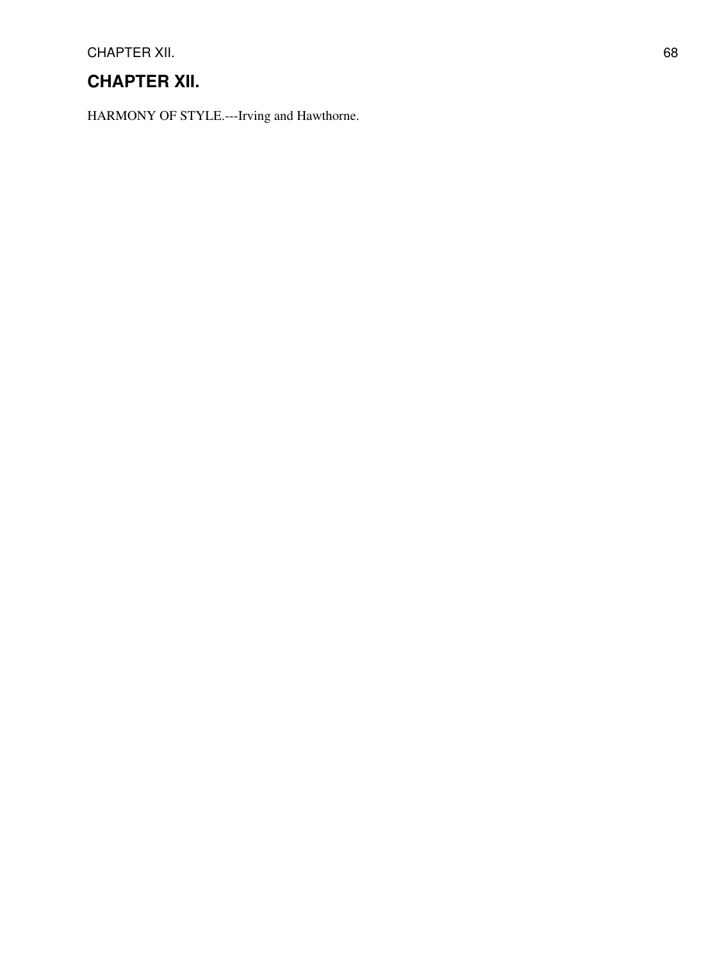# **CHAPTER XII.**

HARMONY OF STYLE.---Irving and Hawthorne.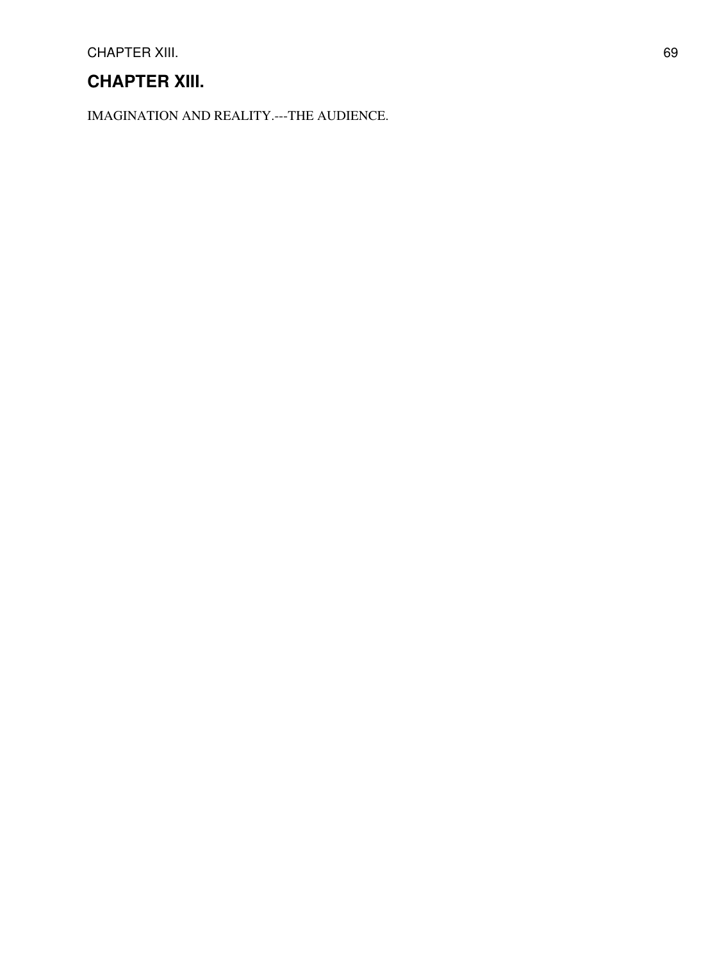# **CHAPTER XIII.**

IMAGINATION AND REALITY.---THE AUDIENCE.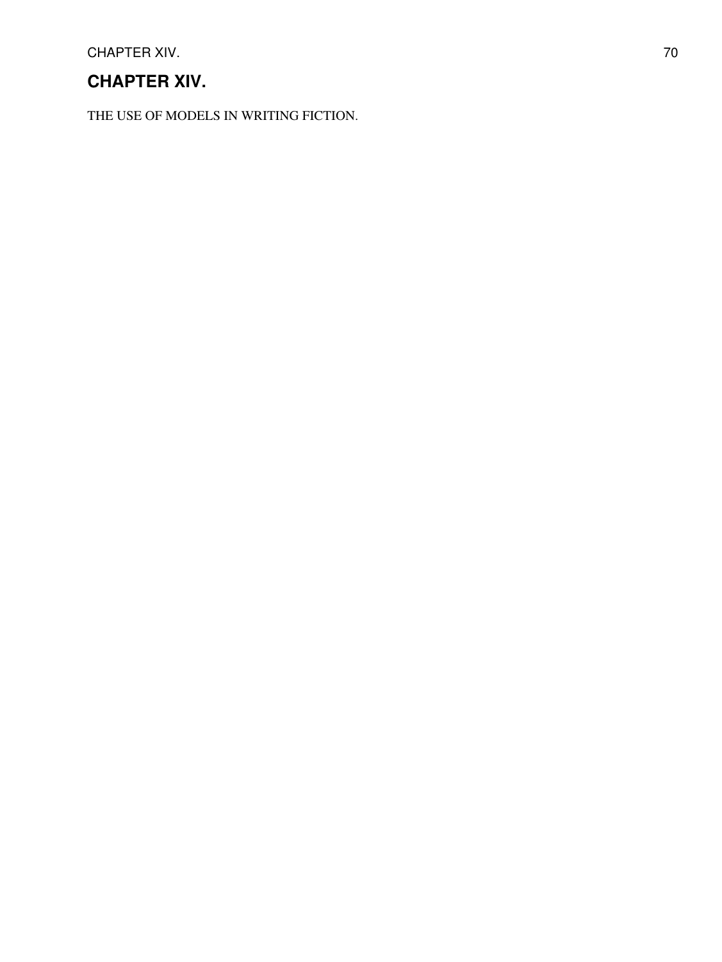CHAPTER XIV. 2012 2013 12:30 12:30 12:30 12:30 12:30 12:30 12:30 12:30 12:30 12:30 12:30 12:30 12:30 12:30 12:30 12:30 12:30 12:30 12:30 12:30 12:30 12:30 12:30 12:30 12:30 12:30 12:30 12:30 12:30 12:30 12:30 12:30 12:30 1

# **CHAPTER XIV.**

THE USE OF MODELS IN WRITING FICTION.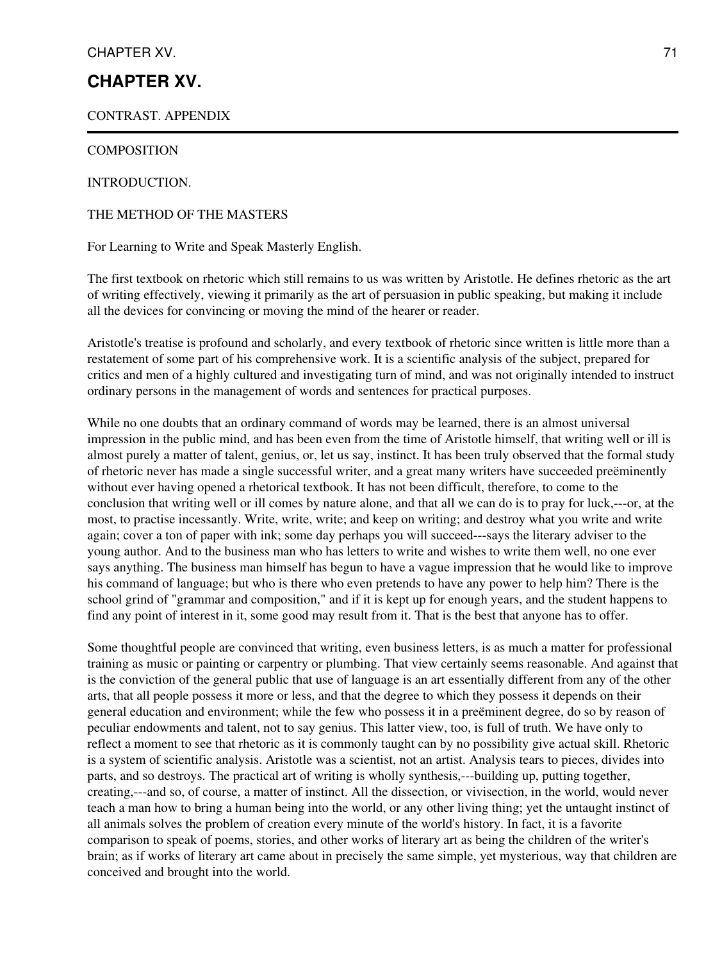## **CHAPTER XV.**

CONTRAST. APPENDIX

#### **COMPOSITION**

#### INTRODUCTION.

### THE METHOD OF THE MASTERS

For Learning to Write and Speak Masterly English.

The first textbook on rhetoric which still remains to us was written by Aristotle. He defines rhetoric as the art of writing effectively, viewing it primarily as the art of persuasion in public speaking, but making it include all the devices for convincing or moving the mind of the hearer or reader.

Aristotle's treatise is profound and scholarly, and every textbook of rhetoric since written is little more than a restatement of some part of his comprehensive work. It is a scientific analysis of the subject, prepared for critics and men of a highly cultured and investigating turn of mind, and was not originally intended to instruct ordinary persons in the management of words and sentences for practical purposes.

While no one doubts that an ordinary command of words may be learned, there is an almost universal impression in the public mind, and has been even from the time of Aristotle himself, that writing well or ill is almost purely a matter of talent, genius, or, let us say, instinct. It has been truly observed that the formal study of rhetoric never has made a single successful writer, and a great many writers have succeeded preëminently without ever having opened a rhetorical textbook. It has not been difficult, therefore, to come to the conclusion that writing well or ill comes by nature alone, and that all we can do is to pray for luck,---or, at the most, to practise incessantly. Write, write, write; and keep on writing; and destroy what you write and write again; cover a ton of paper with ink; some day perhaps you will succeed---says the literary adviser to the young author. And to the business man who has letters to write and wishes to write them well, no one ever says anything. The business man himself has begun to have a vague impression that he would like to improve his command of language; but who is there who even pretends to have any power to help him? There is the school grind of "grammar and composition," and if it is kept up for enough years, and the student happens to find any point of interest in it, some good may result from it. That is the best that anyone has to offer.

Some thoughtful people are convinced that writing, even business letters, is as much a matter for professional training as music or painting or carpentry or plumbing. That view certainly seems reasonable. And against that is the conviction of the general public that use of language is an art essentially different from any of the other arts, that all people possess it more or less, and that the degree to which they possess it depends on their general education and environment; while the few who possess it in a preëminent degree, do so by reason of peculiar endowments and talent, not to say genius. This latter view, too, is full of truth. We have only to reflect a moment to see that rhetoric as it is commonly taught can by no possibility give actual skill. Rhetoric is a system of scientific analysis. Aristotle was a scientist, not an artist. Analysis tears to pieces, divides into parts, and so destroys. The practical art of writing is wholly synthesis,---building up, putting together, creating,---and so, of course, a matter of instinct. All the dissection, or vivisection, in the world, would never teach a man how to bring a human being into the world, or any other living thing; yet the untaught instinct of all animals solves the problem of creation every minute of the world's history. In fact, it is a favorite comparison to speak of poems, stories, and other works of literary art as being the children of the writer's brain; as if works of literary art came about in precisely the same simple, yet mysterious, way that children are conceived and brought into the world.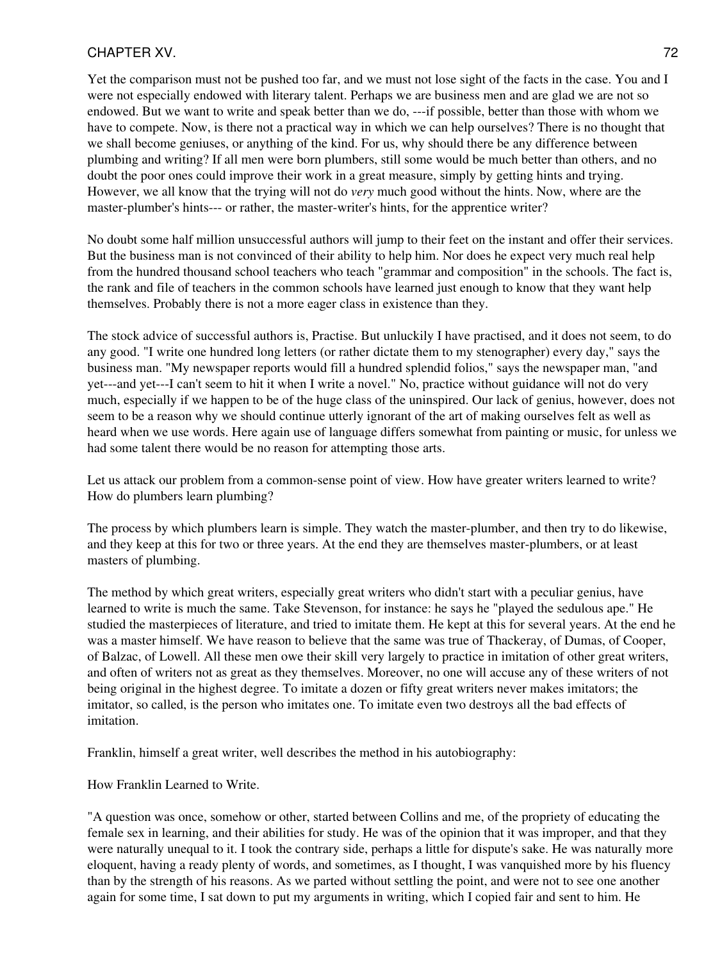Yet the comparison must not be pushed too far, and we must not lose sight of the facts in the case. You and I were not especially endowed with literary talent. Perhaps we are business men and are glad we are not so endowed. But we want to write and speak better than we do, ---if possible, better than those with whom we have to compete. Now, is there not a practical way in which we can help ourselves? There is no thought that we shall become geniuses, or anything of the kind. For us, why should there be any difference between plumbing and writing? If all men were born plumbers, still some would be much better than others, and no doubt the poor ones could improve their work in a great measure, simply by getting hints and trying. However, we all know that the trying will not do *very* much good without the hints. Now, where are the master-plumber's hints--- or rather, the master-writer's hints, for the apprentice writer?

No doubt some half million unsuccessful authors will jump to their feet on the instant and offer their services. But the business man is not convinced of their ability to help him. Nor does he expect very much real help from the hundred thousand school teachers who teach "grammar and composition" in the schools. The fact is, the rank and file of teachers in the common schools have learned just enough to know that they want help themselves. Probably there is not a more eager class in existence than they.

The stock advice of successful authors is, Practise. But unluckily I have practised, and it does not seem, to do any good. "I write one hundred long letters (or rather dictate them to my stenographer) every day," says the business man. "My newspaper reports would fill a hundred splendid folios," says the newspaper man, "and yet---and yet---I can't seem to hit it when I write a novel." No, practice without guidance will not do very much, especially if we happen to be of the huge class of the uninspired. Our lack of genius, however, does not seem to be a reason why we should continue utterly ignorant of the art of making ourselves felt as well as heard when we use words. Here again use of language differs somewhat from painting or music, for unless we had some talent there would be no reason for attempting those arts.

Let us attack our problem from a common-sense point of view. How have greater writers learned to write? How do plumbers learn plumbing?

The process by which plumbers learn is simple. They watch the master-plumber, and then try to do likewise, and they keep at this for two or three years. At the end they are themselves master-plumbers, or at least masters of plumbing.

The method by which great writers, especially great writers who didn't start with a peculiar genius, have learned to write is much the same. Take Stevenson, for instance: he says he "played the sedulous ape." He studied the masterpieces of literature, and tried to imitate them. He kept at this for several years. At the end he was a master himself. We have reason to believe that the same was true of Thackeray, of Dumas, of Cooper, of Balzac, of Lowell. All these men owe their skill very largely to practice in imitation of other great writers, and often of writers not as great as they themselves. Moreover, no one will accuse any of these writers of not being original in the highest degree. To imitate a dozen or fifty great writers never makes imitators; the imitator, so called, is the person who imitates one. To imitate even two destroys all the bad effects of imitation.

Franklin, himself a great writer, well describes the method in his autobiography:

How Franklin Learned to Write.

"A question was once, somehow or other, started between Collins and me, of the propriety of educating the female sex in learning, and their abilities for study. He was of the opinion that it was improper, and that they were naturally unequal to it. I took the contrary side, perhaps a little for dispute's sake. He was naturally more eloquent, having a ready plenty of words, and sometimes, as I thought, I was vanquished more by his fluency than by the strength of his reasons. As we parted without settling the point, and were not to see one another again for some time, I sat down to put my arguments in writing, which I copied fair and sent to him. He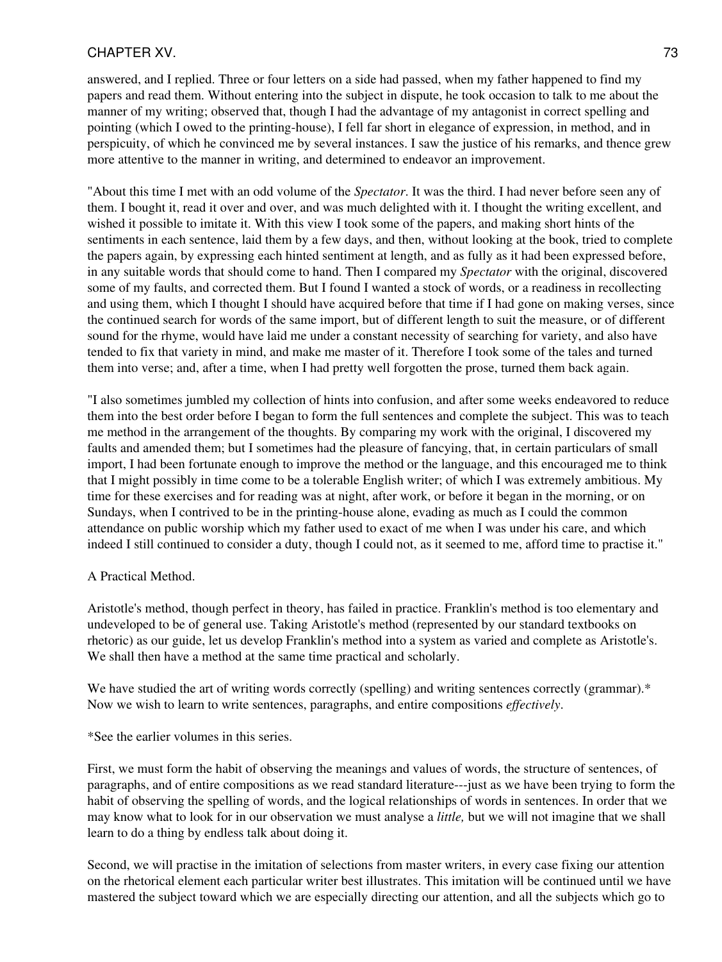answered, and I replied. Three or four letters on a side had passed, when my father happened to find my papers and read them. Without entering into the subject in dispute, he took occasion to talk to me about the manner of my writing; observed that, though I had the advantage of my antagonist in correct spelling and pointing (which I owed to the printing-house), I fell far short in elegance of expression, in method, and in perspicuity, of which he convinced me by several instances. I saw the justice of his remarks, and thence grew more attentive to the manner in writing, and determined to endeavor an improvement.

"About this time I met with an odd volume of the *Spectator*. It was the third. I had never before seen any of them. I bought it, read it over and over, and was much delighted with it. I thought the writing excellent, and wished it possible to imitate it. With this view I took some of the papers, and making short hints of the sentiments in each sentence, laid them by a few days, and then, without looking at the book, tried to complete the papers again, by expressing each hinted sentiment at length, and as fully as it had been expressed before, in any suitable words that should come to hand. Then I compared my *Spectator* with the original, discovered some of my faults, and corrected them. But I found I wanted a stock of words, or a readiness in recollecting and using them, which I thought I should have acquired before that time if I had gone on making verses, since the continued search for words of the same import, but of different length to suit the measure, or of different sound for the rhyme, would have laid me under a constant necessity of searching for variety, and also have tended to fix that variety in mind, and make me master of it. Therefore I took some of the tales and turned them into verse; and, after a time, when I had pretty well forgotten the prose, turned them back again.

"I also sometimes jumbled my collection of hints into confusion, and after some weeks endeavored to reduce them into the best order before I began to form the full sentences and complete the subject. This was to teach me method in the arrangement of the thoughts. By comparing my work with the original, I discovered my faults and amended them; but I sometimes had the pleasure of fancying, that, in certain particulars of small import, I had been fortunate enough to improve the method or the language, and this encouraged me to think that I might possibly in time come to be a tolerable English writer; of which I was extremely ambitious. My time for these exercises and for reading was at night, after work, or before it began in the morning, or on Sundays, when I contrived to be in the printing-house alone, evading as much as I could the common attendance on public worship which my father used to exact of me when I was under his care, and which indeed I still continued to consider a duty, though I could not, as it seemed to me, afford time to practise it."

### A Practical Method.

Aristotle's method, though perfect in theory, has failed in practice. Franklin's method is too elementary and undeveloped to be of general use. Taking Aristotle's method (represented by our standard textbooks on rhetoric) as our guide, let us develop Franklin's method into a system as varied and complete as Aristotle's. We shall then have a method at the same time practical and scholarly.

We have studied the art of writing words correctly (spelling) and writing sentences correctly (grammar).\* Now we wish to learn to write sentences, paragraphs, and entire compositions *effectively*.

\*See the earlier volumes in this series.

First, we must form the habit of observing the meanings and values of words, the structure of sentences, of paragraphs, and of entire compositions as we read standard literature---just as we have been trying to form the habit of observing the spelling of words, and the logical relationships of words in sentences. In order that we may know what to look for in our observation we must analyse a *little,* but we will not imagine that we shall learn to do a thing by endless talk about doing it.

Second, we will practise in the imitation of selections from master writers, in every case fixing our attention on the rhetorical element each particular writer best illustrates. This imitation will be continued until we have mastered the subject toward which we are especially directing our attention, and all the subjects which go to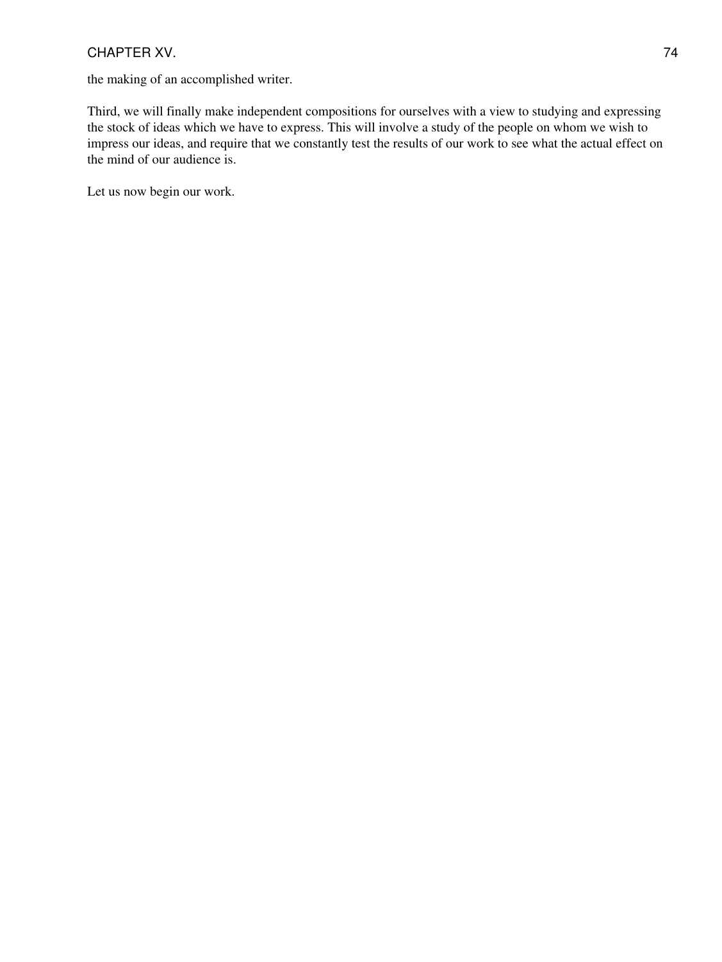the making of an accomplished writer.

Third, we will finally make independent compositions for ourselves with a view to studying and expressing the stock of ideas which we have to express. This will involve a study of the people on whom we wish to impress our ideas, and require that we constantly test the results of our work to see what the actual effect on the mind of our audience is.

Let us now begin our work.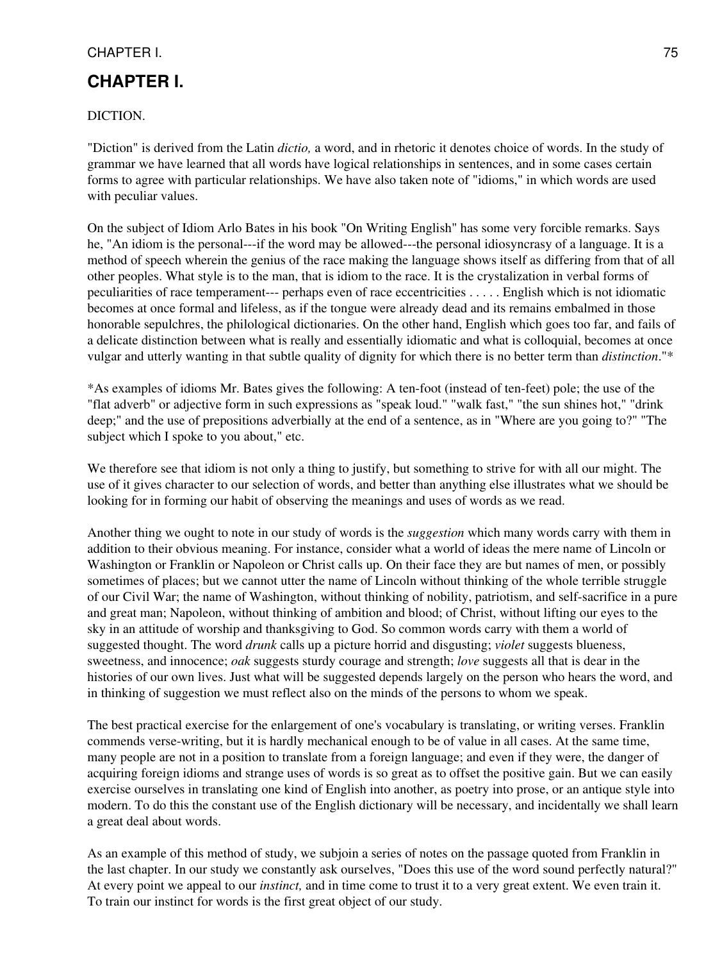# **CHAPTER I.**

# DICTION.

"Diction" is derived from the Latin *dictio,* a word, and in rhetoric it denotes choice of words. In the study of grammar we have learned that all words have logical relationships in sentences, and in some cases certain forms to agree with particular relationships. We have also taken note of "idioms," in which words are used with peculiar values.

On the subject of Idiom Arlo Bates in his book "On Writing English" has some very forcible remarks. Says he, "An idiom is the personal---if the word may be allowed---the personal idiosyncrasy of a language. It is a method of speech wherein the genius of the race making the language shows itself as differing from that of all other peoples. What style is to the man, that is idiom to the race. It is the crystalization in verbal forms of peculiarities of race temperament--- perhaps even of race eccentricities . . . . . English which is not idiomatic becomes at once formal and lifeless, as if the tongue were already dead and its remains embalmed in those honorable sepulchres, the philological dictionaries. On the other hand, English which goes too far, and fails of a delicate distinction between what is really and essentially idiomatic and what is colloquial, becomes at once vulgar and utterly wanting in that subtle quality of dignity for which there is no better term than *distinction*."\*

\*As examples of idioms Mr. Bates gives the following: A ten-foot (instead of ten-feet) pole; the use of the "flat adverb" or adjective form in such expressions as "speak loud." "walk fast," "the sun shines hot," "drink deep;" and the use of prepositions adverbially at the end of a sentence, as in "Where are you going to?" "The subject which I spoke to you about," etc.

We therefore see that idiom is not only a thing to justify, but something to strive for with all our might. The use of it gives character to our selection of words, and better than anything else illustrates what we should be looking for in forming our habit of observing the meanings and uses of words as we read.

Another thing we ought to note in our study of words is the *suggestion* which many words carry with them in addition to their obvious meaning. For instance, consider what a world of ideas the mere name of Lincoln or Washington or Franklin or Napoleon or Christ calls up. On their face they are but names of men, or possibly sometimes of places; but we cannot utter the name of Lincoln without thinking of the whole terrible struggle of our Civil War; the name of Washington, without thinking of nobility, patriotism, and self-sacrifice in a pure and great man; Napoleon, without thinking of ambition and blood; of Christ, without lifting our eyes to the sky in an attitude of worship and thanksgiving to God. So common words carry with them a world of suggested thought. The word *drunk* calls up a picture horrid and disgusting; *violet* suggests blueness, sweetness, and innocence; *oak* suggests sturdy courage and strength; *love* suggests all that is dear in the histories of our own lives. Just what will be suggested depends largely on the person who hears the word, and in thinking of suggestion we must reflect also on the minds of the persons to whom we speak.

The best practical exercise for the enlargement of one's vocabulary is translating, or writing verses. Franklin commends verse-writing, but it is hardly mechanical enough to be of value in all cases. At the same time, many people are not in a position to translate from a foreign language; and even if they were, the danger of acquiring foreign idioms and strange uses of words is so great as to offset the positive gain. But we can easily exercise ourselves in translating one kind of English into another, as poetry into prose, or an antique style into modern. To do this the constant use of the English dictionary will be necessary, and incidentally we shall learn a great deal about words.

As an example of this method of study, we subjoin a series of notes on the passage quoted from Franklin in the last chapter. In our study we constantly ask ourselves, "Does this use of the word sound perfectly natural?" At every point we appeal to our *instinct,* and in time come to trust it to a very great extent. We even train it. To train our instinct for words is the first great object of our study.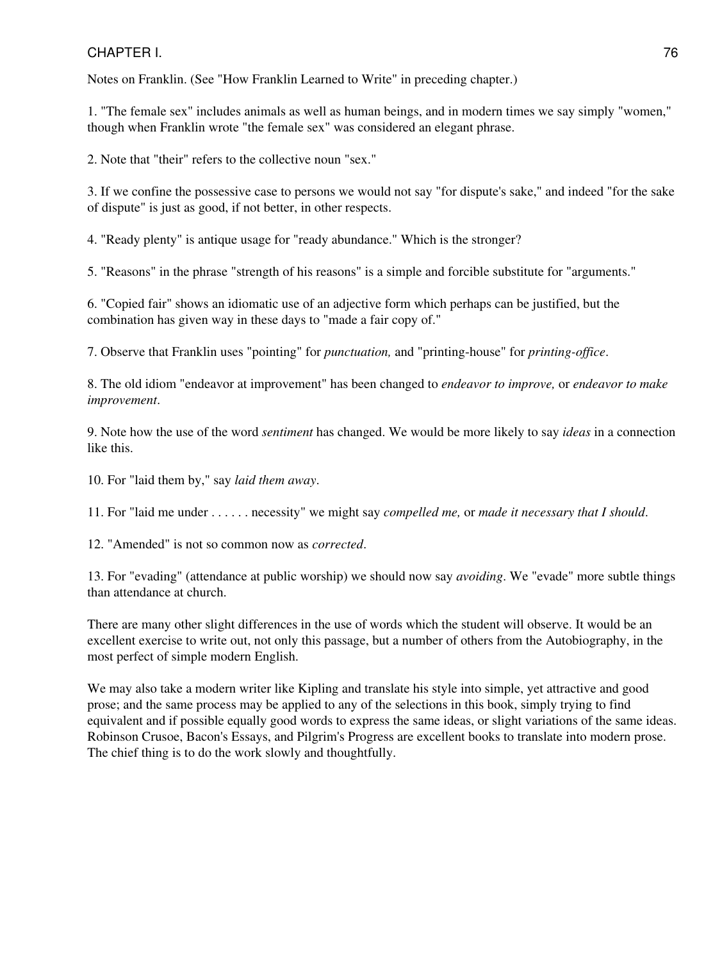# CHAPTER I. 26 and 20 and 20 and 20 and 20 and 20 and 20 and 20 and 20 and 20 and 20 and 20 and 20 and 20 and 20 and 20 and 20 and 20 and 20 and 20 and 20 and 20 and 20 and 20 and 20 and 20 and 20 and 20 and 20 and 20 and 2

Notes on Franklin. (See "How Franklin Learned to Write" in preceding chapter.)

1. "The female sex" includes animals as well as human beings, and in modern times we say simply "women," though when Franklin wrote "the female sex" was considered an elegant phrase.

2. Note that "their" refers to the collective noun "sex."

3. If we confine the possessive case to persons we would not say "for dispute's sake," and indeed "for the sake of dispute" is just as good, if not better, in other respects.

4. "Ready plenty" is antique usage for "ready abundance." Which is the stronger?

5. "Reasons" in the phrase "strength of his reasons" is a simple and forcible substitute for "arguments."

6. "Copied fair" shows an idiomatic use of an adjective form which perhaps can be justified, but the combination has given way in these days to "made a fair copy of."

7. Observe that Franklin uses "pointing" for *punctuation,* and "printing-house" for *printing-office*.

8. The old idiom "endeavor at improvement" has been changed to *endeavor to improve,* or *endeavor to make improvement*.

9. Note how the use of the word *sentiment* has changed. We would be more likely to say *ideas* in a connection like this.

10. For "laid them by," say *laid them away*.

11. For "laid me under . . . . . . necessity" we might say *compelled me,* or *made it necessary that I should*.

12. "Amended" is not so common now as *corrected*.

13. For "evading" (attendance at public worship) we should now say *avoiding*. We "evade" more subtle things than attendance at church.

There are many other slight differences in the use of words which the student will observe. It would be an excellent exercise to write out, not only this passage, but a number of others from the Autobiography, in the most perfect of simple modern English.

We may also take a modern writer like Kipling and translate his style into simple, yet attractive and good prose; and the same process may be applied to any of the selections in this book, simply trying to find equivalent and if possible equally good words to express the same ideas, or slight variations of the same ideas. Robinson Crusoe, Bacon's Essays, and Pilgrim's Progress are excellent books to translate into modern prose. The chief thing is to do the work slowly and thoughtfully.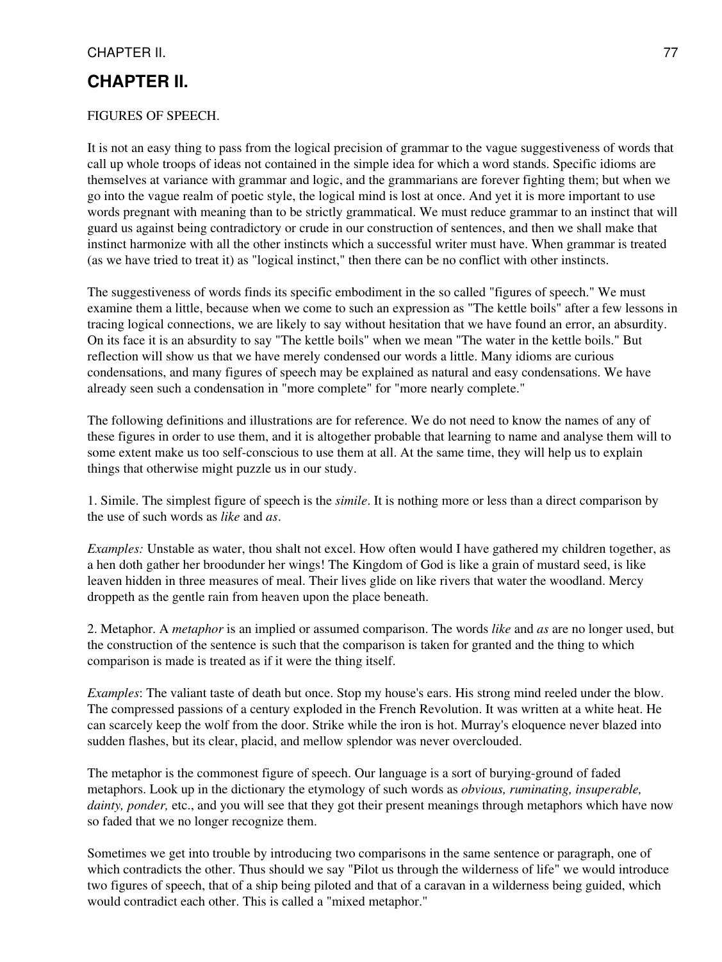# **CHAPTER II.**

### FIGURES OF SPEECH.

It is not an easy thing to pass from the logical precision of grammar to the vague suggestiveness of words that call up whole troops of ideas not contained in the simple idea for which a word stands. Specific idioms are themselves at variance with grammar and logic, and the grammarians are forever fighting them; but when we go into the vague realm of poetic style, the logical mind is lost at once. And yet it is more important to use words pregnant with meaning than to be strictly grammatical. We must reduce grammar to an instinct that will guard us against being contradictory or crude in our construction of sentences, and then we shall make that instinct harmonize with all the other instincts which a successful writer must have. When grammar is treated (as we have tried to treat it) as "logical instinct," then there can be no conflict with other instincts.

The suggestiveness of words finds its specific embodiment in the so called "figures of speech." We must examine them a little, because when we come to such an expression as "The kettle boils" after a few lessons in tracing logical connections, we are likely to say without hesitation that we have found an error, an absurdity. On its face it is an absurdity to say "The kettle boils" when we mean "The water in the kettle boils." But reflection will show us that we have merely condensed our words a little. Many idioms are curious condensations, and many figures of speech may be explained as natural and easy condensations. We have already seen such a condensation in "more complete" for "more nearly complete."

The following definitions and illustrations are for reference. We do not need to know the names of any of these figures in order to use them, and it is altogether probable that learning to name and analyse them will to some extent make us too self-conscious to use them at all. At the same time, they will help us to explain things that otherwise might puzzle us in our study.

1. Simile. The simplest figure of speech is the *simile*. It is nothing more or less than a direct comparison by the use of such words as *like* and *as*.

*Examples:* Unstable as water, thou shalt not excel. How often would I have gathered my children together, as a hen doth gather her broodunder her wings! The Kingdom of God is like a grain of mustard seed, is like leaven hidden in three measures of meal. Their lives glide on like rivers that water the woodland. Mercy droppeth as the gentle rain from heaven upon the place beneath.

2. Metaphor. A *metaphor* is an implied or assumed comparison. The words *like* and *as* are no longer used, but the construction of the sentence is such that the comparison is taken for granted and the thing to which comparison is made is treated as if it were the thing itself.

*Examples*: The valiant taste of death but once. Stop my house's ears. His strong mind reeled under the blow. The compressed passions of a century exploded in the French Revolution. It was written at a white heat. He can scarcely keep the wolf from the door. Strike while the iron is hot. Murray's eloquence never blazed into sudden flashes, but its clear, placid, and mellow splendor was never overclouded.

The metaphor is the commonest figure of speech. Our language is a sort of burying-ground of faded metaphors. Look up in the dictionary the etymology of such words as *obvious, ruminating, insuperable, dainty, ponder,* etc., and you will see that they got their present meanings through metaphors which have now so faded that we no longer recognize them.

Sometimes we get into trouble by introducing two comparisons in the same sentence or paragraph, one of which contradicts the other. Thus should we say "Pilot us through the wilderness of life" we would introduce two figures of speech, that of a ship being piloted and that of a caravan in a wilderness being guided, which would contradict each other. This is called a "mixed metaphor."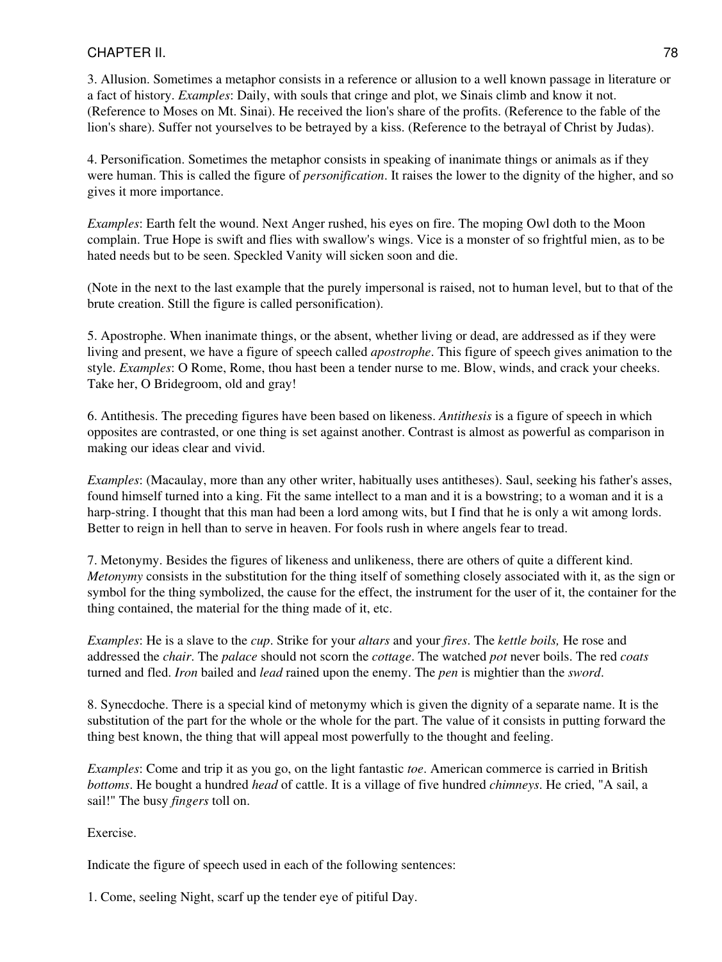# CHAPTER II. 28 and 20 and 20 and 20 and 20 and 20 and 20 and 20 and 20 and 20 and 20 and 20 and 20 and 20 and 20 and 20 and 20 and 20 and 20 and 20 and 20 and 20 and 20 and 20 and 20 and 20 and 20 and 20 and 20 and 20 and

3. Allusion. Sometimes a metaphor consists in a reference or allusion to a well known passage in literature or a fact of history. *Examples*: Daily, with souls that cringe and plot, we Sinais climb and know it not. (Reference to Moses on Mt. Sinai). He received the lion's share of the profits. (Reference to the fable of the lion's share). Suffer not yourselves to be betrayed by a kiss. (Reference to the betrayal of Christ by Judas).

4. Personification. Sometimes the metaphor consists in speaking of inanimate things or animals as if they were human. This is called the figure of *personification*. It raises the lower to the dignity of the higher, and so gives it more importance.

*Examples*: Earth felt the wound. Next Anger rushed, his eyes on fire. The moping Owl doth to the Moon complain. True Hope is swift and flies with swallow's wings. Vice is a monster of so frightful mien, as to be hated needs but to be seen. Speckled Vanity will sicken soon and die.

(Note in the next to the last example that the purely impersonal is raised, not to human level, but to that of the brute creation. Still the figure is called personification).

5. Apostrophe. When inanimate things, or the absent, whether living or dead, are addressed as if they were living and present, we have a figure of speech called *apostrophe*. This figure of speech gives animation to the style. *Examples*: O Rome, Rome, thou hast been a tender nurse to me. Blow, winds, and crack your cheeks. Take her, O Bridegroom, old and gray!

6. Antithesis. The preceding figures have been based on likeness. *Antithesis* is a figure of speech in which opposites are contrasted, or one thing is set against another. Contrast is almost as powerful as comparison in making our ideas clear and vivid.

*Examples*: (Macaulay, more than any other writer, habitually uses antitheses). Saul, seeking his father's asses, found himself turned into a king. Fit the same intellect to a man and it is a bowstring; to a woman and it is a harp-string. I thought that this man had been a lord among wits, but I find that he is only a wit among lords. Better to reign in hell than to serve in heaven. For fools rush in where angels fear to tread.

7. Metonymy. Besides the figures of likeness and unlikeness, there are others of quite a different kind. *Metonymy* consists in the substitution for the thing itself of something closely associated with it, as the sign or symbol for the thing symbolized, the cause for the effect, the instrument for the user of it, the container for the thing contained, the material for the thing made of it, etc.

*Examples*: He is a slave to the *cup*. Strike for your *altars* and your *fires*. The *kettle boils,* He rose and addressed the *chair*. The *palace* should not scorn the *cottage*. The watched *pot* never boils. The red *coats* turned and fled. *Iron* bailed and *lead* rained upon the enemy. The *pen* is mightier than the *sword*.

8. Synecdoche. There is a special kind of metonymy which is given the dignity of a separate name. It is the substitution of the part for the whole or the whole for the part. The value of it consists in putting forward the thing best known, the thing that will appeal most powerfully to the thought and feeling.

*Examples*: Come and trip it as you go, on the light fantastic *toe*. American commerce is carried in British *bottoms*. He bought a hundred *head* of cattle. It is a village of five hundred *chimneys*. He cried, "A sail, a sail!" The busy *fingers* toll on.

Exercise.

Indicate the figure of speech used in each of the following sentences:

1. Come, seeling Night, scarf up the tender eye of pitiful Day.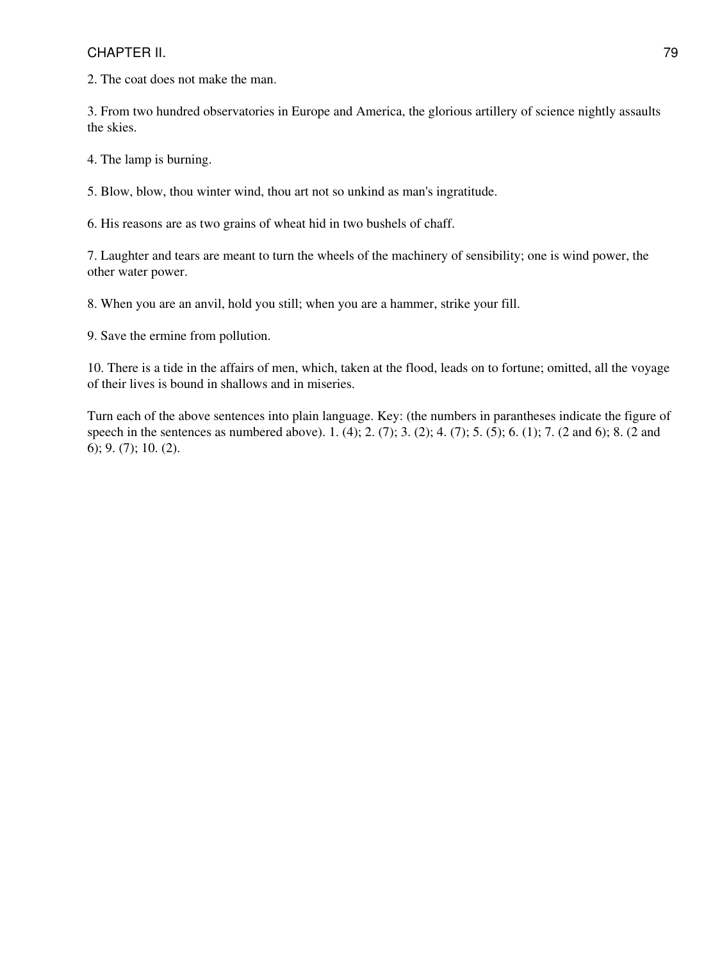2. The coat does not make the man.

3. From two hundred observatories in Europe and America, the glorious artillery of science nightly assaults the skies.

4. The lamp is burning.

5. Blow, blow, thou winter wind, thou art not so unkind as man's ingratitude.

6. His reasons are as two grains of wheat hid in two bushels of chaff.

7. Laughter and tears are meant to turn the wheels of the machinery of sensibility; one is wind power, the other water power.

8. When you are an anvil, hold you still; when you are a hammer, strike your fill.

9. Save the ermine from pollution.

10. There is a tide in the affairs of men, which, taken at the flood, leads on to fortune; omitted, all the voyage of their lives is bound in shallows and in miseries.

Turn each of the above sentences into plain language. Key: (the numbers in parantheses indicate the figure of speech in the sentences as numbered above). 1. (4); 2. (7); 3. (2); 4. (7); 5. (5); 6. (1); 7. (2 and 6); 8. (2 and 6); 9. (7); 10. (2).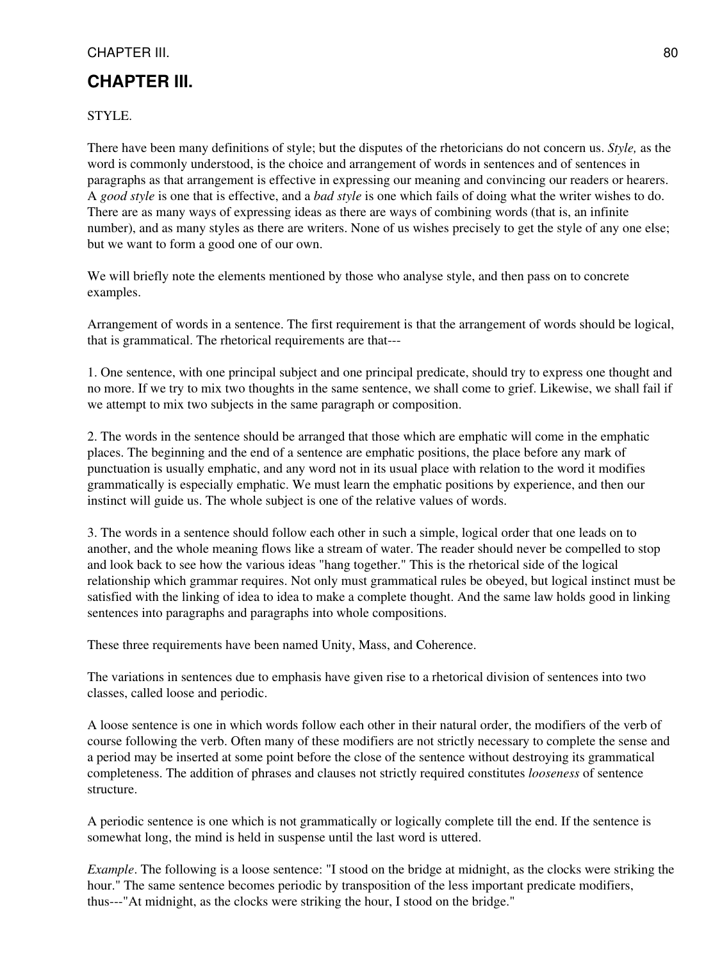# **CHAPTER III.**

# STYLE.

There have been many definitions of style; but the disputes of the rhetoricians do not concern us. *Style,* as the word is commonly understood, is the choice and arrangement of words in sentences and of sentences in paragraphs as that arrangement is effective in expressing our meaning and convincing our readers or hearers. A *good style* is one that is effective, and a *bad style* is one which fails of doing what the writer wishes to do. There are as many ways of expressing ideas as there are ways of combining words (that is, an infinite number), and as many styles as there are writers. None of us wishes precisely to get the style of any one else; but we want to form a good one of our own.

We will briefly note the elements mentioned by those who analyse style, and then pass on to concrete examples.

Arrangement of words in a sentence. The first requirement is that the arrangement of words should be logical, that is grammatical. The rhetorical requirements are that---

1. One sentence, with one principal subject and one principal predicate, should try to express one thought and no more. If we try to mix two thoughts in the same sentence, we shall come to grief. Likewise, we shall fail if we attempt to mix two subjects in the same paragraph or composition.

2. The words in the sentence should be arranged that those which are emphatic will come in the emphatic places. The beginning and the end of a sentence are emphatic positions, the place before any mark of punctuation is usually emphatic, and any word not in its usual place with relation to the word it modifies grammatically is especially emphatic. We must learn the emphatic positions by experience, and then our instinct will guide us. The whole subject is one of the relative values of words.

3. The words in a sentence should follow each other in such a simple, logical order that one leads on to another, and the whole meaning flows like a stream of water. The reader should never be compelled to stop and look back to see how the various ideas "hang together." This is the rhetorical side of the logical relationship which grammar requires. Not only must grammatical rules be obeyed, but logical instinct must be satisfied with the linking of idea to idea to make a complete thought. And the same law holds good in linking sentences into paragraphs and paragraphs into whole compositions.

These three requirements have been named Unity, Mass, and Coherence.

The variations in sentences due to emphasis have given rise to a rhetorical division of sentences into two classes, called loose and periodic.

A loose sentence is one in which words follow each other in their natural order, the modifiers of the verb of course following the verb. Often many of these modifiers are not strictly necessary to complete the sense and a period may be inserted at some point before the close of the sentence without destroying its grammatical completeness. The addition of phrases and clauses not strictly required constitutes *looseness* of sentence structure.

A periodic sentence is one which is not grammatically or logically complete till the end. If the sentence is somewhat long, the mind is held in suspense until the last word is uttered.

*Example*. The following is a loose sentence: "I stood on the bridge at midnight, as the clocks were striking the hour." The same sentence becomes periodic by transposition of the less important predicate modifiers, thus---"At midnight, as the clocks were striking the hour, I stood on the bridge."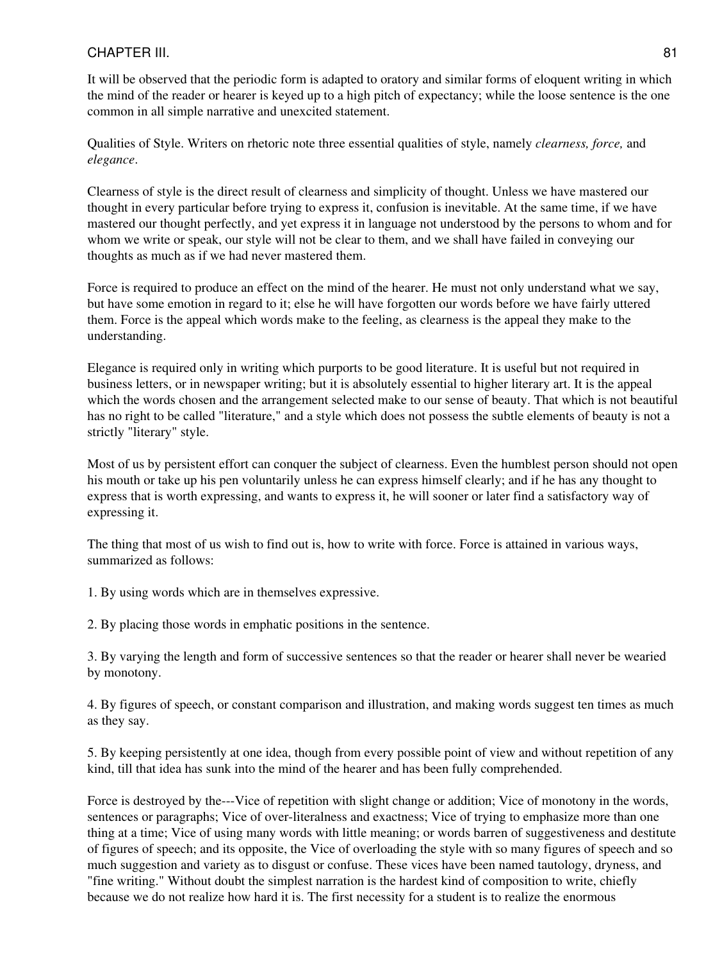It will be observed that the periodic form is adapted to oratory and similar forms of eloquent writing in which the mind of the reader or hearer is keyed up to a high pitch of expectancy; while the loose sentence is the one common in all simple narrative and unexcited statement.

Qualities of Style. Writers on rhetoric note three essential qualities of style, namely *clearness, force,* and *elegance*.

Clearness of style is the direct result of clearness and simplicity of thought. Unless we have mastered our thought in every particular before trying to express it, confusion is inevitable. At the same time, if we have mastered our thought perfectly, and yet express it in language not understood by the persons to whom and for whom we write or speak, our style will not be clear to them, and we shall have failed in conveying our thoughts as much as if we had never mastered them.

Force is required to produce an effect on the mind of the hearer. He must not only understand what we say, but have some emotion in regard to it; else he will have forgotten our words before we have fairly uttered them. Force is the appeal which words make to the feeling, as clearness is the appeal they make to the understanding.

Elegance is required only in writing which purports to be good literature. It is useful but not required in business letters, or in newspaper writing; but it is absolutely essential to higher literary art. It is the appeal which the words chosen and the arrangement selected make to our sense of beauty. That which is not beautiful has no right to be called "literature," and a style which does not possess the subtle elements of beauty is not a strictly "literary" style.

Most of us by persistent effort can conquer the subject of clearness. Even the humblest person should not open his mouth or take up his pen voluntarily unless he can express himself clearly; and if he has any thought to express that is worth expressing, and wants to express it, he will sooner or later find a satisfactory way of expressing it.

The thing that most of us wish to find out is, how to write with force. Force is attained in various ways, summarized as follows:

1. By using words which are in themselves expressive.

2. By placing those words in emphatic positions in the sentence.

3. By varying the length and form of successive sentences so that the reader or hearer shall never be wearied by monotony.

4. By figures of speech, or constant comparison and illustration, and making words suggest ten times as much as they say.

5. By keeping persistently at one idea, though from every possible point of view and without repetition of any kind, till that idea has sunk into the mind of the hearer and has been fully comprehended.

Force is destroyed by the---Vice of repetition with slight change or addition; Vice of monotony in the words, sentences or paragraphs; Vice of over-literalness and exactness; Vice of trying to emphasize more than one thing at a time; Vice of using many words with little meaning; or words barren of suggestiveness and destitute of figures of speech; and its opposite, the Vice of overloading the style with so many figures of speech and so much suggestion and variety as to disgust or confuse. These vices have been named tautology, dryness, and "fine writing." Without doubt the simplest narration is the hardest kind of composition to write, chiefly because we do not realize how hard it is. The first necessity for a student is to realize the enormous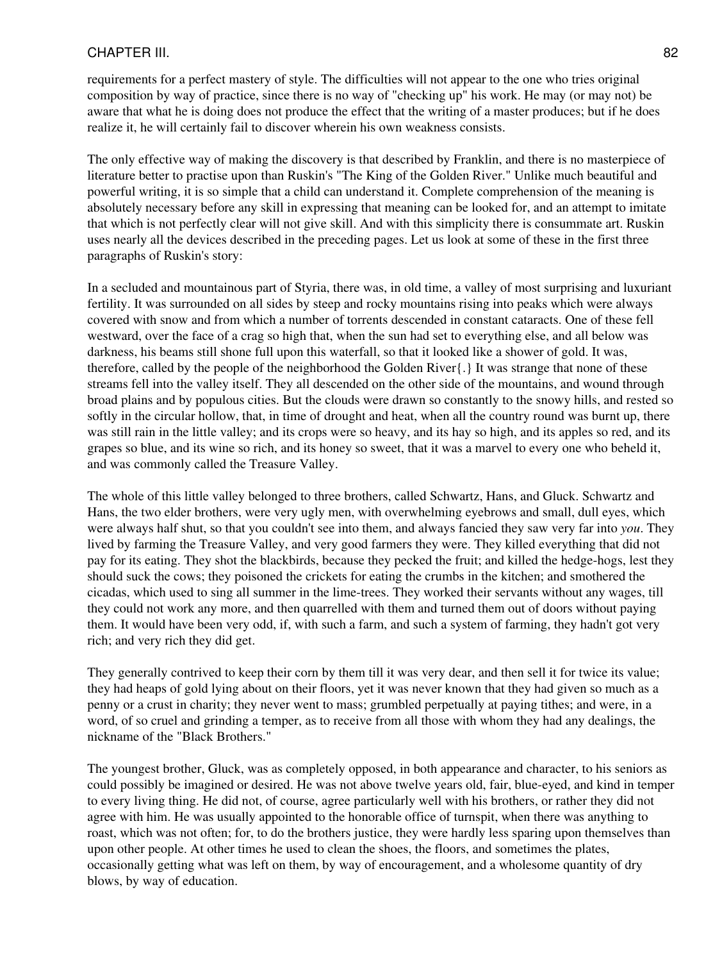requirements for a perfect mastery of style. The difficulties will not appear to the one who tries original composition by way of practice, since there is no way of "checking up" his work. He may (or may not) be aware that what he is doing does not produce the effect that the writing of a master produces; but if he does realize it, he will certainly fail to discover wherein his own weakness consists.

The only effective way of making the discovery is that described by Franklin, and there is no masterpiece of literature better to practise upon than Ruskin's "The King of the Golden River." Unlike much beautiful and powerful writing, it is so simple that a child can understand it. Complete comprehension of the meaning is absolutely necessary before any skill in expressing that meaning can be looked for, and an attempt to imitate that which is not perfectly clear will not give skill. And with this simplicity there is consummate art. Ruskin uses nearly all the devices described in the preceding pages. Let us look at some of these in the first three paragraphs of Ruskin's story:

In a secluded and mountainous part of Styria, there was, in old time, a valley of most surprising and luxuriant fertility. It was surrounded on all sides by steep and rocky mountains rising into peaks which were always covered with snow and from which a number of torrents descended in constant cataracts. One of these fell westward, over the face of a crag so high that, when the sun had set to everything else, and all below was darkness, his beams still shone full upon this waterfall, so that it looked like a shower of gold. It was, therefore, called by the people of the neighborhood the Golden River{.} It was strange that none of these streams fell into the valley itself. They all descended on the other side of the mountains, and wound through broad plains and by populous cities. But the clouds were drawn so constantly to the snowy hills, and rested so softly in the circular hollow, that, in time of drought and heat, when all the country round was burnt up, there was still rain in the little valley; and its crops were so heavy, and its hay so high, and its apples so red, and its grapes so blue, and its wine so rich, and its honey so sweet, that it was a marvel to every one who beheld it, and was commonly called the Treasure Valley.

The whole of this little valley belonged to three brothers, called Schwartz, Hans, and Gluck. Schwartz and Hans, the two elder brothers, were very ugly men, with overwhelming eyebrows and small, dull eyes, which were always half shut, so that you couldn't see into them, and always fancied they saw very far into *you*. They lived by farming the Treasure Valley, and very good farmers they were. They killed everything that did not pay for its eating. They shot the blackbirds, because they pecked the fruit; and killed the hedge-hogs, lest they should suck the cows; they poisoned the crickets for eating the crumbs in the kitchen; and smothered the cicadas, which used to sing all summer in the lime-trees. They worked their servants without any wages, till they could not work any more, and then quarrelled with them and turned them out of doors without paying them. It would have been very odd, if, with such a farm, and such a system of farming, they hadn't got very rich; and very rich they did get.

They generally contrived to keep their corn by them till it was very dear, and then sell it for twice its value; they had heaps of gold lying about on their floors, yet it was never known that they had given so much as a penny or a crust in charity; they never went to mass; grumbled perpetually at paying tithes; and were, in a word, of so cruel and grinding a temper, as to receive from all those with whom they had any dealings, the nickname of the "Black Brothers."

The youngest brother, Gluck, was as completely opposed, in both appearance and character, to his seniors as could possibly be imagined or desired. He was not above twelve years old, fair, blue-eyed, and kind in temper to every living thing. He did not, of course, agree particularly well with his brothers, or rather they did not agree with him. He was usually appointed to the honorable office of turnspit, when there was anything to roast, which was not often; for, to do the brothers justice, they were hardly less sparing upon themselves than upon other people. At other times he used to clean the shoes, the floors, and sometimes the plates, occasionally getting what was left on them, by way of encouragement, and a wholesome quantity of dry blows, by way of education.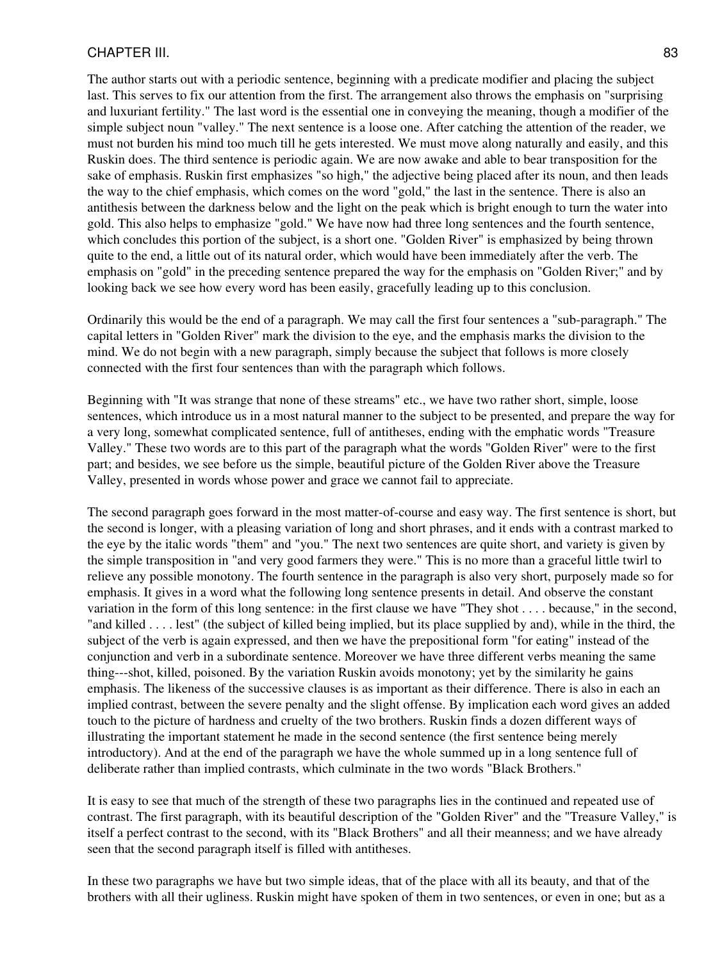The author starts out with a periodic sentence, beginning with a predicate modifier and placing the subject last. This serves to fix our attention from the first. The arrangement also throws the emphasis on "surprising and luxuriant fertility." The last word is the essential one in conveying the meaning, though a modifier of the simple subject noun "valley." The next sentence is a loose one. After catching the attention of the reader, we must not burden his mind too much till he gets interested. We must move along naturally and easily, and this Ruskin does. The third sentence is periodic again. We are now awake and able to bear transposition for the sake of emphasis. Ruskin first emphasizes "so high," the adjective being placed after its noun, and then leads the way to the chief emphasis, which comes on the word "gold," the last in the sentence. There is also an antithesis between the darkness below and the light on the peak which is bright enough to turn the water into gold. This also helps to emphasize "gold." We have now had three long sentences and the fourth sentence, which concludes this portion of the subject, is a short one. "Golden River" is emphasized by being thrown quite to the end, a little out of its natural order, which would have been immediately after the verb. The emphasis on "gold" in the preceding sentence prepared the way for the emphasis on "Golden River;" and by looking back we see how every word has been easily, gracefully leading up to this conclusion.

Ordinarily this would be the end of a paragraph. We may call the first four sentences a "sub-paragraph." The capital letters in "Golden River" mark the division to the eye, and the emphasis marks the division to the mind. We do not begin with a new paragraph, simply because the subject that follows is more closely connected with the first four sentences than with the paragraph which follows.

Beginning with "It was strange that none of these streams" etc., we have two rather short, simple, loose sentences, which introduce us in a most natural manner to the subject to be presented, and prepare the way for a very long, somewhat complicated sentence, full of antitheses, ending with the emphatic words "Treasure Valley." These two words are to this part of the paragraph what the words "Golden River" were to the first part; and besides, we see before us the simple, beautiful picture of the Golden River above the Treasure Valley, presented in words whose power and grace we cannot fail to appreciate.

The second paragraph goes forward in the most matter-of-course and easy way. The first sentence is short, but the second is longer, with a pleasing variation of long and short phrases, and it ends with a contrast marked to the eye by the italic words "them" and "you." The next two sentences are quite short, and variety is given by the simple transposition in "and very good farmers they were." This is no more than a graceful little twirl to relieve any possible monotony. The fourth sentence in the paragraph is also very short, purposely made so for emphasis. It gives in a word what the following long sentence presents in detail. And observe the constant variation in the form of this long sentence: in the first clause we have "They shot . . . . because," in the second, "and killed . . . . lest" (the subject of killed being implied, but its place supplied by and), while in the third, the subject of the verb is again expressed, and then we have the prepositional form "for eating" instead of the conjunction and verb in a subordinate sentence. Moreover we have three different verbs meaning the same thing---shot, killed, poisoned. By the variation Ruskin avoids monotony; yet by the similarity he gains emphasis. The likeness of the successive clauses is as important as their difference. There is also in each an implied contrast, between the severe penalty and the slight offense. By implication each word gives an added touch to the picture of hardness and cruelty of the two brothers. Ruskin finds a dozen different ways of illustrating the important statement he made in the second sentence (the first sentence being merely introductory). And at the end of the paragraph we have the whole summed up in a long sentence full of deliberate rather than implied contrasts, which culminate in the two words "Black Brothers."

It is easy to see that much of the strength of these two paragraphs lies in the continued and repeated use of contrast. The first paragraph, with its beautiful description of the "Golden River" and the "Treasure Valley," is itself a perfect contrast to the second, with its "Black Brothers" and all their meanness; and we have already seen that the second paragraph itself is filled with antitheses.

In these two paragraphs we have but two simple ideas, that of the place with all its beauty, and that of the brothers with all their ugliness. Ruskin might have spoken of them in two sentences, or even in one; but as a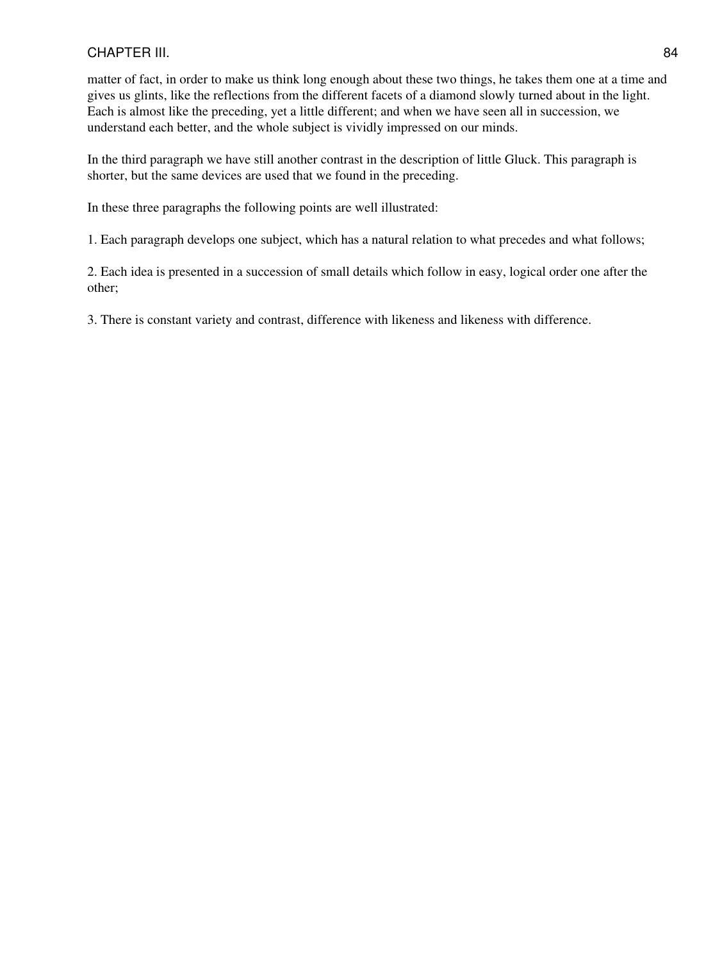matter of fact, in order to make us think long enough about these two things, he takes them one at a time and gives us glints, like the reflections from the different facets of a diamond slowly turned about in the light. Each is almost like the preceding, yet a little different; and when we have seen all in succession, we understand each better, and the whole subject is vividly impressed on our minds.

In the third paragraph we have still another contrast in the description of little Gluck. This paragraph is shorter, but the same devices are used that we found in the preceding.

In these three paragraphs the following points are well illustrated:

1. Each paragraph develops one subject, which has a natural relation to what precedes and what follows;

2. Each idea is presented in a succession of small details which follow in easy, logical order one after the other;

3. There is constant variety and contrast, difference with likeness and likeness with difference.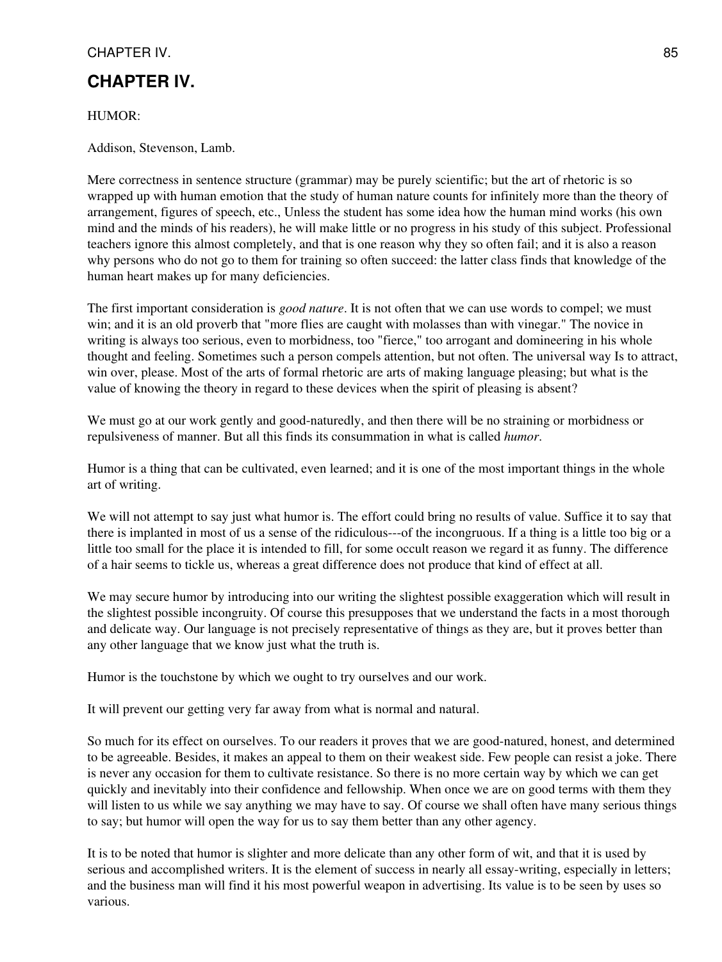# **CHAPTER IV.**

# HUMOR:

Addison, Stevenson, Lamb.

Mere correctness in sentence structure (grammar) may be purely scientific; but the art of rhetoric is so wrapped up with human emotion that the study of human nature counts for infinitely more than the theory of arrangement, figures of speech, etc., Unless the student has some idea how the human mind works (his own mind and the minds of his readers), he will make little or no progress in his study of this subject. Professional teachers ignore this almost completely, and that is one reason why they so often fail; and it is also a reason why persons who do not go to them for training so often succeed: the latter class finds that knowledge of the human heart makes up for many deficiencies.

The first important consideration is *good nature*. It is not often that we can use words to compel; we must win; and it is an old proverb that "more flies are caught with molasses than with vinegar." The novice in writing is always too serious, even to morbidness, too "fierce," too arrogant and domineering in his whole thought and feeling. Sometimes such a person compels attention, but not often. The universal way Is to attract, win over, please. Most of the arts of formal rhetoric are arts of making language pleasing; but what is the value of knowing the theory in regard to these devices when the spirit of pleasing is absent?

We must go at our work gently and good-naturedly, and then there will be no straining or morbidness or repulsiveness of manner. But all this finds its consummation in what is called *humor*.

Humor is a thing that can be cultivated, even learned; and it is one of the most important things in the whole art of writing.

We will not attempt to say just what humor is. The effort could bring no results of value. Suffice it to say that there is implanted in most of us a sense of the ridiculous---of the incongruous. If a thing is a little too big or a little too small for the place it is intended to fill, for some occult reason we regard it as funny. The difference of a hair seems to tickle us, whereas a great difference does not produce that kind of effect at all.

We may secure humor by introducing into our writing the slightest possible exaggeration which will result in the slightest possible incongruity. Of course this presupposes that we understand the facts in a most thorough and delicate way. Our language is not precisely representative of things as they are, but it proves better than any other language that we know just what the truth is.

Humor is the touchstone by which we ought to try ourselves and our work.

It will prevent our getting very far away from what is normal and natural.

So much for its effect on ourselves. To our readers it proves that we are good-natured, honest, and determined to be agreeable. Besides, it makes an appeal to them on their weakest side. Few people can resist a joke. There is never any occasion for them to cultivate resistance. So there is no more certain way by which we can get quickly and inevitably into their confidence and fellowship. When once we are on good terms with them they will listen to us while we say anything we may have to say. Of course we shall often have many serious things to say; but humor will open the way for us to say them better than any other agency.

It is to be noted that humor is slighter and more delicate than any other form of wit, and that it is used by serious and accomplished writers. It is the element of success in nearly all essay-writing, especially in letters; and the business man will find it his most powerful weapon in advertising. Its value is to be seen by uses so various.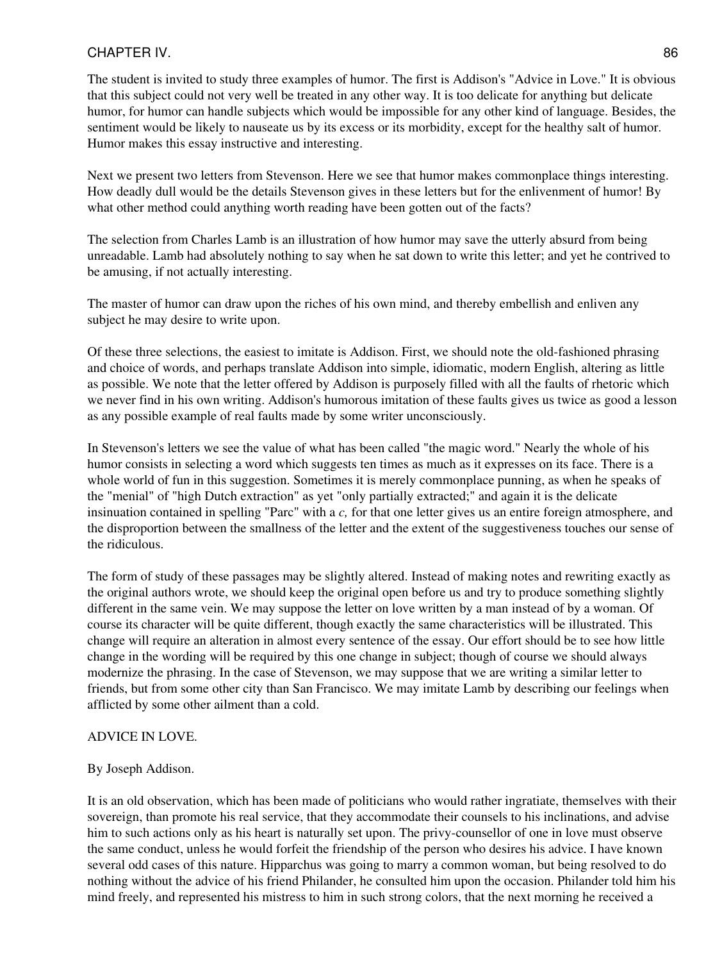The student is invited to study three examples of humor. The first is Addison's "Advice in Love." It is obvious that this subject could not very well be treated in any other way. It is too delicate for anything but delicate humor, for humor can handle subjects which would be impossible for any other kind of language. Besides, the sentiment would be likely to nauseate us by its excess or its morbidity, except for the healthy salt of humor. Humor makes this essay instructive and interesting.

Next we present two letters from Stevenson. Here we see that humor makes commonplace things interesting. How deadly dull would be the details Stevenson gives in these letters but for the enlivenment of humor! By what other method could anything worth reading have been gotten out of the facts?

The selection from Charles Lamb is an illustration of how humor may save the utterly absurd from being unreadable. Lamb had absolutely nothing to say when he sat down to write this letter; and yet he contrived to be amusing, if not actually interesting.

The master of humor can draw upon the riches of his own mind, and thereby embellish and enliven any subject he may desire to write upon.

Of these three selections, the easiest to imitate is Addison. First, we should note the old-fashioned phrasing and choice of words, and perhaps translate Addison into simple, idiomatic, modern English, altering as little as possible. We note that the letter offered by Addison is purposely filled with all the faults of rhetoric which we never find in his own writing. Addison's humorous imitation of these faults gives us twice as good a lesson as any possible example of real faults made by some writer unconsciously.

In Stevenson's letters we see the value of what has been called "the magic word." Nearly the whole of his humor consists in selecting a word which suggests ten times as much as it expresses on its face. There is a whole world of fun in this suggestion. Sometimes it is merely commonplace punning, as when he speaks of the "menial" of "high Dutch extraction" as yet "only partially extracted;" and again it is the delicate insinuation contained in spelling "Parc" with a *c,* for that one letter gives us an entire foreign atmosphere, and the disproportion between the smallness of the letter and the extent of the suggestiveness touches our sense of the ridiculous.

The form of study of these passages may be slightly altered. Instead of making notes and rewriting exactly as the original authors wrote, we should keep the original open before us and try to produce something slightly different in the same vein. We may suppose the letter on love written by a man instead of by a woman. Of course its character will be quite different, though exactly the same characteristics will be illustrated. This change will require an alteration in almost every sentence of the essay. Our effort should be to see how little change in the wording will be required by this one change in subject; though of course we should always modernize the phrasing. In the case of Stevenson, we may suppose that we are writing a similar letter to friends, but from some other city than San Francisco. We may imitate Lamb by describing our feelings when afflicted by some other ailment than a cold.

### ADVICE IN LOVE.

### By Joseph Addison.

It is an old observation, which has been made of politicians who would rather ingratiate, themselves with their sovereign, than promote his real service, that they accommodate their counsels to his inclinations, and advise him to such actions only as his heart is naturally set upon. The privy-counsellor of one in love must observe the same conduct, unless he would forfeit the friendship of the person who desires his advice. I have known several odd cases of this nature. Hipparchus was going to marry a common woman, but being resolved to do nothing without the advice of his friend Philander, he consulted him upon the occasion. Philander told him his mind freely, and represented his mistress to him in such strong colors, that the next morning he received a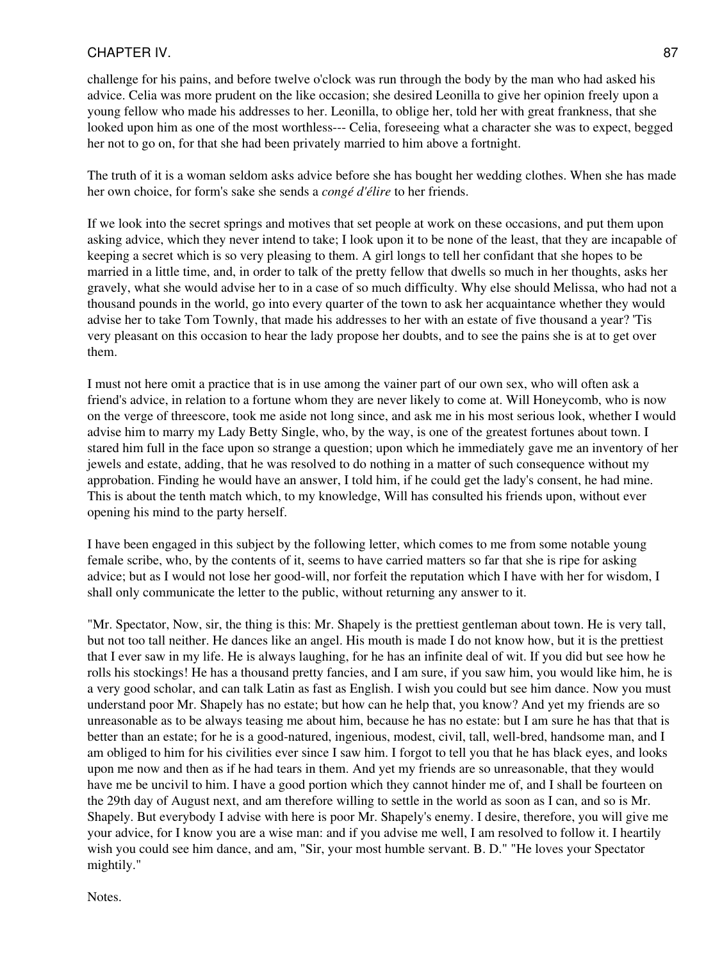challenge for his pains, and before twelve o'clock was run through the body by the man who had asked his advice. Celia was more prudent on the like occasion; she desired Leonilla to give her opinion freely upon a young fellow who made his addresses to her. Leonilla, to oblige her, told her with great frankness, that she looked upon him as one of the most worthless--- Celia, foreseeing what a character she was to expect, begged her not to go on, for that she had been privately married to him above a fortnight.

The truth of it is a woman seldom asks advice before she has bought her wedding clothes. When she has made her own choice, for form's sake she sends a *congé d'élire* to her friends.

If we look into the secret springs and motives that set people at work on these occasions, and put them upon asking advice, which they never intend to take; I look upon it to be none of the least, that they are incapable of keeping a secret which is so very pleasing to them. A girl longs to tell her confidant that she hopes to be married in a little time, and, in order to talk of the pretty fellow that dwells so much in her thoughts, asks her gravely, what she would advise her to in a case of so much difficulty. Why else should Melissa, who had not a thousand pounds in the world, go into every quarter of the town to ask her acquaintance whether they would advise her to take Tom Townly, that made his addresses to her with an estate of five thousand a year? 'Tis very pleasant on this occasion to hear the lady propose her doubts, and to see the pains she is at to get over them.

I must not here omit a practice that is in use among the vainer part of our own sex, who will often ask a friend's advice, in relation to a fortune whom they are never likely to come at. Will Honeycomb, who is now on the verge of threescore, took me aside not long since, and ask me in his most serious look, whether I would advise him to marry my Lady Betty Single, who, by the way, is one of the greatest fortunes about town. I stared him full in the face upon so strange a question; upon which he immediately gave me an inventory of her jewels and estate, adding, that he was resolved to do nothing in a matter of such consequence without my approbation. Finding he would have an answer, I told him, if he could get the lady's consent, he had mine. This is about the tenth match which, to my knowledge, Will has consulted his friends upon, without ever opening his mind to the party herself.

I have been engaged in this subject by the following letter, which comes to me from some notable young female scribe, who, by the contents of it, seems to have carried matters so far that she is ripe for asking advice; but as I would not lose her good-will, nor forfeit the reputation which I have with her for wisdom, I shall only communicate the letter to the public, without returning any answer to it.

"Mr. Spectator, Now, sir, the thing is this: Mr. Shapely is the prettiest gentleman about town. He is very tall, but not too tall neither. He dances like an angel. His mouth is made I do not know how, but it is the prettiest that I ever saw in my life. He is always laughing, for he has an infinite deal of wit. If you did but see how he rolls his stockings! He has a thousand pretty fancies, and I am sure, if you saw him, you would like him, he is a very good scholar, and can talk Latin as fast as English. I wish you could but see him dance. Now you must understand poor Mr. Shapely has no estate; but how can he help that, you know? And yet my friends are so unreasonable as to be always teasing me about him, because he has no estate: but I am sure he has that that is better than an estate; for he is a good-natured, ingenious, modest, civil, tall, well-bred, handsome man, and I am obliged to him for his civilities ever since I saw him. I forgot to tell you that he has black eyes, and looks upon me now and then as if he had tears in them. And yet my friends are so unreasonable, that they would have me be uncivil to him. I have a good portion which they cannot hinder me of, and I shall be fourteen on the 29th day of August next, and am therefore willing to settle in the world as soon as I can, and so is Mr. Shapely. But everybody I advise with here is poor Mr. Shapely's enemy. I desire, therefore, you will give me your advice, for I know you are a wise man: and if you advise me well, I am resolved to follow it. I heartily wish you could see him dance, and am, "Sir, your most humble servant. B. D." "He loves your Spectator" mightily."

Notes.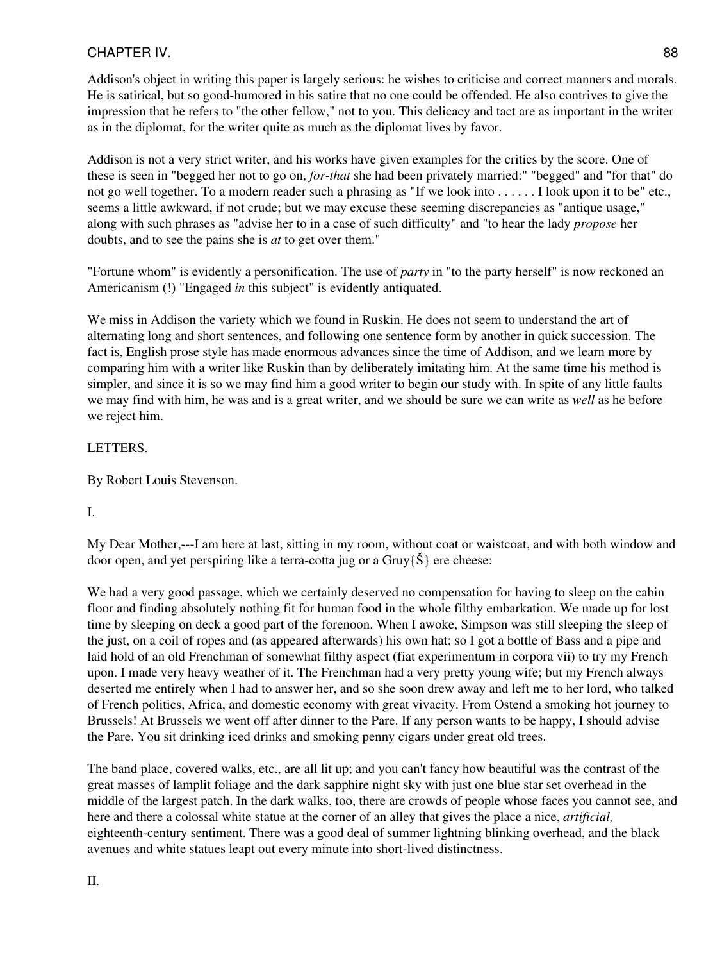Addison's object in writing this paper is largely serious: he wishes to criticise and correct manners and morals. He is satirical, but so good-humored in his satire that no one could be offended. He also contrives to give the impression that he refers to "the other fellow," not to you. This delicacy and tact are as important in the writer as in the diplomat, for the writer quite as much as the diplomat lives by favor.

Addison is not a very strict writer, and his works have given examples for the critics by the score. One of these is seen in "begged her not to go on, *for-that* she had been privately married:" "begged" and "for that" do not go well together. To a modern reader such a phrasing as "If we look into . . . . . . I look upon it to be" etc., seems a little awkward, if not crude; but we may excuse these seeming discrepancies as "antique usage," along with such phrases as "advise her to in a case of such difficulty" and "to hear the lady *propose* her doubts, and to see the pains she is *at* to get over them."

"Fortune whom" is evidently a personification. The use of *party* in "to the party herself" is now reckoned an Americanism (!) "Engaged *in* this subject" is evidently antiquated.

We miss in Addison the variety which we found in Ruskin. He does not seem to understand the art of alternating long and short sentences, and following one sentence form by another in quick succession. The fact is, English prose style has made enormous advances since the time of Addison, and we learn more by comparing him with a writer like Ruskin than by deliberately imitating him. At the same time his method is simpler, and since it is so we may find him a good writer to begin our study with. In spite of any little faults we may find with him, he was and is a great writer, and we should be sure we can write as *well* as he before we reject him.

# LETTERS.

By Robert Louis Stevenson.

I.

My Dear Mother,---I am here at last, sitting in my room, without coat or waistcoat, and with both window and door open, and yet perspiring like a terra-cotta jug or a Gruy $\{\check{S}\}\$ ere cheese:

We had a very good passage, which we certainly deserved no compensation for having to sleep on the cabin floor and finding absolutely nothing fit for human food in the whole filthy embarkation. We made up for lost time by sleeping on deck a good part of the forenoon. When I awoke, Simpson was still sleeping the sleep of the just, on a coil of ropes and (as appeared afterwards) his own hat; so I got a bottle of Bass and a pipe and laid hold of an old Frenchman of somewhat filthy aspect (fiat experimentum in corpora vii) to try my French upon. I made very heavy weather of it. The Frenchman had a very pretty young wife; but my French always deserted me entirely when I had to answer her, and so she soon drew away and left me to her lord, who talked of French politics, Africa, and domestic economy with great vivacity. From Ostend a smoking hot journey to Brussels! At Brussels we went off after dinner to the Pare. If any person wants to be happy, I should advise the Pare. You sit drinking iced drinks and smoking penny cigars under great old trees.

The band place, covered walks, etc., are all lit up; and you can't fancy how beautiful was the contrast of the great masses of lamplit foliage and the dark sapphire night sky with just one blue star set overhead in the middle of the largest patch. In the dark walks, too, there are crowds of people whose faces you cannot see, and here and there a colossal white statue at the corner of an alley that gives the place a nice, *artificial,* eighteenth-century sentiment. There was a good deal of summer lightning blinking overhead, and the black avenues and white statues leapt out every minute into short-lived distinctness.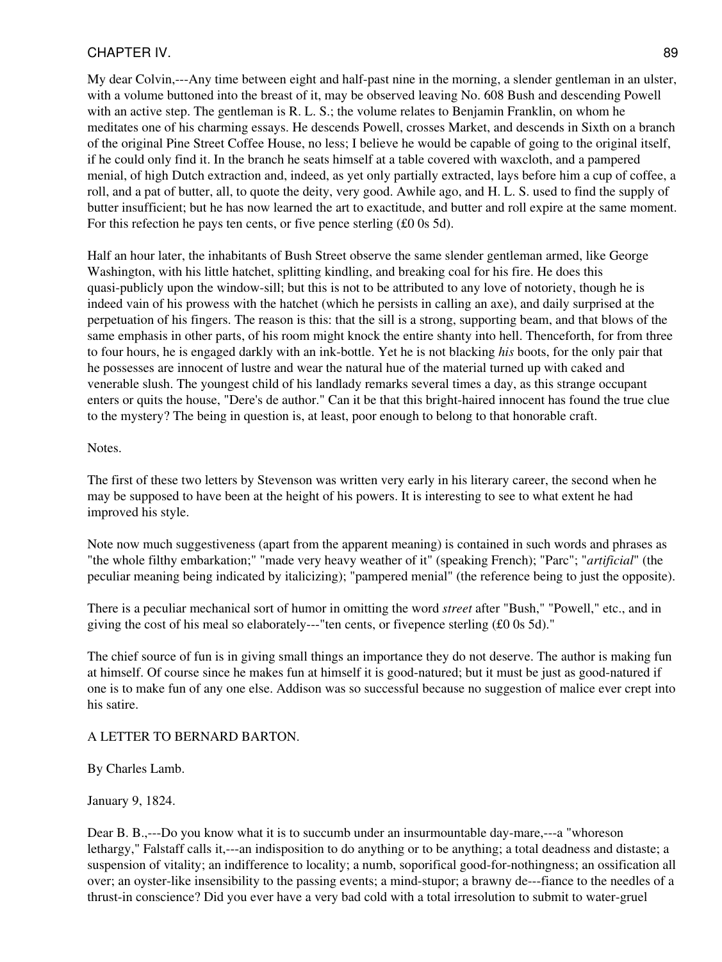My dear Colvin,---Any time between eight and half-past nine in the morning, a slender gentleman in an ulster, with a volume buttoned into the breast of it, may be observed leaving No. 608 Bush and descending Powell with an active step. The gentleman is R. L. S.; the volume relates to Benjamin Franklin, on whom he meditates one of his charming essays. He descends Powell, crosses Market, and descends in Sixth on a branch of the original Pine Street Coffee House, no less; I believe he would be capable of going to the original itself, if he could only find it. In the branch he seats himself at a table covered with waxcloth, and a pampered menial, of high Dutch extraction and, indeed, as yet only partially extracted, lays before him a cup of coffee, a roll, and a pat of butter, all, to quote the deity, very good. Awhile ago, and H. L. S. used to find the supply of butter insufficient; but he has now learned the art to exactitude, and butter and roll expire at the same moment. For this refection he pays ten cents, or five pence sterling (£0 0s 5d).

Half an hour later, the inhabitants of Bush Street observe the same slender gentleman armed, like George Washington, with his little hatchet, splitting kindling, and breaking coal for his fire. He does this quasi-publicly upon the window-sill; but this is not to be attributed to any love of notoriety, though he is indeed vain of his prowess with the hatchet (which he persists in calling an axe), and daily surprised at the perpetuation of his fingers. The reason is this: that the sill is a strong, supporting beam, and that blows of the same emphasis in other parts, of his room might knock the entire shanty into hell. Thenceforth, for from three to four hours, he is engaged darkly with an ink-bottle. Yet he is not blacking *his* boots, for the only pair that he possesses are innocent of lustre and wear the natural hue of the material turned up with caked and venerable slush. The youngest child of his landlady remarks several times a day, as this strange occupant enters or quits the house, "Dere's de author." Can it be that this bright-haired innocent has found the true clue to the mystery? The being in question is, at least, poor enough to belong to that honorable craft.

### Notes.

The first of these two letters by Stevenson was written very early in his literary career, the second when he may be supposed to have been at the height of his powers. It is interesting to see to what extent he had improved his style.

Note now much suggestiveness (apart from the apparent meaning) is contained in such words and phrases as "the whole filthy embarkation;" "made very heavy weather of it" (speaking French); "Parc"; "*artificial*" (the peculiar meaning being indicated by italicizing); "pampered menial" (the reference being to just the opposite).

There is a peculiar mechanical sort of humor in omitting the word *street* after "Bush," "Powell," etc., and in giving the cost of his meal so elaborately---"ten cents, or fiverence sterling  $(£00s5d)$ ."

The chief source of fun is in giving small things an importance they do not deserve. The author is making fun at himself. Of course since he makes fun at himself it is good-natured; but it must be just as good-natured if one is to make fun of any one else. Addison was so successful because no suggestion of malice ever crept into his satire.

### A LETTER TO BERNARD BARTON.

By Charles Lamb.

January 9, 1824.

Dear B. B.,---Do you know what it is to succumb under an insurmountable day-mare,---a "whoreson lethargy," Falstaff calls it,---an indisposition to do anything or to be anything; a total deadness and distaste; a suspension of vitality; an indifference to locality; a numb, soporifical good-for-nothingness; an ossification all over; an oyster-like insensibility to the passing events; a mind-stupor; a brawny de---fiance to the needles of a thrust-in conscience? Did you ever have a very bad cold with a total irresolution to submit to water-gruel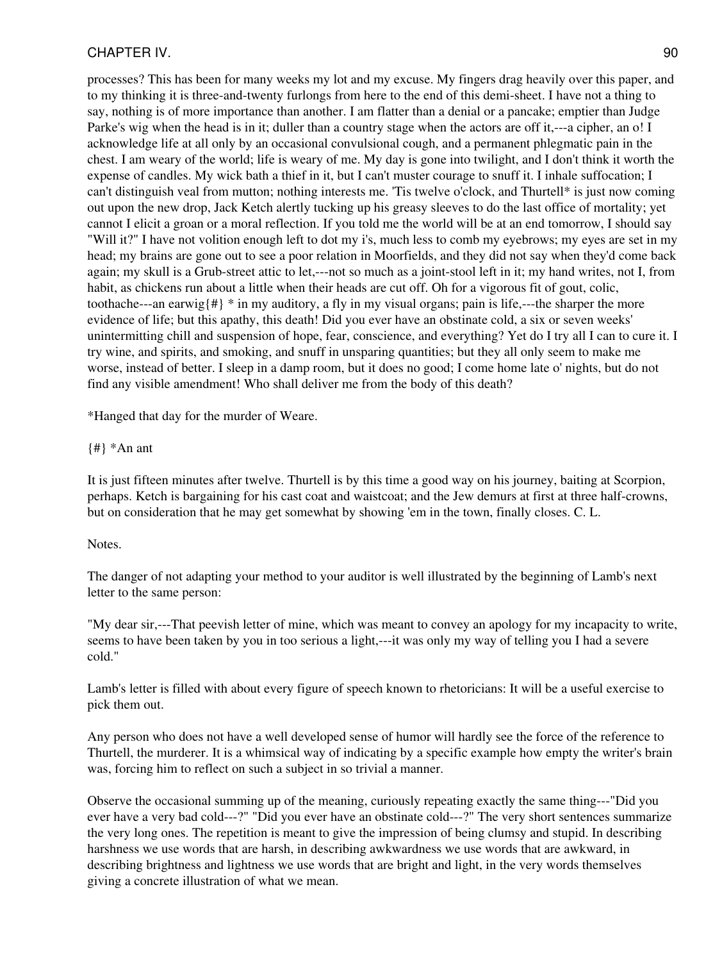processes? This has been for many weeks my lot and my excuse. My fingers drag heavily over this paper, and to my thinking it is three-and-twenty furlongs from here to the end of this demi-sheet. I have not a thing to say, nothing is of more importance than another. I am flatter than a denial or a pancake; emptier than Judge Parke's wig when the head is in it; duller than a country stage when the actors are off it,---a cipher, an o! I acknowledge life at all only by an occasional convulsional cough, and a permanent phlegmatic pain in the chest. I am weary of the world; life is weary of me. My day is gone into twilight, and I don't think it worth the expense of candles. My wick bath a thief in it, but I can't muster courage to snuff it. I inhale suffocation; I can't distinguish veal from mutton; nothing interests me. 'Tis twelve o'clock, and Thurtell\* is just now coming out upon the new drop, Jack Ketch alertly tucking up his greasy sleeves to do the last office of mortality; yet cannot I elicit a groan or a moral reflection. If you told me the world will be at an end tomorrow, I should say "Will it?" I have not volition enough left to dot my i's, much less to comb my eyebrows; my eyes are set in my head; my brains are gone out to see a poor relation in Moorfields, and they did not say when they'd come back again; my skull is a Grub-street attic to let,---not so much as a joint-stool left in it; my hand writes, not I, from habit, as chickens run about a little when their heads are cut off. Oh for a vigorous fit of gout, colic, toothache---an earwig $\{ \# \}$  \* in my auditory, a fly in my visual organs; pain is life,---the sharper the more evidence of life; but this apathy, this death! Did you ever have an obstinate cold, a six or seven weeks' unintermitting chill and suspension of hope, fear, conscience, and everything? Yet do I try all I can to cure it. I try wine, and spirits, and smoking, and snuff in unsparing quantities; but they all only seem to make me worse, instead of better. I sleep in a damp room, but it does no good; I come home late o' nights, but do not find any visible amendment! Who shall deliver me from the body of this death?

\*Hanged that day for the murder of Weare.

{#} \*An ant

It is just fifteen minutes after twelve. Thurtell is by this time a good way on his journey, baiting at Scorpion, perhaps. Ketch is bargaining for his cast coat and waistcoat; and the Jew demurs at first at three half-crowns, but on consideration that he may get somewhat by showing 'em in the town, finally closes. C. L.

#### Notes.

The danger of not adapting your method to your auditor is well illustrated by the beginning of Lamb's next letter to the same person:

"My dear sir,---That peevish letter of mine, which was meant to convey an apology for my incapacity to write, seems to have been taken by you in too serious a light,---it was only my way of telling you I had a severe cold."

Lamb's letter is filled with about every figure of speech known to rhetoricians: It will be a useful exercise to pick them out.

Any person who does not have a well developed sense of humor will hardly see the force of the reference to Thurtell, the murderer. It is a whimsical way of indicating by a specific example how empty the writer's brain was, forcing him to reflect on such a subject in so trivial a manner.

Observe the occasional summing up of the meaning, curiously repeating exactly the same thing---"Did you ever have a very bad cold---?" "Did you ever have an obstinate cold---?" The very short sentences summarize the very long ones. The repetition is meant to give the impression of being clumsy and stupid. In describing harshness we use words that are harsh, in describing awkwardness we use words that are awkward, in describing brightness and lightness we use words that are bright and light, in the very words themselves giving a concrete illustration of what we mean.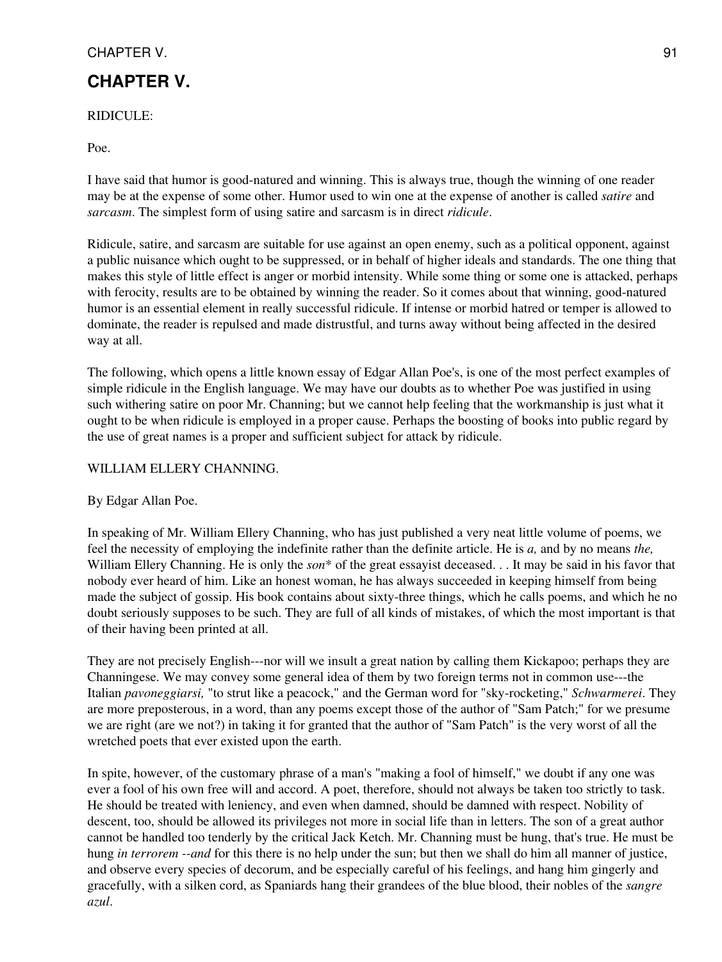# **CHAPTER V.** CHAPTER V. 91

# RIDICULE:

Poe.

I have said that humor is good-natured and winning. This is always true, though the winning of one reader may be at the expense of some other. Humor used to win one at the expense of another is called *satire* and *sarcasm*. The simplest form of using satire and sarcasm is in direct *ridicule*.

Ridicule, satire, and sarcasm are suitable for use against an open enemy, such as a political opponent, against a public nuisance which ought to be suppressed, or in behalf of higher ideals and standards. The one thing that makes this style of little effect is anger or morbid intensity. While some thing or some one is attacked, perhaps with ferocity, results are to be obtained by winning the reader. So it comes about that winning, good-natured humor is an essential element in really successful ridicule. If intense or morbid hatred or temper is allowed to dominate, the reader is repulsed and made distrustful, and turns away without being affected in the desired way at all.

The following, which opens a little known essay of Edgar Allan Poe's, is one of the most perfect examples of simple ridicule in the English language. We may have our doubts as to whether Poe was justified in using such withering satire on poor Mr. Channing; but we cannot help feeling that the workmanship is just what it ought to be when ridicule is employed in a proper cause. Perhaps the boosting of books into public regard by the use of great names is a proper and sufficient subject for attack by ridicule.

# WILLIAM ELLERY CHANNING.

# By Edgar Allan Poe.

In speaking of Mr. William Ellery Channing, who has just published a very neat little volume of poems, we feel the necessity of employing the indefinite rather than the definite article. He is *a,* and by no means *the,* William Ellery Channing. He is only the *son*\* of the great essayist deceased. . . It may be said in his favor that nobody ever heard of him. Like an honest woman, he has always succeeded in keeping himself from being made the subject of gossip. His book contains about sixty-three things, which he calls poems, and which he no doubt seriously supposes to be such. They are full of all kinds of mistakes, of which the most important is that of their having been printed at all.

They are not precisely English---nor will we insult a great nation by calling them Kickapoo; perhaps they are Channingese. We may convey some general idea of them by two foreign terms not in common use---the Italian *pavoneggiarsi,* "to strut like a peacock," and the German word for "sky-rocketing," *Schwarmerei*. They are more preposterous, in a word, than any poems except those of the author of "Sam Patch;" for we presume we are right (are we not?) in taking it for granted that the author of "Sam Patch" is the very worst of all the wretched poets that ever existed upon the earth.

In spite, however, of the customary phrase of a man's "making a fool of himself," we doubt if any one was ever a fool of his own free will and accord. A poet, therefore, should not always be taken too strictly to task. He should be treated with leniency, and even when damned, should be damned with respect. Nobility of descent, too, should be allowed its privileges not more in social life than in letters. The son of a great author cannot be handled too tenderly by the critical Jack Ketch. Mr. Channing must be hung, that's true. He must be hung *in terrorem --and* for this there is no help under the sun; but then we shall do him all manner of justice, and observe every species of decorum, and be especially careful of his feelings, and hang him gingerly and gracefully, with a silken cord, as Spaniards hang their grandees of the blue blood, their nobles of the *sangre azul*.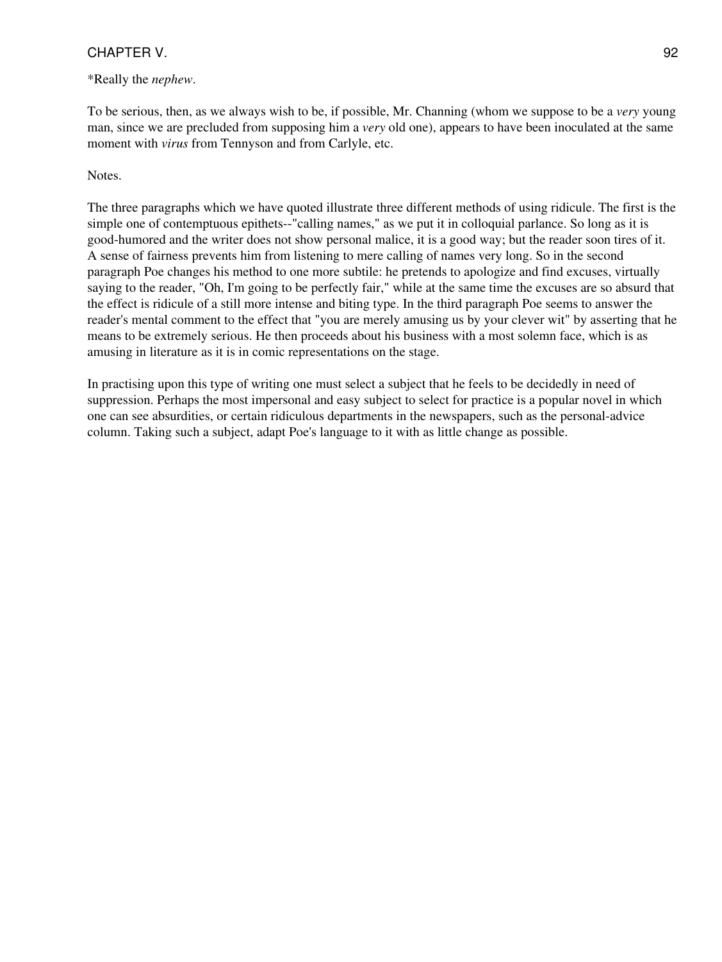# CHAPTER V. 2022 2023 12:30 12:30 12:30 12:30 12:30 12:30 12:30 12:30 12:30 12:30 12:30 12:30 12:30 12:30 12:30

#### \*Really the *nephew*.

To be serious, then, as we always wish to be, if possible, Mr. Channing (whom we suppose to be a *very* young man, since we are precluded from supposing him a *very* old one), appears to have been inoculated at the same moment with *virus* from Tennyson and from Carlyle, etc.

### Notes.

The three paragraphs which we have quoted illustrate three different methods of using ridicule. The first is the simple one of contemptuous epithets--"calling names," as we put it in colloquial parlance. So long as it is good-humored and the writer does not show personal malice, it is a good way; but the reader soon tires of it. A sense of fairness prevents him from listening to mere calling of names very long. So in the second paragraph Poe changes his method to one more subtile: he pretends to apologize and find excuses, virtually saying to the reader, "Oh, I'm going to be perfectly fair," while at the same time the excuses are so absurd that the effect is ridicule of a still more intense and biting type. In the third paragraph Poe seems to answer the reader's mental comment to the effect that "you are merely amusing us by your clever wit" by asserting that he means to be extremely serious. He then proceeds about his business with a most solemn face, which is as amusing in literature as it is in comic representations on the stage.

In practising upon this type of writing one must select a subject that he feels to be decidedly in need of suppression. Perhaps the most impersonal and easy subject to select for practice is a popular novel in which one can see absurdities, or certain ridiculous departments in the newspapers, such as the personal-advice column. Taking such a subject, adapt Poe's language to it with as little change as possible.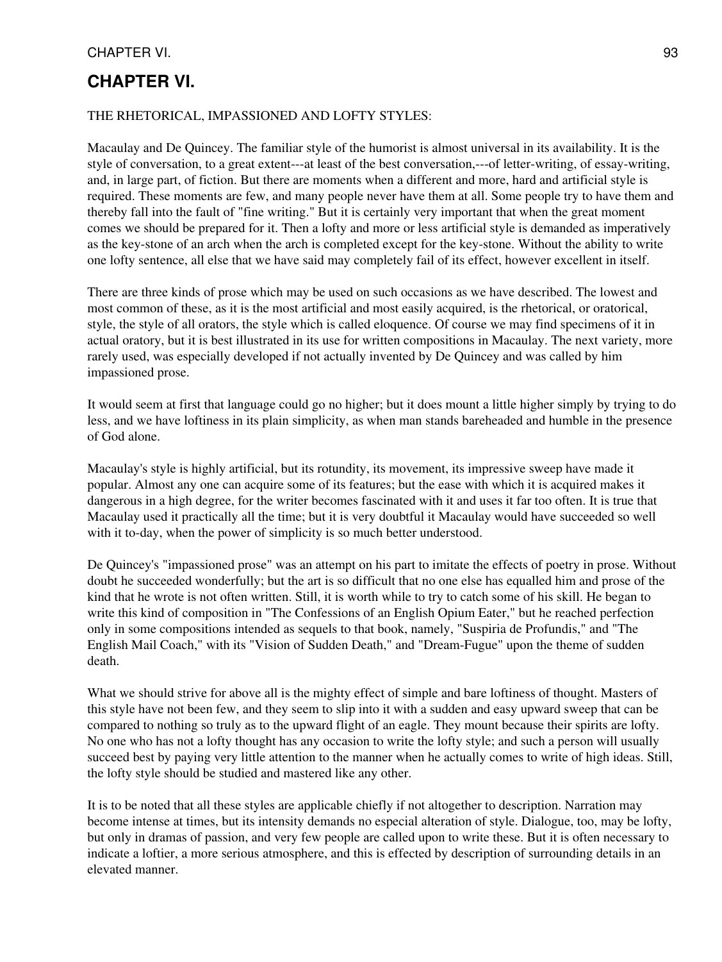# **CHAPTER VI.**

### THE RHETORICAL, IMPASSIONED AND LOFTY STYLES:

Macaulay and De Quincey. The familiar style of the humorist is almost universal in its availability. It is the style of conversation, to a great extent---at least of the best conversation,---of letter-writing, of essay-writing, and, in large part, of fiction. But there are moments when a different and more, hard and artificial style is required. These moments are few, and many people never have them at all. Some people try to have them and thereby fall into the fault of "fine writing." But it is certainly very important that when the great moment comes we should be prepared for it. Then a lofty and more or less artificial style is demanded as imperatively as the key-stone of an arch when the arch is completed except for the key-stone. Without the ability to write one lofty sentence, all else that we have said may completely fail of its effect, however excellent in itself.

There are three kinds of prose which may be used on such occasions as we have described. The lowest and most common of these, as it is the most artificial and most easily acquired, is the rhetorical, or oratorical, style, the style of all orators, the style which is called eloquence. Of course we may find specimens of it in actual oratory, but it is best illustrated in its use for written compositions in Macaulay. The next variety, more rarely used, was especially developed if not actually invented by De Quincey and was called by him impassioned prose.

It would seem at first that language could go no higher; but it does mount a little higher simply by trying to do less, and we have loftiness in its plain simplicity, as when man stands bareheaded and humble in the presence of God alone.

Macaulay's style is highly artificial, but its rotundity, its movement, its impressive sweep have made it popular. Almost any one can acquire some of its features; but the ease with which it is acquired makes it dangerous in a high degree, for the writer becomes fascinated with it and uses it far too often. It is true that Macaulay used it practically all the time; but it is very doubtful it Macaulay would have succeeded so well with it to-day, when the power of simplicity is so much better understood.

De Quincey's "impassioned prose" was an attempt on his part to imitate the effects of poetry in prose. Without doubt he succeeded wonderfully; but the art is so difficult that no one else has equalled him and prose of the kind that he wrote is not often written. Still, it is worth while to try to catch some of his skill. He began to write this kind of composition in "The Confessions of an English Opium Eater," but he reached perfection only in some compositions intended as sequels to that book, namely, "Suspiria de Profundis," and "The English Mail Coach," with its "Vision of Sudden Death," and "Dream-Fugue" upon the theme of sudden death.

What we should strive for above all is the mighty effect of simple and bare loftiness of thought. Masters of this style have not been few, and they seem to slip into it with a sudden and easy upward sweep that can be compared to nothing so truly as to the upward flight of an eagle. They mount because their spirits are lofty. No one who has not a lofty thought has any occasion to write the lofty style; and such a person will usually succeed best by paying very little attention to the manner when he actually comes to write of high ideas. Still, the lofty style should be studied and mastered like any other.

It is to be noted that all these styles are applicable chiefly if not altogether to description. Narration may become intense at times, but its intensity demands no especial alteration of style. Dialogue, too, may be lofty, but only in dramas of passion, and very few people are called upon to write these. But it is often necessary to indicate a loftier, a more serious atmosphere, and this is effected by description of surrounding details in an elevated manner.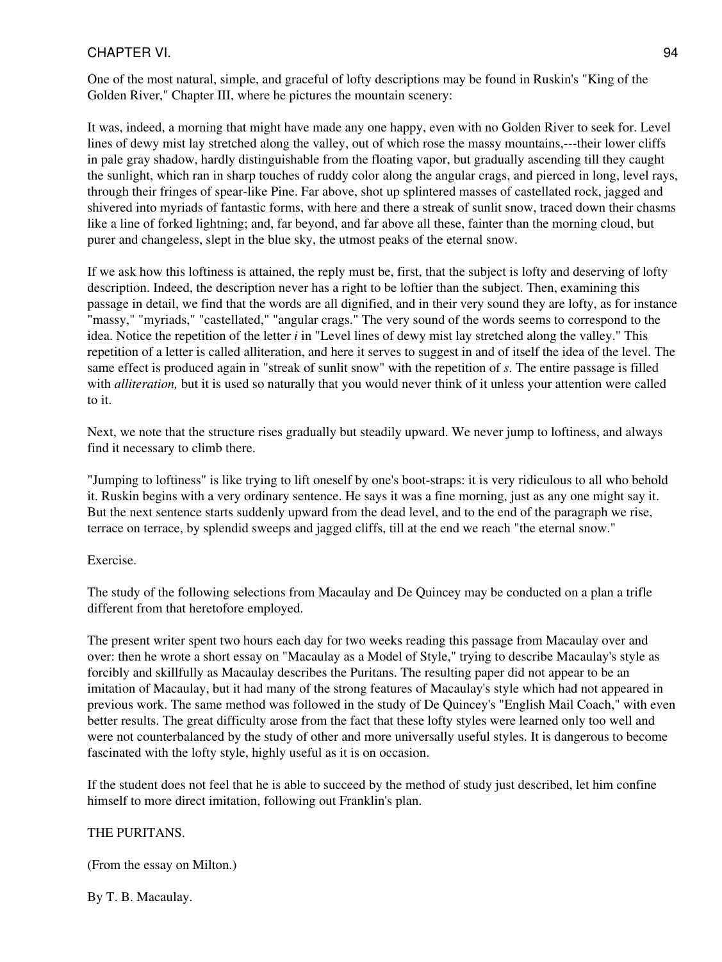One of the most natural, simple, and graceful of lofty descriptions may be found in Ruskin's "King of the Golden River," Chapter III, where he pictures the mountain scenery:

It was, indeed, a morning that might have made any one happy, even with no Golden River to seek for. Level lines of dewy mist lay stretched along the valley, out of which rose the massy mountains,---their lower cliffs in pale gray shadow, hardly distinguishable from the floating vapor, but gradually ascending till they caught the sunlight, which ran in sharp touches of ruddy color along the angular crags, and pierced in long, level rays, through their fringes of spear-like Pine. Far above, shot up splintered masses of castellated rock, jagged and shivered into myriads of fantastic forms, with here and there a streak of sunlit snow, traced down their chasms like a line of forked lightning; and, far beyond, and far above all these, fainter than the morning cloud, but purer and changeless, slept in the blue sky, the utmost peaks of the eternal snow.

If we ask how this loftiness is attained, the reply must be, first, that the subject is lofty and deserving of lofty description. Indeed, the description never has a right to be loftier than the subject. Then, examining this passage in detail, we find that the words are all dignified, and in their very sound they are lofty, as for instance "massy," "myriads," "castellated," "angular crags." The very sound of the words seems to correspond to the idea. Notice the repetition of the letter *i* in "Level lines of dewy mist lay stretched along the valley." This repetition of a letter is called alliteration, and here it serves to suggest in and of itself the idea of the level. The same effect is produced again in "streak of sunlit snow" with the repetition of *s*. The entire passage is filled with *alliteration*, but it is used so naturally that you would never think of it unless your attention were called to it.

Next, we note that the structure rises gradually but steadily upward. We never jump to loftiness, and always find it necessary to climb there.

"Jumping to loftiness" is like trying to lift oneself by one's boot-straps: it is very ridiculous to all who behold it. Ruskin begins with a very ordinary sentence. He says it was a fine morning, just as any one might say it. But the next sentence starts suddenly upward from the dead level, and to the end of the paragraph we rise, terrace on terrace, by splendid sweeps and jagged cliffs, till at the end we reach "the eternal snow."

### Exercise.

The study of the following selections from Macaulay and De Quincey may be conducted on a plan a trifle different from that heretofore employed.

The present writer spent two hours each day for two weeks reading this passage from Macaulay over and over: then he wrote a short essay on "Macaulay as a Model of Style," trying to describe Macaulay's style as forcibly and skillfully as Macaulay describes the Puritans. The resulting paper did not appear to be an imitation of Macaulay, but it had many of the strong features of Macaulay's style which had not appeared in previous work. The same method was followed in the study of De Quincey's "English Mail Coach," with even better results. The great difficulty arose from the fact that these lofty styles were learned only too well and were not counterbalanced by the study of other and more universally useful styles. It is dangerous to become fascinated with the lofty style, highly useful as it is on occasion.

If the student does not feel that he is able to succeed by the method of study just described, let him confine himself to more direct imitation, following out Franklin's plan.

### THE PURITANS.

(From the essay on Milton.)

By T. B. Macaulay.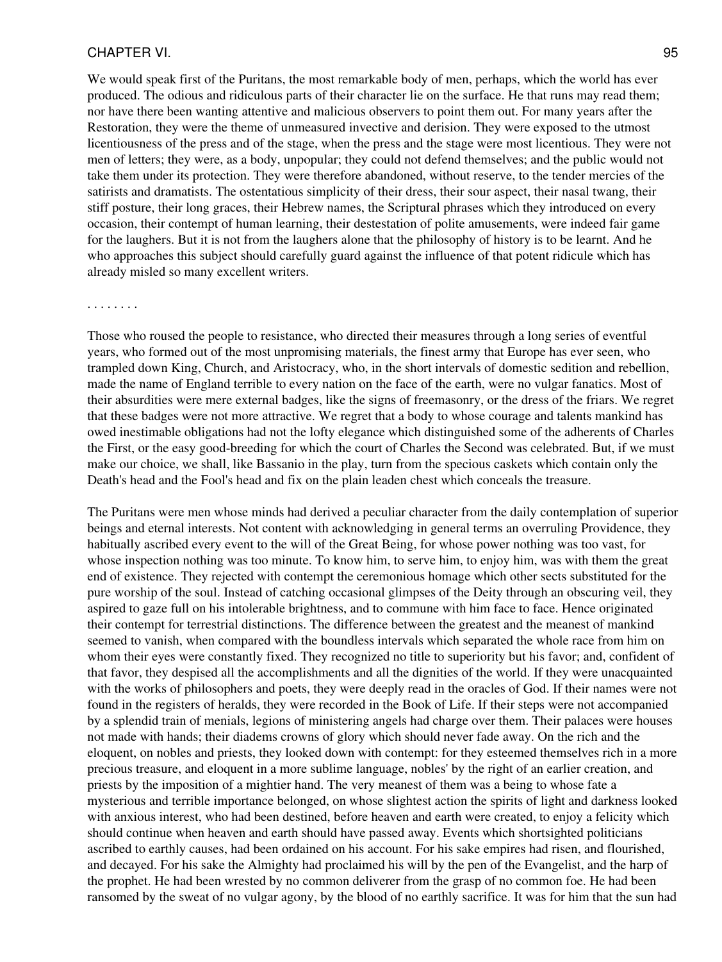#### CHAPTER VI. 2008 2009 12:00:00 00:00 00:00 00:00 00:00 00:00 00:00 00:00 00:00 00:00 00:00 00:00 00:00 00:00 00:00 00:00 00:00 00:00 00:00 00:00 00:00 00:00 00:00 00:00 00:00 00:00 00:00 00:00 00:00 00:00 00:00 00:00 00:00

We would speak first of the Puritans, the most remarkable body of men, perhaps, which the world has ever produced. The odious and ridiculous parts of their character lie on the surface. He that runs may read them; nor have there been wanting attentive and malicious observers to point them out. For many years after the Restoration, they were the theme of unmeasured invective and derision. They were exposed to the utmost licentiousness of the press and of the stage, when the press and the stage were most licentious. They were not men of letters; they were, as a body, unpopular; they could not defend themselves; and the public would not take them under its protection. They were therefore abandoned, without reserve, to the tender mercies of the satirists and dramatists. The ostentatious simplicity of their dress, their sour aspect, their nasal twang, their stiff posture, their long graces, their Hebrew names, the Scriptural phrases which they introduced on every occasion, their contempt of human learning, their destestation of polite amusements, were indeed fair game for the laughers. But it is not from the laughers alone that the philosophy of history is to be learnt. And he who approaches this subject should carefully guard against the influence of that potent ridicule which has already misled so many excellent writers.

#### . . . . . . . .

Those who roused the people to resistance, who directed their measures through a long series of eventful years, who formed out of the most unpromising materials, the finest army that Europe has ever seen, who trampled down King, Church, and Aristocracy, who, in the short intervals of domestic sedition and rebellion, made the name of England terrible to every nation on the face of the earth, were no vulgar fanatics. Most of their absurdities were mere external badges, like the signs of freemasonry, or the dress of the friars. We regret that these badges were not more attractive. We regret that a body to whose courage and talents mankind has owed inestimable obligations had not the lofty elegance which distinguished some of the adherents of Charles the First, or the easy good-breeding for which the court of Charles the Second was celebrated. But, if we must make our choice, we shall, like Bassanio in the play, turn from the specious caskets which contain only the Death's head and the Fool's head and fix on the plain leaden chest which conceals the treasure.

The Puritans were men whose minds had derived a peculiar character from the daily contemplation of superior beings and eternal interests. Not content with acknowledging in general terms an overruling Providence, they habitually ascribed every event to the will of the Great Being, for whose power nothing was too vast, for whose inspection nothing was too minute. To know him, to serve him, to enjoy him, was with them the great end of existence. They rejected with contempt the ceremonious homage which other sects substituted for the pure worship of the soul. Instead of catching occasional glimpses of the Deity through an obscuring veil, they aspired to gaze full on his intolerable brightness, and to commune with him face to face. Hence originated their contempt for terrestrial distinctions. The difference between the greatest and the meanest of mankind seemed to vanish, when compared with the boundless intervals which separated the whole race from him on whom their eyes were constantly fixed. They recognized no title to superiority but his favor; and, confident of that favor, they despised all the accomplishments and all the dignities of the world. If they were unacquainted with the works of philosophers and poets, they were deeply read in the oracles of God. If their names were not found in the registers of heralds, they were recorded in the Book of Life. If their steps were not accompanied by a splendid train of menials, legions of ministering angels had charge over them. Their palaces were houses not made with hands; their diadems crowns of glory which should never fade away. On the rich and the eloquent, on nobles and priests, they looked down with contempt: for they esteemed themselves rich in a more precious treasure, and eloquent in a more sublime language, nobles' by the right of an earlier creation, and priests by the imposition of a mightier hand. The very meanest of them was a being to whose fate a mysterious and terrible importance belonged, on whose slightest action the spirits of light and darkness looked with anxious interest, who had been destined, before heaven and earth were created, to enjoy a felicity which should continue when heaven and earth should have passed away. Events which shortsighted politicians ascribed to earthly causes, had been ordained on his account. For his sake empires had risen, and flourished, and decayed. For his sake the Almighty had proclaimed his will by the pen of the Evangelist, and the harp of the prophet. He had been wrested by no common deliverer from the grasp of no common foe. He had been ransomed by the sweat of no vulgar agony, by the blood of no earthly sacrifice. It was for him that the sun had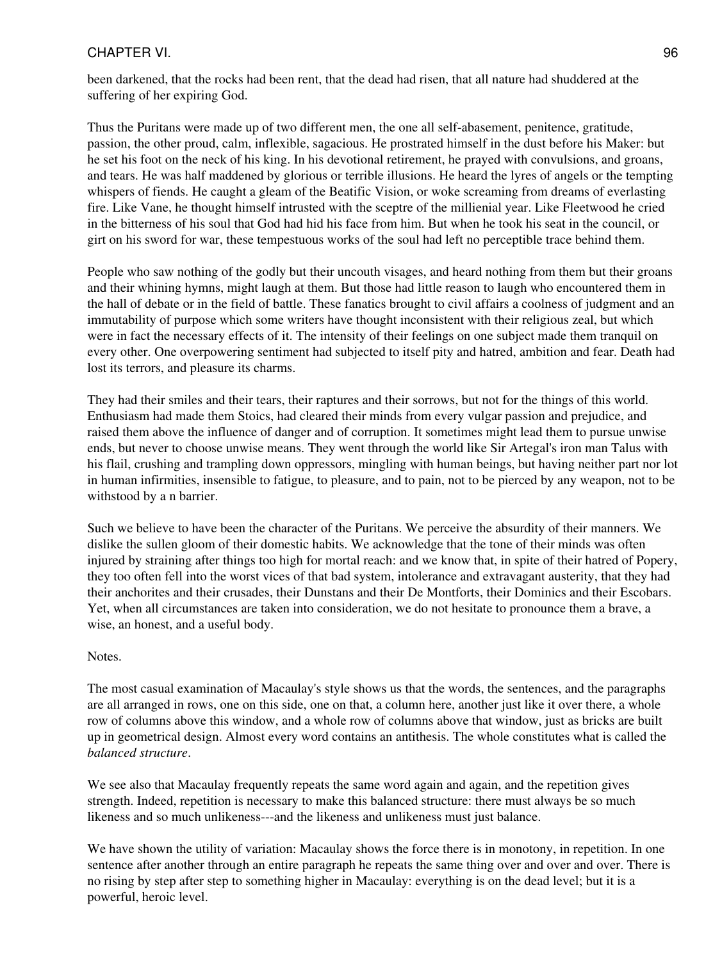been darkened, that the rocks had been rent, that the dead had risen, that all nature had shuddered at the suffering of her expiring God.

Thus the Puritans were made up of two different men, the one all self-abasement, penitence, gratitude, passion, the other proud, calm, inflexible, sagacious. He prostrated himself in the dust before his Maker: but he set his foot on the neck of his king. In his devotional retirement, he prayed with convulsions, and groans, and tears. He was half maddened by glorious or terrible illusions. He heard the lyres of angels or the tempting whispers of fiends. He caught a gleam of the Beatific Vision, or woke screaming from dreams of everlasting fire. Like Vane, he thought himself intrusted with the sceptre of the millienial year. Like Fleetwood he cried in the bitterness of his soul that God had hid his face from him. But when he took his seat in the council, or girt on his sword for war, these tempestuous works of the soul had left no perceptible trace behind them.

People who saw nothing of the godly but their uncouth visages, and heard nothing from them but their groans and their whining hymns, might laugh at them. But those had little reason to laugh who encountered them in the hall of debate or in the field of battle. These fanatics brought to civil affairs a coolness of judgment and an immutability of purpose which some writers have thought inconsistent with their religious zeal, but which were in fact the necessary effects of it. The intensity of their feelings on one subject made them tranquil on every other. One overpowering sentiment had subjected to itself pity and hatred, ambition and fear. Death had lost its terrors, and pleasure its charms.

They had their smiles and their tears, their raptures and their sorrows, but not for the things of this world. Enthusiasm had made them Stoics, had cleared their minds from every vulgar passion and prejudice, and raised them above the influence of danger and of corruption. It sometimes might lead them to pursue unwise ends, but never to choose unwise means. They went through the world like Sir Artegal's iron man Talus with his flail, crushing and trampling down oppressors, mingling with human beings, but having neither part nor lot in human infirmities, insensible to fatigue, to pleasure, and to pain, not to be pierced by any weapon, not to be withstood by a n barrier.

Such we believe to have been the character of the Puritans. We perceive the absurdity of their manners. We dislike the sullen gloom of their domestic habits. We acknowledge that the tone of their minds was often injured by straining after things too high for mortal reach: and we know that, in spite of their hatred of Popery, they too often fell into the worst vices of that bad system, intolerance and extravagant austerity, that they had their anchorites and their crusades, their Dunstans and their De Montforts, their Dominics and their Escobars. Yet, when all circumstances are taken into consideration, we do not hesitate to pronounce them a brave, a wise, an honest, and a useful body.

#### Notes.

The most casual examination of Macaulay's style shows us that the words, the sentences, and the paragraphs are all arranged in rows, one on this side, one on that, a column here, another just like it over there, a whole row of columns above this window, and a whole row of columns above that window, just as bricks are built up in geometrical design. Almost every word contains an antithesis. The whole constitutes what is called the *balanced structure*.

We see also that Macaulay frequently repeats the same word again and again, and the repetition gives strength. Indeed, repetition is necessary to make this balanced structure: there must always be so much likeness and so much unlikeness---and the likeness and unlikeness must just balance.

We have shown the utility of variation: Macaulay shows the force there is in monotony, in repetition. In one sentence after another through an entire paragraph he repeats the same thing over and over and over. There is no rising by step after step to something higher in Macaulay: everything is on the dead level; but it is a powerful, heroic level.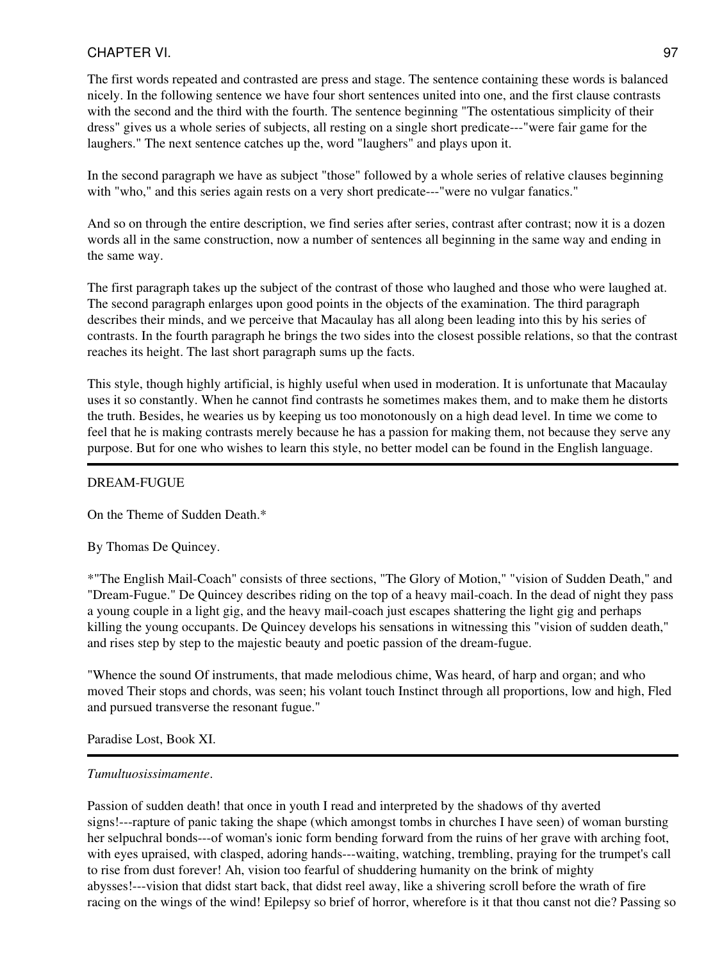# CHAPTER VI. 2002. 2003. The set of the set of the set of the set of the set of the set of the set of the set of the set of the set of the set of the set of the set of the set of the set of the set of the set of the set of

The first words repeated and contrasted are press and stage. The sentence containing these words is balanced nicely. In the following sentence we have four short sentences united into one, and the first clause contrasts with the second and the third with the fourth. The sentence beginning "The ostentatious simplicity of their dress" gives us a whole series of subjects, all resting on a single short predicate---"were fair game for the laughers." The next sentence catches up the, word "laughers" and plays upon it.

In the second paragraph we have as subject "those" followed by a whole series of relative clauses beginning with "who," and this series again rests on a very short predicate---"were no vulgar fanatics."

And so on through the entire description, we find series after series, contrast after contrast; now it is a dozen words all in the same construction, now a number of sentences all beginning in the same way and ending in the same way.

The first paragraph takes up the subject of the contrast of those who laughed and those who were laughed at. The second paragraph enlarges upon good points in the objects of the examination. The third paragraph describes their minds, and we perceive that Macaulay has all along been leading into this by his series of contrasts. In the fourth paragraph he brings the two sides into the closest possible relations, so that the contrast reaches its height. The last short paragraph sums up the facts.

This style, though highly artificial, is highly useful when used in moderation. It is unfortunate that Macaulay uses it so constantly. When he cannot find contrasts he sometimes makes them, and to make them he distorts the truth. Besides, he wearies us by keeping us too monotonously on a high dead level. In time we come to feel that he is making contrasts merely because he has a passion for making them, not because they serve any purpose. But for one who wishes to learn this style, no better model can be found in the English language.

### DREAM-FUGUE

On the Theme of Sudden Death.\*

By Thomas De Quincey.

\*"The English Mail-Coach" consists of three sections, "The Glory of Motion," "vision of Sudden Death," and "Dream-Fugue." De Quincey describes riding on the top of a heavy mail-coach. In the dead of night they pass a young couple in a light gig, and the heavy mail-coach just escapes shattering the light gig and perhaps killing the young occupants. De Quincey develops his sensations in witnessing this "vision of sudden death," and rises step by step to the majestic beauty and poetic passion of the dream-fugue.

"Whence the sound Of instruments, that made melodious chime, Was heard, of harp and organ; and who moved Their stops and chords, was seen; his volant touch Instinct through all proportions, low and high, Fled and pursued transverse the resonant fugue."

#### Paradise Lost, Book XI.

#### *Tumultuosissimamente*.

Passion of sudden death! that once in youth I read and interpreted by the shadows of thy averted signs!---rapture of panic taking the shape (which amongst tombs in churches I have seen) of woman bursting her selpuchral bonds---of woman's ionic form bending forward from the ruins of her grave with arching foot, with eyes upraised, with clasped, adoring hands---waiting, watching, trembling, praying for the trumpet's call to rise from dust forever! Ah, vision too fearful of shuddering humanity on the brink of mighty abysses!---vision that didst start back, that didst reel away, like a shivering scroll before the wrath of fire racing on the wings of the wind! Epilepsy so brief of horror, wherefore is it that thou canst not die? Passing so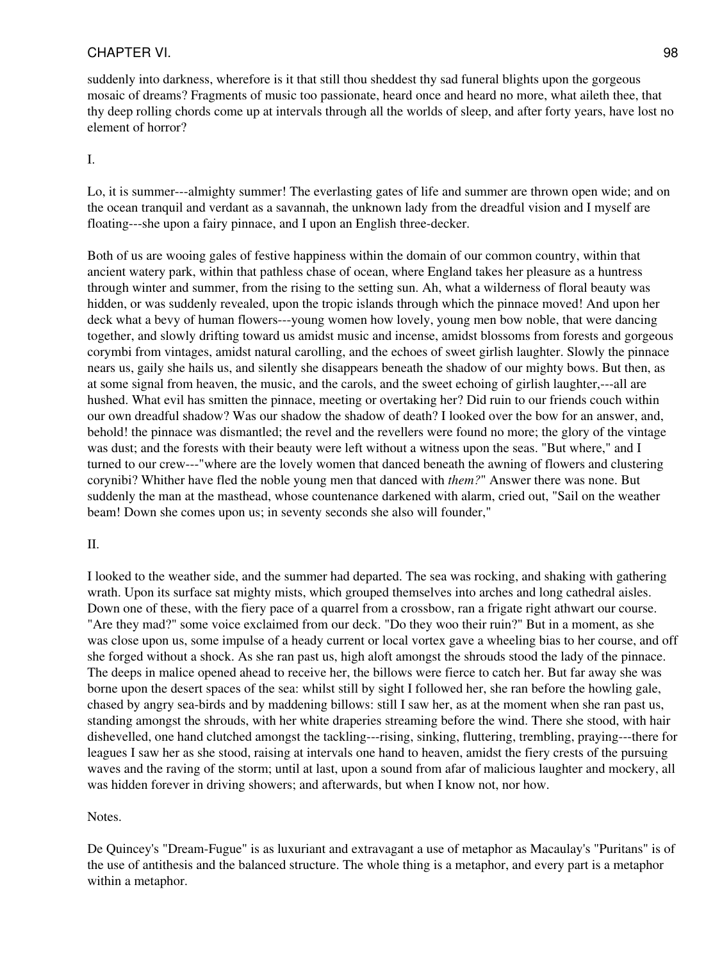### CHAPTER VI. 28 and 20 and 20 and 20 and 20 and 20 and 20 and 20 and 20 and 20 and 20 and 20 and 20 and 20 and 20 and 20 and 20 and 20 and 20 and 20 and 20 and 20 and 20 and 20 and 20 and 20 and 20 and 20 and 20 and 20 and

suddenly into darkness, wherefore is it that still thou sheddest thy sad funeral blights upon the gorgeous mosaic of dreams? Fragments of music too passionate, heard once and heard no more, what aileth thee, that thy deep rolling chords come up at intervals through all the worlds of sleep, and after forty years, have lost no element of horror?

### I.

Lo, it is summer---almighty summer! The everlasting gates of life and summer are thrown open wide; and on the ocean tranquil and verdant as a savannah, the unknown lady from the dreadful vision and I myself are floating---she upon a fairy pinnace, and I upon an English three-decker.

Both of us are wooing gales of festive happiness within the domain of our common country, within that ancient watery park, within that pathless chase of ocean, where England takes her pleasure as a huntress through winter and summer, from the rising to the setting sun. Ah, what a wilderness of floral beauty was hidden, or was suddenly revealed, upon the tropic islands through which the pinnace moved! And upon her deck what a bevy of human flowers---young women how lovely, young men bow noble, that were dancing together, and slowly drifting toward us amidst music and incense, amidst blossoms from forests and gorgeous corymbi from vintages, amidst natural carolling, and the echoes of sweet girlish laughter. Slowly the pinnace nears us, gaily she hails us, and silently she disappears beneath the shadow of our mighty bows. But then, as at some signal from heaven, the music, and the carols, and the sweet echoing of girlish laughter,---all are hushed. What evil has smitten the pinnace, meeting or overtaking her? Did ruin to our friends couch within our own dreadful shadow? Was our shadow the shadow of death? I looked over the bow for an answer, and, behold! the pinnace was dismantled; the revel and the revellers were found no more; the glory of the vintage was dust; and the forests with their beauty were left without a witness upon the seas. "But where," and I turned to our crew---"where are the lovely women that danced beneath the awning of flowers and clustering corynibi? Whither have fled the noble young men that danced with *them?*" Answer there was none. But suddenly the man at the masthead, whose countenance darkened with alarm, cried out, "Sail on the weather beam! Down she comes upon us; in seventy seconds she also will founder,"

### II.

I looked to the weather side, and the summer had departed. The sea was rocking, and shaking with gathering wrath. Upon its surface sat mighty mists, which grouped themselves into arches and long cathedral aisles. Down one of these, with the fiery pace of a quarrel from a crossbow, ran a frigate right athwart our course. "Are they mad?" some voice exclaimed from our deck. "Do they woo their ruin?" But in a moment, as she was close upon us, some impulse of a heady current or local vortex gave a wheeling bias to her course, and off she forged without a shock. As she ran past us, high aloft amongst the shrouds stood the lady of the pinnace. The deeps in malice opened ahead to receive her, the billows were fierce to catch her. But far away she was borne upon the desert spaces of the sea: whilst still by sight I followed her, she ran before the howling gale, chased by angry sea-birds and by maddening billows: still I saw her, as at the moment when she ran past us, standing amongst the shrouds, with her white draperies streaming before the wind. There she stood, with hair dishevelled, one hand clutched amongst the tackling---rising, sinking, fluttering, trembling, praying---there for leagues I saw her as she stood, raising at intervals one hand to heaven, amidst the fiery crests of the pursuing waves and the raving of the storm; until at last, upon a sound from afar of malicious laughter and mockery, all was hidden forever in driving showers; and afterwards, but when I know not, nor how.

### Notes.

De Quincey's "Dream-Fugue" is as luxuriant and extravagant a use of metaphor as Macaulay's "Puritans" is of the use of antithesis and the balanced structure. The whole thing is a metaphor, and every part is a metaphor within a metaphor.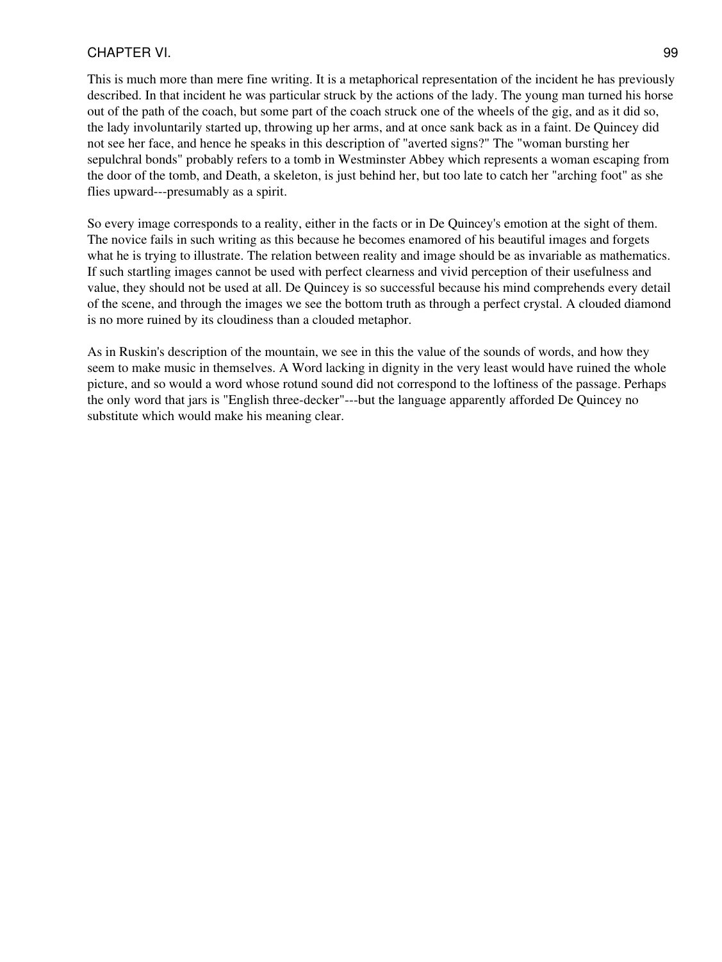# CHAPTER VI. 2008 2009 12:00:00 00:00 00:00 00:00 00:00 00:00 00:00 00:00 00:00 00:00 00:00 00:00 00:00 00:00 00:00 00:00 00:00 00:00 00:00 00:00 00:00 00:00 00:00 00:00 00:00 00:00 00:00 00:00 00:00 00:00 00:00 00:00 00:00

This is much more than mere fine writing. It is a metaphorical representation of the incident he has previously described. In that incident he was particular struck by the actions of the lady. The young man turned his horse out of the path of the coach, but some part of the coach struck one of the wheels of the gig, and as it did so, the lady involuntarily started up, throwing up her arms, and at once sank back as in a faint. De Quincey did not see her face, and hence he speaks in this description of "averted signs?" The "woman bursting her sepulchral bonds" probably refers to a tomb in Westminster Abbey which represents a woman escaping from the door of the tomb, and Death, a skeleton, is just behind her, but too late to catch her "arching foot" as she flies upward---presumably as a spirit.

So every image corresponds to a reality, either in the facts or in De Quincey's emotion at the sight of them. The novice fails in such writing as this because he becomes enamored of his beautiful images and forgets what he is trying to illustrate. The relation between reality and image should be as invariable as mathematics. If such startling images cannot be used with perfect clearness and vivid perception of their usefulness and value, they should not be used at all. De Quincey is so successful because his mind comprehends every detail of the scene, and through the images we see the bottom truth as through a perfect crystal. A clouded diamond is no more ruined by its cloudiness than a clouded metaphor.

As in Ruskin's description of the mountain, we see in this the value of the sounds of words, and how they seem to make music in themselves. A Word lacking in dignity in the very least would have ruined the whole picture, and so would a word whose rotund sound did not correspond to the loftiness of the passage. Perhaps the only word that jars is "English three-decker"---but the language apparently afforded De Quincey no substitute which would make his meaning clear.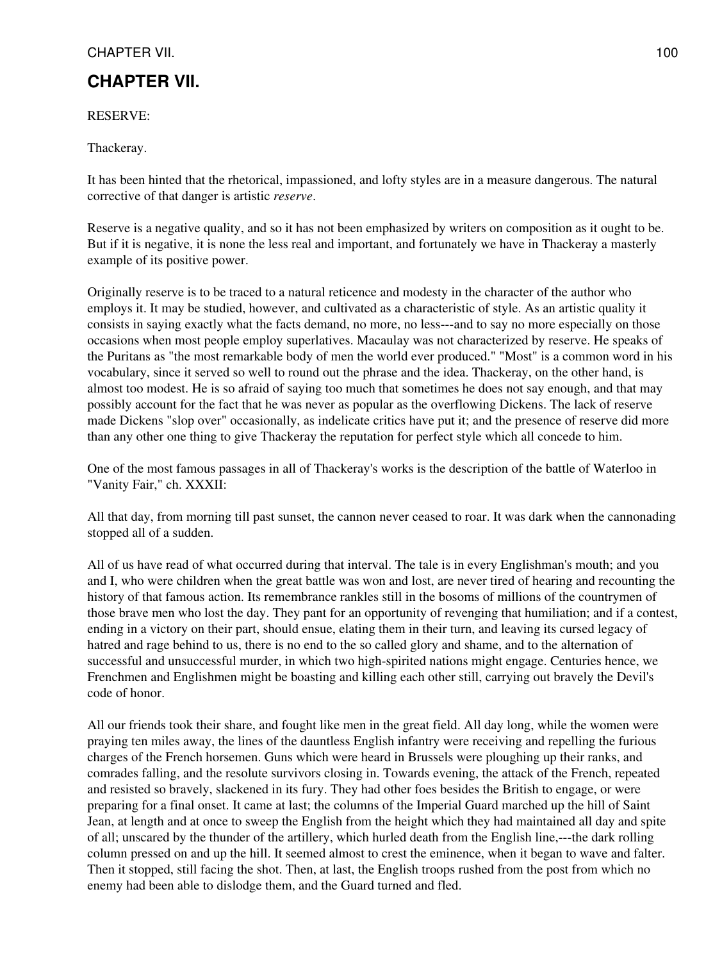# **CHAPTER VII.**

RESERVE:

Thackeray.

It has been hinted that the rhetorical, impassioned, and lofty styles are in a measure dangerous. The natural corrective of that danger is artistic *reserve*.

Reserve is a negative quality, and so it has not been emphasized by writers on composition as it ought to be. But if it is negative, it is none the less real and important, and fortunately we have in Thackeray a masterly example of its positive power.

Originally reserve is to be traced to a natural reticence and modesty in the character of the author who employs it. It may be studied, however, and cultivated as a characteristic of style. As an artistic quality it consists in saying exactly what the facts demand, no more, no less---and to say no more especially on those occasions when most people employ superlatives. Macaulay was not characterized by reserve. He speaks of the Puritans as "the most remarkable body of men the world ever produced." "Most" is a common word in his vocabulary, since it served so well to round out the phrase and the idea. Thackeray, on the other hand, is almost too modest. He is so afraid of saying too much that sometimes he does not say enough, and that may possibly account for the fact that he was never as popular as the overflowing Dickens. The lack of reserve made Dickens "slop over" occasionally, as indelicate critics have put it; and the presence of reserve did more than any other one thing to give Thackeray the reputation for perfect style which all concede to him.

One of the most famous passages in all of Thackeray's works is the description of the battle of Waterloo in "Vanity Fair," ch. XXXII:

All that day, from morning till past sunset, the cannon never ceased to roar. It was dark when the cannonading stopped all of a sudden.

All of us have read of what occurred during that interval. The tale is in every Englishman's mouth; and you and I, who were children when the great battle was won and lost, are never tired of hearing and recounting the history of that famous action. Its remembrance rankles still in the bosoms of millions of the countrymen of those brave men who lost the day. They pant for an opportunity of revenging that humiliation; and if a contest, ending in a victory on their part, should ensue, elating them in their turn, and leaving its cursed legacy of hatred and rage behind to us, there is no end to the so called glory and shame, and to the alternation of successful and unsuccessful murder, in which two high-spirited nations might engage. Centuries hence, we Frenchmen and Englishmen might be boasting and killing each other still, carrying out bravely the Devil's code of honor.

All our friends took their share, and fought like men in the great field. All day long, while the women were praying ten miles away, the lines of the dauntless English infantry were receiving and repelling the furious charges of the French horsemen. Guns which were heard in Brussels were ploughing up their ranks, and comrades falling, and the resolute survivors closing in. Towards evening, the attack of the French, repeated and resisted so bravely, slackened in its fury. They had other foes besides the British to engage, or were preparing for a final onset. It came at last; the columns of the Imperial Guard marched up the hill of Saint Jean, at length and at once to sweep the English from the height which they had maintained all day and spite of all; unscared by the thunder of the artillery, which hurled death from the English line,---the dark rolling column pressed on and up the hill. It seemed almost to crest the eminence, when it began to wave and falter. Then it stopped, still facing the shot. Then, at last, the English troops rushed from the post from which no enemy had been able to dislodge them, and the Guard turned and fled.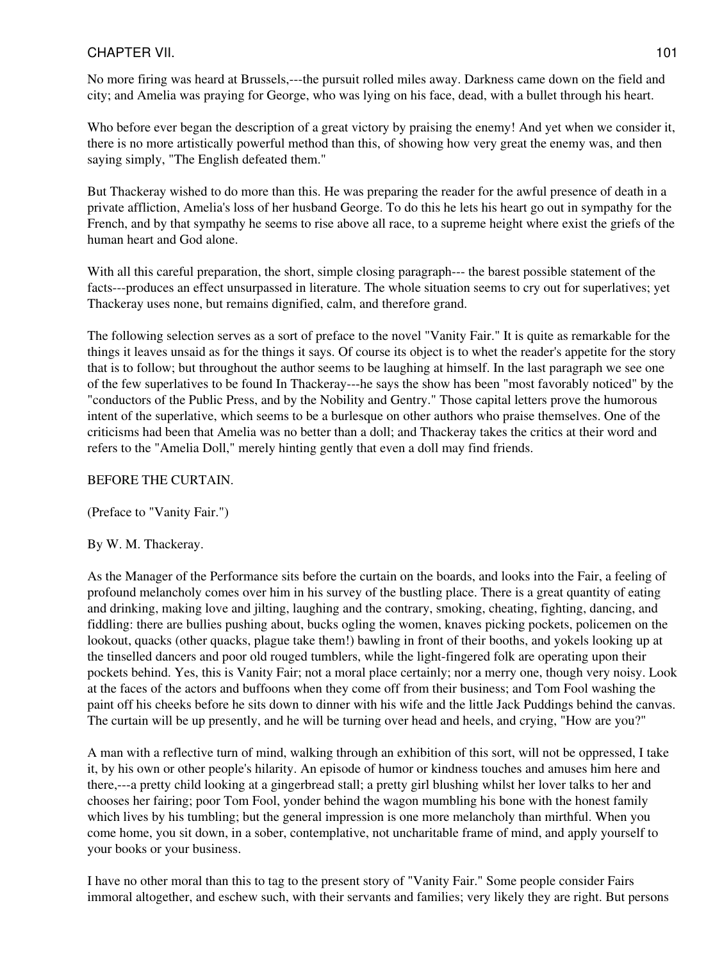No more firing was heard at Brussels,---the pursuit rolled miles away. Darkness came down on the field and city; and Amelia was praying for George, who was lying on his face, dead, with a bullet through his heart.

Who before ever began the description of a great victory by praising the enemy! And yet when we consider it, there is no more artistically powerful method than this, of showing how very great the enemy was, and then saying simply, "The English defeated them."

But Thackeray wished to do more than this. He was preparing the reader for the awful presence of death in a private affliction, Amelia's loss of her husband George. To do this he lets his heart go out in sympathy for the French, and by that sympathy he seems to rise above all race, to a supreme height where exist the griefs of the human heart and God alone.

With all this careful preparation, the short, simple closing paragraph--- the barest possible statement of the facts---produces an effect unsurpassed in literature. The whole situation seems to cry out for superlatives; yet Thackeray uses none, but remains dignified, calm, and therefore grand.

The following selection serves as a sort of preface to the novel "Vanity Fair." It is quite as remarkable for the things it leaves unsaid as for the things it says. Of course its object is to whet the reader's appetite for the story that is to follow; but throughout the author seems to be laughing at himself. In the last paragraph we see one of the few superlatives to be found In Thackeray---he says the show has been "most favorably noticed" by the "conductors of the Public Press, and by the Nobility and Gentry." Those capital letters prove the humorous intent of the superlative, which seems to be a burlesque on other authors who praise themselves. One of the criticisms had been that Amelia was no better than a doll; and Thackeray takes the critics at their word and refers to the "Amelia Doll," merely hinting gently that even a doll may find friends.

### BEFORE THE CURTAIN.

(Preface to "Vanity Fair.")

# By W. M. Thackeray.

As the Manager of the Performance sits before the curtain on the boards, and looks into the Fair, a feeling of profound melancholy comes over him in his survey of the bustling place. There is a great quantity of eating and drinking, making love and jilting, laughing and the contrary, smoking, cheating, fighting, dancing, and fiddling: there are bullies pushing about, bucks ogling the women, knaves picking pockets, policemen on the lookout, quacks (other quacks, plague take them!) bawling in front of their booths, and yokels looking up at the tinselled dancers and poor old rouged tumblers, while the light-fingered folk are operating upon their pockets behind. Yes, this is Vanity Fair; not a moral place certainly; nor a merry one, though very noisy. Look at the faces of the actors and buffoons when they come off from their business; and Tom Fool washing the paint off his cheeks before he sits down to dinner with his wife and the little Jack Puddings behind the canvas. The curtain will be up presently, and he will be turning over head and heels, and crying, "How are you?"

A man with a reflective turn of mind, walking through an exhibition of this sort, will not be oppressed, I take it, by his own or other people's hilarity. An episode of humor or kindness touches and amuses him here and there,---a pretty child looking at a gingerbread stall; a pretty girl blushing whilst her lover talks to her and chooses her fairing; poor Tom Fool, yonder behind the wagon mumbling his bone with the honest family which lives by his tumbling; but the general impression is one more melancholy than mirthful. When you come home, you sit down, in a sober, contemplative, not uncharitable frame of mind, and apply yourself to your books or your business.

I have no other moral than this to tag to the present story of "Vanity Fair." Some people consider Fairs immoral altogether, and eschew such, with their servants and families; very likely they are right. But persons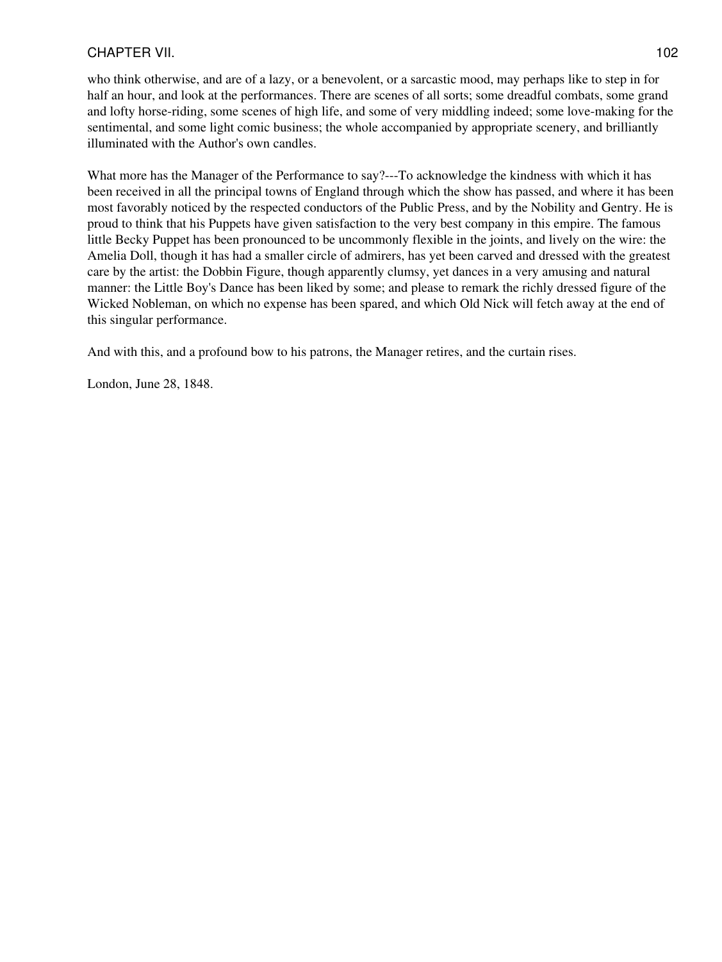who think otherwise, and are of a lazy, or a benevolent, or a sarcastic mood, may perhaps like to step in for half an hour, and look at the performances. There are scenes of all sorts; some dreadful combats, some grand and lofty horse-riding, some scenes of high life, and some of very middling indeed; some love-making for the sentimental, and some light comic business; the whole accompanied by appropriate scenery, and brilliantly illuminated with the Author's own candles.

What more has the Manager of the Performance to say?—To acknowledge the kindness with which it has been received in all the principal towns of England through which the show has passed, and where it has been most favorably noticed by the respected conductors of the Public Press, and by the Nobility and Gentry. He is proud to think that his Puppets have given satisfaction to the very best company in this empire. The famous little Becky Puppet has been pronounced to be uncommonly flexible in the joints, and lively on the wire: the Amelia Doll, though it has had a smaller circle of admirers, has yet been carved and dressed with the greatest care by the artist: the Dobbin Figure, though apparently clumsy, yet dances in a very amusing and natural manner: the Little Boy's Dance has been liked by some; and please to remark the richly dressed figure of the Wicked Nobleman, on which no expense has been spared, and which Old Nick will fetch away at the end of this singular performance.

And with this, and a profound bow to his patrons, the Manager retires, and the curtain rises.

London, June 28, 1848.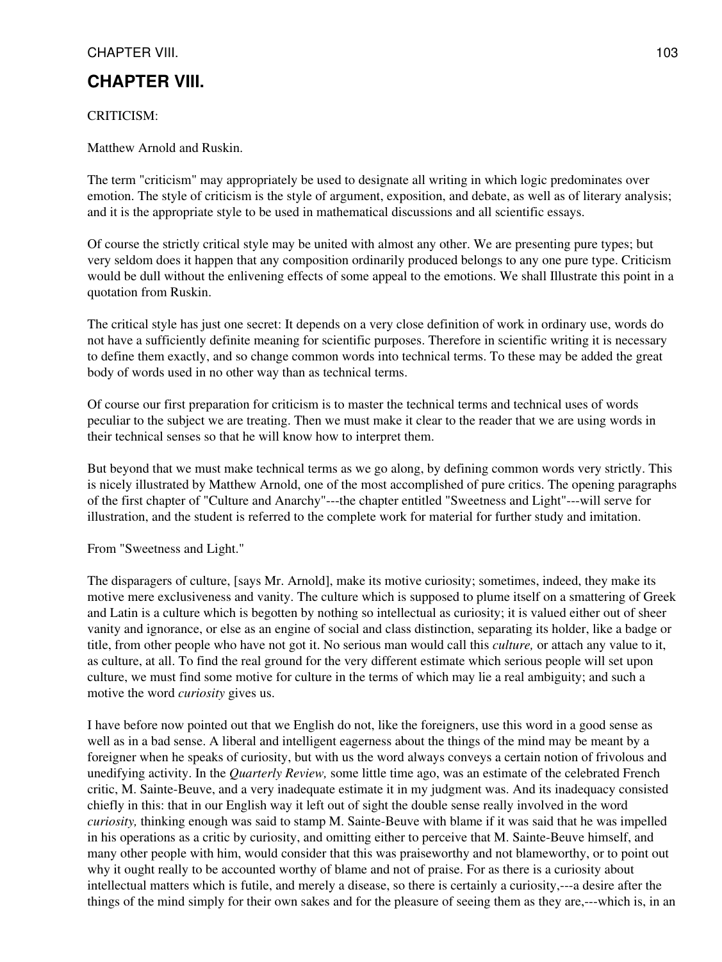# **CHAPTER VIII.**

### CRITICISM:

Matthew Arnold and Ruskin.

The term "criticism" may appropriately be used to designate all writing in which logic predominates over emotion. The style of criticism is the style of argument, exposition, and debate, as well as of literary analysis; and it is the appropriate style to be used in mathematical discussions and all scientific essays.

Of course the strictly critical style may be united with almost any other. We are presenting pure types; but very seldom does it happen that any composition ordinarily produced belongs to any one pure type. Criticism would be dull without the enlivening effects of some appeal to the emotions. We shall Illustrate this point in a quotation from Ruskin.

The critical style has just one secret: It depends on a very close definition of work in ordinary use, words do not have a sufficiently definite meaning for scientific purposes. Therefore in scientific writing it is necessary to define them exactly, and so change common words into technical terms. To these may be added the great body of words used in no other way than as technical terms.

Of course our first preparation for criticism is to master the technical terms and technical uses of words peculiar to the subject we are treating. Then we must make it clear to the reader that we are using words in their technical senses so that he will know how to interpret them.

But beyond that we must make technical terms as we go along, by defining common words very strictly. This is nicely illustrated by Matthew Arnold, one of the most accomplished of pure critics. The opening paragraphs of the first chapter of "Culture and Anarchy"---the chapter entitled "Sweetness and Light"---will serve for illustration, and the student is referred to the complete work for material for further study and imitation.

From "Sweetness and Light."

The disparagers of culture, [says Mr. Arnold], make its motive curiosity; sometimes, indeed, they make its motive mere exclusiveness and vanity. The culture which is supposed to plume itself on a smattering of Greek and Latin is a culture which is begotten by nothing so intellectual as curiosity; it is valued either out of sheer vanity and ignorance, or else as an engine of social and class distinction, separating its holder, like a badge or title, from other people who have not got it. No serious man would call this *culture,* or attach any value to it, as culture, at all. To find the real ground for the very different estimate which serious people will set upon culture, we must find some motive for culture in the terms of which may lie a real ambiguity; and such a motive the word *curiosity* gives us.

I have before now pointed out that we English do not, like the foreigners, use this word in a good sense as well as in a bad sense. A liberal and intelligent eagerness about the things of the mind may be meant by a foreigner when he speaks of curiosity, but with us the word always conveys a certain notion of frivolous and unedifying activity. In the *Quarterly Review,* some little time ago, was an estimate of the celebrated French critic, M. Sainte-Beuve, and a very inadequate estimate it in my judgment was. And its inadequacy consisted chiefly in this: that in our English way it left out of sight the double sense really involved in the word *curiosity,* thinking enough was said to stamp M. Sainte-Beuve with blame if it was said that he was impelled in his operations as a critic by curiosity, and omitting either to perceive that M. Sainte-Beuve himself, and many other people with him, would consider that this was praiseworthy and not blameworthy, or to point out why it ought really to be accounted worthy of blame and not of praise. For as there is a curiosity about intellectual matters which is futile, and merely a disease, so there is certainly a curiosity,---a desire after the things of the mind simply for their own sakes and for the pleasure of seeing them as they are,---which is, in an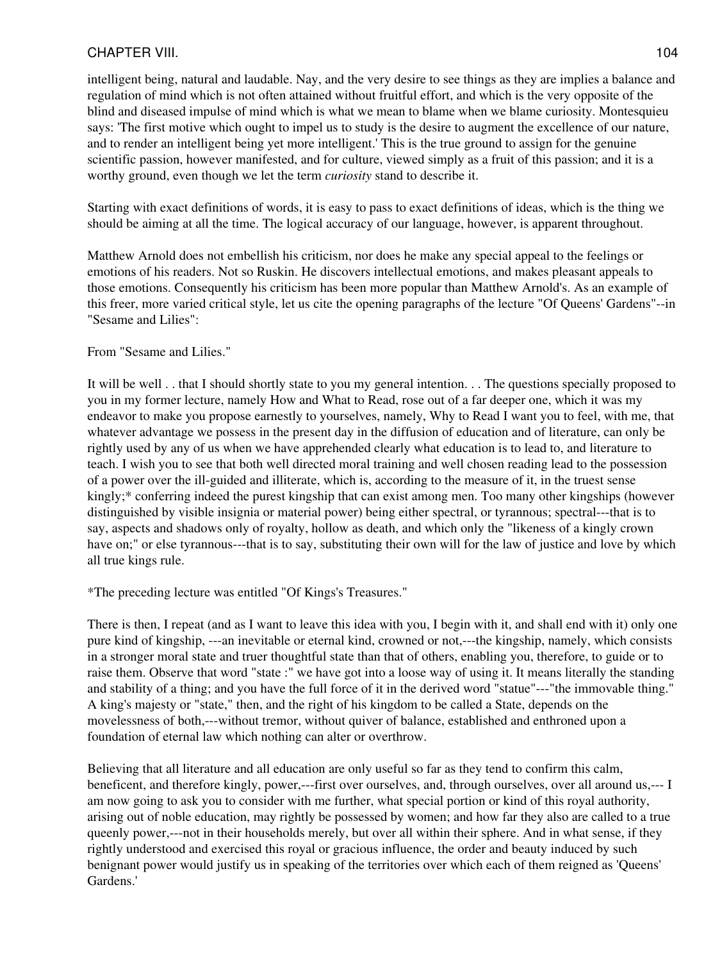intelligent being, natural and laudable. Nay, and the very desire to see things as they are implies a balance and regulation of mind which is not often attained without fruitful effort, and which is the very opposite of the blind and diseased impulse of mind which is what we mean to blame when we blame curiosity. Montesquieu says: 'The first motive which ought to impel us to study is the desire to augment the excellence of our nature, and to render an intelligent being yet more intelligent.' This is the true ground to assign for the genuine scientific passion, however manifested, and for culture, viewed simply as a fruit of this passion; and it is a worthy ground, even though we let the term *curiosity* stand to describe it.

Starting with exact definitions of words, it is easy to pass to exact definitions of ideas, which is the thing we should be aiming at all the time. The logical accuracy of our language, however, is apparent throughout.

Matthew Arnold does not embellish his criticism, nor does he make any special appeal to the feelings or emotions of his readers. Not so Ruskin. He discovers intellectual emotions, and makes pleasant appeals to those emotions. Consequently his criticism has been more popular than Matthew Arnold's. As an example of this freer, more varied critical style, let us cite the opening paragraphs of the lecture "Of Queens' Gardens"--in "Sesame and Lilies":

# From "Sesame and Lilies."

It will be well . . that I should shortly state to you my general intention. . . The questions specially proposed to you in my former lecture, namely How and What to Read, rose out of a far deeper one, which it was my endeavor to make you propose earnestly to yourselves, namely, Why to Read I want you to feel, with me, that whatever advantage we possess in the present day in the diffusion of education and of literature, can only be rightly used by any of us when we have apprehended clearly what education is to lead to, and literature to teach. I wish you to see that both well directed moral training and well chosen reading lead to the possession of a power over the ill-guided and illiterate, which is, according to the measure of it, in the truest sense kingly;\* conferring indeed the purest kingship that can exist among men. Too many other kingships (however distinguished by visible insignia or material power) being either spectral, or tyrannous; spectral---that is to say, aspects and shadows only of royalty, hollow as death, and which only the "likeness of a kingly crown have on;" or else tyrannous---that is to say, substituting their own will for the law of justice and love by which all true kings rule.

\*The preceding lecture was entitled "Of Kings's Treasures."

There is then, I repeat (and as I want to leave this idea with you, I begin with it, and shall end with it) only one pure kind of kingship, ---an inevitable or eternal kind, crowned or not,---the kingship, namely, which consists in a stronger moral state and truer thoughtful state than that of others, enabling you, therefore, to guide or to raise them. Observe that word "state :" we have got into a loose way of using it. It means literally the standing and stability of a thing; and you have the full force of it in the derived word "statue"---"the immovable thing." A king's majesty or "state," then, and the right of his kingdom to be called a State, depends on the movelessness of both,---without tremor, without quiver of balance, established and enthroned upon a foundation of eternal law which nothing can alter or overthrow.

Believing that all literature and all education are only useful so far as they tend to confirm this calm, beneficent, and therefore kingly, power,---first over ourselves, and, through ourselves, over all around us,--- I am now going to ask you to consider with me further, what special portion or kind of this royal authority, arising out of noble education, may rightly be possessed by women; and how far they also are called to a true queenly power,---not in their households merely, but over all within their sphere. And in what sense, if they rightly understood and exercised this royal or gracious influence, the order and beauty induced by such benignant power would justify us in speaking of the territories over which each of them reigned as 'Queens' Gardens.'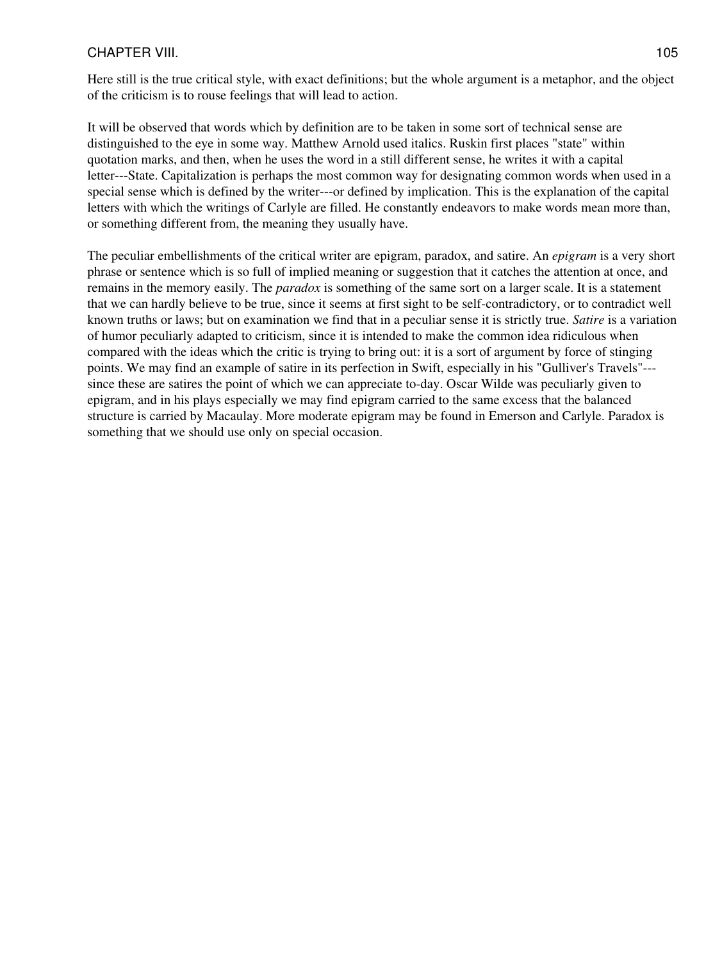Here still is the true critical style, with exact definitions; but the whole argument is a metaphor, and the object of the criticism is to rouse feelings that will lead to action.

It will be observed that words which by definition are to be taken in some sort of technical sense are distinguished to the eye in some way. Matthew Arnold used italics. Ruskin first places "state" within quotation marks, and then, when he uses the word in a still different sense, he writes it with a capital letter---State. Capitalization is perhaps the most common way for designating common words when used in a special sense which is defined by the writer---or defined by implication. This is the explanation of the capital letters with which the writings of Carlyle are filled. He constantly endeavors to make words mean more than, or something different from, the meaning they usually have.

The peculiar embellishments of the critical writer are epigram, paradox, and satire. An *epigram* is a very short phrase or sentence which is so full of implied meaning or suggestion that it catches the attention at once, and remains in the memory easily. The *paradox* is something of the same sort on a larger scale. It is a statement that we can hardly believe to be true, since it seems at first sight to be self-contradictory, or to contradict well known truths or laws; but on examination we find that in a peculiar sense it is strictly true. *Satire* is a variation of humor peculiarly adapted to criticism, since it is intended to make the common idea ridiculous when compared with the ideas which the critic is trying to bring out: it is a sort of argument by force of stinging points. We may find an example of satire in its perfection in Swift, especially in his "Gulliver's Travels"-- since these are satires the point of which we can appreciate to-day. Oscar Wilde was peculiarly given to epigram, and in his plays especially we may find epigram carried to the same excess that the balanced structure is carried by Macaulay. More moderate epigram may be found in Emerson and Carlyle. Paradox is something that we should use only on special occasion.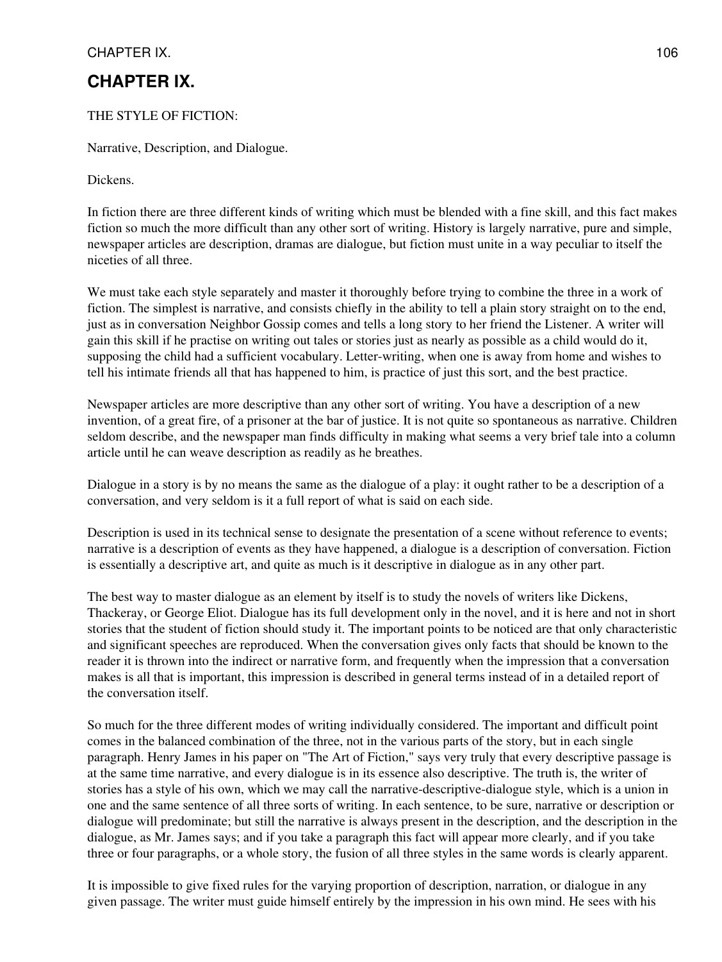# **CHAPTER IX.**

### THE STYLE OF FICTION:

Narrative, Description, and Dialogue.

Dickens.

In fiction there are three different kinds of writing which must be blended with a fine skill, and this fact makes fiction so much the more difficult than any other sort of writing. History is largely narrative, pure and simple, newspaper articles are description, dramas are dialogue, but fiction must unite in a way peculiar to itself the niceties of all three.

We must take each style separately and master it thoroughly before trying to combine the three in a work of fiction. The simplest is narrative, and consists chiefly in the ability to tell a plain story straight on to the end, just as in conversation Neighbor Gossip comes and tells a long story to her friend the Listener. A writer will gain this skill if he practise on writing out tales or stories just as nearly as possible as a child would do it, supposing the child had a sufficient vocabulary. Letter-writing, when one is away from home and wishes to tell his intimate friends all that has happened to him, is practice of just this sort, and the best practice.

Newspaper articles are more descriptive than any other sort of writing. You have a description of a new invention, of a great fire, of a prisoner at the bar of justice. It is not quite so spontaneous as narrative. Children seldom describe, and the newspaper man finds difficulty in making what seems a very brief tale into a column article until he can weave description as readily as he breathes.

Dialogue in a story is by no means the same as the dialogue of a play: it ought rather to be a description of a conversation, and very seldom is it a full report of what is said on each side.

Description is used in its technical sense to designate the presentation of a scene without reference to events; narrative is a description of events as they have happened, a dialogue is a description of conversation. Fiction is essentially a descriptive art, and quite as much is it descriptive in dialogue as in any other part.

The best way to master dialogue as an element by itself is to study the novels of writers like Dickens, Thackeray, or George Eliot. Dialogue has its full development only in the novel, and it is here and not in short stories that the student of fiction should study it. The important points to be noticed are that only characteristic and significant speeches are reproduced. When the conversation gives only facts that should be known to the reader it is thrown into the indirect or narrative form, and frequently when the impression that a conversation makes is all that is important, this impression is described in general terms instead of in a detailed report of the conversation itself.

So much for the three different modes of writing individually considered. The important and difficult point comes in the balanced combination of the three, not in the various parts of the story, but in each single paragraph. Henry James in his paper on "The Art of Fiction," says very truly that every descriptive passage is at the same time narrative, and every dialogue is in its essence also descriptive. The truth is, the writer of stories has a style of his own, which we may call the narrative-descriptive-dialogue style, which is a union in one and the same sentence of all three sorts of writing. In each sentence, to be sure, narrative or description or dialogue will predominate; but still the narrative is always present in the description, and the description in the dialogue, as Mr. James says; and if you take a paragraph this fact will appear more clearly, and if you take three or four paragraphs, or a whole story, the fusion of all three styles in the same words is clearly apparent.

It is impossible to give fixed rules for the varying proportion of description, narration, or dialogue in any given passage. The writer must guide himself entirely by the impression in his own mind. He sees with his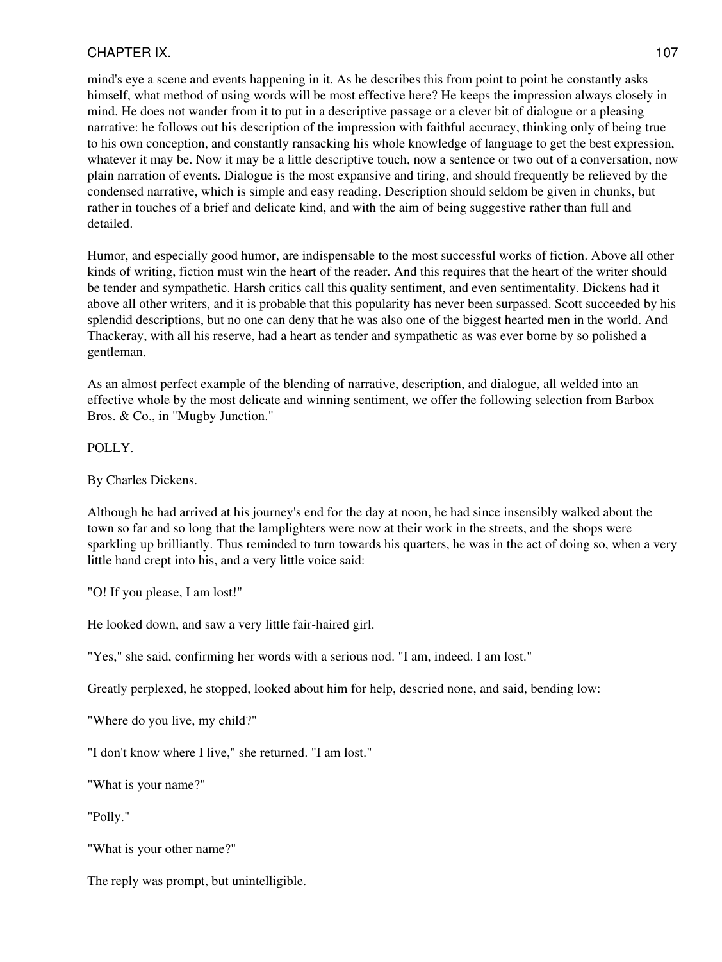mind's eye a scene and events happening in it. As he describes this from point to point he constantly asks himself, what method of using words will be most effective here? He keeps the impression always closely in mind. He does not wander from it to put in a descriptive passage or a clever bit of dialogue or a pleasing narrative: he follows out his description of the impression with faithful accuracy, thinking only of being true to his own conception, and constantly ransacking his whole knowledge of language to get the best expression, whatever it may be. Now it may be a little descriptive touch, now a sentence or two out of a conversation, now plain narration of events. Dialogue is the most expansive and tiring, and should frequently be relieved by the condensed narrative, which is simple and easy reading. Description should seldom be given in chunks, but rather in touches of a brief and delicate kind, and with the aim of being suggestive rather than full and detailed.

Humor, and especially good humor, are indispensable to the most successful works of fiction. Above all other kinds of writing, fiction must win the heart of the reader. And this requires that the heart of the writer should be tender and sympathetic. Harsh critics call this quality sentiment, and even sentimentality. Dickens had it above all other writers, and it is probable that this popularity has never been surpassed. Scott succeeded by his splendid descriptions, but no one can deny that he was also one of the biggest hearted men in the world. And Thackeray, with all his reserve, had a heart as tender and sympathetic as was ever borne by so polished a gentleman.

As an almost perfect example of the blending of narrative, description, and dialogue, all welded into an effective whole by the most delicate and winning sentiment, we offer the following selection from Barbox Bros. & Co., in "Mugby Junction."

POLLY.

By Charles Dickens.

Although he had arrived at his journey's end for the day at noon, he had since insensibly walked about the town so far and so long that the lamplighters were now at their work in the streets, and the shops were sparkling up brilliantly. Thus reminded to turn towards his quarters, he was in the act of doing so, when a very little hand crept into his, and a very little voice said:

"O! If you please, I am lost!"

He looked down, and saw a very little fair-haired girl.

"Yes," she said, confirming her words with a serious nod. "I am, indeed. I am lost."

Greatly perplexed, he stopped, looked about him for help, descried none, and said, bending low:

"Where do you live, my child?"

"I don't know where I live," she returned. "I am lost."

"What is your name?"

"Polly."

"What is your other name?"

The reply was prompt, but unintelligible.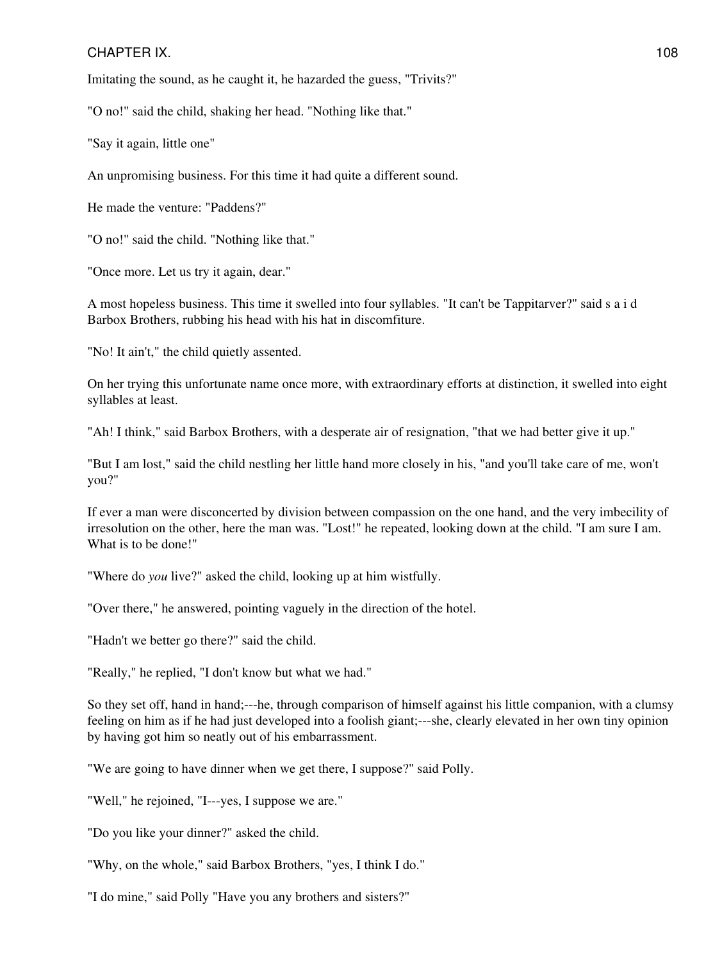Imitating the sound, as he caught it, he hazarded the guess, "Trivits?"

"O no!" said the child, shaking her head. "Nothing like that."

"Say it again, little one"

An unpromising business. For this time it had quite a different sound.

He made the venture: "Paddens?"

"O no!" said the child. "Nothing like that."

"Once more. Let us try it again, dear."

A most hopeless business. This time it swelled into four syllables. "It can't be Tappitarver?" said s a i d Barbox Brothers, rubbing his head with his hat in discomfiture.

"No! It ain't," the child quietly assented.

On her trying this unfortunate name once more, with extraordinary efforts at distinction, it swelled into eight syllables at least.

"Ah! I think," said Barbox Brothers, with a desperate air of resignation, "that we had better give it up."

"But I am lost," said the child nestling her little hand more closely in his, "and you'll take care of me, won't you?"

If ever a man were disconcerted by division between compassion on the one hand, and the very imbecility of irresolution on the other, here the man was. "Lost!" he repeated, looking down at the child. "I am sure I am. What is to be done!"

"Where do *you* live?" asked the child, looking up at him wistfully.

"Over there," he answered, pointing vaguely in the direction of the hotel.

"Hadn't we better go there?" said the child.

"Really," he replied, "I don't know but what we had."

So they set off, hand in hand;---he, through comparison of himself against his little companion, with a clumsy feeling on him as if he had just developed into a foolish giant;---she, clearly elevated in her own tiny opinion by having got him so neatly out of his embarrassment.

"We are going to have dinner when we get there, I suppose?" said Polly.

"Well," he rejoined, "I---yes, I suppose we are."

"Do you like your dinner?" asked the child.

"Why, on the whole," said Barbox Brothers, "yes, I think I do."

"I do mine," said Polly "Have you any brothers and sisters?"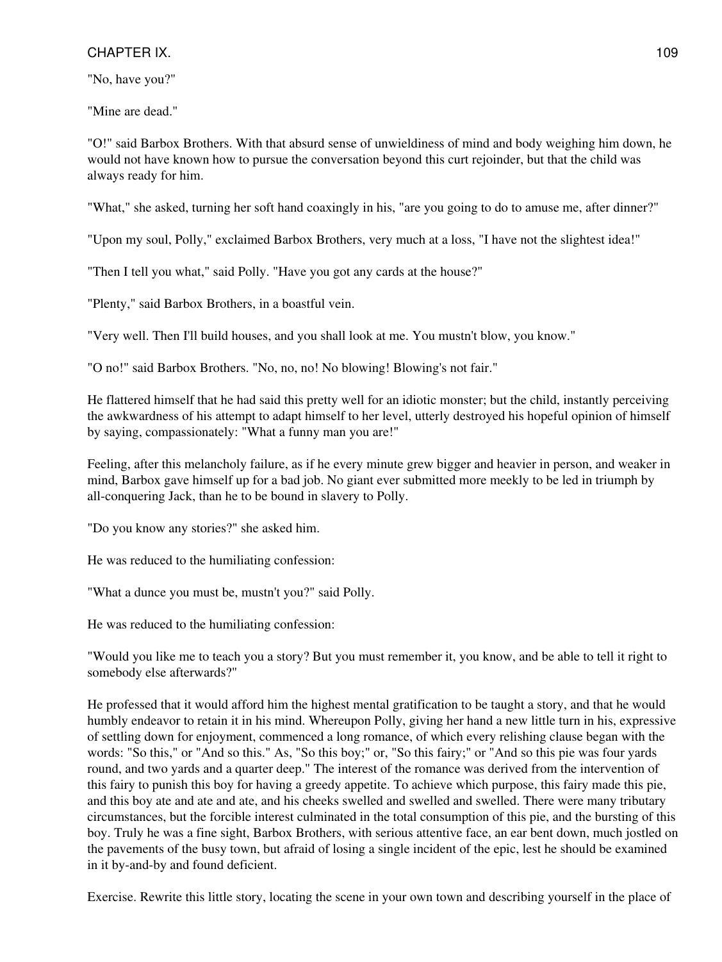"No, have you?"

"Mine are dead."

"O!" said Barbox Brothers. With that absurd sense of unwieldiness of mind and body weighing him down, he would not have known how to pursue the conversation beyond this curt rejoinder, but that the child was always ready for him.

"What," she asked, turning her soft hand coaxingly in his, "are you going to do to amuse me, after dinner?"

"Upon my soul, Polly," exclaimed Barbox Brothers, very much at a loss, "I have not the slightest idea!"

"Then I tell you what," said Polly. "Have you got any cards at the house?"

"Plenty," said Barbox Brothers, in a boastful vein.

"Very well. Then I'll build houses, and you shall look at me. You mustn't blow, you know."

"O no!" said Barbox Brothers. "No, no, no! No blowing! Blowing's not fair."

He flattered himself that he had said this pretty well for an idiotic monster; but the child, instantly perceiving the awkwardness of his attempt to adapt himself to her level, utterly destroyed his hopeful opinion of himself by saying, compassionately: "What a funny man you are!"

Feeling, after this melancholy failure, as if he every minute grew bigger and heavier in person, and weaker in mind, Barbox gave himself up for a bad job. No giant ever submitted more meekly to be led in triumph by all-conquering Jack, than he to be bound in slavery to Polly.

"Do you know any stories?" she asked him.

He was reduced to the humiliating confession:

"What a dunce you must be, mustn't you?" said Polly.

He was reduced to the humiliating confession:

"Would you like me to teach you a story? But you must remember it, you know, and be able to tell it right to somebody else afterwards?"

He professed that it would afford him the highest mental gratification to be taught a story, and that he would humbly endeavor to retain it in his mind. Whereupon Polly, giving her hand a new little turn in his, expressive of settling down for enjoyment, commenced a long romance, of which every relishing clause began with the words: "So this," or "And so this." As, "So this boy;" or, "So this fairy;" or "And so this pie was four yards round, and two yards and a quarter deep." The interest of the romance was derived from the intervention of this fairy to punish this boy for having a greedy appetite. To achieve which purpose, this fairy made this pie, and this boy ate and ate and ate, and his cheeks swelled and swelled and swelled. There were many tributary circumstances, but the forcible interest culminated in the total consumption of this pie, and the bursting of this boy. Truly he was a fine sight, Barbox Brothers, with serious attentive face, an ear bent down, much jostled on the pavements of the busy town, but afraid of losing a single incident of the epic, lest he should be examined in it by-and-by and found deficient.

Exercise. Rewrite this little story, locating the scene in your own town and describing yourself in the place of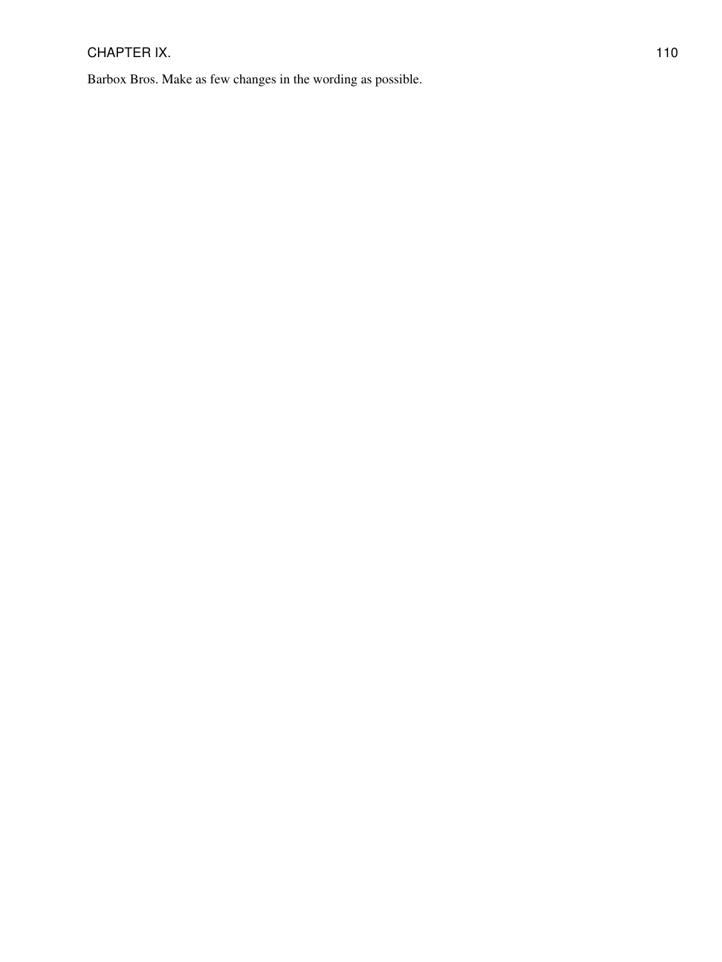Barbox Bros. Make as few changes in the wording as possible.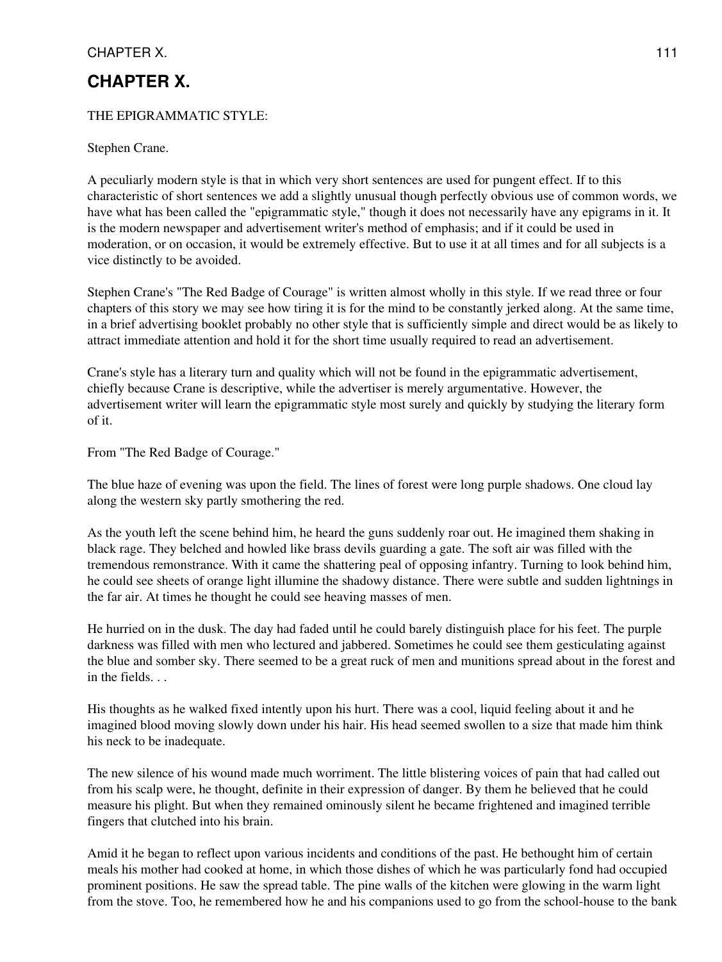# CHAPTER X. 2002 111

# **CHAPTER X.**

## THE EPIGRAMMATIC STYLE:

## Stephen Crane.

A peculiarly modern style is that in which very short sentences are used for pungent effect. If to this characteristic of short sentences we add a slightly unusual though perfectly obvious use of common words, we have what has been called the "epigrammatic style," though it does not necessarily have any epigrams in it. It is the modern newspaper and advertisement writer's method of emphasis; and if it could be used in moderation, or on occasion, it would be extremely effective. But to use it at all times and for all subjects is a vice distinctly to be avoided.

Stephen Crane's "The Red Badge of Courage" is written almost wholly in this style. If we read three or four chapters of this story we may see how tiring it is for the mind to be constantly jerked along. At the same time, in a brief advertising booklet probably no other style that is sufficiently simple and direct would be as likely to attract immediate attention and hold it for the short time usually required to read an advertisement.

Crane's style has a literary turn and quality which will not be found in the epigrammatic advertisement, chiefly because Crane is descriptive, while the advertiser is merely argumentative. However, the advertisement writer will learn the epigrammatic style most surely and quickly by studying the literary form of it.

From "The Red Badge of Courage."

The blue haze of evening was upon the field. The lines of forest were long purple shadows. One cloud lay along the western sky partly smothering the red.

As the youth left the scene behind him, he heard the guns suddenly roar out. He imagined them shaking in black rage. They belched and howled like brass devils guarding a gate. The soft air was filled with the tremendous remonstrance. With it came the shattering peal of opposing infantry. Turning to look behind him, he could see sheets of orange light illumine the shadowy distance. There were subtle and sudden lightnings in the far air. At times he thought he could see heaving masses of men.

He hurried on in the dusk. The day had faded until he could barely distinguish place for his feet. The purple darkness was filled with men who lectured and jabbered. Sometimes he could see them gesticulating against the blue and somber sky. There seemed to be a great ruck of men and munitions spread about in the forest and in the fields. . .

His thoughts as he walked fixed intently upon his hurt. There was a cool, liquid feeling about it and he imagined blood moving slowly down under his hair. His head seemed swollen to a size that made him think his neck to be inadequate.

The new silence of his wound made much worriment. The little blistering voices of pain that had called out from his scalp were, he thought, definite in their expression of danger. By them he believed that he could measure his plight. But when they remained ominously silent he became frightened and imagined terrible fingers that clutched into his brain.

Amid it he began to reflect upon various incidents and conditions of the past. He bethought him of certain meals his mother had cooked at home, in which those dishes of which he was particularly fond had occupied prominent positions. He saw the spread table. The pine walls of the kitchen were glowing in the warm light from the stove. Too, he remembered how he and his companions used to go from the school-house to the bank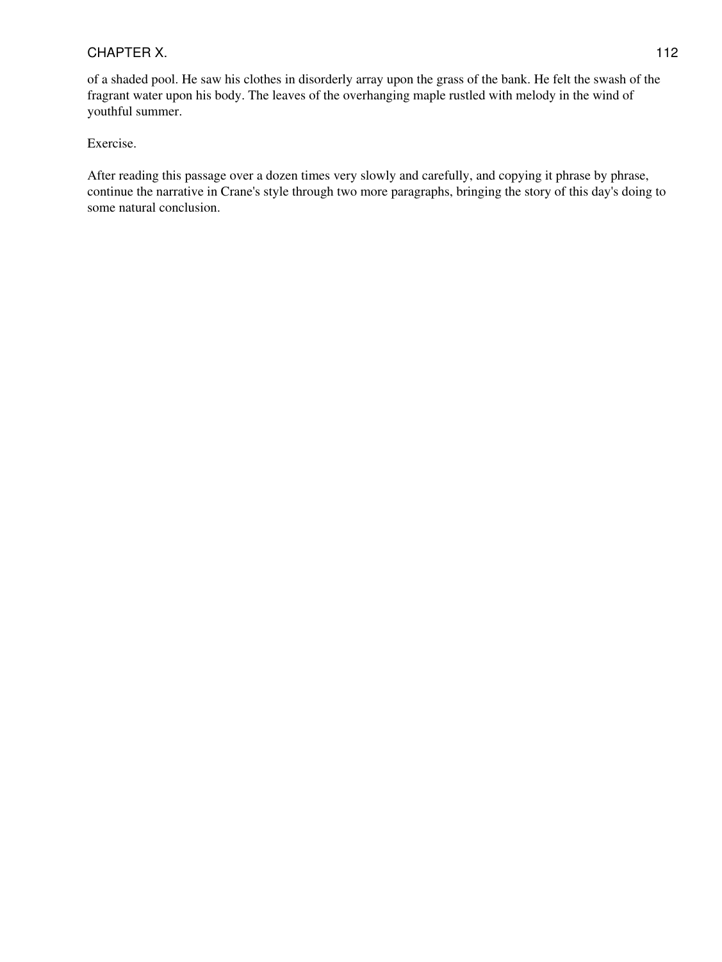of a shaded pool. He saw his clothes in disorderly array upon the grass of the bank. He felt the swash of the fragrant water upon his body. The leaves of the overhanging maple rustled with melody in the wind of youthful summer.

Exercise.

After reading this passage over a dozen times very slowly and carefully, and copying it phrase by phrase, continue the narrative in Crane's style through two more paragraphs, bringing the story of this day's doing to some natural conclusion.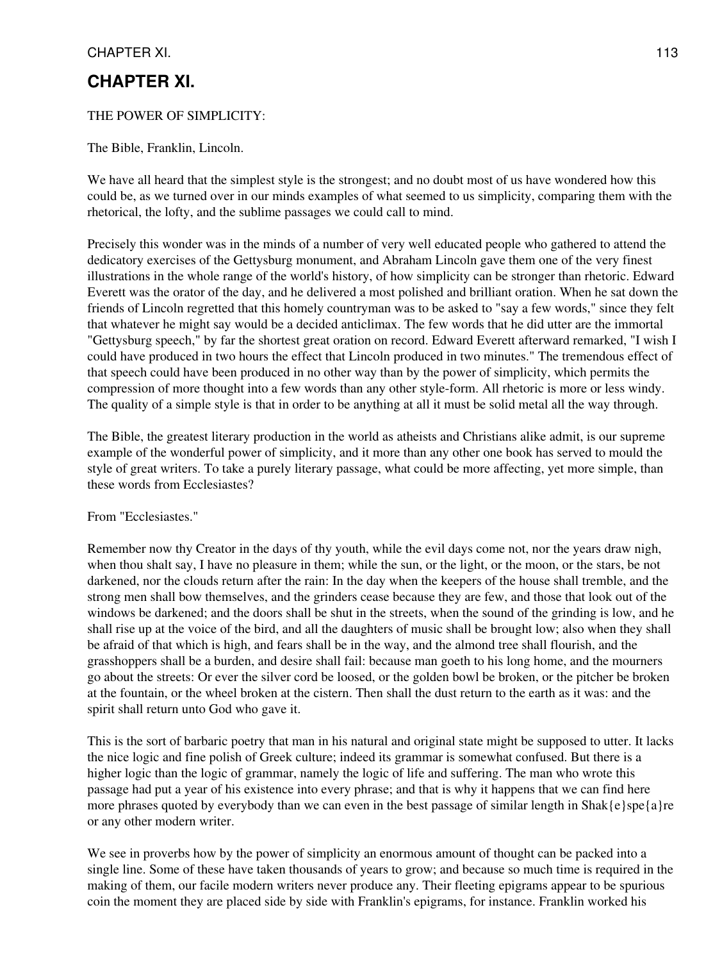# **CHAPTER XI.**

#### THE POWER OF SIMPLICITY:

The Bible, Franklin, Lincoln.

We have all heard that the simplest style is the strongest; and no doubt most of us have wondered how this could be, as we turned over in our minds examples of what seemed to us simplicity, comparing them with the rhetorical, the lofty, and the sublime passages we could call to mind.

Precisely this wonder was in the minds of a number of very well educated people who gathered to attend the dedicatory exercises of the Gettysburg monument, and Abraham Lincoln gave them one of the very finest illustrations in the whole range of the world's history, of how simplicity can be stronger than rhetoric. Edward Everett was the orator of the day, and he delivered a most polished and brilliant oration. When he sat down the friends of Lincoln regretted that this homely countryman was to be asked to "say a few words," since they felt that whatever he might say would be a decided anticlimax. The few words that he did utter are the immortal "Gettysburg speech," by far the shortest great oration on record. Edward Everett afterward remarked, "I wish I could have produced in two hours the effect that Lincoln produced in two minutes." The tremendous effect of that speech could have been produced in no other way than by the power of simplicity, which permits the compression of more thought into a few words than any other style-form. All rhetoric is more or less windy. The quality of a simple style is that in order to be anything at all it must be solid metal all the way through.

The Bible, the greatest literary production in the world as atheists and Christians alike admit, is our supreme example of the wonderful power of simplicity, and it more than any other one book has served to mould the style of great writers. To take a purely literary passage, what could be more affecting, yet more simple, than these words from Ecclesiastes?

#### From "Ecclesiastes."

Remember now thy Creator in the days of thy youth, while the evil days come not, nor the years draw nigh, when thou shalt say, I have no pleasure in them; while the sun, or the light, or the moon, or the stars, be not darkened, nor the clouds return after the rain: In the day when the keepers of the house shall tremble, and the strong men shall bow themselves, and the grinders cease because they are few, and those that look out of the windows be darkened; and the doors shall be shut in the streets, when the sound of the grinding is low, and he shall rise up at the voice of the bird, and all the daughters of music shall be brought low; also when they shall be afraid of that which is high, and fears shall be in the way, and the almond tree shall flourish, and the grasshoppers shall be a burden, and desire shall fail: because man goeth to his long home, and the mourners go about the streets: Or ever the silver cord be loosed, or the golden bowl be broken, or the pitcher be broken at the fountain, or the wheel broken at the cistern. Then shall the dust return to the earth as it was: and the spirit shall return unto God who gave it.

This is the sort of barbaric poetry that man in his natural and original state might be supposed to utter. It lacks the nice logic and fine polish of Greek culture; indeed its grammar is somewhat confused. But there is a higher logic than the logic of grammar, namely the logic of life and suffering. The man who wrote this passage had put a year of his existence into every phrase; and that is why it happens that we can find here more phrases quoted by everybody than we can even in the best passage of similar length in Shak{e}spe{a}re or any other modern writer.

We see in proverbs how by the power of simplicity an enormous amount of thought can be packed into a single line. Some of these have taken thousands of years to grow; and because so much time is required in the making of them, our facile modern writers never produce any. Their fleeting epigrams appear to be spurious coin the moment they are placed side by side with Franklin's epigrams, for instance. Franklin worked his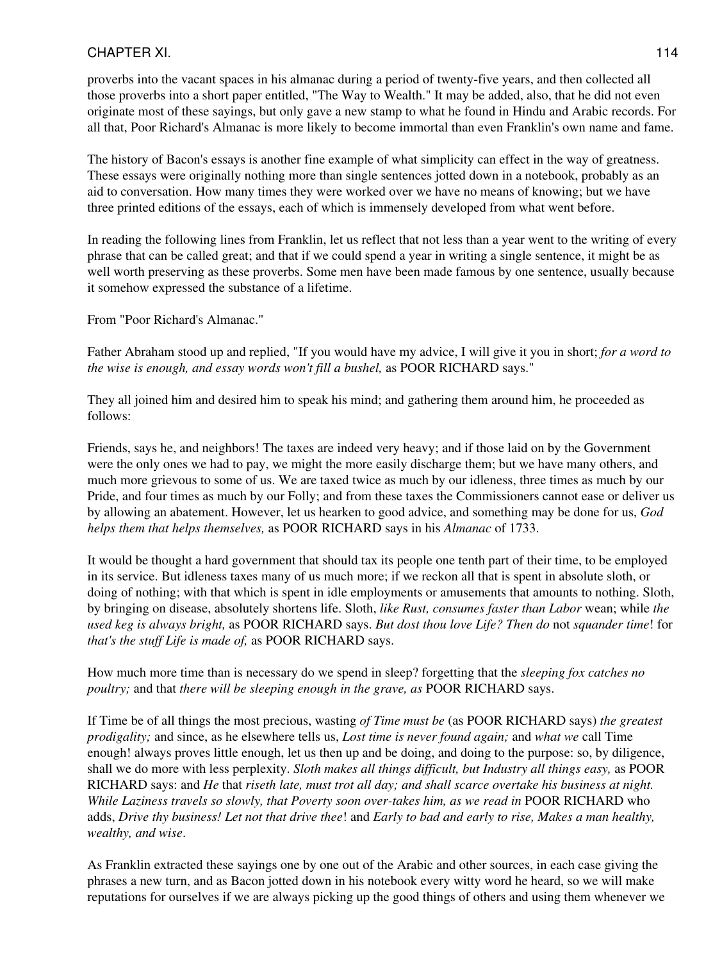# CHAPTER XI. 2002 2012 114

proverbs into the vacant spaces in his almanac during a period of twenty-five years, and then collected all those proverbs into a short paper entitled, "The Way to Wealth." It may be added, also, that he did not even originate most of these sayings, but only gave a new stamp to what he found in Hindu and Arabic records. For all that, Poor Richard's Almanac is more likely to become immortal than even Franklin's own name and fame.

The history of Bacon's essays is another fine example of what simplicity can effect in the way of greatness. These essays were originally nothing more than single sentences jotted down in a notebook, probably as an aid to conversation. How many times they were worked over we have no means of knowing; but we have three printed editions of the essays, each of which is immensely developed from what went before.

In reading the following lines from Franklin, let us reflect that not less than a year went to the writing of every phrase that can be called great; and that if we could spend a year in writing a single sentence, it might be as well worth preserving as these proverbs. Some men have been made famous by one sentence, usually because it somehow expressed the substance of a lifetime.

From "Poor Richard's Almanac."

Father Abraham stood up and replied, "If you would have my advice, I will give it you in short; *for a word to the wise is enough, and essay words won't fill a bushel,* as POOR RICHARD says."

They all joined him and desired him to speak his mind; and gathering them around him, he proceeded as follows:

Friends, says he, and neighbors! The taxes are indeed very heavy; and if those laid on by the Government were the only ones we had to pay, we might the more easily discharge them; but we have many others, and much more grievous to some of us. We are taxed twice as much by our idleness, three times as much by our Pride, and four times as much by our Folly; and from these taxes the Commissioners cannot ease or deliver us by allowing an abatement. However, let us hearken to good advice, and something may be done for us, *God helps them that helps themselves,* as POOR RICHARD says in his *Almanac* of 1733.

It would be thought a hard government that should tax its people one tenth part of their time, to be employed in its service. But idleness taxes many of us much more; if we reckon all that is spent in absolute sloth, or doing of nothing; with that which is spent in idle employments or amusements that amounts to nothing. Sloth, by bringing on disease, absolutely shortens life. Sloth, *like Rust, consumes faster than Labor* wean; while *the used keg is always bright,* as POOR RICHARD says. *But dost thou love Life? Then do* not *squander time*! for *that's the stuff Life is made of,* as POOR RICHARD says.

How much more time than is necessary do we spend in sleep? forgetting that the *sleeping fox catches no poultry;* and that *there will be sleeping enough in the grave, as* POOR RICHARD says.

If Time be of all things the most precious, wasting *of Time must be* (as POOR RICHARD says) *the greatest prodigality;* and since, as he elsewhere tells us, *Lost time is never found again;* and *what we* call Time enough! always proves little enough, let us then up and be doing, and doing to the purpose: so, by diligence, shall we do more with less perplexity. *Sloth makes all things difficult, but Industry all things easy,* as POOR RICHARD says: and *He* that *riseth late, must trot all day; and shall scarce overtake his business at night. While Laziness travels so slowly, that Poverty soon over-takes him, as we read in* POOR RICHARD who adds, *Drive thy business! Let not that drive thee*! and *Early to bad and early to rise, Makes a man healthy, wealthy, and wise*.

As Franklin extracted these sayings one by one out of the Arabic and other sources, in each case giving the phrases a new turn, and as Bacon jotted down in his notebook every witty word he heard, so we will make reputations for ourselves if we are always picking up the good things of others and using them whenever we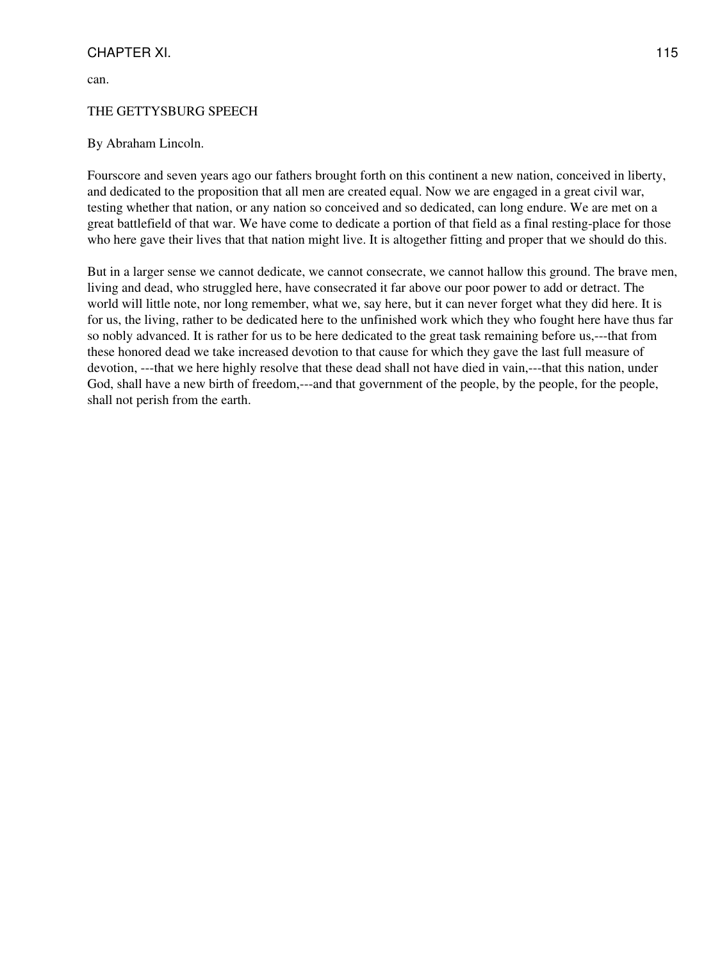can.

#### THE GETTYSBURG SPEECH

By Abraham Lincoln.

Fourscore and seven years ago our fathers brought forth on this continent a new nation, conceived in liberty, and dedicated to the proposition that all men are created equal. Now we are engaged in a great civil war, testing whether that nation, or any nation so conceived and so dedicated, can long endure. We are met on a great battlefield of that war. We have come to dedicate a portion of that field as a final resting-place for those who here gave their lives that that nation might live. It is altogether fitting and proper that we should do this.

But in a larger sense we cannot dedicate, we cannot consecrate, we cannot hallow this ground. The brave men, living and dead, who struggled here, have consecrated it far above our poor power to add or detract. The world will little note, nor long remember, what we, say here, but it can never forget what they did here. It is for us, the living, rather to be dedicated here to the unfinished work which they who fought here have thus far so nobly advanced. It is rather for us to be here dedicated to the great task remaining before us,---that from these honored dead we take increased devotion to that cause for which they gave the last full measure of devotion, ---that we here highly resolve that these dead shall not have died in vain,---that this nation, under God, shall have a new birth of freedom,---and that government of the people, by the people, for the people, shall not perish from the earth.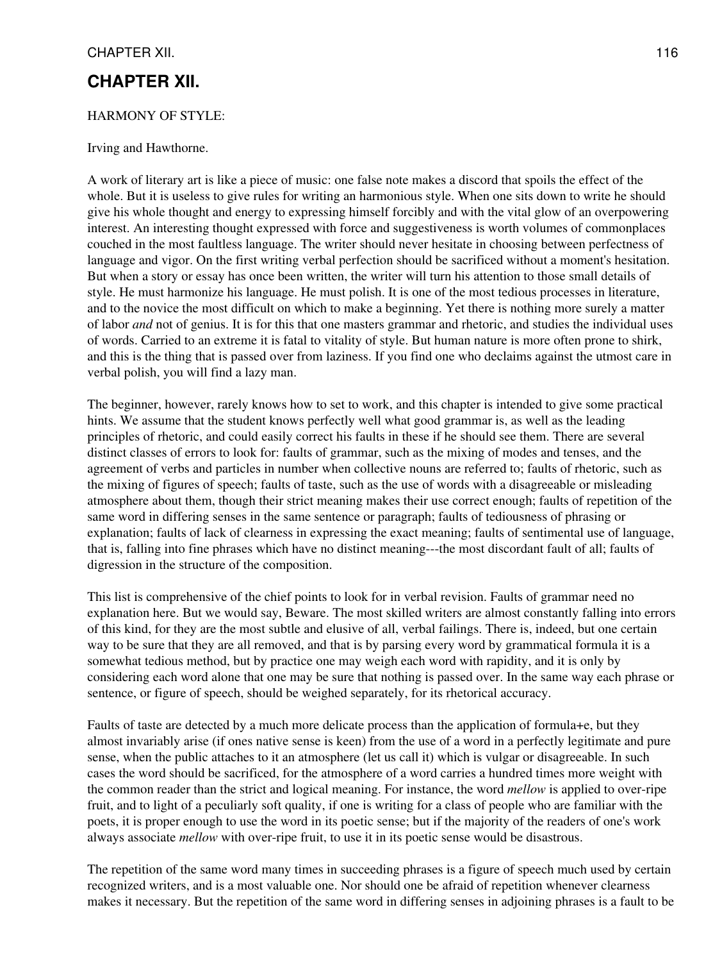#### CHAPTER XII. 116

# **CHAPTER XII.**

#### HARMONY OF STYLE:

Irving and Hawthorne.

A work of literary art is like a piece of music: one false note makes a discord that spoils the effect of the whole. But it is useless to give rules for writing an harmonious style. When one sits down to write he should give his whole thought and energy to expressing himself forcibly and with the vital glow of an overpowering interest. An interesting thought expressed with force and suggestiveness is worth volumes of commonplaces couched in the most faultless language. The writer should never hesitate in choosing between perfectness of language and vigor. On the first writing verbal perfection should be sacrificed without a moment's hesitation. But when a story or essay has once been written, the writer will turn his attention to those small details of style. He must harmonize his language. He must polish. It is one of the most tedious processes in literature, and to the novice the most difficult on which to make a beginning. Yet there is nothing more surely a matter of labor *and* not of genius. It is for this that one masters grammar and rhetoric, and studies the individual uses of words. Carried to an extreme it is fatal to vitality of style. But human nature is more often prone to shirk, and this is the thing that is passed over from laziness. If you find one who declaims against the utmost care in verbal polish, you will find a lazy man.

The beginner, however, rarely knows how to set to work, and this chapter is intended to give some practical hints. We assume that the student knows perfectly well what good grammar is, as well as the leading principles of rhetoric, and could easily correct his faults in these if he should see them. There are several distinct classes of errors to look for: faults of grammar, such as the mixing of modes and tenses, and the agreement of verbs and particles in number when collective nouns are referred to; faults of rhetoric, such as the mixing of figures of speech; faults of taste, such as the use of words with a disagreeable or misleading atmosphere about them, though their strict meaning makes their use correct enough; faults of repetition of the same word in differing senses in the same sentence or paragraph; faults of tediousness of phrasing or explanation; faults of lack of clearness in expressing the exact meaning; faults of sentimental use of language, that is, falling into fine phrases which have no distinct meaning---the most discordant fault of all; faults of digression in the structure of the composition.

This list is comprehensive of the chief points to look for in verbal revision. Faults of grammar need no explanation here. But we would say, Beware. The most skilled writers are almost constantly falling into errors of this kind, for they are the most subtle and elusive of all, verbal failings. There is, indeed, but one certain way to be sure that they are all removed, and that is by parsing every word by grammatical formula it is a somewhat tedious method, but by practice one may weigh each word with rapidity, and it is only by considering each word alone that one may be sure that nothing is passed over. In the same way each phrase or sentence, or figure of speech, should be weighed separately, for its rhetorical accuracy.

Faults of taste are detected by a much more delicate process than the application of formula+e, but they almost invariably arise (if ones native sense is keen) from the use of a word in a perfectly legitimate and pure sense, when the public attaches to it an atmosphere (let us call it) which is vulgar or disagreeable. In such cases the word should be sacrificed, for the atmosphere of a word carries a hundred times more weight with the common reader than the strict and logical meaning. For instance, the word *mellow* is applied to over-ripe fruit, and to light of a peculiarly soft quality, if one is writing for a class of people who are familiar with the poets, it is proper enough to use the word in its poetic sense; but if the majority of the readers of one's work always associate *mellow* with over-ripe fruit, to use it in its poetic sense would be disastrous.

The repetition of the same word many times in succeeding phrases is a figure of speech much used by certain recognized writers, and is a most valuable one. Nor should one be afraid of repetition whenever clearness makes it necessary. But the repetition of the same word in differing senses in adjoining phrases is a fault to be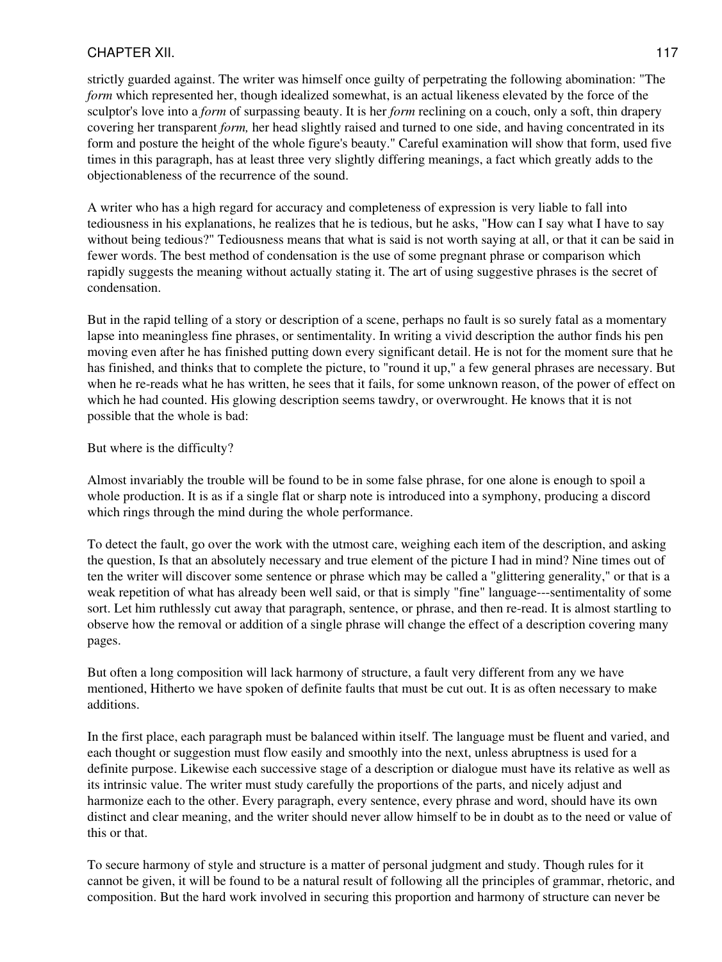# CHAPTER XII. 117

strictly guarded against. The writer was himself once guilty of perpetrating the following abomination: "The *form* which represented her, though idealized somewhat, is an actual likeness elevated by the force of the sculptor's love into a *form* of surpassing beauty. It is her *form* reclining on a couch, only a soft, thin drapery covering her transparent *form,* her head slightly raised and turned to one side, and having concentrated in its form and posture the height of the whole figure's beauty." Careful examination will show that form, used five times in this paragraph, has at least three very slightly differing meanings, a fact which greatly adds to the objectionableness of the recurrence of the sound.

A writer who has a high regard for accuracy and completeness of expression is very liable to fall into tediousness in his explanations, he realizes that he is tedious, but he asks, "How can I say what I have to say without being tedious?" Tediousness means that what is said is not worth saying at all, or that it can be said in fewer words. The best method of condensation is the use of some pregnant phrase or comparison which rapidly suggests the meaning without actually stating it. The art of using suggestive phrases is the secret of condensation.

But in the rapid telling of a story or description of a scene, perhaps no fault is so surely fatal as a momentary lapse into meaningless fine phrases, or sentimentality. In writing a vivid description the author finds his pen moving even after he has finished putting down every significant detail. He is not for the moment sure that he has finished, and thinks that to complete the picture, to "round it up," a few general phrases are necessary. But when he re-reads what he has written, he sees that it fails, for some unknown reason, of the power of effect on which he had counted. His glowing description seems tawdry, or overwrought. He knows that it is not possible that the whole is bad:

## But where is the difficulty?

Almost invariably the trouble will be found to be in some false phrase, for one alone is enough to spoil a whole production. It is as if a single flat or sharp note is introduced into a symphony, producing a discord which rings through the mind during the whole performance.

To detect the fault, go over the work with the utmost care, weighing each item of the description, and asking the question, Is that an absolutely necessary and true element of the picture I had in mind? Nine times out of ten the writer will discover some sentence or phrase which may be called a "glittering generality," or that is a weak repetition of what has already been well said, or that is simply "fine" language---sentimentality of some sort. Let him ruthlessly cut away that paragraph, sentence, or phrase, and then re-read. It is almost startling to observe how the removal or addition of a single phrase will change the effect of a description covering many pages.

But often a long composition will lack harmony of structure, a fault very different from any we have mentioned, Hitherto we have spoken of definite faults that must be cut out. It is as often necessary to make additions.

In the first place, each paragraph must be balanced within itself. The language must be fluent and varied, and each thought or suggestion must flow easily and smoothly into the next, unless abruptness is used for a definite purpose. Likewise each successive stage of a description or dialogue must have its relative as well as its intrinsic value. The writer must study carefully the proportions of the parts, and nicely adjust and harmonize each to the other. Every paragraph, every sentence, every phrase and word, should have its own distinct and clear meaning, and the writer should never allow himself to be in doubt as to the need or value of this or that.

To secure harmony of style and structure is a matter of personal judgment and study. Though rules for it cannot be given, it will be found to be a natural result of following all the principles of grammar, rhetoric, and composition. But the hard work involved in securing this proportion and harmony of structure can never be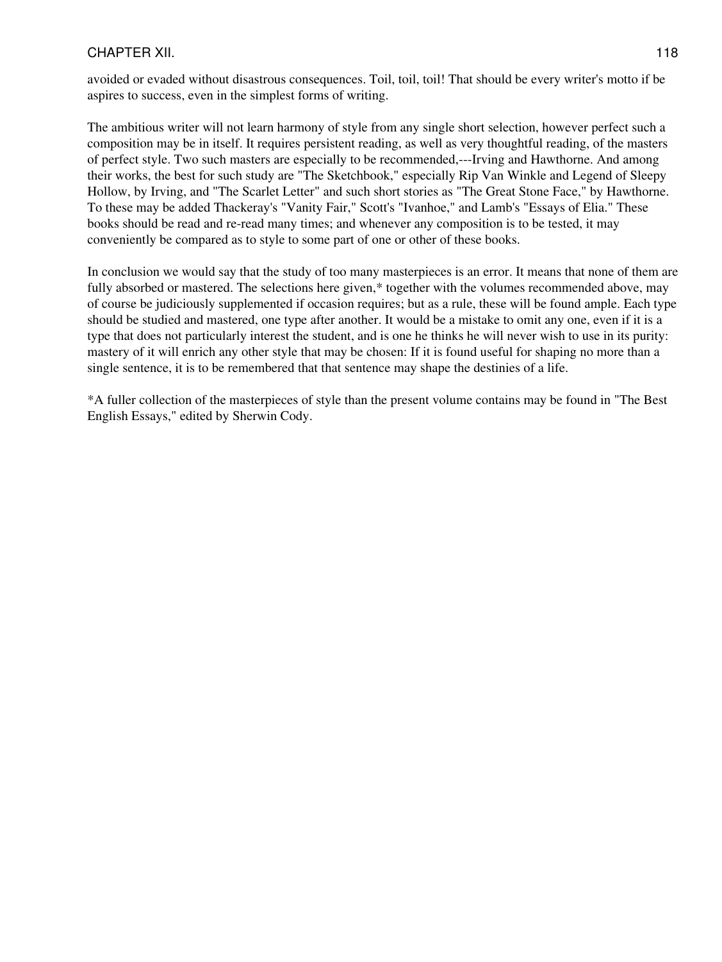# CHAPTER XII. 118

avoided or evaded without disastrous consequences. Toil, toil, toil! That should be every writer's motto if be aspires to success, even in the simplest forms of writing.

The ambitious writer will not learn harmony of style from any single short selection, however perfect such a composition may be in itself. It requires persistent reading, as well as very thoughtful reading, of the masters of perfect style. Two such masters are especially to be recommended,---Irving and Hawthorne. And among their works, the best for such study are "The Sketchbook," especially Rip Van Winkle and Legend of Sleepy Hollow, by Irving, and "The Scarlet Letter" and such short stories as "The Great Stone Face," by Hawthorne. To these may be added Thackeray's "Vanity Fair," Scott's "Ivanhoe," and Lamb's "Essays of Elia." These books should be read and re-read many times; and whenever any composition is to be tested, it may conveniently be compared as to style to some part of one or other of these books.

In conclusion we would say that the study of too many masterpieces is an error. It means that none of them are fully absorbed or mastered. The selections here given,\* together with the volumes recommended above, may of course be judiciously supplemented if occasion requires; but as a rule, these will be found ample. Each type should be studied and mastered, one type after another. It would be a mistake to omit any one, even if it is a type that does not particularly interest the student, and is one he thinks he will never wish to use in its purity: mastery of it will enrich any other style that may be chosen: If it is found useful for shaping no more than a single sentence, it is to be remembered that that sentence may shape the destinies of a life.

\*A fuller collection of the masterpieces of style than the present volume contains may be found in "The Best English Essays," edited by Sherwin Cody.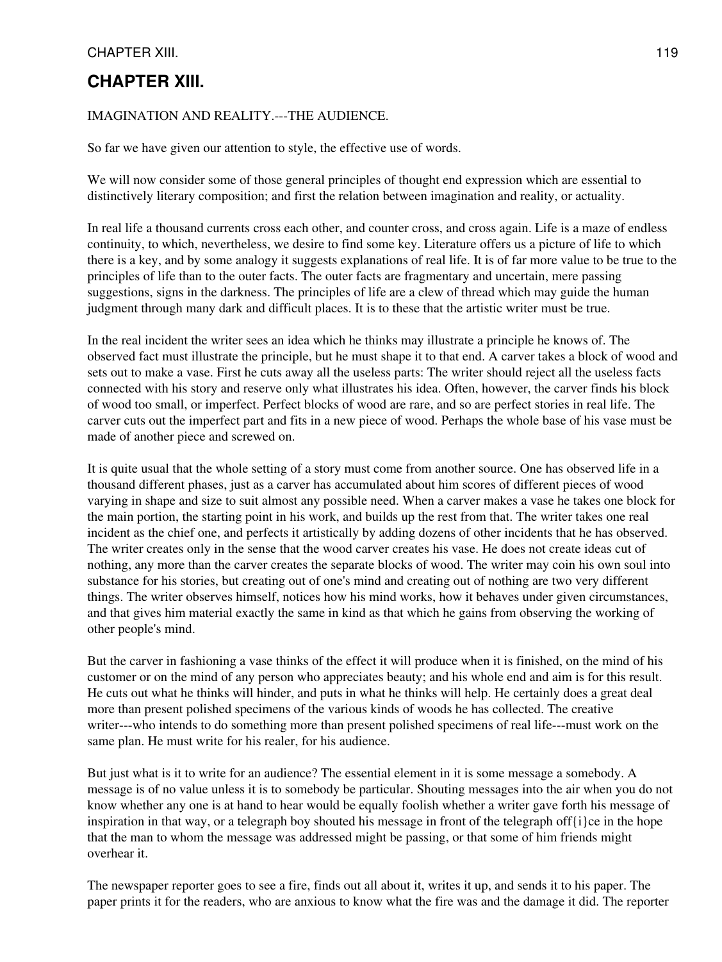## CHAPTER XIII. 119

# **CHAPTER XIII.**

#### IMAGINATION AND REALITY.---THE AUDIENCE.

So far we have given our attention to style, the effective use of words.

We will now consider some of those general principles of thought end expression which are essential to distinctively literary composition; and first the relation between imagination and reality, or actuality.

In real life a thousand currents cross each other, and counter cross, and cross again. Life is a maze of endless continuity, to which, nevertheless, we desire to find some key. Literature offers us a picture of life to which there is a key, and by some analogy it suggests explanations of real life. It is of far more value to be true to the principles of life than to the outer facts. The outer facts are fragmentary and uncertain, mere passing suggestions, signs in the darkness. The principles of life are a clew of thread which may guide the human judgment through many dark and difficult places. It is to these that the artistic writer must be true.

In the real incident the writer sees an idea which he thinks may illustrate a principle he knows of. The observed fact must illustrate the principle, but he must shape it to that end. A carver takes a block of wood and sets out to make a vase. First he cuts away all the useless parts: The writer should reject all the useless facts connected with his story and reserve only what illustrates his idea. Often, however, the carver finds his block of wood too small, or imperfect. Perfect blocks of wood are rare, and so are perfect stories in real life. The carver cuts out the imperfect part and fits in a new piece of wood. Perhaps the whole base of his vase must be made of another piece and screwed on.

It is quite usual that the whole setting of a story must come from another source. One has observed life in a thousand different phases, just as a carver has accumulated about him scores of different pieces of wood varying in shape and size to suit almost any possible need. When a carver makes a vase he takes one block for the main portion, the starting point in his work, and builds up the rest from that. The writer takes one real incident as the chief one, and perfects it artistically by adding dozens of other incidents that he has observed. The writer creates only in the sense that the wood carver creates his vase. He does not create ideas cut of nothing, any more than the carver creates the separate blocks of wood. The writer may coin his own soul into substance for his stories, but creating out of one's mind and creating out of nothing are two very different things. The writer observes himself, notices how his mind works, how it behaves under given circumstances, and that gives him material exactly the same in kind as that which he gains from observing the working of other people's mind.

But the carver in fashioning a vase thinks of the effect it will produce when it is finished, on the mind of his customer or on the mind of any person who appreciates beauty; and his whole end and aim is for this result. He cuts out what he thinks will hinder, and puts in what he thinks will help. He certainly does a great deal more than present polished specimens of the various kinds of woods he has collected. The creative writer---who intends to do something more than present polished specimens of real life---must work on the same plan. He must write for his realer, for his audience.

But just what is it to write for an audience? The essential element in it is some message a somebody. A message is of no value unless it is to somebody be particular. Shouting messages into the air when you do not know whether any one is at hand to hear would be equally foolish whether a writer gave forth his message of inspiration in that way, or a telegraph boy shouted his message in front of the telegraph off $\{i\}$ ce in the hope that the man to whom the message was addressed might be passing, or that some of him friends might overhear it.

The newspaper reporter goes to see a fire, finds out all about it, writes it up, and sends it to his paper. The paper prints it for the readers, who are anxious to know what the fire was and the damage it did. The reporter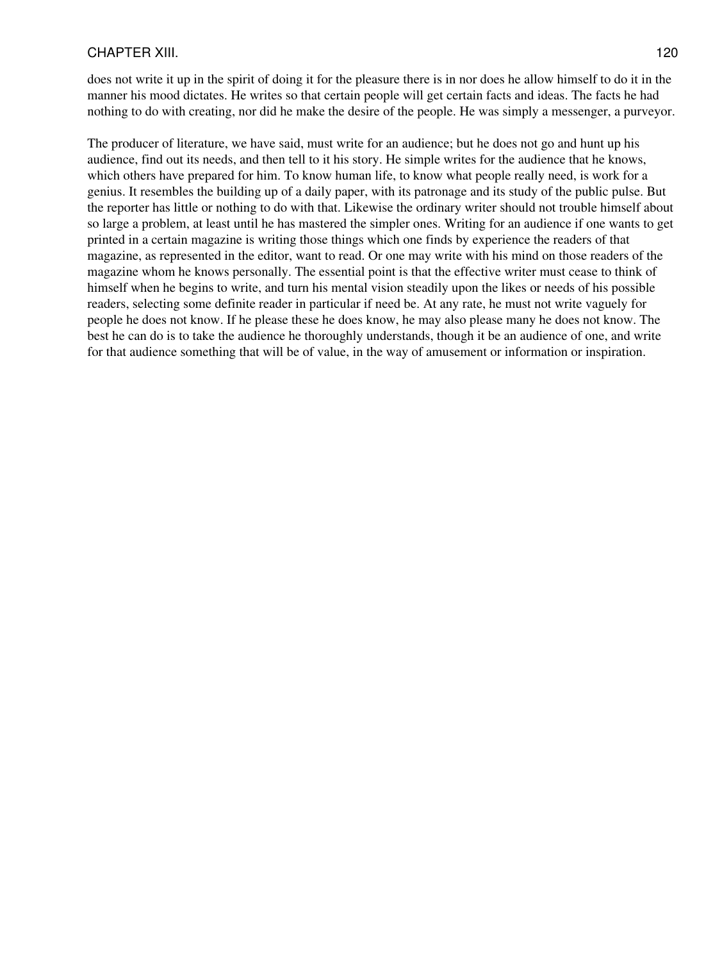#### CHAPTER XIII. 120

does not write it up in the spirit of doing it for the pleasure there is in nor does he allow himself to do it in the manner his mood dictates. He writes so that certain people will get certain facts and ideas. The facts he had nothing to do with creating, nor did he make the desire of the people. He was simply a messenger, a purveyor.

The producer of literature, we have said, must write for an audience; but he does not go and hunt up his audience, find out its needs, and then tell to it his story. He simple writes for the audience that he knows, which others have prepared for him. To know human life, to know what people really need, is work for a genius. It resembles the building up of a daily paper, with its patronage and its study of the public pulse. But the reporter has little or nothing to do with that. Likewise the ordinary writer should not trouble himself about so large a problem, at least until he has mastered the simpler ones. Writing for an audience if one wants to get printed in a certain magazine is writing those things which one finds by experience the readers of that magazine, as represented in the editor, want to read. Or one may write with his mind on those readers of the magazine whom he knows personally. The essential point is that the effective writer must cease to think of himself when he begins to write, and turn his mental vision steadily upon the likes or needs of his possible readers, selecting some definite reader in particular if need be. At any rate, he must not write vaguely for people he does not know. If he please these he does know, he may also please many he does not know. The best he can do is to take the audience he thoroughly understands, though it be an audience of one, and write for that audience something that will be of value, in the way of amusement or information or inspiration.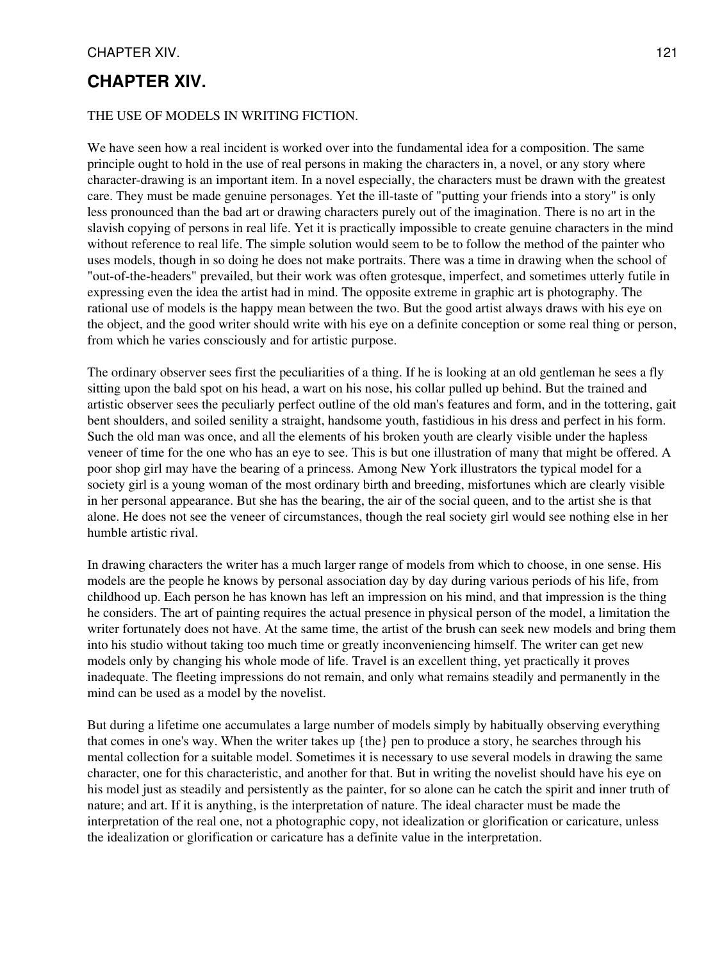#### CHAPTER XIV. 2012 121

# **CHAPTER XIV.**

#### THE USE OF MODELS IN WRITING FICTION.

We have seen how a real incident is worked over into the fundamental idea for a composition. The same principle ought to hold in the use of real persons in making the characters in, a novel, or any story where character-drawing is an important item. In a novel especially, the characters must be drawn with the greatest care. They must be made genuine personages. Yet the ill-taste of "putting your friends into a story" is only less pronounced than the bad art or drawing characters purely out of the imagination. There is no art in the slavish copying of persons in real life. Yet it is practically impossible to create genuine characters in the mind without reference to real life. The simple solution would seem to be to follow the method of the painter who uses models, though in so doing he does not make portraits. There was a time in drawing when the school of "out-of-the-headers" prevailed, but their work was often grotesque, imperfect, and sometimes utterly futile in expressing even the idea the artist had in mind. The opposite extreme in graphic art is photography. The rational use of models is the happy mean between the two. But the good artist always draws with his eye on the object, and the good writer should write with his eye on a definite conception or some real thing or person, from which he varies consciously and for artistic purpose.

The ordinary observer sees first the peculiarities of a thing. If he is looking at an old gentleman he sees a fly sitting upon the bald spot on his head, a wart on his nose, his collar pulled up behind. But the trained and artistic observer sees the peculiarly perfect outline of the old man's features and form, and in the tottering, gait bent shoulders, and soiled senility a straight, handsome youth, fastidious in his dress and perfect in his form. Such the old man was once, and all the elements of his broken youth are clearly visible under the hapless veneer of time for the one who has an eye to see. This is but one illustration of many that might be offered. A poor shop girl may have the bearing of a princess. Among New York illustrators the typical model for a society girl is a young woman of the most ordinary birth and breeding, misfortunes which are clearly visible in her personal appearance. But she has the bearing, the air of the social queen, and to the artist she is that alone. He does not see the veneer of circumstances, though the real society girl would see nothing else in her humble artistic rival.

In drawing characters the writer has a much larger range of models from which to choose, in one sense. His models are the people he knows by personal association day by day during various periods of his life, from childhood up. Each person he has known has left an impression on his mind, and that impression is the thing he considers. The art of painting requires the actual presence in physical person of the model, a limitation the writer fortunately does not have. At the same time, the artist of the brush can seek new models and bring them into his studio without taking too much time or greatly inconveniencing himself. The writer can get new models only by changing his whole mode of life. Travel is an excellent thing, yet practically it proves inadequate. The fleeting impressions do not remain, and only what remains steadily and permanently in the mind can be used as a model by the novelist.

But during a lifetime one accumulates a large number of models simply by habitually observing everything that comes in one's way. When the writer takes up {the} pen to produce a story, he searches through his mental collection for a suitable model. Sometimes it is necessary to use several models in drawing the same character, one for this characteristic, and another for that. But in writing the novelist should have his eye on his model just as steadily and persistently as the painter, for so alone can he catch the spirit and inner truth of nature; and art. If it is anything, is the interpretation of nature. The ideal character must be made the interpretation of the real one, not a photographic copy, not idealization or glorification or caricature, unless the idealization or glorification or caricature has a definite value in the interpretation.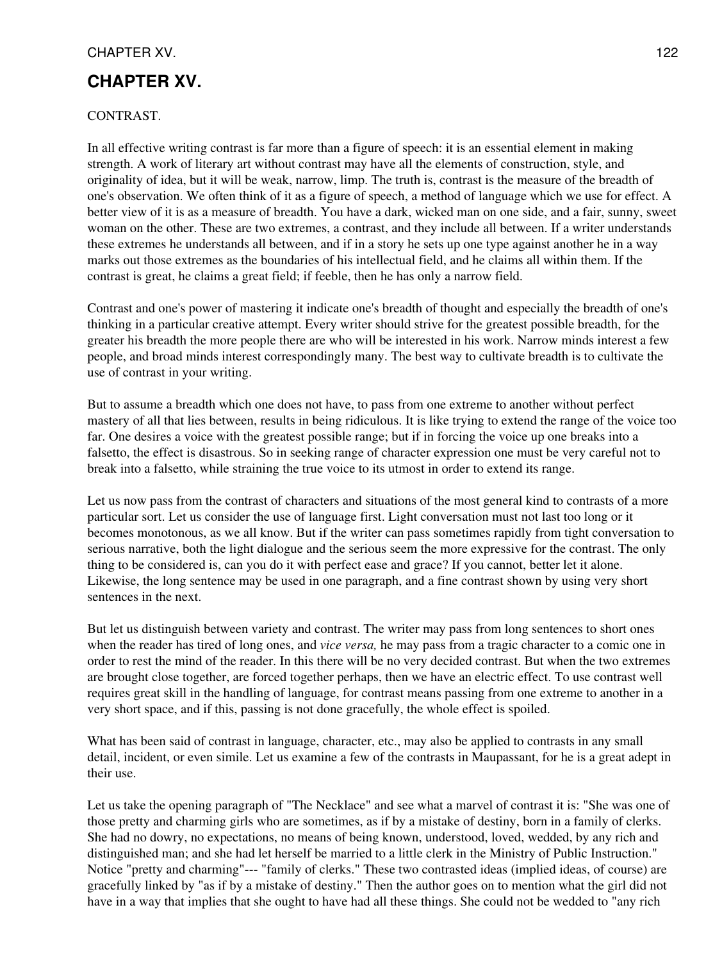# **CHAPTER XV.**

# CONTRAST.

In all effective writing contrast is far more than a figure of speech: it is an essential element in making strength. A work of literary art without contrast may have all the elements of construction, style, and originality of idea, but it will be weak, narrow, limp. The truth is, contrast is the measure of the breadth of one's observation. We often think of it as a figure of speech, a method of language which we use for effect. A better view of it is as a measure of breadth. You have a dark, wicked man on one side, and a fair, sunny, sweet woman on the other. These are two extremes, a contrast, and they include all between. If a writer understands these extremes he understands all between, and if in a story he sets up one type against another he in a way marks out those extremes as the boundaries of his intellectual field, and he claims all within them. If the contrast is great, he claims a great field; if feeble, then he has only a narrow field.

Contrast and one's power of mastering it indicate one's breadth of thought and especially the breadth of one's thinking in a particular creative attempt. Every writer should strive for the greatest possible breadth, for the greater his breadth the more people there are who will be interested in his work. Narrow minds interest a few people, and broad minds interest correspondingly many. The best way to cultivate breadth is to cultivate the use of contrast in your writing.

But to assume a breadth which one does not have, to pass from one extreme to another without perfect mastery of all that lies between, results in being ridiculous. It is like trying to extend the range of the voice too far. One desires a voice with the greatest possible range; but if in forcing the voice up one breaks into a falsetto, the effect is disastrous. So in seeking range of character expression one must be very careful not to break into a falsetto, while straining the true voice to its utmost in order to extend its range.

Let us now pass from the contrast of characters and situations of the most general kind to contrasts of a more particular sort. Let us consider the use of language first. Light conversation must not last too long or it becomes monotonous, as we all know. But if the writer can pass sometimes rapidly from tight conversation to serious narrative, both the light dialogue and the serious seem the more expressive for the contrast. The only thing to be considered is, can you do it with perfect ease and grace? If you cannot, better let it alone. Likewise, the long sentence may be used in one paragraph, and a fine contrast shown by using very short sentences in the next.

But let us distinguish between variety and contrast. The writer may pass from long sentences to short ones when the reader has tired of long ones, and *vice versa,* he may pass from a tragic character to a comic one in order to rest the mind of the reader. In this there will be no very decided contrast. But when the two extremes are brought close together, are forced together perhaps, then we have an electric effect. To use contrast well requires great skill in the handling of language, for contrast means passing from one extreme to another in a very short space, and if this, passing is not done gracefully, the whole effect is spoiled.

What has been said of contrast in language, character, etc., may also be applied to contrasts in any small detail, incident, or even simile. Let us examine a few of the contrasts in Maupassant, for he is a great adept in their use.

Let us take the opening paragraph of "The Necklace" and see what a marvel of contrast it is: "She was one of those pretty and charming girls who are sometimes, as if by a mistake of destiny, born in a family of clerks. She had no dowry, no expectations, no means of being known, understood, loved, wedded, by any rich and distinguished man; and she had let herself be married to a little clerk in the Ministry of Public Instruction." Notice "pretty and charming"--- "family of clerks." These two contrasted ideas (implied ideas, of course) are gracefully linked by "as if by a mistake of destiny." Then the author goes on to mention what the girl did not have in a way that implies that she ought to have had all these things. She could not be wedded to "any rich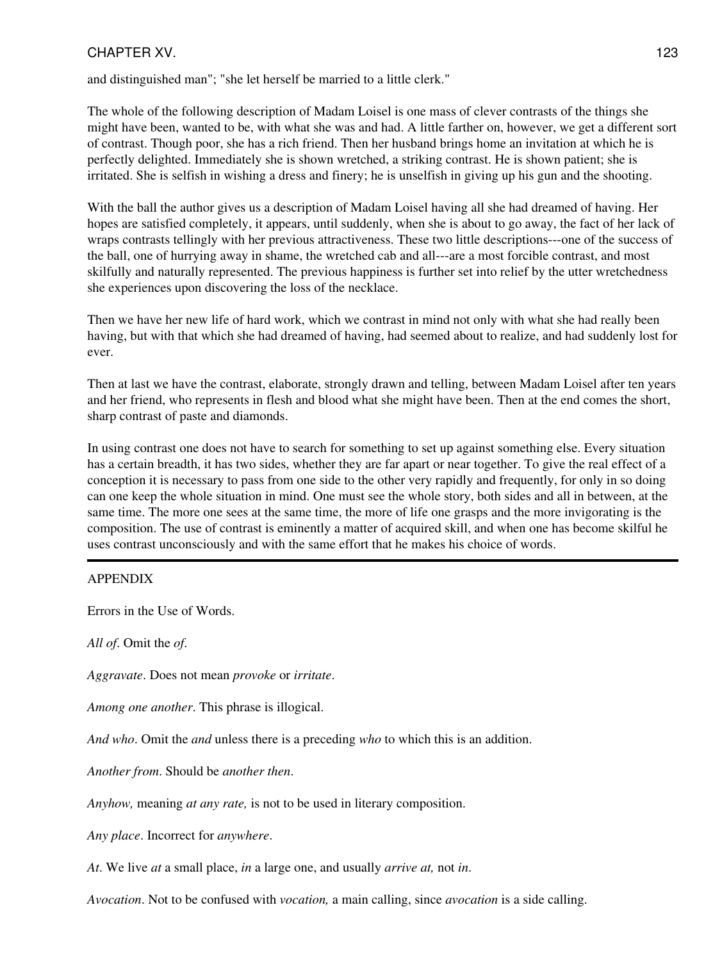and distinguished man"; "she let herself be married to a little clerk."

The whole of the following description of Madam Loisel is one mass of clever contrasts of the things she might have been, wanted to be, with what she was and had. A little farther on, however, we get a different sort of contrast. Though poor, she has a rich friend. Then her husband brings home an invitation at which he is perfectly delighted. Immediately she is shown wretched, a striking contrast. He is shown patient; she is irritated. She is selfish in wishing a dress and finery; he is unselfish in giving up his gun and the shooting.

With the ball the author gives us a description of Madam Loisel having all she had dreamed of having. Her hopes are satisfied completely, it appears, until suddenly, when she is about to go away, the fact of her lack of wraps contrasts tellingly with her previous attractiveness. These two little descriptions---one of the success of the ball, one of hurrying away in shame, the wretched cab and all---are a most forcible contrast, and most skilfully and naturally represented. The previous happiness is further set into relief by the utter wretchedness she experiences upon discovering the loss of the necklace.

Then we have her new life of hard work, which we contrast in mind not only with what she had really been having, but with that which she had dreamed of having, had seemed about to realize, and had suddenly lost for ever.

Then at last we have the contrast, elaborate, strongly drawn and telling, between Madam Loisel after ten years and her friend, who represents in flesh and blood what she might have been. Then at the end comes the short, sharp contrast of paste and diamonds.

In using contrast one does not have to search for something to set up against something else. Every situation has a certain breadth, it has two sides, whether they are far apart or near together. To give the real effect of a conception it is necessary to pass from one side to the other very rapidly and frequently, for only in so doing can one keep the whole situation in mind. One must see the whole story, both sides and all in between, at the same time. The more one sees at the same time, the more of life one grasps and the more invigorating is the composition. The use of contrast is eminently a matter of acquired skill, and when one has become skilful he uses contrast unconsciously and with the same effort that he makes his choice of words.

# APPENDIX

Errors in the Use of Words.

*All of*. Omit the *of*.

*Aggravate*. Does not mean *provoke* or *irritate*.

*Among one another*. This phrase is illogical.

*And who*. Omit the *and* unless there is a preceding *who* to which this is an addition.

*Another from*. Should be *another then*.

*Anyhow,* meaning *at any rate,* is not to be used in literary composition.

*Any place*. Incorrect for *anywhere*.

*At*. We live *at* a small place, *in* a large one, and usually *arrive at,* not *in*.

*Avocation*. Not to be confused with *vocation,* a main calling, since *avocation* is a side calling.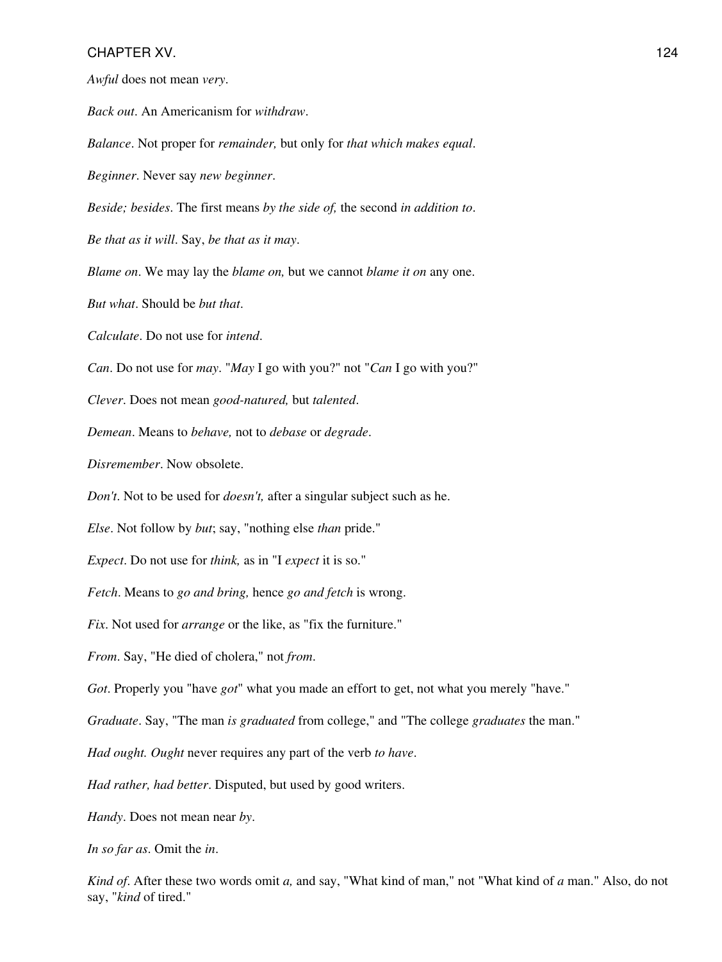*Awful* does not mean *very*.

*Back out*. An Americanism for *withdraw*. *Balance*. Not proper for *remainder,* but only for *that which makes equal*. *Beginner*. Never say *new beginner*. *Beside; besides*. The first means *by the side of,* the second *in addition to*. *Be that as it will*. Say, *be that as it may*. *Blame on*. We may lay the *blame on,* but we cannot *blame it on* any one. *But what*. Should be *but that*. *Calculate*. Do not use for *intend*. *Can*. Do not use for *may*. "*May* I go with you?" not "*Can* I go with you?" *Clever*. Does not mean *good-natured,* but *talented*. *Demean*. Means to *behave,* not to *debase* or *degrade*. *Disremember*. Now obsolete. *Don't*. Not to be used for *doesn't,* after a singular subject such as he. *Else*. Not follow by *but*; say, "nothing else *than* pride." *Expect*. Do not use for *think,* as in "I *expect* it is so." *Fetch*. Means to *go and bring,* hence *go and fetch* is wrong. *Fix*. Not used for *arrange* or the like, as "fix the furniture." *From*. Say, "He died of cholera," not *from*. *Got*. Properly you "have *got*" what you made an effort to get, not what you merely "have." *Graduate*. Say, "The man *is graduated* from college," and "The college *graduates* the man." *Had ought. Ought* never requires any part of the verb *to have*. *Had rather, had better*. Disputed, but used by good writers. *Handy*. Does not mean near *by*. *In so far as*. Omit the *in*.

*Kind of*. After these two words omit *a,* and say, "What kind of man," not "What kind of *a* man." Also, do not say, "*kind* of tired."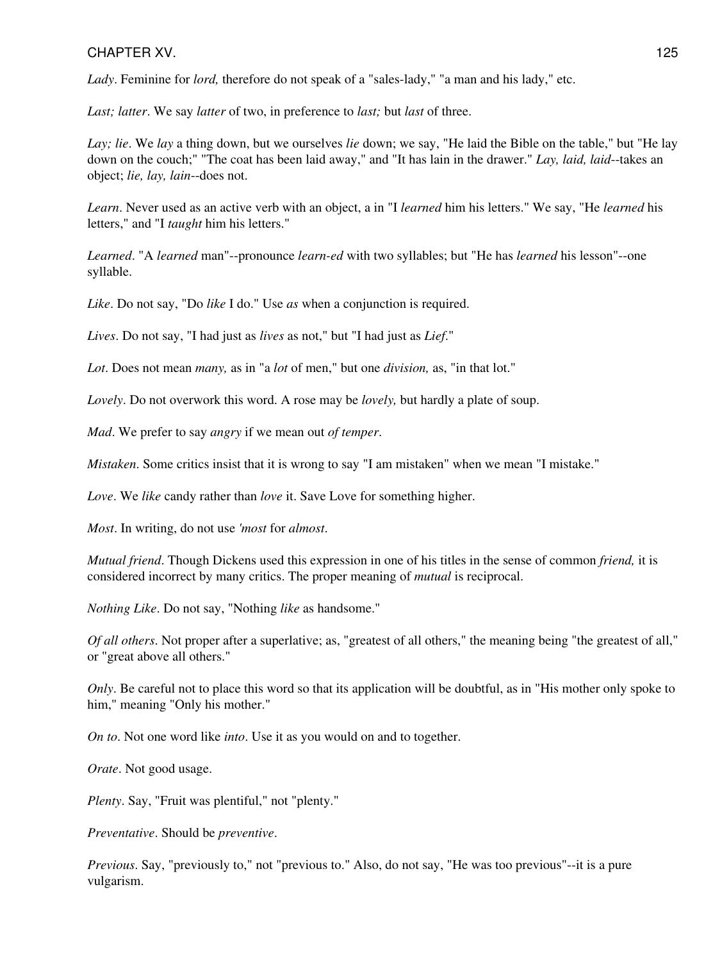*Lady*. Feminine for *lord,* therefore do not speak of a "sales-lady," "a man and his lady," etc.

*Last; latter*. We say *latter* of two, in preference to *last;* but *last* of three.

*Lay; lie*. We *lay* a thing down, but we ourselves *lie* down; we say, "He laid the Bible on the table," but "He lay down on the couch;" "The coat has been laid away," and "It has lain in the drawer." *Lay, laid, laid*--takes an object; *lie, lay, lain*--does not.

*Learn*. Never used as an active verb with an object, a in "I *learned* him his letters." We say, "He *learned* his letters," and "I *taught* him his letters."

*Learned*. "A *learned* man"--pronounce *learn-ed* with two syllables; but "He has *learned* his lesson"--one syllable.

*Like*. Do not say, "Do *like* I do." Use *as* when a conjunction is required.

*Lives*. Do not say, "I had just as *lives* as not," but "I had just as *Lief*."

*Lot*. Does not mean *many,* as in "a *lot* of men," but one *division,* as, "in that lot."

*Lovely*. Do not overwork this word. A rose may be *lovely,* but hardly a plate of soup.

*Mad*. We prefer to say *angry* if we mean out *of temper*.

*Mistaken*. Some critics insist that it is wrong to say "I am mistaken" when we mean "I mistake."

*Love*. We *like* candy rather than *love* it. Save Love for something higher.

*Most*. In writing, do not use *'most* for *almost*.

*Mutual friend*. Though Dickens used this expression in one of his titles in the sense of common *friend,* it is considered incorrect by many critics. The proper meaning of *mutual* is reciprocal.

*Nothing Like*. Do not say, "Nothing *like* as handsome."

*Of all others*. Not proper after a superlative; as, "greatest of all others," the meaning being "the greatest of all," or "great above all others."

*Only*. Be careful not to place this word so that its application will be doubtful, as in "His mother only spoke to him," meaning "Only his mother."

*On to*. Not one word like *into*. Use it as you would on and to together.

*Orate*. Not good usage.

*Plenty*. Say, "Fruit was plentiful," not "plenty."

*Preventative*. Should be *preventive*.

*Previous*. Say, "previously to," not "previous to." Also, do not say, "He was too previous"--it is a pure vulgarism.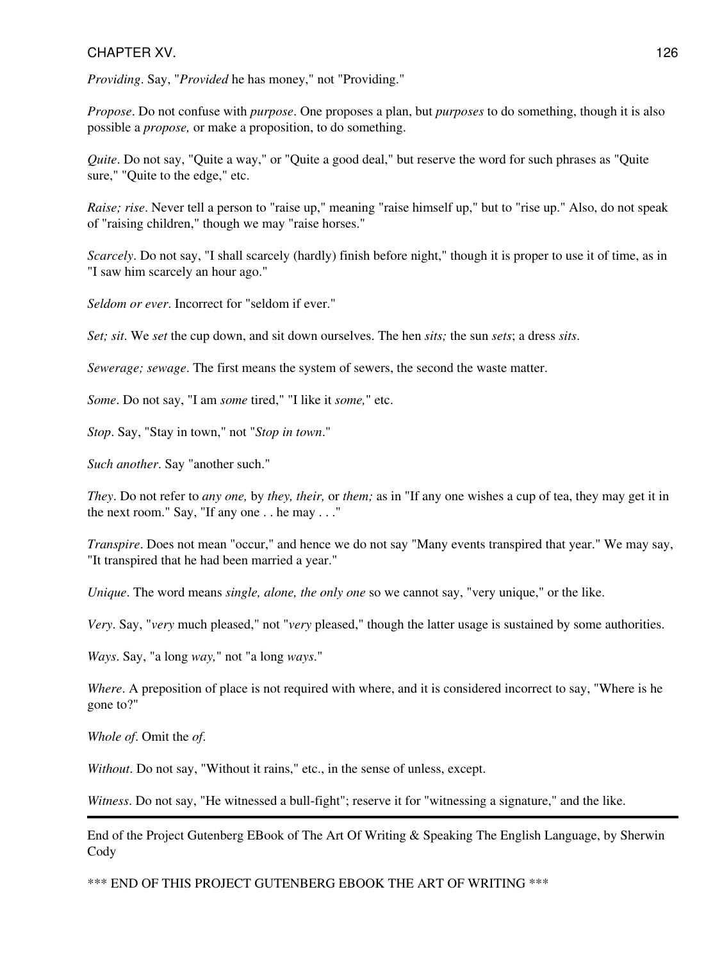*Providing*. Say, "*Provided* he has money," not "Providing."

*Propose*. Do not confuse with *purpose*. One proposes a plan, but *purposes* to do something, though it is also possible a *propose,* or make a proposition, to do something.

*Quite*. Do not say, "Quite a way," or "Quite a good deal," but reserve the word for such phrases as "Quite sure," "Quite to the edge," etc.

*Raise; rise*. Never tell a person to "raise up," meaning "raise himself up," but to "rise up." Also, do not speak of "raising children," though we may "raise horses."

*Scarcely*. Do not say, "I shall scarcely (hardly) finish before night," though it is proper to use it of time, as in "I saw him scarcely an hour ago."

*Seldom or ever*. Incorrect for "seldom if ever."

*Set; sit*. We *set* the cup down, and sit down ourselves. The hen *sits;* the sun *sets*; a dress *sits*.

*Sewerage; sewage*. The first means the system of sewers, the second the waste matter.

*Some*. Do not say, "I am *some* tired," "I like it *some,*" etc.

*Stop*. Say, "Stay in town," not "*Stop in town*."

*Such another*. Say "another such."

*They*. Do not refer to *any one,* by *they, their,* or *them;* as in "If any one wishes a cup of tea, they may get it in the next room." Say, "If any one . . he may . . ."

*Transpire*. Does not mean "occur," and hence we do not say "Many events transpired that year." We may say, "It transpired that he had been married a year."

*Unique*. The word means *single, alone, the only one* so we cannot say, "very unique," or the like.

*Very*. Say, "*very* much pleased," not "*very* pleased," though the latter usage is sustained by some authorities.

*Ways*. Say, "a long *way,*" not "a long *ways*."

*Where*. A preposition of place is not required with where, and it is considered incorrect to say, "Where is he gone to?"

*Whole of*. Omit the *of*.

*Without*. Do not say, "Without it rains," etc., in the sense of unless, except.

*Witness*. Do not say, "He witnessed a bull-fight"; reserve it for "witnessing a signature," and the like.

End of the Project Gutenberg EBook of The Art Of Writing & Speaking The English Language, by Sherwin **Cody** 

\*\*\* END OF THIS PROJECT GUTENBERG EBOOK THE ART OF WRITING \*\*\*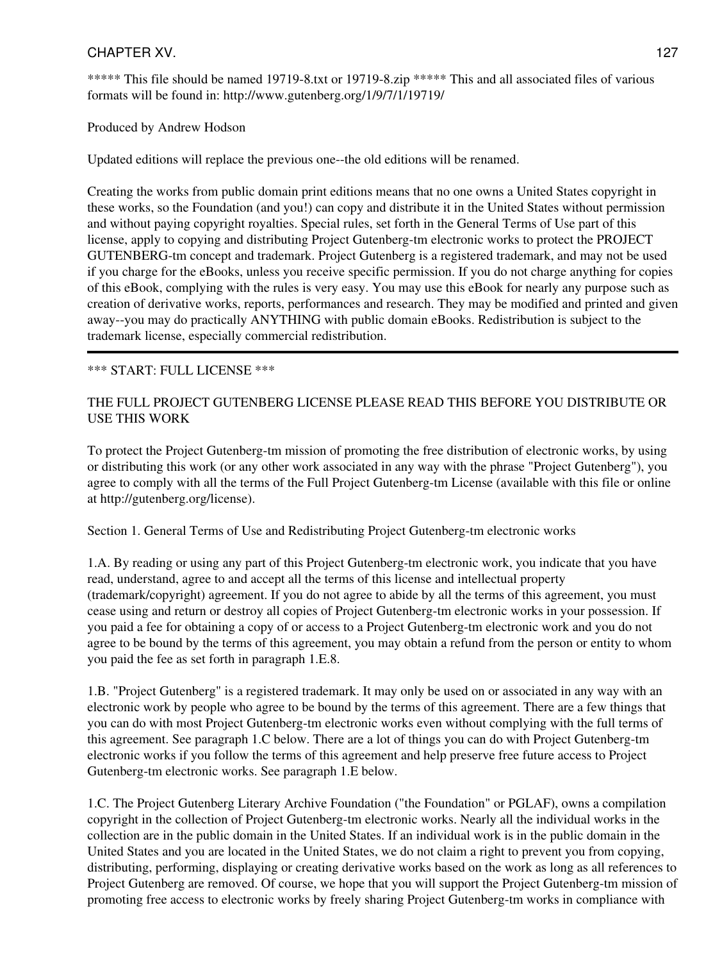\*\*\*\*\* This file should be named 19719-8.txt or 19719-8.zip \*\*\*\*\* This and all associated files of various formats will be found in: http://www.gutenberg.org/1/9/7/1/19719/

Produced by Andrew Hodson

Updated editions will replace the previous one--the old editions will be renamed.

Creating the works from public domain print editions means that no one owns a United States copyright in these works, so the Foundation (and you!) can copy and distribute it in the United States without permission and without paying copyright royalties. Special rules, set forth in the General Terms of Use part of this license, apply to copying and distributing Project Gutenberg-tm electronic works to protect the PROJECT GUTENBERG-tm concept and trademark. Project Gutenberg is a registered trademark, and may not be used if you charge for the eBooks, unless you receive specific permission. If you do not charge anything for copies of this eBook, complying with the rules is very easy. You may use this eBook for nearly any purpose such as creation of derivative works, reports, performances and research. They may be modified and printed and given away--you may do practically ANYTHING with public domain eBooks. Redistribution is subject to the trademark license, especially commercial redistribution.

# \*\*\* START: FULL LICENSE \*\*\*

# THE FULL PROJECT GUTENBERG LICENSE PLEASE READ THIS BEFORE YOU DISTRIBUTE OR USE THIS WORK

To protect the Project Gutenberg-tm mission of promoting the free distribution of electronic works, by using or distributing this work (or any other work associated in any way with the phrase "Project Gutenberg"), you agree to comply with all the terms of the Full Project Gutenberg-tm License (available with this file or online at http://gutenberg.org/license).

Section 1. General Terms of Use and Redistributing Project Gutenberg-tm electronic works

1.A. By reading or using any part of this Project Gutenberg-tm electronic work, you indicate that you have read, understand, agree to and accept all the terms of this license and intellectual property (trademark/copyright) agreement. If you do not agree to abide by all the terms of this agreement, you must cease using and return or destroy all copies of Project Gutenberg-tm electronic works in your possession. If you paid a fee for obtaining a copy of or access to a Project Gutenberg-tm electronic work and you do not agree to be bound by the terms of this agreement, you may obtain a refund from the person or entity to whom you paid the fee as set forth in paragraph 1.E.8.

1.B. "Project Gutenberg" is a registered trademark. It may only be used on or associated in any way with an electronic work by people who agree to be bound by the terms of this agreement. There are a few things that you can do with most Project Gutenberg-tm electronic works even without complying with the full terms of this agreement. See paragraph 1.C below. There are a lot of things you can do with Project Gutenberg-tm electronic works if you follow the terms of this agreement and help preserve free future access to Project Gutenberg-tm electronic works. See paragraph 1.E below.

1.C. The Project Gutenberg Literary Archive Foundation ("the Foundation" or PGLAF), owns a compilation copyright in the collection of Project Gutenberg-tm electronic works. Nearly all the individual works in the collection are in the public domain in the United States. If an individual work is in the public domain in the United States and you are located in the United States, we do not claim a right to prevent you from copying, distributing, performing, displaying or creating derivative works based on the work as long as all references to Project Gutenberg are removed. Of course, we hope that you will support the Project Gutenberg-tm mission of promoting free access to electronic works by freely sharing Project Gutenberg-tm works in compliance with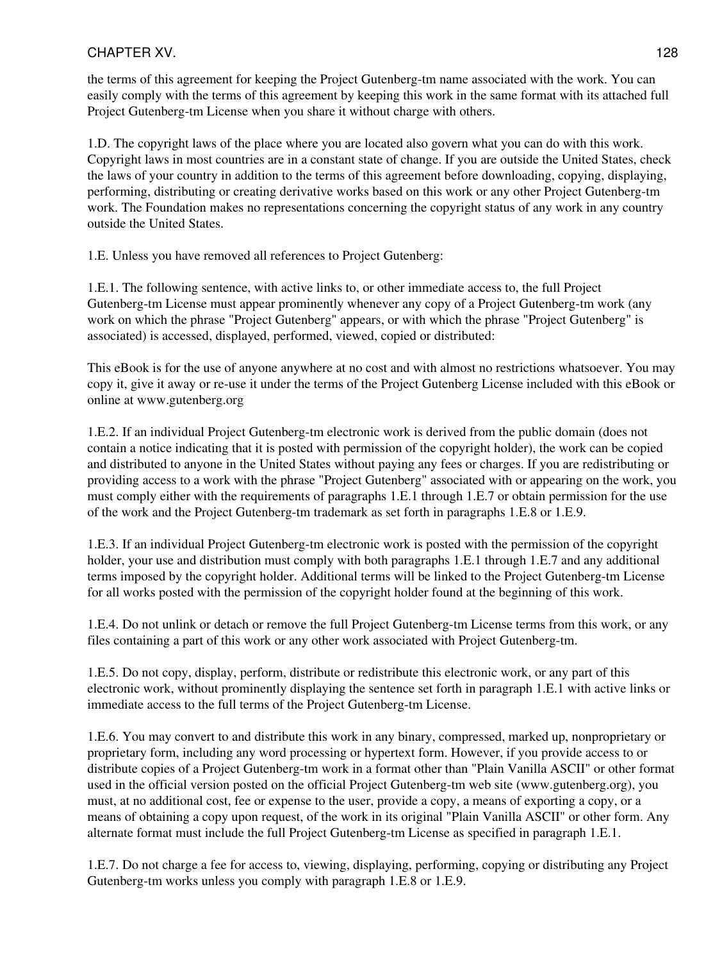the terms of this agreement for keeping the Project Gutenberg-tm name associated with the work. You can easily comply with the terms of this agreement by keeping this work in the same format with its attached full Project Gutenberg-tm License when you share it without charge with others.

1.D. The copyright laws of the place where you are located also govern what you can do with this work. Copyright laws in most countries are in a constant state of change. If you are outside the United States, check the laws of your country in addition to the terms of this agreement before downloading, copying, displaying, performing, distributing or creating derivative works based on this work or any other Project Gutenberg-tm work. The Foundation makes no representations concerning the copyright status of any work in any country outside the United States.

1.E. Unless you have removed all references to Project Gutenberg:

1.E.1. The following sentence, with active links to, or other immediate access to, the full Project Gutenberg-tm License must appear prominently whenever any copy of a Project Gutenberg-tm work (any work on which the phrase "Project Gutenberg" appears, or with which the phrase "Project Gutenberg" is associated) is accessed, displayed, performed, viewed, copied or distributed:

This eBook is for the use of anyone anywhere at no cost and with almost no restrictions whatsoever. You may copy it, give it away or re-use it under the terms of the Project Gutenberg License included with this eBook or online at www.gutenberg.org

1.E.2. If an individual Project Gutenberg-tm electronic work is derived from the public domain (does not contain a notice indicating that it is posted with permission of the copyright holder), the work can be copied and distributed to anyone in the United States without paying any fees or charges. If you are redistributing or providing access to a work with the phrase "Project Gutenberg" associated with or appearing on the work, you must comply either with the requirements of paragraphs 1.E.1 through 1.E.7 or obtain permission for the use of the work and the Project Gutenberg-tm trademark as set forth in paragraphs 1.E.8 or 1.E.9.

1.E.3. If an individual Project Gutenberg-tm electronic work is posted with the permission of the copyright holder, your use and distribution must comply with both paragraphs 1.E.1 through 1.E.7 and any additional terms imposed by the copyright holder. Additional terms will be linked to the Project Gutenberg-tm License for all works posted with the permission of the copyright holder found at the beginning of this work.

1.E.4. Do not unlink or detach or remove the full Project Gutenberg-tm License terms from this work, or any files containing a part of this work or any other work associated with Project Gutenberg-tm.

1.E.5. Do not copy, display, perform, distribute or redistribute this electronic work, or any part of this electronic work, without prominently displaying the sentence set forth in paragraph 1.E.1 with active links or immediate access to the full terms of the Project Gutenberg-tm License.

1.E.6. You may convert to and distribute this work in any binary, compressed, marked up, nonproprietary or proprietary form, including any word processing or hypertext form. However, if you provide access to or distribute copies of a Project Gutenberg-tm work in a format other than "Plain Vanilla ASCII" or other format used in the official version posted on the official Project Gutenberg-tm web site (www.gutenberg.org), you must, at no additional cost, fee or expense to the user, provide a copy, a means of exporting a copy, or a means of obtaining a copy upon request, of the work in its original "Plain Vanilla ASCII" or other form. Any alternate format must include the full Project Gutenberg-tm License as specified in paragraph 1.E.1.

1.E.7. Do not charge a fee for access to, viewing, displaying, performing, copying or distributing any Project Gutenberg-tm works unless you comply with paragraph 1.E.8 or 1.E.9.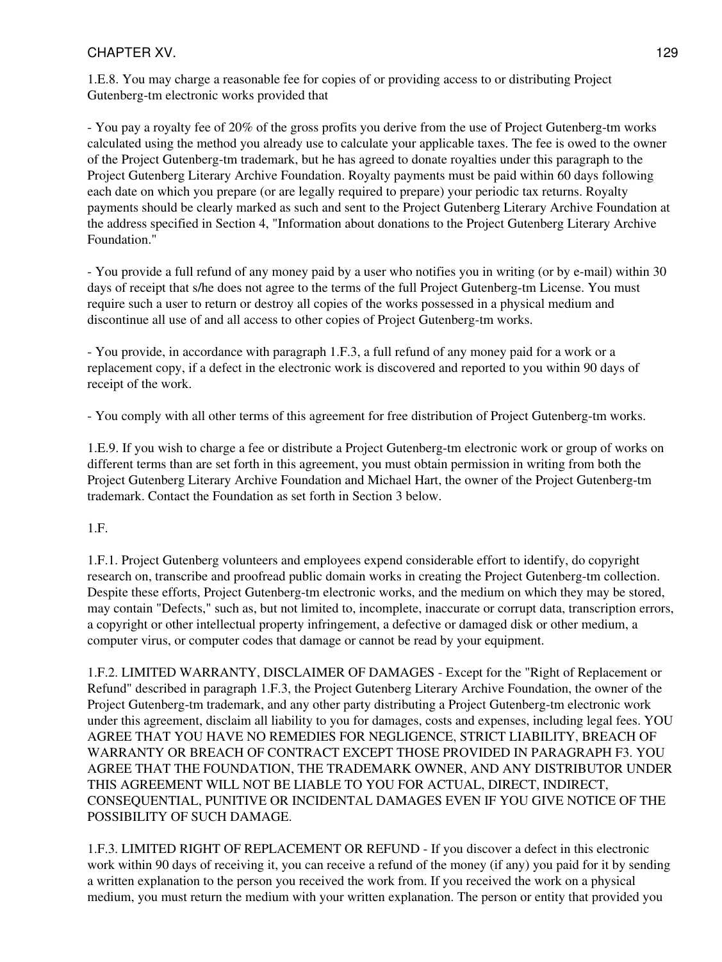1.E.8. You may charge a reasonable fee for copies of or providing access to or distributing Project Gutenberg-tm electronic works provided that

- You pay a royalty fee of 20% of the gross profits you derive from the use of Project Gutenberg-tm works calculated using the method you already use to calculate your applicable taxes. The fee is owed to the owner of the Project Gutenberg-tm trademark, but he has agreed to donate royalties under this paragraph to the Project Gutenberg Literary Archive Foundation. Royalty payments must be paid within 60 days following each date on which you prepare (or are legally required to prepare) your periodic tax returns. Royalty payments should be clearly marked as such and sent to the Project Gutenberg Literary Archive Foundation at the address specified in Section 4, "Information about donations to the Project Gutenberg Literary Archive Foundation."

- You provide a full refund of any money paid by a user who notifies you in writing (or by e-mail) within 30 days of receipt that s/he does not agree to the terms of the full Project Gutenberg-tm License. You must require such a user to return or destroy all copies of the works possessed in a physical medium and discontinue all use of and all access to other copies of Project Gutenberg-tm works.

- You provide, in accordance with paragraph 1.F.3, a full refund of any money paid for a work or a replacement copy, if a defect in the electronic work is discovered and reported to you within 90 days of receipt of the work.

- You comply with all other terms of this agreement for free distribution of Project Gutenberg-tm works.

1.E.9. If you wish to charge a fee or distribute a Project Gutenberg-tm electronic work or group of works on different terms than are set forth in this agreement, you must obtain permission in writing from both the Project Gutenberg Literary Archive Foundation and Michael Hart, the owner of the Project Gutenberg-tm trademark. Contact the Foundation as set forth in Section 3 below.

1.F.

1.F.1. Project Gutenberg volunteers and employees expend considerable effort to identify, do copyright research on, transcribe and proofread public domain works in creating the Project Gutenberg-tm collection. Despite these efforts, Project Gutenberg-tm electronic works, and the medium on which they may be stored, may contain "Defects," such as, but not limited to, incomplete, inaccurate or corrupt data, transcription errors, a copyright or other intellectual property infringement, a defective or damaged disk or other medium, a computer virus, or computer codes that damage or cannot be read by your equipment.

1.F.2. LIMITED WARRANTY, DISCLAIMER OF DAMAGES - Except for the "Right of Replacement or Refund" described in paragraph 1.F.3, the Project Gutenberg Literary Archive Foundation, the owner of the Project Gutenberg-tm trademark, and any other party distributing a Project Gutenberg-tm electronic work under this agreement, disclaim all liability to you for damages, costs and expenses, including legal fees. YOU AGREE THAT YOU HAVE NO REMEDIES FOR NEGLIGENCE, STRICT LIABILITY, BREACH OF WARRANTY OR BREACH OF CONTRACT EXCEPT THOSE PROVIDED IN PARAGRAPH F3. YOU AGREE THAT THE FOUNDATION, THE TRADEMARK OWNER, AND ANY DISTRIBUTOR UNDER THIS AGREEMENT WILL NOT BE LIABLE TO YOU FOR ACTUAL, DIRECT, INDIRECT, CONSEQUENTIAL, PUNITIVE OR INCIDENTAL DAMAGES EVEN IF YOU GIVE NOTICE OF THE POSSIBILITY OF SUCH DAMAGE.

1.F.3. LIMITED RIGHT OF REPLACEMENT OR REFUND - If you discover a defect in this electronic work within 90 days of receiving it, you can receive a refund of the money (if any) you paid for it by sending a written explanation to the person you received the work from. If you received the work on a physical medium, you must return the medium with your written explanation. The person or entity that provided you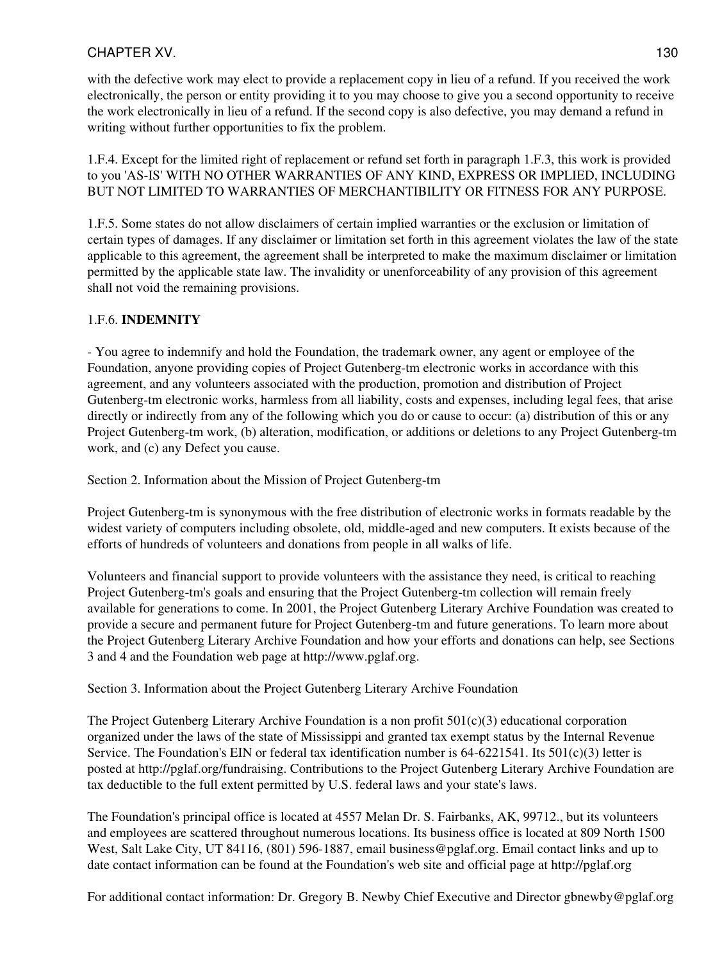with the defective work may elect to provide a replacement copy in lieu of a refund. If you received the work electronically, the person or entity providing it to you may choose to give you a second opportunity to receive the work electronically in lieu of a refund. If the second copy is also defective, you may demand a refund in writing without further opportunities to fix the problem.

1.F.4. Except for the limited right of replacement or refund set forth in paragraph 1.F.3, this work is provided to you 'AS-IS' WITH NO OTHER WARRANTIES OF ANY KIND, EXPRESS OR IMPLIED, INCLUDING BUT NOT LIMITED TO WARRANTIES OF MERCHANTIBILITY OR FITNESS FOR ANY PURPOSE.

1.F.5. Some states do not allow disclaimers of certain implied warranties or the exclusion or limitation of certain types of damages. If any disclaimer or limitation set forth in this agreement violates the law of the state applicable to this agreement, the agreement shall be interpreted to make the maximum disclaimer or limitation permitted by the applicable state law. The invalidity or unenforceability of any provision of this agreement shall not void the remaining provisions.

# 1.F.6. **INDEMNITY**

- You agree to indemnify and hold the Foundation, the trademark owner, any agent or employee of the Foundation, anyone providing copies of Project Gutenberg-tm electronic works in accordance with this agreement, and any volunteers associated with the production, promotion and distribution of Project Gutenberg-tm electronic works, harmless from all liability, costs and expenses, including legal fees, that arise directly or indirectly from any of the following which you do or cause to occur: (a) distribution of this or any Project Gutenberg-tm work, (b) alteration, modification, or additions or deletions to any Project Gutenberg-tm work, and (c) any Defect you cause.

Section 2. Information about the Mission of Project Gutenberg-tm

Project Gutenberg-tm is synonymous with the free distribution of electronic works in formats readable by the widest variety of computers including obsolete, old, middle-aged and new computers. It exists because of the efforts of hundreds of volunteers and donations from people in all walks of life.

Volunteers and financial support to provide volunteers with the assistance they need, is critical to reaching Project Gutenberg-tm's goals and ensuring that the Project Gutenberg-tm collection will remain freely available for generations to come. In 2001, the Project Gutenberg Literary Archive Foundation was created to provide a secure and permanent future for Project Gutenberg-tm and future generations. To learn more about the Project Gutenberg Literary Archive Foundation and how your efforts and donations can help, see Sections 3 and 4 and the Foundation web page at http://www.pglaf.org.

Section 3. Information about the Project Gutenberg Literary Archive Foundation

The Project Gutenberg Literary Archive Foundation is a non profit  $501(c)(3)$  educational corporation organized under the laws of the state of Mississippi and granted tax exempt status by the Internal Revenue Service. The Foundation's EIN or federal tax identification number is  $64-6221541$ . Its  $501(c)(3)$  letter is posted at http://pglaf.org/fundraising. Contributions to the Project Gutenberg Literary Archive Foundation are tax deductible to the full extent permitted by U.S. federal laws and your state's laws.

The Foundation's principal office is located at 4557 Melan Dr. S. Fairbanks, AK, 99712., but its volunteers and employees are scattered throughout numerous locations. Its business office is located at 809 North 1500 West, Salt Lake City, UT 84116, (801) 596-1887, email business@pglaf.org. Email contact links and up to date contact information can be found at the Foundation's web site and official page at http://pglaf.org

For additional contact information: Dr. Gregory B. Newby Chief Executive and Director gbnewby@pglaf.org